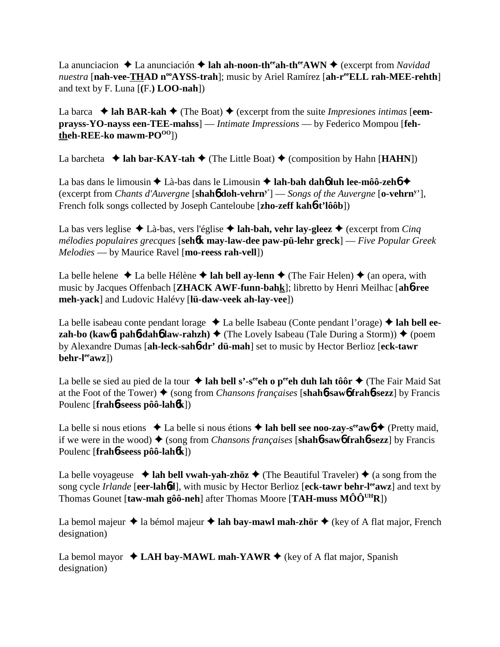La anunciacion  $\triangle$  La anunciación  $\triangle$  **lah ah-noon-th<sup>ee</sup>ah-th<sup>ee</sup>AWN**  $\triangle$  (excerpt from *Navidad nuestra* [nah-vee-THAD n<sup>oo</sup>AYSS-trah]; music by Ariel Ramírez [ah-r<sup>ee</sup>ELL rah-MEE-rehth] and text by F. Luna [**(**F.**) LOO-nah**])

La barca  $\blacklozenge$  **lah BAR-kah**  $\blacklozenge$  (The Boat)  $\blacklozenge$  (excerpt from the suite *Impresiones intimas* [eem**prayss-YO-nayss een-TEE-mahss**] — *Intimate Impressions* — by Federico Mompou [**fehtheh-REE-ko** mawm-PO<sup>00</sup>])

La barcheta  $\triangleleft$  lah bar-KAY-tah  $\triangleleft$  (The Little Boat)  $\triangleleft$  (composition by Hahn [**HAHN**])

La bas dans le limousin ◆ Là-bas dans le Limousin ◆ lah-bah dah6 luh lee-môô-zeh6 ◆ (excerpt from *Chants d'Auvergne* [**shah**6 **doh-vehrny'**] — *Songs of the Auvergne* [**o-vehrny** '], French folk songs collected by Joseph Canteloube [**zho-zeff kah**6**-t'lôôb**])

La bas vers leglise  $\triangle$  Là-bas, vers l'église  $\triangle$  **lah-bah, vehr lay-gleez**  $\triangle$  (excerpt from *Cinq mélodies populaires grecques* [**seh**6**k may-law-dee paw-pü-lehr greck**] — *Five Popular Greek Melodies* — by Maurice Ravel [**mo-reess rah-vell**])

La belle helene  $\triangle$  La belle Hélène  $\triangle$  lah bell ay-lenn  $\triangle$  (The Fair Helen)  $\triangle$  (an opera, with music by Jacques Offenbach [**ZHACK AWF-funn-bahk**]; libretto by Henri Meilhac [**ah**6**-ree meh-yack**] and Ludovic Halévy [**lü-daw-veek ah-lay-vee**])

La belle isabeau conte pendant lorage **↓** La belle Isabeau (Conte pendant l'orage) **◆ lah bell eezah-bo (kaw6t pah6-dah6 law-rahzh)**  $\blacklozenge$  **(The Lovely Isabeau (Tale During a Storm))**  $\blacklozenge$  **(poem** by Alexandre Dumas [**ah-leck-sah**6**-dr' dü-mah**] set to music by Hector Berlioz [**eck-tawr behr-leeawz**])

La belle se sied au pied de la tour  $\triangleq$  lah bell s'-s<sup>ee</sup>eh o peeh duh lah tôôr  $\triangleq$  (The Fair Maid Sat at the Foot of the Tower) (song from *Chansons françaises* [**shah**6**-saw**6 **frah**6**-sezz**] by Francis Poulenc [**frah**6**-seess pôô-lah**6**k**])

La belle si nous etions  $\triangle$  La belle si nous étions  $\triangle$  lah bell see noo-zay-s<sup>ee</sup>aw $\stackrel{\frown}{\blacklozenge}$  (Pretty maid, if we were in the wood)  $\blacklozenge$  (song from *Chansons françaises* [shah**6-saw6 frah6-sezz**] by Francis Poulenc [**frah**6**-seess pôô-lah**6**k**])

La belle voyageuse  $\triangleleft$  lah bell vwah-yah-zhöz  $\triangleleft$  (The Beautiful Traveler)  $\triangleleft$  (a song from the song cycle *Irlande* [**eer-lah**6**d**], with music by Hector Berlioz [**eck-tawr behr-leeawz**] and text by Thomas Gounet [**taw-mah gôô-neh**] after Thomas Moore [**TAH-muss MÔÔUHR**])

La bemol majeur  $\triangle$  la bémol majeur  $\triangle$  **lah bay-mawl mah-zhör**  $\triangle$  (key of A flat major, French designation)

La bemol mayor  $\triangleleft$  LAH bay-MAWL mah-YAWR  $\triangleleft$  (key of A flat major, Spanish designation)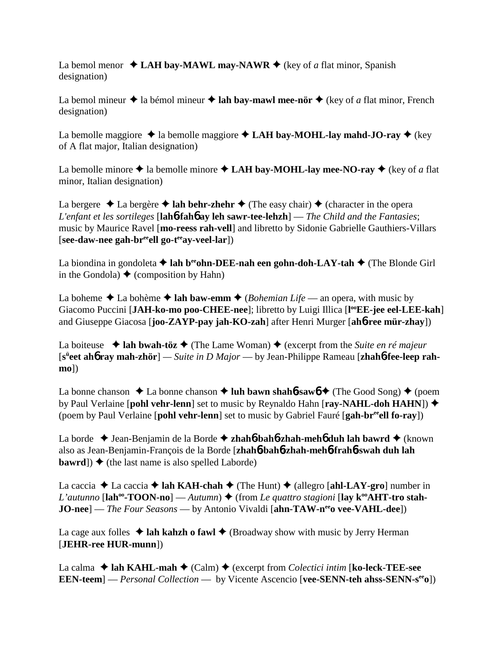La bemol menor  $\triangleleft$  LAH bay-MAWL may-NAWR  $\triangleq$  (key of *a* flat minor, Spanish designation)

La bemol mineur  $\triangleq$  la bémol mineur  $\triangleq$  lah bay-mawl mee-nör  $\triangleq$  (key of *a* flat minor, French designation)

La bemolle maggiore  $\triangle$  la bemolle maggiore  $\triangle$  **LAH bay-MOHL-lay mahd-JO-ray**  $\triangle$  (key of A flat major, Italian designation)

La bemolle minore  $\triangle$  la bemolle minore  $\triangle$  **LAH bay-MOHL-lay mee-NO-ray**  $\triangle$  (key of *a* flat minor, Italian designation)

La bergere  $\triangle$  La bergère  $\triangle$  lah behr-zhehr  $\triangle$  (The easy chair)  $\triangle$  (character in the opera *L'enfant et les sortileges* [**lah**6**-fah**6 **ay leh sawr-tee-lehzh**] — *The Child and the Fantasies*; music by Maurice Ravel [**mo-reess rah-vell**] and libretto by Sidonie Gabrielle Gauthiers-Villars  $[\mathbf{see}\text{-}\mathbf{daw}\text{-}\mathbf{nee}\text{-}\mathbf{gah}\text{-}\mathbf{br}^{\text{ee}}$ ell go-t<br/>eel-y-veel-lar])

La biondina in gondoleta  $\triangle$  lah b<sup>ee</sup>ohn-DEE-nah een gohn-doh-LAY-tah  $\triangle$  (The Blonde Girl in the Gondola)  $\triangle$  (composition by Hahn)

La boheme  $\triangle$  La bohème  $\triangle$  lah baw-emm  $\triangle$  (*Bohemian Life* — an opera, with music by Giacomo Puccini [JAH-ko-mo poo-CHEE-nee]; libretto by Luigi Illica [l<sup>oo</sup>EE-jee eel-LEE-kah] and Giuseppe Giacosa [**joo-ZAYP-pay jah-KO-zah**] after Henri Murger [**ah**6**-ree mür-zhay**])

La boiteuse  $\triangleleft$  lah bwah-töz  $\triangleleft$  (The Lame Woman)  $\triangleleft$  (excerpt from the *Suite en ré majeur* [**sü eet ah**6 **ray mah-zhör**] *— Suite in D Major* — by Jean-Philippe Rameau [**zhah**6**-fee-leep rahmo**])

La bonne chanson  $\triangle$  La bonne chanson  $\triangle$  luh bawn shah**6**-saw $\phi$   $\triangle$  (The Good Song)  $\triangle$  (poem by Paul Verlaine [**pohl vehr-lenn**] set to music by Reynaldo Hahn [**ray-NAHL-doh HAHN**]) (poem by Paul Verlaine [**pohl vehr-lenn**] set to music by Gabriel Fauré [**gah-breeell fo-ray**])

La borde Jean-Benjamin de la Borde **zhah**6**-bah**6**-zhah-meh**6 **duh lah bawrd** (known also as Jean-Benjamin-François de la Borde [**zhah**6**-bah**6**-zhah-meh**6**-frah**6**-swah duh lah bawrd**])  $\blacklozenge$  (the last name is also spelled Laborde)

La caccia  $\triangle$  La caccia  $\triangle$  **lah KAH-chah**  $\triangle$  (The Hunt)  $\triangle$  (allegro [**ahl-LAY-gro**] number in *L'autunno* [ $\text{lab}^{\text{oo}}\text{-} \text{TOON-nol}$  — *Autumn*)  $\blacklozenge$  (from *Le quattro stagioni* [ $\text{lay } k^{\text{oo}}\text{AHT-tro stah-}$ ] **JO-nee**] — *The Four Seasons* — by Antonio Vivaldi [ahn-TAW-n<sup>ee</sup>o vee-VAHL-dee])

La cage aux folles  $\triangleleft$  lah kahzh o fawl  $\triangleleft$  (Broadway show with music by Jerry Herman [**JEHR-ree HUR-munn**])

La calma  $\triangle$  lah KAHL-mah  $\triangle$  (Calm)  $\triangle$  (excerpt from *Colectici intim* [ko-leck-TEE-see **EEN-teem**] — *Personal Collection* — by Vicente Ascencio [**vee-SENN-teh ahss-SENN-s<sup>ee</sup>o**])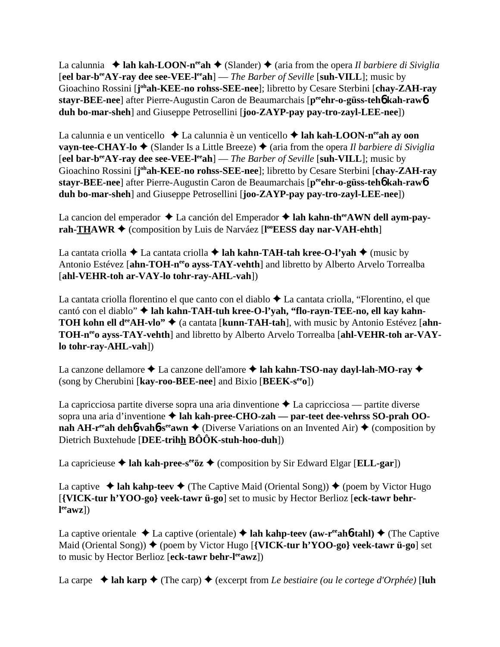La calunnia  $\triangleq$  lah kah-LOON-n<sup>ee</sup>ah  $\triangleq$  (Slander)  $\triangleq$  (aria from the opera *Il barbiere di Siviglia* [**eel bar-beeAY-ray dee see-VEE-leeah**] — *The Barber of Seville* [**suh-VILL**]; music by Gioachino Rossini [**j**<sup>oh</sup>ah-KEE-no rohss-SEE-nee]; libretto by Cesare Sterbini [chay-ZAH-ray **stayr-BEE-nee**] after Pierre-Augustin Caron de Beaumarchais [**peeehr-o-güss-teh**6 **kah-raw**6 **duh bo-mar-sheh**] and Giuseppe Petrosellini [**joo-ZAYP-pay pay-tro-zayl-LEE-nee**])

La calunnia e un venticello **↓** La calunnia è un venticello **→ lah kah-LOON-n<sup>ee</sup>ah ay oon vayn-tee-CHAY-lo**  $\blacklozenge$  (Slander Is a Little Breeze)  $\blacklozenge$  (aria from the opera *Il barbiere di Siviglia* [**eel bar-beeAY-ray dee see-VEE-leeah**] — *The Barber of Seville* [**suh-VILL**]; music by Gioachino Rossini [**j**<sup>oh</sup>ah-KEE-no rohss-SEE-nee]; libretto by Cesare Sterbini [chay-ZAH-ray **stayr-BEE-nee**] after Pierre-Augustin Caron de Beaumarchais [**peeehr-o-güss-teh**6 **kah-raw**6 **duh bo-mar-sheh**] and Giuseppe Petrosellini [**joo-ZAYP-pay pay-tro-zayl-LEE-nee**])

La cancion del emperador ◆ La canción del Emperador ◆ lah kahn-th<sup>ee</sup>AWN dell aym-pay**rah-THAWR ♦** (composition by Luis de Narváez [l<sup>o</sup> **EESS day nar-VAH-ehth**]

La cantata criolla  $\triangle$  La cantata criolla  $\triangle$  **lah kahn-TAH-tah kree-O-l'yah**  $\triangle$  (music by Antonio Estévez [ahn-TOH-n<sup>ee</sup>o ayss-TAY-vehth] and libretto by Alberto Arvelo Torrealba [**ahl-VEHR-toh ar-VAY-lo tohr-ray-AHL-vah**])

La cantata criolla florentino el que canto con el diablo  $\triangle$  La cantata criolla, "Florentino, el que cantó con el diablo"  $\triangleq$  lah kahn-TAH-tuh kree-O-l'yah, "flo-rayn-TEE-no, ell kay kahn-**TOH kohn ell d<sup>ee</sup>AH-vlo<sup>"</sup> ♦ (a cantata [kunn-TAH-tah], with music by Antonio Estévez [ahn-**TOH-n<sup>ee</sup>o avss-TAY-vehth] and libretto by Alberto Arvelo Torrealba [ahl-VEHR-toh ar-VAY**lo tohr-ray-AHL-vah**])

La canzone dellamore ◆ La canzone dell'amore ◆ lah kahn-TSO-nay dayl-lah-MO-ray ◆ (song by Cherubini [**kay-roo-BEE-nee**] and Bixio [**BEEK-seeo**])

La capricciosa partite diverse sopra una aria dinventione  $\triangle$  La capricciosa — partite diverse sopra una aria d'inventione  $\triangleq$  lah kah-pree-CHO-zah — par-teet dee-vehrss SO-prah OO**nah AH-r<sup>ee</sup>ah deh<sup>6</sup>-vah<sup>6</sup>-s<sup>ee</sup>awn**  $\blacklozenge$  (Diverse Variations on an Invented Air)  $\blacklozenge$  (composition by Dietrich Buxtehude [**DEE-trihh BÔÔK-stuh-hoo-duh**])

La capricieuse  $\triangle$  lah kah-pree-s<sup>ee</sup>öz  $\triangle$  (composition by Sir Edward Elgar [**ELL-gar**])

La captive  $\triangleleft$  lah kahp-teev  $\triangleleft$  (The Captive Maid (Oriental Song))  $\triangleleft$  (poem by Victor Hugo [**{VICK-tur h'YOO-go} veek-tawr ü-go**] set to music by Hector Berlioz [**eck-tawr behrl eeawz**])

La captive orientale  $\triangle$  La captive (orientale)  $\triangle$  lah kahp-teev (aw-r<sup>ee</sup>ah**6-tahl)**  $\triangle$  (The Captive Maid (Oriental Song)) ♦ (poem by Victor Hugo [**{VICK-tur h'YOO-go} veek-tawr ü-go**] set to music by Hector Berlioz [**eck-tawr behr-leeawz**])

La carpe  $\triangle$  lah karp  $\triangle$  (The carp)  $\triangle$  (excerpt from *Le bestiaire (ou le cortege d'Orphée)* [luh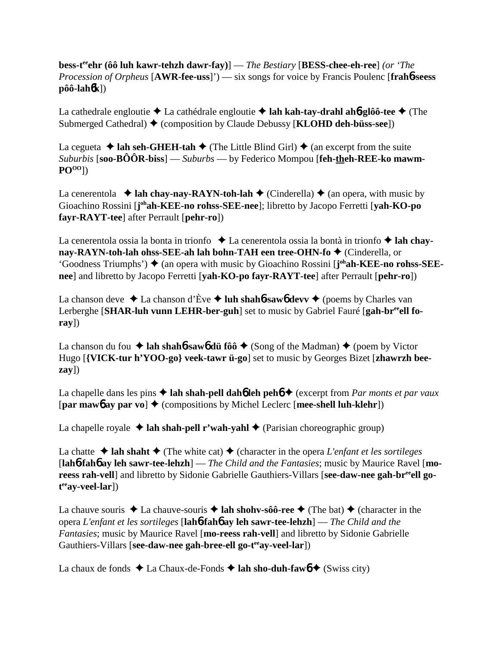**bess-teeehr (ôô luh kawr-tehzh dawr-fay)**] — *The Bestiary* [**BESS-chee-eh-ree**] *(or 'The Procession of Orpheus* [**AWR-fee-uss**]') — six songs for voice by Francis Poulenc [**frah**6**-seess**  $\hat{p}$ ôô-lah $\hat{b}$ k])

La cathedrale engloutie La cathédrale engloutie **lah kah-tay-drahl ah**6**-glôô-tee** (The Submerged Cathedral)  $\blacklozenge$  (composition by Claude Debussy [**KLOHD deh-büss-see**])

La cegueta  $\triangle$  lah seh-GHEH-tah  $\triangle$  (The Little Blind Girl)  $\triangle$  (an excerpt from the suite *Suburbis* [**soo-BÔÔR-biss**] — *Suburbs* — by Federico Mompou [**feh-theh-REE-ko mawm-POOO**])

La cenerentola  $\triangleq$  **lah chay-nay-RAYN-toh-lah**  $\triangleq$  (Cinderella)  $\triangleq$  (an opera, with music by Gioachino Rossini [j<sup>oh</sup>ah-KEE-no rohss-SEE-nee]; libretto by Jacopo Ferretti [yah-KO-po **fayr-RAYT-tee**] after Perrault [**pehr-ro**])

La cenerentola ossia la bonta in trionfo **→** La cenerentola ossia la bontà in trionfo **→ lah chaynay-RAYN-toh-lah ohss-SEE-ah lah bohn-TAH een tree-OHN-fo ♦ (Cinderella, or** 'Goodness Triumphs')  $\blacklozenge$  (an opera with music by Gioachino Rossini [j<sup>oh</sup>ah-KEE-no rohss-SEE**nee**] and libretto by Jacopo Ferretti [**yah-KO-po fayr-RAYT-tee**] after Perrault [**pehr-ro**])

La chanson deve  $\triangle$  La chanson d'Ève  $\triangle$  luh shah**6**-sawb devv  $\triangle$  (poems by Charles van Lerberghe [SHAR-luh vunn LEHR-ber-guh] set to music by Gabriel Fauré [gah-br<sup>ee</sup>ell fo**ray**])

La chanson du fou  $\triangle$  lah shah**6**-saw**6** dü fôô  $\triangle$  (Song of the Madman)  $\triangle$  (poem by Victor Hugo [**{VICK-tur h'YOO-go} veek-tawr ü-go**] set to music by Georges Bizet [**zhawrzh beezay**])

La chapelle dans les pins  $\triangle$  lah shah-pell dah**6** leh peh**6**  $\triangle$  (excerpt from *Par monts et par vaux* [**par maw**6 **ay par vo**] (compositions by Michel Leclerc [**mee-shell luh-klehr**])

La chapelle royale  $\triangle$  lah shah-pell r'wah-yahl  $\triangle$  (Parisian choreographic group)

La chatte  $\triangle$  lah shaht  $\triangle$  (The white cat)  $\triangle$  (character in the opera *L'enfant et les sortileges* [**lah**6**-fah**6 **ay leh sawr-tee-lehzh**] — *The Child and the Fantasies*; music by Maurice Ravel [**mo**reess rah-vell] and libretto by Sidonie Gabrielle Gauthiers-Villars [see-daw-nee gah-br<sup>ee</sup>ell go**t eeay-veel-lar**])

La chauve souris  $\triangle$  La chauve-souris  $\triangle$  **lah shohv-sôô-ree**  $\triangle$  (The bat)  $\triangle$  (character in the opera *L'enfant et les sortileges* [**lah**6**-fah**6 **ay leh sawr-tee-lehzh**] — *The Child and the Fantasies*; music by Maurice Ravel [**mo-reess rah-vell**] and libretto by Sidonie Gabrielle Gauthiers-Villars [see-daw-nee gah-bree-ell go-t<sup>ee</sup>ay-veel-lar])

La chaux de fonds  $\triangle$  La Chaux-de-Fonds  $\triangle$  lah sho-duh-faw $\phi$  (Swiss city)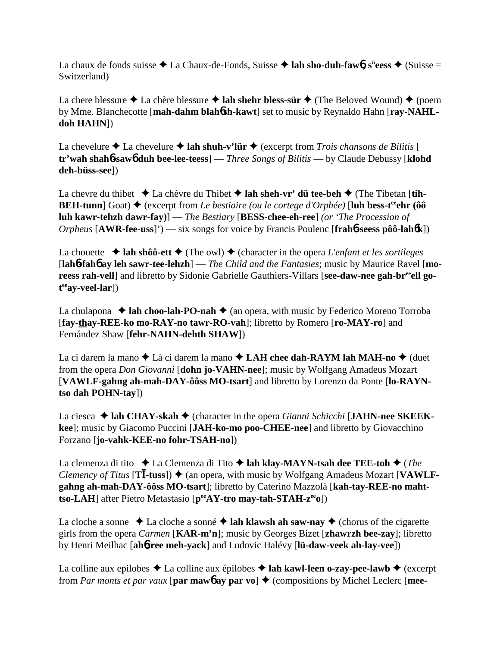La chaux de fonds suisse ◆ La Chaux-de-Fonds, Suisse ◆ lah sho-duh-faw6, s<sup>ü</sup>eess ◆ (Suisse = Switzerland)

La chere blessure  $\triangle$  La chère blessure  $\triangle$  lah shehr bless-sür  $\triangle$  (The Beloved Wound)  $\triangle$  (poem by Mme. Blanchecotte [**mah-dahm blah**6**sh-kawt**] set to music by Reynaldo Hahn [**ray-NAHLdoh HAHN**])

La chevelure  $\triangle$  La chevelure  $\triangle$  lah shuh-v'lür  $\triangle$  (excerpt from *Trois chansons de Bilitis* [ **tr'wah shah**6**-saw**6 **duh bee-lee-teess**] — *Three Songs of Bilitis* — by Claude Debussy [**klohd deh-büss-see**])

La chevre du thibet  $\triangle$  La chèvre du Thibet  $\triangle$  lah sheh-vr' dü tee-beh  $\triangle$  (The Tibetan [tih-**BEH-tunn**] Goat)  $\triangle$  (excerpt from *Le bestiaire (ou le cortege d'Orphée)* [luh bess-t<sup>ee</sup>ehr (ôô **luh kawr-tehzh dawr-fay)**] — *The Bestiary* [**BESS-chee-eh-ree**] *(or 'The Procession of Orpheus* [**AWR-fee-uss**]') — six songs for voice by Francis Poulenc [**frah**6**-seess pôô-lah**6**k**])

La chouette  $\triangleq$  lah shôô-ett  $\triangleq$  (The owl)  $\triangleq$  (character in the opera *L'enfant et les sortileges* [**lah**6**-fah**6 **ay leh sawr-tee-lehzh**] — *The Child and the Fantasies*; music by Maurice Ravel [**mo**reess rah-vell and libretto by Sidonie Gabrielle Gauthiers-Villars [see-daw-nee gah-br<sup>ee</sup>ell go**t eeay-veel-lar**])

La chulapona  $\triangle$  **lah choo-lah-PO-nah**  $\triangle$  (an opera, with music by Federico Moreno Torroba [**fay-thay-REE-ko mo-RAY-no tawr-RO-vah**]; libretto by Romero [**ro-MAY-ro**] and Fernández Shaw [**fehr-NAHN-dehth SHAW**])

La ci darem la mano  $\triangle$  Là ci darem la mano  $\triangle$  **LAH chee dah-RAYM lah MAH-no**  $\triangle$  (duet from the opera *Don Giovanni* [**dohn jo-VAHN-nee**]; music by Wolfgang Amadeus Mozart [**VAWLF-gahng ah-mah-DAY-ôôss MO-tsart**] and libretto by Lorenzo da Ponte [**lo-RAYNtso dah POHN-tay**])

**La ciesca ◆ lah CHAY-skah ◆ (character in the opera** *Gianni Schicchi* **[JAHN-nee SKEEKkee**]; music by Giacomo Puccini [**JAH-ko-mo poo-CHEE-nee**] and libretto by Giovacchino Forzano [**jo-vahk-KEE-no fohr-TSAH-no**])

La clemenza di tito  $\triangle$  La Clemenza di Tito  $\triangle$  lah klay-MAYN-tsah dee TEE-toh  $\triangle$  (*The Clemency of Titus* [T**I**-tuss])  $\triangle$  (an opera, with music by Wolfgang Amadeus Mozart [VAWLF**gahng ah-mah-DAY-ôôss MO-tsart**]; libretto by Caterino Mazzolà [**kah-tay-REE-no mahttso-LAH**] after Pietro Metastasio [**peeAY-tro may-tah-STAH-zeeo**])

La cloche a sonne  $\triangle$  La cloche a sonné  $\triangle$  lah klawsh ah saw-nay  $\triangle$  (chorus of the cigarette girls from the opera *Carmen* [**KAR-m'n**]; music by Georges Bizet [**zhawrzh bee-zay**]; libretto by Henri Meilhac [**ah**6**-ree meh-yack**] and Ludovic Halévy [**lü-daw-veek ah-lay-vee**])

La colline aux epilobes  $\triangle$  La colline aux épilobes  $\triangle$  lah kawl-leen o-zay-pee-lawb  $\triangle$  (excerpt from *Par monts et par vaux* [par mawb ay par vo]  $\triangle$  (compositions by Michel Leclerc [mee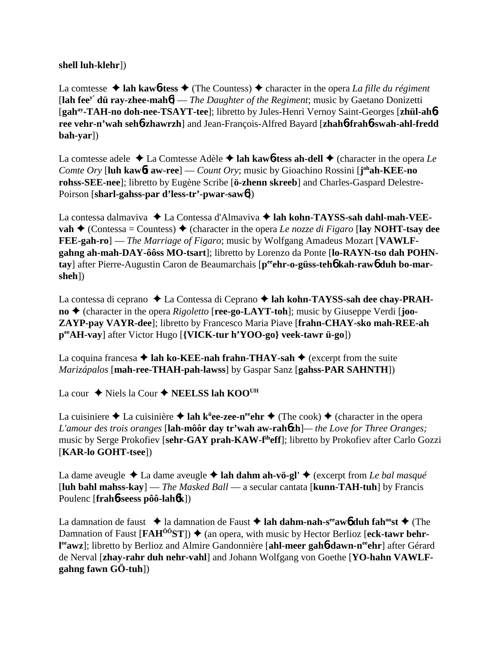**shell luh-klehr**])

La comtesse  $\triangle$  lah kawb-tess  $\triangle$  (The Countess)  $\triangle$  character in the opera *La fille du régiment* [**lah feey' dü ray-zhee-mah**6] — *The Daughter of the Regiment*; music by Gaetano Donizetti [**gahay-TAH-no doh-nee-TSAYT-tee**]; libretto by Jules-Henri Vernoy Saint-Georges [**zhül-ah**6 **ree vehr-n'wah seh**6**-zhawrzh**] and Jean-François-Alfred Bayard [**zhah**6**-frah**6**-swah-ahl-fredd bah-yar**])

La comtesse adele  $\triangle$  La Comtesse Adèle  $\triangle$  lah kawb-tess ah-dell  $\triangle$  (character in the opera *Le Comte Ory* [**luh kaw**6**t aw-ree**] — *Count Ory*; music by Gioachino Rossini [**j ohah-KEE-no rohss-SEE-nee**]; libretto by Eugène Scribe [**ö-zhenn skreeb**] and Charles-Gaspard Delestre-Poirson [**sharl-gahss-par d'less-tr'-pwar-saw**6])

La contessa dalmaviva ◆ La Contessa d'Almaviva ◆ lah kohn-TAYSS-sah dahl-mah-VEE**vah**  $\triangle$  (Contessa = Countess)  $\triangle$  (character in the opera *Le nozze di Figaro* [lay NOHT-tsay dee **FEE-gah-ro**] — *The Marriage of Figaro*; music by Wolfgang Amadeus Mozart [**VAWLFgahng ah-mah-DAY-ôôss MO-tsart**]; libretto by Lorenzo da Ponte [**lo-RAYN-tso dah POHN**tay] after Pierre-Augustin Caron de Beaumarchais [peen**-o-güss-teh6 kah-raw6 duh bo-marsheh**])

La contessa di ceprano ◆ La Contessa di Ceprano ◆ lah kohn-TAYSS-sah dee chay-PRAH**no** ♦ (character in the opera *Rigoletto* [**ree-go-LAYT-toh**]; music by Giuseppe Verdi [**joo-ZAYP-pay VAYR-dee**]; libretto by Francesco Maria Piave [**frahn-CHAY-sko mah-REE-ah peeAH-vay**] after Victor Hugo [**{VICK-tur h'YOO-go} veek-tawr ü-go**])

La coquina francesa  $\triangle$  lah ko-KEE-nah frahn-THAY-sah  $\triangle$  (excerpt from the suite *Marizápalos* [**mah-ree-THAH-pah-lawss**] by Gaspar Sanz [**gahss-PAR SAHNTH**])

La cour **→** Niels la Cour → **NEELSS lah KOO<sup>UH</sup>** 

La cuisiniere ◆ La cuisinière ◆ **lah k<sup>ü</sup>ee-zee-n<sup>ee</sup>ehr** ◆ (The cook) ◆ (character in the opera *L'amour des trois oranges* [**lah-môôr day tr'wah aw-rah**6**zh**]*— the Love for Three Oranges;* music by Serge Prokofiev [**sehr-GAY prah-KAW-fiheff**]; libretto by Prokofiev after Carlo Gozzi [**KAR-lo GOHT-tsee**])

La dame aveugle  $\triangle$  La dame aveugle  $\triangle$  lah dahm ah-vö-gl'  $\triangle$  (excerpt from *Le bal masqué* [**luh bahl mahss-kay**] — *The Masked Ball* — a secular cantata [**kunn-TAH-tuh**] by Francis Poulenc [**frah**6**-seess pôô-lah**6**k**])

La damnation de faust  $\triangle$  la damnation de Faust  $\triangle$  lah dahm-nah-s<sup>ee</sup>aw6 duh fah<sup>oo</sup>st  $\triangle$  (The Damnation of Faust [**FAH<sup>ôô</sup>ST**]) ♦ (an opera, with music by Hector Berlioz [eck-tawr behrl<sup>ee</sup>awz]; libretto by Berlioz and Almire Gandonnière [**ahl-meer gah6-dawn-n<sup>ee</sup>ehr**] after Gérard de Nerval [**zhay-rahr duh nehr-vahl**] and Johann Wolfgang von Goethe [**YO-hahn VAWLFgahng fawn GÖ-tuh**])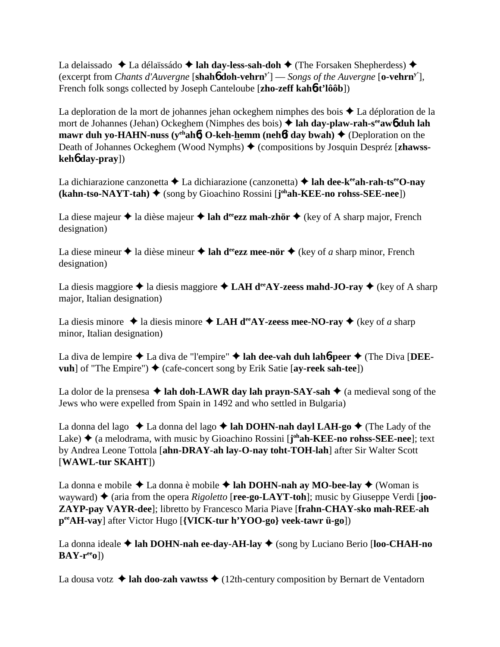La delaissado **↓** La délaïssádo **→ lah day-less-sah-doh →** (The Forsaken Shepherdess) ◆ (excerpt from *Chants d'Auvergne* [**shah**6 **doh-vehrny'**] — *Songs of the Auvergne* [**o-vehrny'**], French folk songs collected by Joseph Canteloube [**zho-zeff kah**6**-t'lôôb**])

La deploration de la mort de johannes jehan ockeghem nimphes des bois  $\triangle$  La déploration de la mort de Johannes (Jehan) Ockeghem (Nimphes des bois) **lah day-plaw-rah-seeaw**6 **duh lah mawr duh yo-HAHN-nuss (y<sup>eh</sup>ah<sup>6</sup>) O-keh-hemm (neh<sup>6</sup>f day bwah)**  $\triangle$  **(Deploration on the** Death of Johannes Ockeghem (Wood Nymphs) ♦ (compositions by Josquin Despréz [zhawss**keh**6 **day-pray**])

La dichiarazione canzonetta  $\triangle$  La dichiarazione (canzonetta)  $\triangle$  lah dee-k<sup>ee</sup>ah-rah-ts<sup>ee</sup>O-nay **(kahn-tso-NAYT-tah)** (song by Gioachino Rossini [**j ohah-KEE-no rohss-SEE-nee**])

La diese majeur  $\triangle$  la dièse majeur  $\triangle$  lah d<sup>ee</sup>ezz mah-zhör  $\triangle$  (key of A sharp major, French designation)

La diese mineur  $\triangle$  la dièse mineur  $\triangle$  lah d<sup>ee</sup>ezz mee-nör  $\triangle$  (key of *a* sharp minor, French designation)

La diesis maggiore  $\triangle$  la diesis maggiore  $\triangle$  **LAH d<sup>ee</sup>AY-zeess mahd-JO-ray**  $\triangle$  (key of A sharp major, Italian designation)

La diesis minore  $\triangle$  la diesis minore  $\triangle$  LAH d<sup>ee</sup>AY-zeess mee-NO-ray  $\triangle$  (key of *a* sharp minor, Italian designation)

La diva de lempire  $\triangle$  La diva de "l'empire"  $\triangle$  lah dee-vah duh lah**6**-peer  $\triangle$  (The Diva [DEE**vuh**] of "The Empire")  $\triangleleft$  (cafe-concert song by Erik Satie [**ay-reek sah-tee**])

La dolor de la prensesa  $\triangle$  lah doh-LAWR day lah prayn-SAY-sah  $\triangle$  (a medieval song of the Jews who were expelled from Spain in 1492 and who settled in Bulgaria)

La donna del lago  $\triangle$  La donna del lago  $\triangle$  lah DOHN-nah dayl LAH-go  $\triangle$  (The Lady of the Lake) ♦ (a melodrama, with music by Gioachino Rossini [**j**<sup>oh</sup>**ah-KEE-no rohss-SEE-nee**]; text by Andrea Leone Tottola [**ahn-DRAY-ah lay-O-nay toht-TOH-lah**] after Sir Walter Scott [**WAWL-tur SKAHT**])

La donna e mobile  $\triangle$  La donna è mobile  $\triangle$  lah DOHN-nah ay MO-bee-lay  $\triangle$  (Woman is wayward)  $\blacklozenge$  (aria from the opera *Rigoletto* [**ree-go-LAYT-toh**]; music by Giuseppe Verdi [**joo-ZAYP-pay VAYR-dee**]; libretto by Francesco Maria Piave [**frahn-CHAY-sko mah-REE-ah peeAH-vay**] after Victor Hugo [**{VICK-tur h'YOO-go} veek-tawr ü-go**])

La donna ideale **→ lah DOHN-nah ee-day-AH-lay** ◆ (song by Luciano Berio [**loo-CHAH-no BAY-reeo**])

La dousa votz  $\triangle$  lah doo-zah vawtss  $\triangle$  (12th-century composition by Bernart de Ventadorn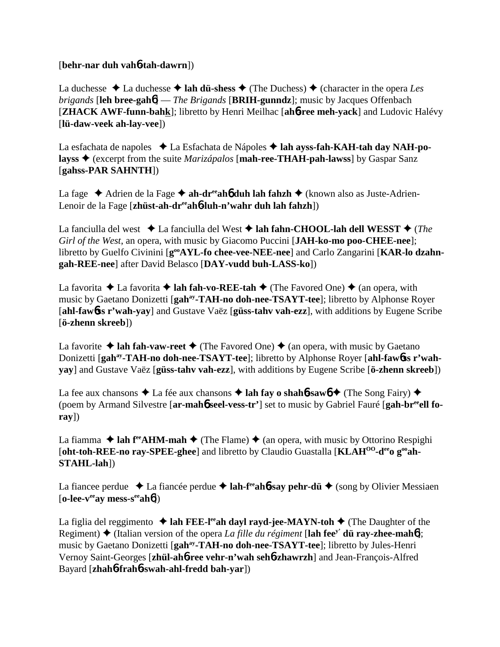## [**behr-nar duh vah**6**-tah-dawrn**])

La duchesse  $\triangle$  La duchesse  $\triangle$  **lah dü-shess**  $\triangle$  (The Duchess)  $\triangle$  (character in the opera *Les brigands* [**leh bree-gah**6] — *The Brigands* [**BRIH-gunndz**]; music by Jacques Offenbach [**ZHACK AWF-funn-bahk**]; libretto by Henri Meilhac [**ah**6**-ree meh-yack**] and Ludovic Halévy [**lü-daw-veek ah-lay-vee**])

La esfachata de napoles **→** La Esfachata de Nápoles → lah ayss-fah-KAH-tah day NAH-po**layss** (excerpt from the suite *Marizápalos* [**mah-ree-THAH-pah-lawss**] by Gaspar Sanz [**gahss-PAR SAHNTH**])

La fage ◆ Adrien de la Fage ◆ ah-dr<sup>ee</sup>ah**6** duh lah fahzh ◆ (known also as Juste-Adrien-Lenoir de la Fage [**zhüst-ah-dreeah**6**-luh-n'wahr duh lah fahzh**])

La fanciulla del west **↓** La fanciulla del West **↓ lah fahn-CHOOL-lah dell WESST ◆** (*The Girl of the West*, an opera, with music by Giacomo Puccini [**JAH-ko-mo poo-CHEE-nee**]; libretto by Guelfo Civinini [ $g^{oo}AYL$ -fo chee-vee-NEE-nee] and Carlo Zangarini [KAR-lo dzahn**gah-REE-nee**] after David Belasco [**DAY-vudd buh-LASS-ko**])

La favorita  $\triangle$  La favorita  $\triangle$  **lah fah-vo-REE-tah**  $\triangle$  (The Favored One)  $\triangle$  (an opera, with music by Gaetano Donizetti [**gahay-TAH-no doh-nee-TSAYT-tee**]; libretto by Alphonse Royer [**ahl-faw**6**ss r'wah-yay**] and Gustave Vaëz [**güss-tahv vah-ezz**], with additions by Eugene Scribe [**ö-zhenn skreeb**])

La favorite  $\triangle$  lah fah-vaw-reet  $\triangle$  (The Favored One)  $\triangle$  (an opera, with music by Gaetano Donizetti [gah<sup>ay</sup>-TAH-no doh-nee-TSAYT-tee]; libretto by Alphonse Royer [ahl-faw6ss r'wah**yay**] and Gustave Vaëz [**güss-tahv vah-ezz**], with additions by Eugene Scribe [**ö-zhenn skreeb**])

La fee aux chansons  $\triangle$  La fée aux chansons  $\triangle$  **lah fay o shahb-sawb**  $\triangle$  (The Song Fairy)  $\triangle$ (poem by Armand Silvestre [**ar-mah**6 **seel-vess-tr'**] set to music by Gabriel Fauré [**gah-breeell foray**])

La fiamma  $\triangle$  lah f<sup>ee</sup>AHM-mah  $\triangle$  (The Flame)  $\triangle$  (an opera, with music by Ottorino Respighi [oht-toh-REE-no ray-SPEE-ghee] and libretto by Claudio Guastalla [KLAH<sup>OO</sup>-d<sup>ee</sup>o g<sup>oo</sup>ah-**STAHL-lah**])

La fiancee perdue  $\triangle$  La fiancée perdue  $\triangle$  **lah-f<sup>ee</sup>ah<sup>6</sup>-say pehr-dü**  $\triangle$  (song by Olivier Messiaen [**o-lee-veeay mess-seeah**6])

La figlia del reggimento  $\triangle$  lah FEE-l<sup>ee</sup>ah dayl rayd-jee-MAYN-toh  $\triangle$  (The Daughter of the Regiment) (Italian version of the opera *La fille du régiment* [**lah feey' dü ray-zhee-mah**6]; music by Gaetano Donizetti [**gahay-TAH-no doh-nee-TSAYT-tee**]; libretto by Jules-Henri Vernoy Saint-Georges [**zhül-ah**6**-ree vehr-n'wah seh**6**-zhawrzh**] and Jean-François-Alfred Bayard [**zhah**6**-frah**6**-swah-ahl-fredd bah-yar**])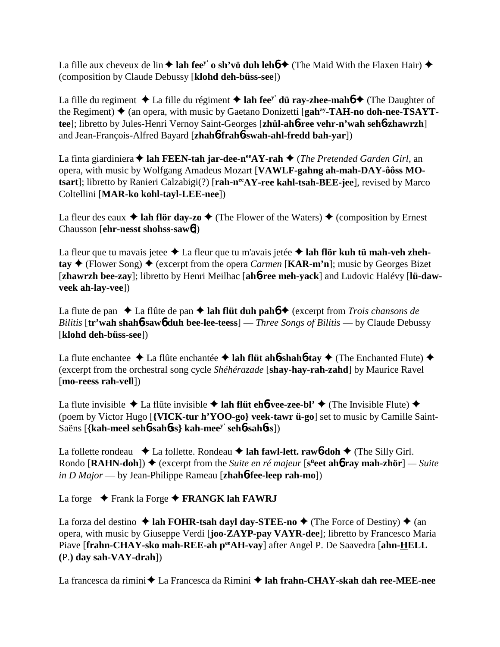La fille aux cheveux de lin  $\triangle$  lah fee<sup>y'</sup> o sh'vö duh leho  $\triangle$  (The Maid With the Flaxen Hair)  $\triangle$ (composition by Claude Debussy [**klohd deh-büss-see**])

La fille du regiment  $\triangle$  La fille du régiment  $\triangle$  lah fee<sup>y'</sup> dü ray-zhee-mahó  $\triangle$  (The Daughter of the Regiment)  $\triangleq$  (an opera, with music by Gaetano Donizetti [gah<sup>ay</sup>-TAH-no doh-nee-TSAYT**tee**]; libretto by Jules-Henri Vernoy Saint-Georges [**zhül-ah**6**-ree vehr-n'wah seh**6**-zhawrzh**] and Jean-François-Alfred Bayard [**zhah**6**-frah**6**-swah-ahl-fredd bah-yar**])

La finta giardiniera **→ lah FEEN-tah jar-dee-n<sup>ee</sup>AY-rah** → (*The Pretended Garden Girl*, an opera, with music by Wolfgang Amadeus Mozart [**VAWLF-gahng ah-mah-DAY-ôôss MO**tsart]; libretto by Ranieri Calzabigi(?) [rah-n<sup>ee</sup>AY-ree kahl-tsah-BEE-jee], revised by Marco Coltellini [**MAR-ko kohl-tayl-LEE-nee**])

La fleur des eaux  $\triangle$  lah flör day-zo  $\triangle$  (The Flower of the Waters)  $\triangle$  (composition by Ernest Chausson [**ehr-nesst shohss-saw**6])

La fleur que tu mavais jetee  $\triangle$  La fleur que tu m'avais jetée  $\triangle$  lah flör kuh tü mah-veh zheh- $\tan \diamond ($  Flower Song)  $\diamond$  (excerpt from the opera *Carmen* [**KAR-m'n**]; music by Georges Bizet [**zhawrzh bee-zay**]; libretto by Henri Meilhac [**ah**6**-ree meh-yack**] and Ludovic Halévy [**lü-dawveek ah-lay-vee**])

La flute de pan  $\triangle$  La flûte de pan  $\triangle$  lah flüt duh pah**ó**  $\triangle$  (excerpt from *Trois chansons de Bilitis* [**tr'wah shah**6**-saw**6 **duh bee-lee-teess**] — *Three Songs of Bilitis* — by Claude Debussy [**klohd deh-büss-see**])

La flute enchantee  $\triangle$  La flûte enchantée  $\triangle$  lah flüt ah**6**-shah**6**-tay  $\triangle$  (The Enchanted Flute)  $\triangle$ (excerpt from the orchestral song cycle *Shéhérazade* [**shay-hay-rah-zahd**] by Maurice Ravel [**mo-reess rah-vell**])

La flute invisible  $\triangle$  La flûte invisible  $\triangle$  lah flüt eh**6**-vee-zee-bl'  $\triangle$  (The Invisible Flute)  $\triangle$ (poem by Victor Hugo [**{VICK-tur h'YOO-go} veek-tawr ü-go**] set to music by Camille Saint-Saëns [**{kah-meel seh**6**-sah**6**ss} kah-meey' seh**6**-sah**6**ss**])

La follette rondeau  $\triangle$  La follette. Rondeau  $\triangle$  **lah fawl-lett. rawb-doh**  $\triangle$  (The Silly Girl. **Rondo [RAHN-doh]) ♦** (excerpt from the *Suite en ré majeur* [s<sup>ü</sup>eet ah**ó ray mah-zhör**] — Suite *in D Major* — by Jean-Philippe Rameau [**zhah**6**-fee-leep rah-mo**])

La forge **↓** Frank la Forge **◆ FRANGK lah FAWRJ** 

La forza del destino  $\triangle$  lah FOHR-tsah dayl day-STEE-no  $\triangle$  (The Force of Destiny)  $\triangle$  (an opera, with music by Giuseppe Verdi [**joo-ZAYP-pay VAYR-dee**]; libretto by Francesco Maria Piave [frahn-CHAY-sko mah-REE-ah perAH-vay] after Angel P. De Saavedra [ahn-HELL **(**P.**) day sah-VAY-drah**])

La francesca da rimini **←** La Francesca da Rimini ← lah frahn-CHAY-skah dah ree-MEE-nee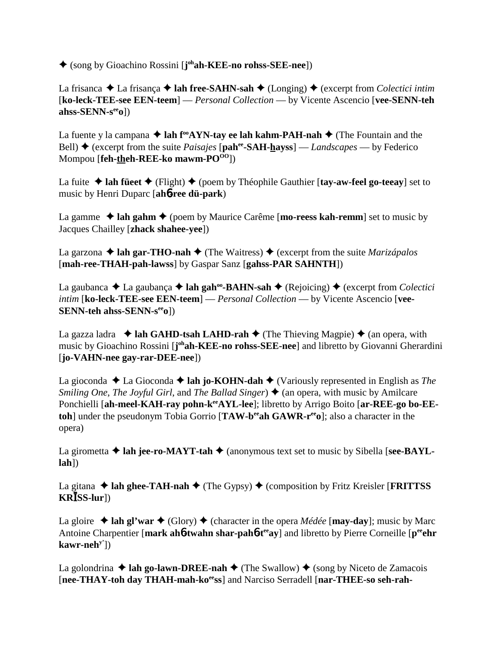(song by Gioachino Rossini [**j ohah-KEE-no rohss-SEE-nee**])

La frisanca  $\triangle$  La frisança  $\triangle$  lah free-SAHN-sah  $\triangle$  (Longing)  $\triangle$  (excerpt from *Colectici intim* [**ko-leck-TEE-see EEN-teem**] — *Personal Collection* — by Vicente Ascencio [**vee-SENN-teh ahss-SENN-seeo**])

La fuente y la campana  $\triangle$  lah f<sup>oo</sup>AYN-tay ee lah kahm-PAH-nah  $\triangle$  (The Fountain and the Bell)  $\triangle$  (excerpt from the suite *Paisajes* [pah<sup>ee</sup>-SAH-hayss] — *Landscapes* — by Federico Mompou [**feh-theh-REE-ko** mawm-PO<sup>00</sup>])

La fuite  $\triangle$  lah füeet  $\triangle$  (Flight)  $\triangle$  (poem by Théophile Gauthier [tay-aw-feel go-teeay] set to music by Henri Duparc [**ah**6**-ree dü-park**)

La gamme  $\triangle$  lah gahm  $\triangle$  (poem by Maurice Carême [**mo-reess kah-remm**] set to music by Jacques Chailley [**zhack shahee-yee**])

La garzona  $\triangle$  **lah gar-THO-nah**  $\triangle$  (The Waitress)  $\triangle$  (excerpt from the suite *Marizápalos* [**mah-ree-THAH-pah-lawss**] by Gaspar Sanz [**gahss-PAR SAHNTH**])

La gaubanca  $\triangle$  La gaubança  $\triangle$  **lah gah<sup>oo</sup>-BAHN-sah**  $\triangle$  (Rejoicing)  $\triangle$  (excerpt from *Colectici intim* [**ko-leck-TEE-see EEN-teem**] — *Personal Collection* — by Vicente Ascencio [**vee-SENN-teh ahss-SENN-s<sup>ee</sup>o**])

La gazza ladra  $\triangleleft$  **lah GAHD-tsah LAHD-rah**  $\triangleleft$  (The Thieving Magpie)  $\triangleleft$  (an opera, with music by Gioachino Rossini [**j ohah-KEE-no rohss-SEE-nee**] and libretto by Giovanni Gherardini [**jo-VAHN-nee gay-rar-DEE-nee**])

La gioconda  $\triangle$  La Gioconda  $\triangle$  **lah jo-KOHN-dah**  $\triangle$  (Variously represented in English as *The Smiling One, The Joyful Girl, and The Ballad Singer*  $\triangleleft$  (an opera, with music by Amilcare Ponchielli [ah-meel-KAH-ray pohn-k<sup>ee</sup>AYL-lee]; libretto by Arrigo Boito [ar-REE-go bo-EE**toh**] under the pseudonym Tobia Gorrio [**TAW-b<sup>ee</sup>ah GAWR-r<sup>ee</sup>o**]; also a character in the opera)

La girometta  $\triangle$  lah jee-ro-MAYT-tah  $\triangle$  (anonymous text set to music by Sibella [see-BAYL**lah**])

La gitana  $\triangle$  lah ghee-TAH-nah  $\triangle$  (The Gypsy)  $\triangle$  (composition by Fritz Kreisler [**FRITTSS KRSS-lur**])

La gloire  $\triangle$  lah gl'war  $\triangle$  (Glory)  $\triangle$  (character in the opera *Médée* [**may-day**]; music by Marc Antoine Charpentier [mark ah**6**-twahn shar-pah**6**-t<sup>ee</sup>ay] and libretto by Pierre Corneille [p<sup>ee</sup>ehr **kawr-nehy'**])

La golondrina  $\triangle$  lah go-lawn-DREE-nah  $\triangle$  (The Swallow)  $\triangle$  (song by Niceto de Zamacois [nee-THAY-toh day THAH-mah-ko<sup>ee</sup>ss] and Narciso Serradell [nar-THEE-so seh-rah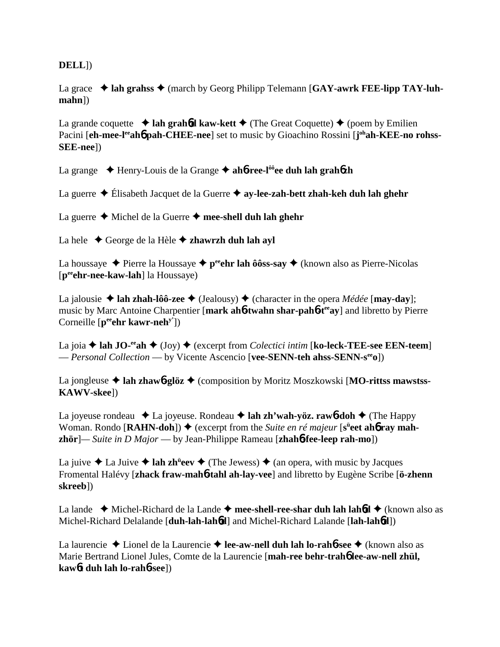**DELL**])

La grace  $\triangleleft$  lah grahss  $\triangleleft$  (march by Georg Philipp Telemann [GAY-awrk FEE-lipp TAY-luh**mahn**])

La grande coquette  $\triangleleft$  **lah grahód kaw-kett**  $\triangleleft$  (The Great Coquette)  $\triangleleft$  (poem by Emilien Pacini [eh-mee-l<sup>ee</sup>ahb pah-CHEE-nee] set to music by Gioachino Rossini [j<sup>oh</sup>ah-KEE-no rohss-**SEE-nee**])

La grange Henry-Louis de la Grange **ah**6**-ree-lôôee duh lah grah**6**zh**

La guerre Élisabeth Jacquet de la Guerre **ay-lee-zah-bett zhah-keh duh lah ghehr**

La guerre **→** Michel de la Guerre → mee-shell duh lah ghehr

La hele George de la Hèle **zhawrzh duh lah ayl**

La houssaye  $\triangle$  Pierre la Houssaye  $\triangle$  p<sup>ee</sup>ehr lah ôôss-say  $\triangle$  (known also as Pierre-Nicolas [**peeehr-nee-kaw-lah**] la Houssaye)

La jalousie  $\triangle$  **lah zhah-lôô-zee**  $\triangle$  (Jealousy)  $\triangle$  (character in the opera *Médée* [**may-day**]; music by Marc Antoine Charpentier [**mark ah**6**-twahn shar-pah**6**-teeay**] and libretto by Pierre Corneille [p<sup>ee</sup>ehr kawr-neh<sup>y'</sup>])

La joia  $\triangle$  lah JO-<sup>ee</sup>ah  $\triangle$  (Joy)  $\triangle$  (excerpt from *Colectici intim* [ko-leck-TEE-see EEN-teem] — *Personal Collection* — by Vicente Ascencio [**vee-SENN-teh ahss-SENN-seeo**])

La jongleuse ◆ lah zhaw**6-glöz** ◆ (composition by Moritz Moszkowski [MO-rittss mawstss-**KAWV-skee**])

La joyeuse rondeau  $\triangle$  La joyeuse. Rondeau  $\triangle$  **lah zh'wah-yöz. rawb-doh**  $\triangle$  (The Happy Woman. Rondo [RAHN-doh])  $\blacklozenge$  (excerpt from the *Suite en ré majeur* [s<sup>ü</sup>eet ah**6** ray mah**zhör**]*— Suite in D Major* — by Jean-Philippe Rameau [**zhah**6**-fee-leep rah-mo**])

La juive  $\triangle$  La Juive  $\triangle$  **lah zh<sup>ü</sup>eev**  $\triangle$  (The Jewess)  $\triangle$  (an opera, with music by Jacques Fromental Halévy [**zhack fraw-mah**6**-tahl ah-lay-vee**] and libretto by Eugène Scribe [**ö-zhenn skreeb**])

La lande  $\rightarrow$  Michel-Richard de la Lande  $\rightarrow$  mee-shell-ree-shar duh lah lah6**d**  $\rightarrow$  (known also as Michel-Richard Delalande [**duh-lah-lah**6**d**] and Michel-Richard Lalande [**lah-lah**6**d**])

La laurencie Lionel de la Laurencie **lee-aw-nell duh lah lo-rah**6**-see** (known also as Marie Bertrand Lionel Jules, Comte de la Laurencie [**mah-ree behr-trah**6 **lee-aw-nell zhül, kaw**6**t duh lah lo-rah**6**-see**])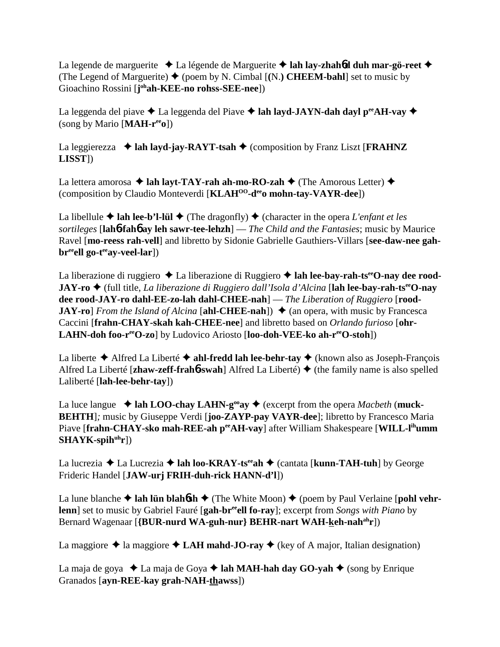La legende de marguerite  $\triangle$  La légende de Marguerite  $\triangle$  **lah lay-zhahód duh mar-gö-reet**  $\triangle$ (The Legend of Marguerite)  $\blacklozenge$  (poem by N. Cimbal  $[(N.)]$  **CHEEM-bahl**] set to music by Gioachino Rossini [**j**<sup>oh</sup>**ah-KEE-no rohss-SEE-nee**])

La leggenda del piave  $\triangle$  La leggenda del Piave  $\triangle$  lah layd-JAYN-dah dayl p<sup>ee</sup>AH-vay  $\triangle$ (song by Mario [**MAH-reeo**])

La leggierezza  $\triangleleft$  lah layd-jay-RAYT-tsah  $\triangleleft$  (composition by Franz Liszt [**FRAHNZ LISST**])

La lettera amorosa  $\triangle$  lah layt-TAY-rah ah-mo-RO-zah  $\triangle$  (The Amorous Letter)  $\triangle$ (composition by Claudio Monteverdi [**KLAHOO-deeo mohn-tay-VAYR-dee**])

La libellule  $\triangle$  lah lee-b'l-lül  $\triangle$  (The dragonfly)  $\triangle$  (character in the opera *L'enfant et les sortileges* [**lah**6**-fah**6 **ay leh sawr-tee-lehzh**] — *The Child and the Fantasies*; music by Maurice Ravel [**mo-reess rah-vell**] and libretto by Sidonie Gabrielle Gauthiers-Villars [**see-daw-nee gah**br<sup>ee</sup>ell go-t<sup>ee</sup>ay-veel-lar])

La liberazione di ruggiero ◆ La liberazione di Ruggiero ◆ lah lee-bay-rah-ts<sup>ee</sup>O-nay dee rood-**JAY-ro** (full title, *La liberazione di Ruggiero dall'Isola d'Alcina* [**lah lee-bay-rah-tseeO-nay dee rood-JAY-ro dahl-EE-zo-lah dahl-CHEE-nah**] — *The Liberation of Ruggiero* [**rood-JAY-ro**] *From the Island of Alcina* [**ahl-CHEE-nah**])  $\triangleq$  (an opera, with music by Francesca Caccini [**frahn-CHAY-skah kah-CHEE-nee**] and libretto based on *Orlando furioso* [**ohr-LAHN-doh foo-reeO-zo**] by Ludovico Ariosto [**loo-doh-VEE-ko ah-reeO-stoh**])

La liberte  $\triangle$  Alfred La Liberté  $\triangle$  ahl-fredd lah lee-behr-tay  $\triangle$  (known also as Joseph-François Alfred La Liberté [**zhaw-zeff-frah**6**-swah**] Alfred La Liberté) (the family name is also spelled Laliberté [**lah-lee-behr-tay**])

La luce langue  $\triangleleft$  lah LOO-chay LAHN-g<sup>oo</sup>ay  $\triangleleft$  (excerpt from the opera *Macbeth* (muck-**BEHTH**]*;* music by Giuseppe Verdi [**joo-ZAYP-pay VAYR-dee**]; libretto by Francesco Maria Piave [frahn-CHAY-sko mah-REE-ah p<sup>ee</sup>AH-vay] after William Shakespeare [WILL-l<sup>ih</sup>umm]  $SHAYK-spih<sup>uh</sup>r])$ 

La lucrezia **→** La Lucrezia **→ lah loo-KRAY-ts<sup>ee</sup>ah →** (cantata [**kunn-TAH-tuh**] by George Frideric Handel [**JAW-urj FRIH-duh-rick HANN-d'l**])

La lune blanche  $\triangle$  lah lün blah**6sh**  $\triangle$  (The White Moon)  $\triangle$  (poem by Paul Verlaine [pohl vehr**lenn**] set to music by Gabriel Fauré [**gah-br<sup>ee</sup>ell fo-ray**]; excerpt from *Songs with Piano* by Bernard Wagenaar [**{BUR-nurd WA-guh-nur} BEHR-nart WAH-keh-nah<sup>ah</sup>r**])

La maggiore  $\triangle$  la maggiore  $\triangle$  **LAH mahd-JO-ray**  $\triangle$  (key of A major, Italian designation)

La maja de goya  $\triangleleft$  La maja de Goya  $\triangleleft$  lah MAH-hah day GO-yah  $\triangleleft$  (song by Enrique Granados [**ayn-REE-kay grah-NAH-thawss**])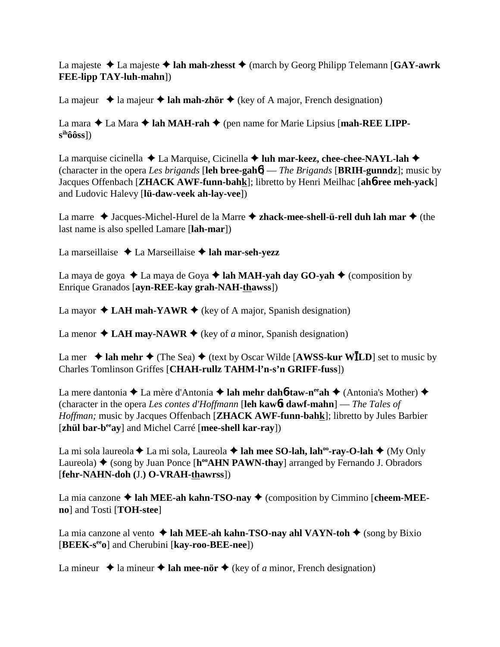La majeste  $\triangle$  La majeste  $\triangle$  **lah mah-zhesst**  $\triangle$  (march by Georg Philipp Telemann [**GAY-awrk FEE-lipp TAY-luh-mahn**])

La majeur  $\triangle$  la majeur  $\triangle$  **lah mah-zhör**  $\triangle$  (key of A major, French designation)

La mara  $\triangle$  La Mara  $\triangle$  lah MAH-rah  $\triangle$  (pen name for Marie Lipsius [mah-REE LIPP**sihôôss**])

La marquise cicinella  $\triangle$  La Marquise, Cicinella  $\triangle$  luh mar-keez, chee-chee-NAYL-lah  $\triangle$ (character in the opera *Les brigands* [**leh bree-gah**6] — *The Brigands* [**BRIH-gunndz**]; music by Jacques Offenbach [**ZHACK AWF-funn-bahk**]; libretto by Henri Meilhac [**ah**6**-ree meh-yack**] and Ludovic Halevy [**lü-daw-veek ah-lay-vee**])

La marre  $\triangleleft$  Jacques-Michel-Hurel de la Marre  $\triangleleft$  zhack-mee-shell-ü-rell duh lah mar  $\triangleleft$  (the last name is also spelled Lamare [**lah-mar**])

La marseillaise  $\triangle$  La Marseillaise  $\triangle$  lah mar-seh-yezz

La maya de goya  $\triangle$  La maya de Goya  $\triangle$  lah MAH-yah day GO-yah  $\triangle$  (composition by Enrique Granados [**ayn-REE-kay grah-NAH-thawss**])

La mayor  $\triangle$  LAH mah-YAWR  $\triangle$  (key of A major, Spanish designation)

La menor  $\triangle$  LAH may-NAWR  $\triangle$  (key of *a* minor, Spanish designation)

La mer  $\triangle$  lah mehr  $\triangle$  (The Sea)  $\triangle$  (text by Oscar Wilde [**AWSS-kur WILD**] set to music by Charles Tomlinson Griffes [**CHAH-rullz TAHM-l'n-s'n GRIFF-fuss**])

La mere dantonia **→** La mère d'Antonia → **lah mehr dah<sup>6</sup>-taw-n<sup>ee</sup>ah** → (Antonia's Mother) → (character in the opera *Les contes d'Hoffmann* [**leh kaw**6**t dawf-mahn**] — *The Tales of Hoffman;* music by Jacques Offenbach [**ZHACK AWF-funn-bahk**]; libretto by Jules Barbier [**zhül bar-beeay**] and Michel Carré [**mee-shell kar-ray**])

La mi sola laureola **↓** La mi sola, Laureola **↓ lah mee SO-lah, lah<sup>oo</sup>-ray-O-lah ◆** (My Only Laureola)  $\triangle$  (song by Juan Ponce [h<sup>oo</sup>AHN PAWN-thay] arranged by Fernando J. Obradors [**fehr-NAHN-doh (**J.**) O-VRAH-thawrss**])

La mia canzone ◆ lah MEE-ah kahn-TSO-nay ◆ (composition by Cimmino [cheem-MEE**no**] and Tosti [**TOH-stee**]

La mia canzone al vento  $\triangleleft$  lah MEE-ah kahn-TSO-nay ahl VAYN-toh  $\triangleleft$  (song by Bixio [**BEEK-seeo**] and Cherubini [**kay-roo-BEE-nee**])

La mineur  $\triangle$  la mineur  $\triangle$  lah mee-nör  $\triangle$  (key of *a* minor, French designation)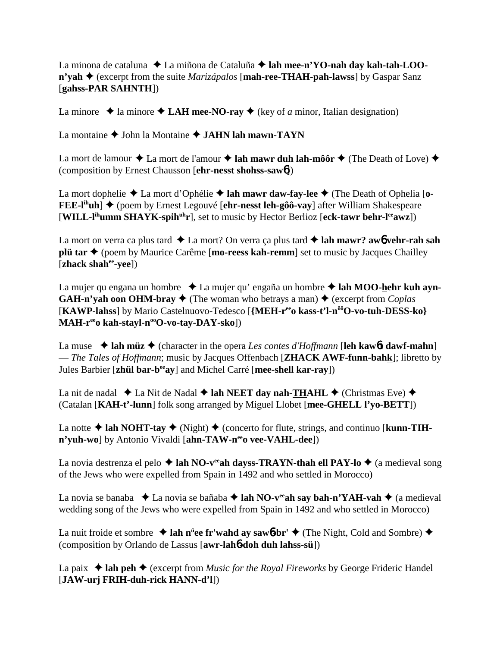La minona de cataluna **→** La miñona de Cataluña **→ lah mee-n'YO-nah day kah-tah-LOOn'vah ♦** (excerpt from the suite *Marizápalos* [**mah-ree-THAH-pah-lawss**] by Gaspar Sanz [**gahss-PAR SAHNTH**])

La minore  $\triangle$  la minore  $\triangle$  LAH mee-NO-ray  $\triangle$  (key of *a* minor, Italian designation)

La montaine  $\triangle$  John la Montaine  $\triangle$  JAHN lah mawn-TAYN

La mort de lamour  $\triangle$  La mort de l'amour  $\triangle$  lah mawr duh lah-môôr  $\triangle$  (The Death of Love)  $\triangle$ (composition by Ernest Chausson [**ehr-nesst shohss-saw**6])

La mort dophelie ◆ La mort d'Ophélie ◆ lah mawr daw-fay-lee ◆ (The Death of Ophelia [o-**FEE-l<sup>ih</sup>uh**] ♦ (poem by Ernest Legouvé [**ehr-nesst leh-gôô-vay**] after William Shakespeare [**WILL-lihumm SHAYK-spihuhr**], set to music by Hector Berlioz [**eck-tawr behr-leeawz**])

La mort on verra ca plus tard  $\triangle$  La mort? On verra ça plus tard  $\triangle$  lah mawr? aw**6** vehr-rah sah **plü tar ◆** (poem by Maurice Carême [**mo-reess kah-remm**] set to music by Jacques Chailley [**zhack shahee-yee**])

La mujer qu engana un hombre ◆ La mujer qu' engaña un hombre ◆ lah MOO-hehr kuh ayn-**GAH-n'vah oon OHM-bray**  $\blacklozenge$  (The woman who betrays a man)  $\blacklozenge$  (excerpt from *Coplas* [**KAWP-lahss**] by Mario Castelnuovo-Tedesco [**{MEH-reeo kass-t'l-nôôO-vo-tuh-DESS-ko}** MAH-r<sup>ee</sup>o kah-stayl-n<sup>oo</sup>O-vo-tay-DAY-sko])

La muse  $\triangleleft$  **lah müz**  $\triangleleft$  (character in the opera *Les contes d'Hoffmann* [**leh kaw6t dawf-mahn**] — *The Tales of Hoffmann*; music by Jacques Offenbach [**ZHACK AWF-funn-bahk**]; libretto by Jules Barbier [**zhül bar-beeay**] and Michel Carré [**mee-shell kar-ray**])

La nit de nadal  $\triangle$  La Nit de Nadal  $\triangle$  lah NEET day nah-THAHL  $\triangle$  (Christmas Eve)  $\triangle$ (Catalan [**KAH-t'-lunn**] folk song arranged by Miguel Llobet [**mee-GHELL l'yo-BETT**])

La notte  $\triangle$  lah NOHT-tay  $\triangle$  (Night)  $\triangle$  (concerto for flute, strings, and continuo [**kunn-TIHn'yuh-wo**] by Antonio Vivaldi [ahn-TAW-neeo vee-VAHL-dee])

La novia destrenza el pelo  $\triangle$  lah NO-v<sup>ee</sup>ah dayss-TRAYN-thah ell PAY-lo  $\triangle$  (a medieval song of the Jews who were expelled from Spain in 1492 and who settled in Morocco)

La novia se banaba  $\triangleleft$  La novia se bañaba  $\triangleleft$  lah NO-v<sup>ee</sup> ah say bah-n'YAH-vah  $\triangleleft$  (a medieval wedding song of the Jews who were expelled from Spain in 1492 and who settled in Morocco)

La nuit froide et sombre **↓ lah n<sup>ü</sup>ee fr'wahd ay saw6-br' ◆** (The Night, Cold and Sombre) ◆ (composition by Orlando de Lassus [**awr-lah**6**-doh duh lahss-sü**])

La paix  $\triangleleft$  lah peh $\triangleleft$  (excerpt from *Music for the Royal Fireworks* by George Frideric Handel [**JAW-urj FRIH-duh-rick HANN-d'l**])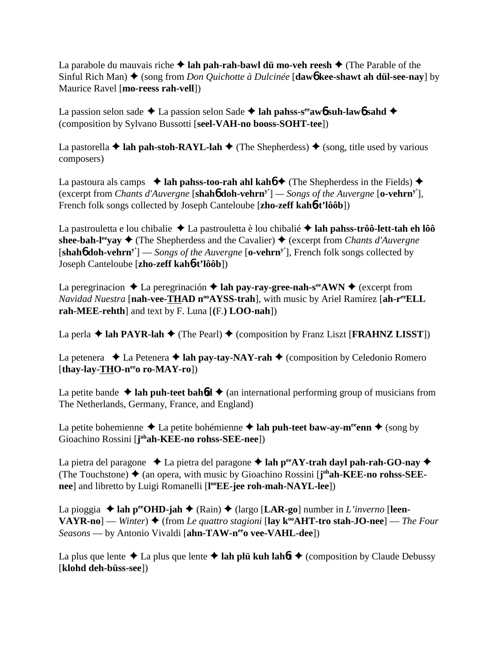La parabole du mauvais riche  $\triangle$  lah pah-rah-bawl dü mo-veh reesh  $\triangle$  (The Parable of the Sinful Rich Man) ◆ (song from *Don Quichotte à Dulcinée* [**daw6** kee-shawt ah dül-see-nay] by Maurice Ravel [**mo-reess rah-vell**])

La passion selon sade  $\triangle$  La passion selon Sade  $\triangle$  lah pahss-s<sup>ee</sup>awb suh-lawb sahd  $\triangle$ (composition by Sylvano Bussotti [**seel-VAH-no booss-SOHT-tee**])

La pastorella  $\triangle$  **lah pah-stoh-RAYL-lah**  $\triangle$  (The Shepherdess)  $\triangle$  (song, title used by various composers)

La pastoura als camps  $\rightarrow$  lah pahss-too-rah ahl kaho<sup> $\rightarrow$ </sup> (The Shepherdess in the Fields)  $\rightarrow$ (excerpt from *Chants d'Auvergne* [**shah**6 **doh-vehrny'**] *— Songs of the Auvergne* [**o-vehrny'**], French folk songs collected by Joseph Canteloube [**zho-zeff kah**6**-t'lôôb**])

La pastrouletta e lou chibalie ◆ La pastrouletta è lou chibalié ◆ lah pahss-trôô-lett-tah eh lôô **shee-bah-l<sup>ee</sup>yay**  $\triangle$  (The Shepherdess and the Cavalier)  $\triangle$  (excerpt from *Chants d'Auvergne* [**shah**6 **doh-vehrny'**] — *Songs of the Auvergne* [**o-vehrny'**], French folk songs collected by Joseph Canteloube [**zho-zeff kah**6**-t'lôôb**])

La peregrinacion  $\triangle$  La peregrinación  $\triangle$  **lah pay-ray-gree-nah-s<sup>ee</sup>AWN**  $\triangle$  (excerpt from *Navidad Nuestra* [nah-vee-THAD n<sup>oo</sup>AYSS-trah], with music by Ariel Ramírez [ah-r<sup>ee</sup>ELL **rah-MEE-rehth**] and text by F. Luna [**(**F.**) LOO-nah**])

La perla  $\triangle$  lah PAYR-lah  $\triangle$  (The Pearl)  $\triangle$  (composition by Franz Liszt [**FRAHNZ LISST**])

La petenera  $\triangleleft$  La Petenera  $\triangleleft$  lah pay-tay-NAY-rah  $\triangleleft$  (composition by Celedonio Romero [**thay-lay-THO-neeo ro-MAY-ro**])

La petite bande  $\triangle$  **lah puh-teet bah6d**  $\triangle$  (an international performing group of musicians from The Netherlands, Germany, France, and England)

La petite bohemienne  $\triangle$  La petite bohémienne  $\triangle$  **lah puh-teet baw-ay-m<sup>ee</sup>enn**  $\triangle$  (song by Gioachino Rossini [**j**<sup>oh</sup>**ah-KEE-no rohss-SEE-nee**])

La pietra del paragone  $\triangle$  La pietra del paragone  $\triangle$  lah p<sup>ee</sup>AY-trah dayl pah-rah-GO-nay  $\triangle$ (The Touchstone) ♦ (an opera, with music by Gioachino Rossini [**j**<sup>oh</sup>**ah-KEE-no rohss-SEEnee**] and libretto by Luigi Romanelli [**l ooEE-jee roh-mah-NAYL-lee**])

La pioggia  $\triangle$  lah p<sup>ee</sup>OHD-jah  $\triangle$  (Rain)  $\triangle$  (largo [LAR-go] number in *L'inverno* [leen- $VAYR-no]$  — *Winter*)  $\triangle$  (from *Le quattro stagioni* [lay  $k^{\omega}AHT$ -tro stah-JO-nee] — *The Four Seasons* — by Antonio Vivaldi [ahn-TAW-nee vee-VAHL-dee])

La plus que lente  $\triangle$  La plus que lente  $\triangle$  lah plü kuh lah*ft*  $\triangle$  (composition by Claude Debussy [**klohd deh-büss-see**])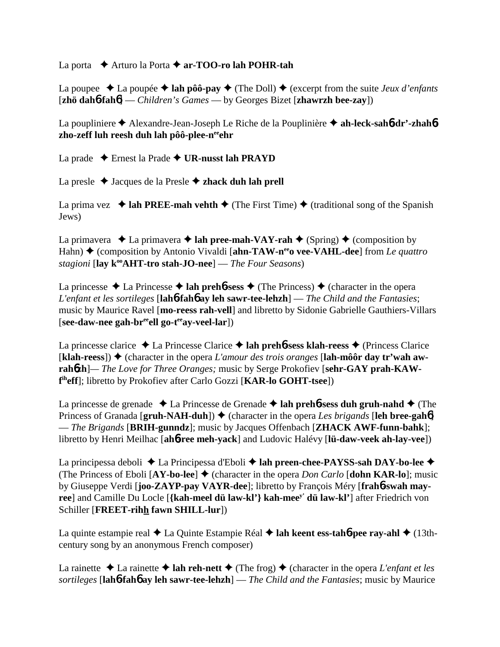La porta **→** Arturo la Porta → **ar-TOO-ro lah POHR-tah** 

La poupee  $\triangle$  La poupée  $\triangle$  lah pôô-pay  $\triangle$  (The Doll)  $\triangle$  (excerpt from the suite *Jeux d'enfants* [**zhö dah**6**-fah**6] — *Children's Games* — by Georges Bizet [**zhawrzh bee-zay**])

La poupliniere Alexandre-Jean-Joseph Le Riche de la Pouplinière **ah-leck-sah**6**-dr'-zhah**6 **zho-zeff luh reesh duh lah pôô-plee-neeehr**

La prade Ernest la Prade **UR-nusst lah PRAYD**

La presle Jacques de la Presle **zhack duh lah prell**

La prima vez  $\triangleleft$  lah PREE-mah vehth  $\triangleleft$  (The First Time)  $\triangleleft$  (traditional song of the Spanish Jews)

La primavera  $\triangleleft$  La primavera  $\triangleleft$  lah pree-mah-VAY-rah  $\triangleleft$  (Spring)  $\triangleleft$  (composition by Hahn) ◆ (composition by Antonio Vivaldi [**ahn-TAW-n<sup>ee</sup>o vee-VAHL-dee**] from *Le quattro stagioni* [**lay kooAHT-tro stah-JO-nee**] — *The Four Seasons*)

La princesse  $\triangle$  La Princesse  $\triangle$  lah prehb-sess  $\triangle$  (The Princess)  $\triangle$  (character in the opera *L'enfant et les sortileges* [**lah**6**-fah**6 **ay leh sawr-tee-lehzh**] — *The Child and the Fantasies*; music by Maurice Ravel [**mo-reess rah-vell**] and libretto by Sidonie Gabrielle Gauthiers-Villars [see-daw-nee gah-br<sup>ee</sup>ell go-t<sup>ee</sup>ay-veel-lar])

La princesse clarice La Princesse Clarice  **lah preh**6**-sess klah-reess** (Princess Clarice  $[klah-reess]$ )  $\blacklozenge$  (character in the opera *L'amour des trois oranges* [lah-môôr day tr'wah awrahozh<sup>-</sup> The Love for Three Oranges; music by Serge Prokofiev [sehr-GAY prah-KAW**f iheff**]; libretto by Prokofiev after Carlo Gozzi [**KAR-lo GOHT-tsee**])

La princesse de grenade La Princesse de Grenade **lah preh**6**-sess duh gruh-nahd** (The Princess of Granada  $[\text{gruh-NAH-duh}]$   $\blacklozenge$  (character in the opera *Les brigands* [leh bree-gah6] — *The Brigands* [**BRIH-gunndz**]; music by Jacques Offenbach [**ZHACK AWF-funn-bahk**]; libretto by Henri Meilhac [**ah**6**-ree meh-yack**] and Ludovic Halévy [**lü-daw-veek ah-lay-vee**])

La principessa deboli ◆ La Principessa d'Eboli ◆ lah preen-chee-PAYSS-sah DAY-bo-lee ◆ (The Princess of Eboli  $[AY-bo-lee]$   $\blacklozenge$  (character in the opera *Don Carlo* [**dohn KAR-lo**]; music by Giuseppe Verdi [**joo-ZAYP-pay VAYR-dee**]; libretto by François Méry [**frah**6**-swah mayree**] and Camille Du Locle [**{kah-meel dü law-kl'} kah-meey' dü law-kl'**] after Friedrich von Schiller [**FREET-rihh fawn SHILL-lur**])

La quinte estampie real ◆ La Quinte Estampie Réal ◆ lah keent ess-tah**6**-pee ray-ahl ◆ (13thcentury song by an anonymous French composer)

La rainette  $\triangle$  La rainette  $\triangle$  lah reh-nett  $\triangle$  (The frog)  $\triangle$  (character in the opera *L'enfant et les sortileges* [**lah**6**-fah**6 **ay leh sawr-tee-lehzh**] — *The Child and the Fantasies*; music by Maurice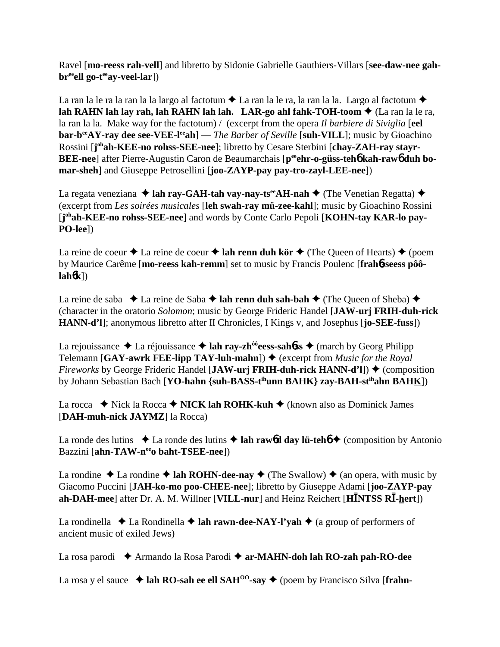Ravel [**mo-reess rah-vell**] and libretto by Sidonie Gabrielle Gauthiers-Villars [**see-daw-nee gah**br<sup>ee</sup>ell go-t<sup>ee</sup>ay-veel-lar])

La ran la le ra la ran la la largo al factotum  $\triangle$  La ran la le ra, la ran la la. Largo al factotum  $\triangle$ **lah RAHN lah lay rah, lah RAHN lah lah. LAR-go ahl fahk-TOH-toom ♦** (La ran la le ra, la ran la la. Make way for the factotum) / (excerpt from the opera *Il barbiere di Siviglia* [**eel bar-b<sup>ee</sup>AY-ray dee see-VEE-l<sup>ee</sup>ah**] — *The Barber of Seville* [**suh-VILL**]; music by Gioachino Rossini [j<sup>oh</sup>ah-KEE-no rohss-SEE-nee]; libretto by Cesare Sterbini [chay-ZAH-ray stayr-**BEE-nee**] after Pierre-Augustin Caron de Beaumarchais [p<sup>ee</sup>ehr-o-güss-teh6 kah-raw6 duh bo**mar-sheh**] and Giuseppe Petrosellini [**joo-ZAYP-pay pay-tro-zayl-LEE-nee**])

La regata veneziana  $\triangleq$  lah ray-GAH-tah vay-nay-ts<sup>ee</sup>AH-nah  $\triangleq$  (The Venetian Regatta)  $\triangleq$ (excerpt from *Les soirées musicales* [**leh swah-ray mü-zee-kahl**]; music by Gioachino Rossini [j<sup>oh</sup>ah-KEE-no rohss-SEE-nee] and words by Conte Carlo Pepoli [KOHN-tay KAR-lo pay-**PO-lee**])

La reine de coeur  $\triangle$  La reine de coeur  $\triangle$  **lah renn duh kör**  $\triangle$  (The Queen of Hearts)  $\triangle$  (poem by Maurice Carême [**mo-reess kah-remm**] set to music by Francis Poulenc [**frah**6**-seess pôôlah**6**k**])

La reine de saba  $\triangle$  La reine de Saba  $\triangle$  **lah renn duh sah-bah**  $\triangle$  (The Queen of Sheba)  $\triangle$ (character in the oratorio *Solomon*; music by George Frideric Handel [**JAW-urj FRIH-duh-rick HANN-d'l**]; anonymous libretto after II Chronicles, I Kings v, and Josephus [**jo-SEE-fuss**])

La rejouissance  $\triangle$  La réjouissance  $\triangle$  lah ray-zh<sup>ôô</sup>eess-sah**ó**ss  $\triangle$  (march by Georg Philipp Telemann  $[GAY-awrk FEE-lipp TAY-luh-mahn]$   $\blacklozenge$  (excerpt from *Music for the Royal Fireworks* by George Frideric Handel [JAW-urj FRIH-duh-rick HANN-d'l])  $\triangle$  (composition by Johann Sebastian Bach [**YO-hahn {suh-BASS-tihunn BAHK} zay-BAH-stihahn BAHK**])

La rocca  $\blacklozenge$  Nick la Rocca  $\blacklozenge$  **NICK lah ROHK-kuh**  $\blacklozenge$  (known also as Dominick James [**DAH-muh-nick JAYMZ**] la Rocca)

La ronde des lutins  $\triangle$  La ronde des lutins  $\triangle$  lah rawbol day lü-teho  $\triangle$  (composition by Antonio Bazzini [**ahn-TAW-n<sup>ee</sup>o baht-TSEE-nee**])

La rondine  $\triangle$  La rondine  $\triangle$  **lah ROHN-dee-nay**  $\triangle$  (The Swallow)  $\triangle$  (an opera, with music by Giacomo Puccini [**JAH-ko-mo poo-CHEE-nee**]; libretto by Giuseppe Adami [**joo-ZAYP-pay ah-DAH-mee**] after Dr. A. M. Willner [**VILL-nur**] and Heinz Reichert [**HNTSS R-hert**])

La rondinella  $\triangle$  La Rondinella  $\triangle$  **lah rawn-dee-NAY-l'yah**  $\triangle$  (a group of performers of ancient music of exiled Jews)

La rosa parodi ◆ Armando la Rosa Parodi ◆ ar-MAHN-doh lah RO-zah pah-RO-dee

La rosa y el sauce  $\triangleleft$  lah RO-sah ee ell SAH<sup>00</sup>-say  $\triangleleft$  (poem by Francisco Silva [frahn-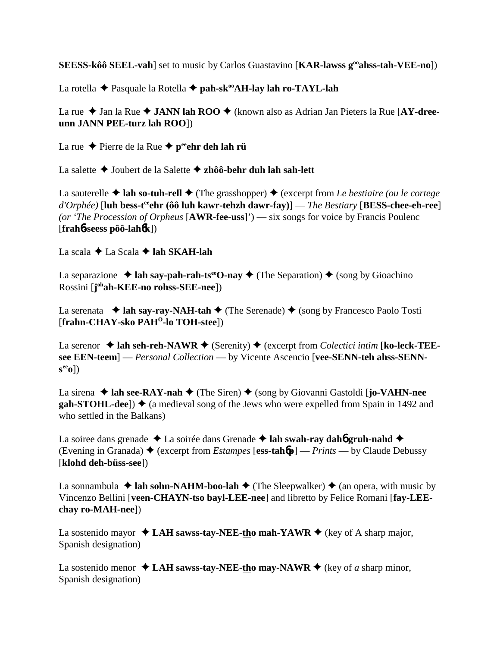**SEESS-kôô SEEL-vah**] set to music by Carlos Guastavino [**KAR-lawss gooahss-tah-VEE-no**])

La rotella ◆ Pasquale la Rotella ◆ pah-sk<sup>oo</sup>AH-lay lah ro-TAYL-lah

La rue  $\triangle$  Jan la Rue  $\triangle$  **JANN lah ROO**  $\triangle$  (known also as Adrian Jan Pieters la Rue [AY-dree**unn JANN PEE-turz lah ROO**])

La rue  $\triangle$  Pierre de la Rue  $\triangle$  p<sup>ee</sup>ehr deh lah rü

La salette Joubert de la Salette **zhôô-behr duh lah sah-lett**

La sauterelle  $\triangle$  **lah so-tuh-rell**  $\triangle$  (The grasshopper)  $\triangle$  (excerpt from *Le bestiaire (ou le cortege d'Orphée)* [**luh bess-teeehr (ôô luh kawr-tehzh dawr-fay)**] — *The Bestiary* [**BESS-chee-eh-ree**] *(or 'The Procession of Orpheus* [**AWR-fee-uss**]') — six songs for voice by Francis Poulenc [**frah**6**-seess pôô-lah**6**k**])

La scala **→** La Scala **→ lah SKAH-lah** 

La separazione  $\triangleleft$  lah say-pah-rah-ts<sup>ee</sup>O-nay  $\triangleleft$  (The Separation)  $\triangleleft$  (song by Gioachino Rossini [**j ohah-KEE-no rohss-SEE-nee**])

La serenata  $\triangleleft$  **lah say-ray-NAH-tah**  $\triangleleft$  (The Serenade)  $\triangleleft$  (song by Francesco Paolo Tosti [**frahn-CHAY-sko PAHO-lo TOH-stee**])

La serenor  $\triangleleft$  lah seh-reh-NAWR  $\triangleleft$  (Serenity)  $\triangleleft$  (excerpt from *Colectici intim* [ko-leck-TEE**see EEN-teem**] — *Personal Collection* — by Vicente Ascencio [**vee-SENN-teh ahss-SENNseeo**])

La sirena **↓ lah see-RAY-nah ↓** (The Siren) ♦ (song by Giovanni Gastoldi [**jo-VAHN-nee**  $\text{gah-STOHL-dee}$ )  $\blacklozenge$  (a medieval song of the Jews who were expelled from Spain in 1492 and who settled in the Balkans)

La soiree dans grenade ◆ La soirée dans Grenade ◆ lah swah-ray dah**6** gruh-nahd ◆ (Evening in Granada)  $\triangleq$  (excerpt from *Estampes* [ess-tahb] — *Prints* — by Claude Debussy [**klohd deh-büss-see**])

La sonnambula  $\triangleq$  **lah sohn-NAHM-boo-lah**  $\triangleq$  (The Sleepwalker)  $\triangleq$  (an opera, with music by Vincenzo Bellini [**veen-CHAYN-tso bayl-LEE-nee**] and libretto by Felice Romani [**fay-LEEchay ro-MAH-nee**])

La sostenido mayor  $\triangleleft$  LAH sawss-tay-NEE-tho mah-YAWR  $\triangleq$  (key of A sharp major, Spanish designation)

La sostenido menor  $\triangleleft$  LAH sawss-tay-NEE-tho may-NAWR  $\triangleq$  (key of *a* sharp minor, Spanish designation)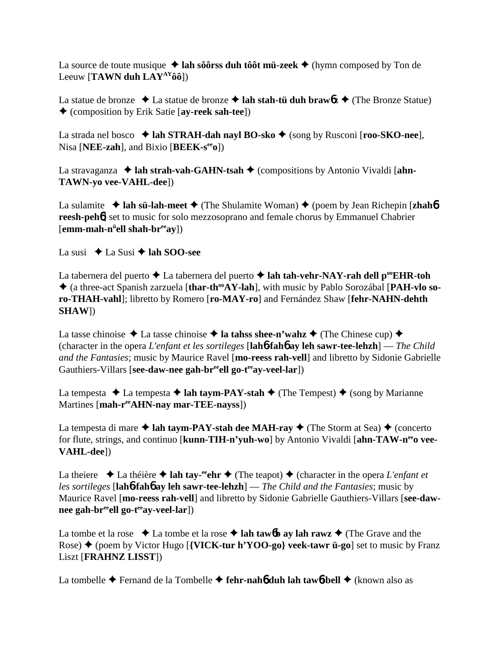La source de toute musique  $\triangle$  lah sôôrss duh tôôt mü-zeek  $\triangle$  (hymn composed by Ton de Leeuw [**TAWN duh LAYAYôô**])

La statue de bronze  $\triangle$  La statue de bronze  $\triangle$  **lah stah-tü duh braw6***z*  $\triangle$  (The Bronze Statue) (composition by Erik Satie [**ay-reek sah-tee**])

La strada nel bosco  $\triangleleft$  lah STRAH-dah nayl BO-sko  $\triangleleft$  (song by Rusconi [**roo-SKO-nee**], Nisa [**NEE-zah**], and Bixio [**BEEK-seeo**])

La stravaganza  $\triangleleft$  lah strah-vah-GAHN-tsah  $\triangleleft$  (compositions by Antonio Vivaldi [ahn-**TAWN-yo vee-VAHL-dee**])

La sulamite  $\triangleleft$  lah sü-lah-meet  $\triangleleft$  (The Shulamite Woman)  $\triangleleft$  (poem by Jean Richepin [**zhah**6] **reesh-peh<sup>6</sup>**] set to music for solo mezzosoprano and female chorus by Emmanuel Chabrier [emm-mah-n<sup>ü</sup>ell shah-br<sup>ee</sup>ay])

La susi  $\triangle$  La Susi  $\triangle$  **lah SOO-see** 

La tabernera del puerto  $\triangle$  La tabernera del puerto  $\triangle$  lah tah-vehr-NAY-rah dell p<sup>oo</sup>EHR-toh ◆ (a three-act Spanish zarzuela [thar-th<sup>oo</sup>AY-lah], with music by Pablo Sorozábal [PAH-vlo so**ro-THAH-vahl**]; libretto by Romero [**ro-MAY-ro**] and Fernández Shaw [**fehr-NAHN-dehth SHAW**])

La tasse chinoise  $\triangle$  La tasse chinoise  $\triangle$  **la tahss shee-n'wahz**  $\triangle$  (The Chinese cup)  $\triangle$ (character in the opera *L'enfant et les sortileges* [**lah**6**-fah**6 **ay leh sawr-tee-lehzh**] — *The Child and the Fantasies*; music by Maurice Ravel [**mo-reess rah-vell**] and libretto by Sidonie Gabrielle Gauthiers-Villars [**see-daw-nee gah-br<sup>ee</sup>ell go-t<sup>ee</sup>av-veel-lar**])

La tempesta  $\triangle$  La tempesta  $\triangle$  **lah taym-PAY-stah**  $\triangle$  (The Tempest)  $\triangle$  (song by Marianne Martines [**mah-reeAHN-nay mar-TEE-nayss**])

La tempesta di mare  $\triangle$  **lah taym-PAY-stah dee MAH-ray**  $\triangle$  (The Storm at Sea)  $\triangle$  (concerto for flute, strings, and continuo [**kunn-TIH-n'yuh-wo**] by Antonio Vivaldi [**ahn-TAW-neeo vee-VAHL-dee**])

La theiere  $\triangle$  La théière  $\triangle$  lah tay-<sup>ee</sup>ehr  $\triangle$  (The teapot)  $\triangle$  (character in the opera *L'enfant et les sortileges* [**lah**6**-fah**6 **ay leh sawr-tee-lehzh**] — *The Child and the Fantasies*; music by Maurice Ravel [**mo-reess rah-vell**] and libretto by Sidonie Gabrielle Gauthiers-Villars [**see-daw**nee gah-br<sup>ee</sup>ell go-t<sup>ee</sup>ay-veel-lar])

La tombe et la rose  $\bullet$  La tombe et la rose  $\bullet$  lah taw**6b** ay lah rawz  $\bullet$  (The Grave and the Rose) (poem by Victor Hugo [**{VICK-tur h'YOO-go} veek-tawr ü-go**] set to music by Franz Liszt [**FRAHNZ LISST**])

La tombelle **→** Fernand de la Tombelle → fehr-nah**6** duh lah taw6-bell → (known also as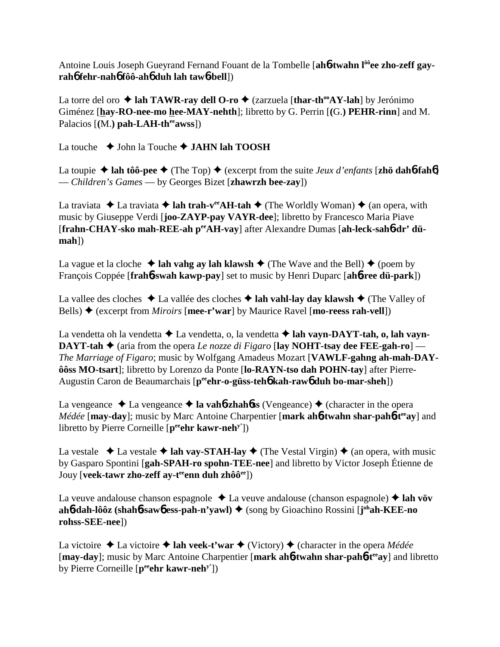Antoine Louis Joseph Gueyrand Fernand Fouant de la Tombelle [ah**6-twahn l<sup>ôô</sup>ee zho-zeff gayrah**6 **fehr-nah**6 **fôô-ah**6 **duh lah taw**6**-bell**])

La torre del oro  $\triangle$  lah TAWR-ray dell O-ro  $\triangle$  (zarzuela [thar-th<sup>oo</sup>AY-lah] by Jerónimo Giménez [**hay-RO-nee-mo hee-MAY-nehth**]; libretto by G. Perrin [**(**G.**) PEHR-rinn**] and M. Palacios  $[(M. )$  pah-LAH-th<sup>ee</sup>awss])

La touche **→** John la Touche → **JAHN lah TOOSH** 

La toupie  $\triangle$  lah tôô-pee  $\triangle$  (The Top)  $\triangle$  (excerpt from the suite *Jeux d'enfants* [**zhö dahb-fahb**] — *Children's Games* — by Georges Bizet [**zhawrzh bee-zay**])

La traviata  $\triangle$  La traviata  $\triangle$  **lah trah-v<sup>ee</sup>AH-tah**  $\triangle$  (The Worldly Woman)  $\triangle$  (an opera, with music by Giuseppe Verdi [**joo-ZAYP-pay VAYR-dee**]; libretto by Francesco Maria Piave [frahn-CHAY-sko mah-REE-ah peeAH-vay] after Alexandre Dumas [ah-leck-sah6-dr' dü**mah**])

La vague et la cloche  $\triangleleft$  lah vahg ay lah klawsh  $\triangleleft$  (The Wave and the Bell)  $\triangleleft$  (poem by François Coppée [**frah**6**-swah kawp-pay**] set to music by Henri Duparc [**ah**6**-ree dü-park**])

La vallee des cloches  $\triangle$  La vallée des cloches  $\triangle$  lah vahl-lay day klawsh  $\triangle$  (The Valley of Bells) (excerpt from *Miroirs* [**mee-r'war**] by Maurice Ravel [**mo-reess rah-vell**])

La vendetta oh la vendetta La vendetta, o, la vendetta **lah vayn-DAYT-tah, o, lah vayn-DAYT-tah**  $\blacklozenge$  (aria from the opera *Le nozze di Figaro* [lay NOHT-tsay dee FEE-gah-ro] — *The Marriage of Figaro*; music by Wolfgang Amadeus Mozart [**VAWLF-gahng ah-mah-DAYôôss MO-tsart**]; libretto by Lorenzo da Ponte [**lo-RAYN-tso dah POHN-tay**] after Pierre-Augustin Caron de Beaumarchais [**peeehr-o-güss-teh**6 **kah-raw**6 **duh bo-mar-sheh**])

La vengeance  $\triangle$  La vengeance  $\triangle$  **la vah<sub>0</sub>-zhahoss** (Vengeance)  $\triangle$  (character in the opera *Médée* [may-day]; music by Marc Antoine Charpentier [mark ah6-twahn shar-pah6-t<sup>ee</sup>ay] and libretto by Pierre Corneille [peehr kawr-neh<sup>y'</sup>])

La vestale  $\triangle$  La vestale  $\triangle$  lah vay-STAH-lay  $\triangle$  (The Vestal Virgin)  $\triangle$  (an opera, with music by Gasparo Spontini [**gah-SPAH-ro spohn-TEE-nee**] and libretto by Victor Joseph Étienne de Jouy [**veek-tawr zho-zeff ay-t<sup>ee</sup>enn duh zhôô<sup>ee</sup>])** 

La veuve andalouse chanson espagnole  $\triangle$  La veuve andalouse (chanson espagnole)  $\triangle$  lah vöv **ah**6**-dah-lôôz (shah**6**-saw**6 **ess-pah-n'yawl)** (song by Gioachino Rossini [**j ohah-KEE-no rohss-SEE-nee**])

La victoire  $\triangle$  La victoire  $\triangle$  lah veek-t'war  $\triangle$  (Victory)  $\triangle$  (character in the opera *Médée* [**may-day**]; music by Marc Antoine Charpentier [**mark ah**6**-twahn shar-pah**6**-teeay**] and libretto by Pierre Corneille [**peeehr kawr-nehy'**])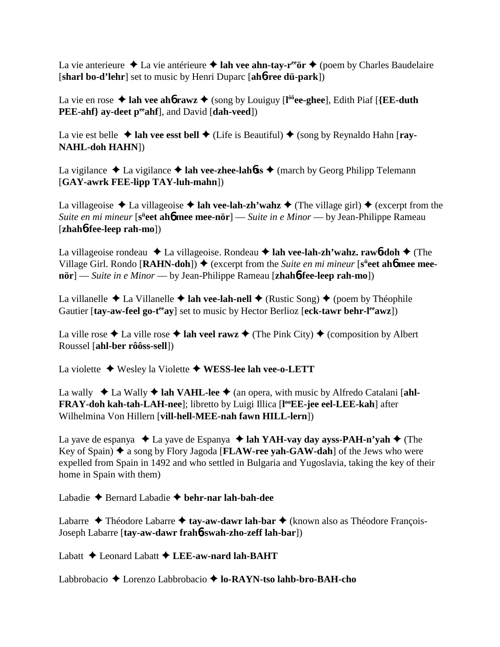La vie anterieure  $\triangle$  La vie antérieure  $\triangle$  lah vee ahn-tay-r<sup>ee</sup>ör  $\triangle$  (poem by Charles Baudelaire [**sharl bo-d'lehr**] set to music by Henri Duparc [**ah**6**-ree dü-park**])

La vie en rose ◆ lah vee ah**6** rawz ◆ (song by Louiguy [l<sup>ôô</sup>ee-ghee], Edith Piaf [{EE-duth **PEE-ahf**} ay-deet p<sup>ee</sup>ahf], and David [dah-veed])

La vie est belle  $\triangle$  lah vee esst bell  $\triangle$  (Life is Beautiful)  $\triangle$  (song by Reynaldo Hahn [**ray-NAHL-doh HAHN**])

La vigilance  $\triangle$  La vigilance  $\triangle$  **lah vee-zhee-lahôss**  $\triangle$  (march by Georg Philipp Telemann [**GAY-awrk FEE-lipp TAY-luh-mahn**])

La villageoise  $\triangle$  La villageoise  $\triangle$  **lah vee-lah-zh'wahz**  $\triangle$  (The village girl)  $\triangle$  (excerpt from the *Suite en mi mineur* [s<sup>ü</sup>eet ah6 mee mee-nör] — *Suite in e Minor* — by Jean-Philippe Rameau [**zhah**6**-fee-leep rah-mo**])

La villageoise rondeau La villageoise. Rondeau **lah vee-lah-zh'wahz. raw**6**-doh** (The Village Girl. Rondo [RAHN-doh]) ♦ (excerpt from the *Suite en mi mineur* [s<sup>ii</sup>eet ah**6** mee mee**nör**] — *Suite in e Minor* — by Jean-Philippe Rameau [**zhah**6**-fee-leep rah-mo**])

La villanelle  $\triangle$  La Villanelle  $\triangle$  lah vee-lah-nell  $\triangle$  (Rustic Song)  $\triangle$  (poem by Théophile Gautier [tay-aw-feel go-t<sup>ee</sup>ay] set to music by Hector Berlioz [eck-tawr behr-l<sup>ee</sup>awz])

La ville rose  $\triangle$  La ville rose  $\triangle$  lah veel rawz  $\triangle$  (The Pink City)  $\triangle$  (composition by Albert Roussel [**ahl-ber rôôss-sell**])

La violette Wesley la Violette **WESS-lee lah vee-o-LETT**

La wally  $\triangleleft$  La Wally  $\triangleleft$  lah VAHL-lee  $\triangleleft$  (an opera, with music by Alfredo Catalani [ahl-**FRAY-doh kah-tah-LAH-nee**]; libretto by Luigi Illica [**l ooEE-jee eel-LEE-kah**] after Wilhelmina Von Hillern [**vill-hell-MEE-nah fawn HILL-lern**])

La yave de espanya  $\triangleleft$  La yave de Espanya  $\triangleleft$  **lah YAH-vay day ayss-PAH-n'yah**  $\triangleleft$  (The Key of Spain)  $\triangle$  a song by Flory Jagoda [**FLAW-ree yah-GAW-dah**] of the Jews who were expelled from Spain in 1492 and who settled in Bulgaria and Yugoslavia, taking the key of their home in Spain with them)

Labadie Bernard Labadie **behr-nar lah-bah-dee**

Labarre ◆ Théodore Labarre ◆ tay-aw-dawr lah-bar ◆ (known also as Théodore François-Joseph Labarre [**tay-aw-dawr frah**6**-swah-zho-zeff lah-bar**])

Labatt  $\triangle$  Leonard Labatt  $\triangle$  **LEE-aw-nard lah-BAHT** 

Labbrobacio Lorenzo Labbrobacio **lo-RAYN-tso lahb-bro-BAH-cho**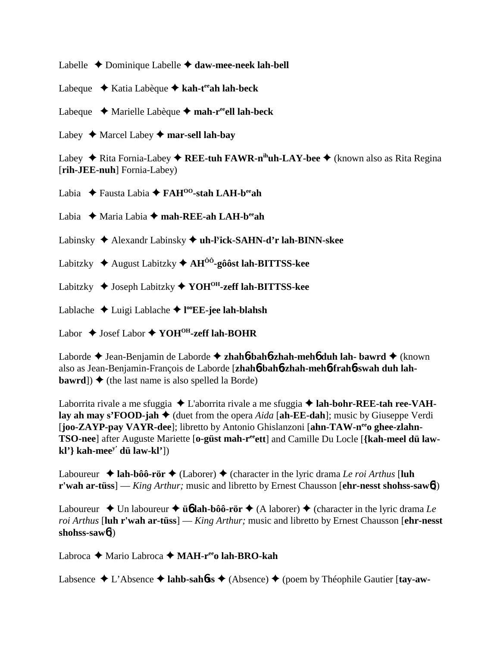Labelle Dominique Labelle **daw-mee-neek lah-bell**

Labeque ◆ Katia Labèque ◆ kah-t<sup>ee</sup>ah lah-beck

Labeque Marielle Labèque **mah-reeell lah-beck**

Labey  $\triangle$  Marcel Labey  $\triangle$  mar-sell lah-bay

Labey ◆ Rita Fornia-Labey ◆ **REE-tuh FAWR-n<sup>ih</sup>uh-LAY-bee** ◆ (known also as Rita Regina [**rih-JEE-nuh**] Fornia-Labey)

Labia Fausta Labia **FAHOO-stah LAH-beeah**

Labia Maria Labia **mah-REE-ah LAH-beeah**

Labinsky Alexandr Labinsky **uh-ly ick-SAHN-d'r lah-BINN-skee**

Labitzky August Labitzky **AHÔÔ-gôôst lah-BITTSS-kee**

Labitzky Joseph Labitzky **YOHOH-zeff lah-BITTSS-kee**

Lablache Luigi Lablache **l ooEE-jee lah-blahsh**

Labor  $\triangle$  Josef Labor  $\triangle$  YOH<sup>OH</sup>-zeff lah-BOHR

Laborde Jean-Benjamin de Laborde **zhah**6**-bah**6**-zhah-meh**6 **duh lah- bawrd** (known also as Jean-Benjamin-François de Laborde [**zhah**6**-bah**6**-zhah-meh**6**-frah**6**-swah duh lahbawrd**])  $\blacklozenge$  (the last name is also spelled la Borde)

Laborrita rivale a me sfuggia ◆ L'aborrita rivale a me sfuggia ◆ lah-bohr-REE-tah ree-VAH**lay ah may s'FOOD-jah**  $\blacklozenge$  (duet from the opera *Aida* [ah-**EE-dah**]; music by Giuseppe Verdi [joo-ZAYP-pay VAYR-dee]; libretto by Antonio Ghislanzoni [ahn-TAW-n<sup>ee</sup>o ghee-zlahn-**TSO-nee**] after Auguste Mariette [o-güst mah-r<sup>ee</sup>ett] and Camille Du Locle [{kah-meel dü law**kl'} kah-meey' dü law-kl'**])

Laboureur  $\triangle$  **lah-bôô-rör**  $\triangle$  (Laborer)  $\triangle$  (character in the lyric drama *Le roi Arthus* [luh **r'wah ar-tüss**] — *King Arthur;* music and libretto by Ernest Chausson [**ehr-nesst shohss-saw**6])

Laboureur  $\triangle$  Un laboureur  $\triangle$  **ü<sub>6</sub>** lah-bôô-rör  $\triangle$  (A laborer)  $\triangle$  (character in the lyric drama *Le roi Arthus* [**luh r'wah ar-tüss**] — *King Arthur;* music and libretto by Ernest Chausson [**ehr-nesst shohss-saw**6])

Labroca ◆ Mario Labroca ◆ MAH-r<sup>ee</sup>o lah-BRO-kah

Labsence L'Absence **lahb-sah**6**ss** (Absence) (poem by Théophile Gautier [**tay-aw-**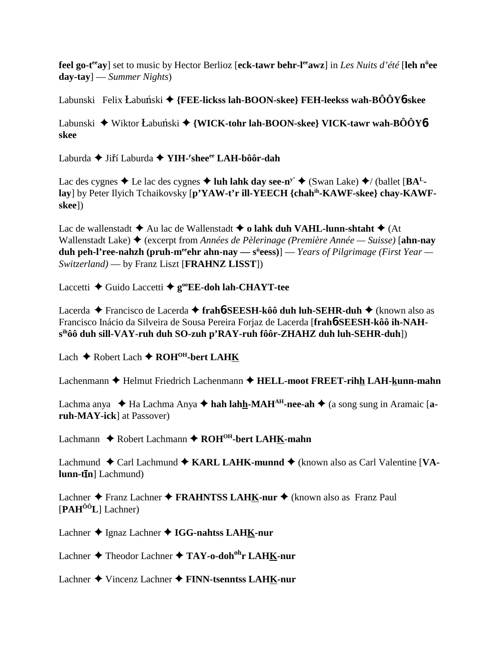**feel go-t<sup>ee</sup>ay**] set to music by Hector Berlioz [eck-tawr behr-l<sup>ee</sup>awz] in *Les Nuits d'été* [leh n<sup>ü</sup>ee **day-tay**] — *Summer Nights*)

Labunski Felix Łabuński ◆ {FEE-lickss lah-BOON-skee} FEH-leekss wah-BÔÔY6-skee

Labunski ◆ Wiktor Łabuński ◆ {**WICK-tohr lah-BOON-skee} VICK-tawr wah-BÔÔY6skee**

Laburda ◆ Jiří Laburda ◆ YIH-<sup>r</sup>shee<sup>ee</sup> LAH-bôô<mark>r-dah</mark>

Lac des cygnes  $\blacklozenge$  Le lac des cygnes  $\blacklozenge$  luh lahk day see-n<sup>y'</sup>  $\blacklozenge$  (Swan Lake)  $\blacklozenge$  / (ballet [BA<sup>L</sup>**lay**] by Peter Ilyich Tchaikovsky [**p'YAW-t'r ill-YEECH {chahih-KAWF-skee} chay-KAWFskee**])

Lac de wallenstadt  $\triangle$  Au lac de Wallenstadt  $\triangle$  o lahk duh VAHL-lunn-shtaht  $\triangle$  (At Wallenstadt Lake) (excerpt from *Années de Pèlerinage (Première Année — Suisse)* [**ahn-nay duh peh-l'ree-nahzh (pruh-m<sup>ee</sup>ehr ahn-nay — s<sup>ü</sup>eess)] —** *Years of Pilgrimage (First Year* **—** *Switzerland)* — by Franz Liszt [**FRAHNZ LISST**])

Laccetti **←** Guido Laccetti ← g<sup>oo</sup>EE-doh lah-CHAYT-tee

Lacerda Francisco de Lacerda **frah**6**-SEESH-kôô duh luh-SEHR-duh** (known also as Francisco Inácio da Silveira de Sousa Pereira Forjaz de Lacerda [**frah**6**-SEESH-kôô ih-NAHsihôô duh sill-VAY-ruh duh SO-zuh p'RAY-ruh fôôr-ZHAHZ duh luh-SEHR-duh**])

Lach ◆ Robert Lach ◆ ROH<sup>OH</sup>-bert LAHK

Lachenmann  $\triangle$  Helmut Friedrich Lachenmann  $\triangle$  HELL-moot FREET-rihh LAH-kunn-mahn

Lachma anya ◆ Ha Lachma Anya ◆ hah lahh-MAH<sup>AH</sup>-nee-ah ◆ (a song sung in Aramaic [a**ruh-MAY-ick**] at Passover)

Lachmann ◆ Robert Lachmann ◆ ROH<sup>OH</sup>-bert LAHK-mahn

Lachmund ◆ Carl Lachmund ◆ KARL LAHK-munnd ◆ (known also as Carl Valentine [VA- $\textbf{lunn-fIn}$  [Lachmund)

Lachner ◆ Franz Lachner ◆ FRAHNTSS LAHK-nur ◆ (known also as Franz Paul [**PAHÔÔL**] Lachner)

Lachner ◆ Ignaz Lachner ◆ IGG-nahtss LAHK-nur

Lachner Theodor Lachner **TAY-o-dohohr LAHK-nur**

Lachner Vincenz Lachner **FINN-tsenntss LAHK-nur**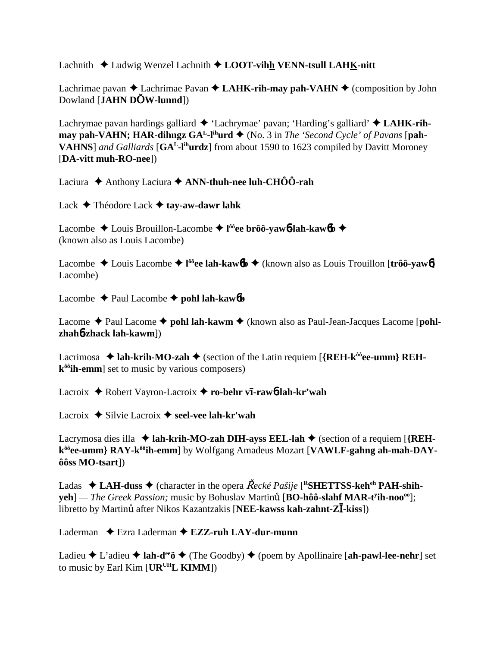Lachnith Ludwig Wenzel Lachnith **LOOT-vihh VENN-tsull LAHK-nitt**

Lachrimae pavan  $\triangle$  Lachrimae Pavan  $\triangle$  LAHK-rih-may pah-VAHN  $\triangle$  (composition by John Dowland [**JAHN DW-lunnd**])

Lachrymae pavan hardings galliard 'Lachrymae' pavan; 'Harding's galliard' **LAHK-rihmay pah-VAHN; HAR-dihngz**  $GA<sup>L</sup>$ **-l<sup>ih</sup>urd**  $\blacklozenge$  (No. 3 in *The 'Second Cycle' of Pavans* [**pah-VAHNS**] *and Galliards* [**GAL-lihurdz**] from about 1590 to 1623 compiled by Davitt Moroney [**DA-vitt muh-RO-nee**])

Laciura  $\triangle$  Anthony Laciura  $\triangle$  ANN-thuh-nee luh-CHÔÔ-rah

Lack Théodore Lack **tay-aw-dawr lahk**

Lacombe ◆ Louis Brouillon-Lacombe ◆ l<sup>ôô</sup>ee brôô-yaw6-lah-kaw6b ◆ (known also as Louis Lacombe)

Lacombe ◆ Louis Lacombe ◆ l<sup>ôô</sup>ee lah-kaw6b ◆ (known also as Louis Trouillon [trôô-yaw6] Lacombe)

Lacombe  $\triangle$  Paul Lacombe  $\triangle$  pohl lah-kaw6**b** 

Lacome ◆ Paul Lacome ◆ pohl lah-kawm ◆ (known also as Paul-Jean-Jacques Lacome [pohl**zhah**6**-zhack lah-kawm**])

Lacrimosa  $\triangleleft$  lah-krih-MO-zah  $\triangleleft$  (section of the Latin requiem [ ${REH-k^{\hat{o}\hat{o}}}$ ee-umm} REH**kôôih-emm**] set to music by various composers)

Lacroix ◆ Robert Vayron-Lacroix ◆ ro-behr v**ī-rawb-lah-kr'wah** 

Lacroix  $\triangle$  Silvie Lacroix  $\triangle$  seel-vee lah-kr'wah

Lacrymosa dies illa  $\triangleleft$  lah-krih-MO-zah DIH-ayss EEL-lah  $\triangleleft$  (section of a requiem [{REH**kôôee-umm} RAY-kôôih-emm**] by Wolfgang Amadeus Mozart [**VAWLF-gahng ah-mah-DAYôôss MO-tsart**])

Ladas  $\triangle$  LAH-duss  $\triangle$  (character in the opera  $\vec{Rec}$  ké Pašije [<sup>R</sup>SHETTSS-keh<sup>eh</sup> PAH-shih**yeh**] — *The Greek Passion;* music by Bohuslav Martinu [**BO-hôô-slahf MAR-t<sup>y</sup>ih-noo**<sup>oo</sup>]; libretto by Martinu<sup>t</sup> after Nikos Kazantzakis [**NEE-kawss kah-zahnt-ZĪ-kiss**])

Laderman **→** Ezra Laderman → **EZZ-ruh LAY-dur-munn** 

Ladieu  $\blacklozenge$  L'adieu  $\blacklozenge$  **lah-d<sup>ee</sup>ö**  $\blacklozenge$  (The Goodby)  $\blacklozenge$  (poem by Apollinaire [ah-pawl-lee-nehr] set to music by Earl Kim [**URUHL KIMM**])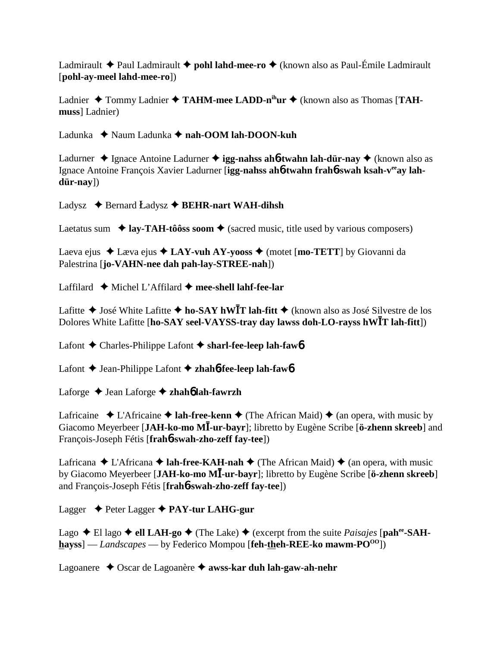Ladmirault  $\triangle$  Paul Ladmirault  $\triangle$  **pohl lahd-mee-ro**  $\triangle$  (known also as Paul-Émile Ladmirault [**pohl-ay-meel lahd-mee-ro**])

Ladnier ◆ Tommy Ladnier ◆ TAHM-mee LADD-n<sup>ih</sup>ur ◆ (known also as Thomas [TAH**muss**] Ladnier)

Ladunka ◆ Naum Ladunka ◆ nah-OOM lah-DOON-kuh

Ladurner  $\triangle$  Ignace Antoine Ladurner  $\triangle$  **igg-nahss ah6-twahn lah-dür-nay**  $\triangle$  (known also as Ignace Antoine François Xavier Ladurner [**igg-nahss ah6-twahn frah6-swah ksah-v<sup>ee</sup>ay lahdür-nay**])

Ladysz  $\triangle$  Bernard Ladysz  $\triangle$  BEHR-nart WAH-dihsh

Laetatus sum  $\triangleq$  lay-TAH-tôôss soom  $\triangleq$  (sacred music, title used by various composers)

Laeva ejus  $\triangle$  Læva ejus  $\triangle$  LAY-vuh AY-yooss  $\triangle$  (motet [mo-TETT] by Giovanni da Palestrina [**jo-VAHN-nee dah pah-lay-STREE-nah**])

Laffilard Michel L'Affilard **mee-shell lahf-fee-lar**

Lafitte **→** José White Lafitte **→ ho-SAY hWT** lah-fitt **→** (known also as José Silvestre de los Dolores White Lafitte [**ho-SAY seel-VAYSS-tray day lawss doh-LO-rayss hWT lah-fitt**])

Lafont **→** Charles-Philippe Lafont → sharl-fee-leep lah-fawb

Lafont Jean-Philippe Lafont **zhah**6**-fee-leep lah-faw**6

Laforge Jean Laforge **zhah**6 **lah-fawrzh**

Lafricaine  $\triangle$  L'Africaine  $\triangle$  **lah-free-kenn**  $\triangle$  (The African Maid)  $\triangle$  (an opera, with music by Giacomo Meyerbeer [JAH-ko-mo MI-ur-bayr]; libretto by Eugène Scribe [ö-zhenn skreeb] and François-Joseph Fétis [**frah**6**-swah-zho-zeff fay-tee**])

Lafricana  $\triangle$  L'Africana  $\triangle$  **lah-free-KAH-nah**  $\triangle$  (The African Maid)  $\triangle$  (an opera, with music by Giacomo Meyerbeer [**JAH-ko-mo M-ur-bayr**]; libretto by Eugène Scribe [**ö-zhenn skreeb**] and François-Joseph Fétis [**frah**6**-swah-zho-zeff fay-tee**])

Lagger Peter Lagger **PAY-tur LAHG-gur**

Lago  $\blacklozenge$  El lago  $\blacklozenge$  ell LAH-go  $\blacklozenge$  (The Lake)  $\blacklozenge$  (excerpt from the suite *Paisajes* [pah<sup>ee</sup>-SAH**hayss**] — *Landscapes* — by Federico Mompou [feh-theh-REE-ko mawm-PO<sup>00</sup>])

Lagoanere Oscar de Lagoanère **awss-kar duh lah-gaw-ah-nehr**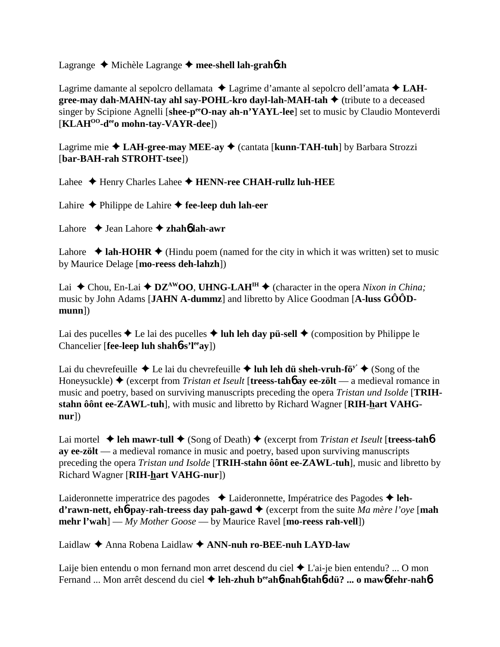## Lagrange Michèle Lagrange **mee-shell lah-grah**6**zh**

Lagrime damante al sepolcro dellamata ◆ Lagrime d'amante al sepolcro dell'amata ◆ LAH**gree-may dah-MAHN-tay ahl say-POHL-kro dayl-lah-MAH-tah ♦** (tribute to a deceased singer by Scipione Agnelli [shee-p<sup>ee</sup>O-nay ah-n'YAYL-lee] set to music by Claudio Monteverdi [**KLAHOO-deeo mohn-tay-VAYR-dee**])

Lagrime mie **LAH-gree-may MEE-ay** (cantata [**kunn-TAH-tuh**] by Barbara Strozzi [**bar-BAH-rah STROHT-tsee**])

Lahee ◆ Henry Charles Lahee ◆ HENN-ree CHAH-rullz luh-HEE

Lahire  $\triangle$  Philippe de Lahire  $\triangle$  fee-leep duh lah-eer

Lahore **↓** Jean Lahore ◆ zhah**6** lah-awr

Lahore  $\triangle$  lah-HOHR  $\triangle$  (Hindu poem (named for the city in which it was written) set to music by Maurice Delage [**mo-reess deh-lahzh**])

Lai  $\triangle$  Chou, En-Lai  $\triangle$  **DZ<sup>AW</sup>OO**, **UHNG-LAH<sup>IH</sup>**  $\triangle$  (character in the opera *Nixon in China*; music by John Adams [**JAHN A-dummz**] and libretto by Alice Goodman [**A-luss GÔÔDmunn**])

Lai des pucelles  $\triangle$  Le lai des pucelles  $\triangle$  luh leh day pü-sell  $\triangle$  (composition by Philippe le Chancelier [**fee-leep luh shah**6**-s'leeay**])

Lai du chevrefeuille  $\triangle$  Le lai du chevrefeuille  $\triangle$  luh leh dü sheh-vruh-fö<sup>y'</sup>  $\triangle$  (Song of the Honeysuckle)  $\triangle$  (excerpt from *Tristan et Iseult* [**treess-tahb** ay ee-zölt — a medieval romance in music and poetry, based on surviving manuscripts preceding the opera *Tristan und Isolde* [**TRIH**stahn ôônt ee-ZAWL-tuh], with music and libretto by Richard Wagner [RIH-hart VAHG**nur**])

Lai mortel **↓ leh mawr-tull ◆** (Song of Death) ◆ (excerpt from *Tristan et Iseult* [treess-tah**6 ay ee-zölt** — a medieval romance in music and poetry, based upon surviving manuscripts preceding the opera *Tristan und Isolde* [**TRIH-stahn ôônt ee-ZAWL-tuh**], music and libretto by Richard Wagner [**RIH-hart VAHG-nur**])

Laideronnette imperatrice des pagodes **→** Laideronnette, Impératrice des Pagodes → leh**d'rawn-nett, eh6-pay-rah-treess day pah-gawd ♦** (excerpt from the suite *Ma mère l'oye* [**mah mehr l'wah**] — *My Mother Goose* — by Maurice Ravel [**mo-reess rah-vell**])

Laidlaw Anna Robena Laidlaw **ANN-nuh ro-BEE-nuh LAYD-law**

Laije bien entendu o mon fernand mon arret descend du ciel  $\triangle$  L'ai-je bien entendu? ... O mon Fernand ... Mon arrêt descend du ciel **leh-zhuh beeah**6**-nah**6**-tah**6**-dü? ... o maw**6 **fehr-nah**6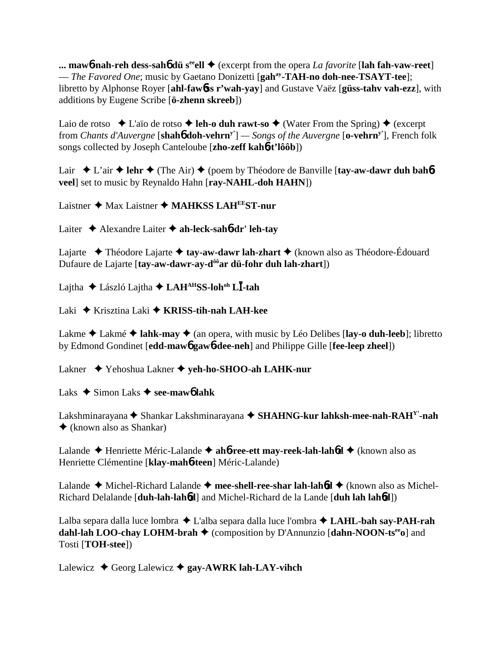**... maw6-nah-reh dess-sah6 dü s<sup>ee</sup>ell**  $\blacklozenge$  (excerpt from the opera *La favorite* [lah fah-vaw-reet] — *The Favored One*; music by Gaetano Donizetti [**gahay-TAH-no doh-nee-TSAYT-tee**]; libretto by Alphonse Royer [**ahl-faw**6**ss r'wah-yay**] and Gustave Vaëz [**güss-tahv vah-ezz**], with additions by Eugene Scribe [**ö-zhenn skreeb**])

Laio de rotso  $\triangle$  L'aïo de rotso  $\triangle$  **leh-o duh rawt-so**  $\triangle$  (Water From the Spring)  $\triangle$  (excerpt from *Chants d'Auvergne* [**shah**6 **doh-vehrny'**] *— Songs of the Auvergne* [**o-vehrny'**], French folk songs collected by Joseph Canteloube [**zho-zeff kah**6**-t'lôôb**])

Lair  $\blacklozenge$  L'air  $\blacklozenge$  lehr  $\blacklozenge$  (The Air)  $\blacklozenge$  (poem by Théodore de Banville [tay-aw-dawr duh bah**6veel**] set to music by Reynaldo Hahn [**ray-NAHL-doh HAHN**])

Laistner ◆ Max Laistner ◆ MAHKSS LAH<sup>EE</sup>ST-nur

Laiter Alexandre Laiter **ah-leck-sah**6**-dr' leh-tay**

Lajarte Théodore Lajarte **tay-aw-dawr lah-zhart** (known also as Théodore-Édouard Dufaure de Lajarte [tay-aw-dawr-ay-d<sup>ôô</sup>ar dü-fohr duh lah-zhart])

Lajtha László Lajtha **LAHAHSS-lohoh L-tah**

Laki Krisztina Laki **KRISS-tih-nah LAH-kee**

Lakme  $\triangle$  Lakmé  $\triangle$  lahk-may  $\triangle$  (an opera, with music by Léo Delibes [lay-o duh-leeb]; libretto by Edmond Gondinet [**edd-maw**6 **gaw**6**-dee-neh**] and Philippe Gille [**fee-leep zheel**])

Lakner Yehoshua Lakner **yeh-ho-SHOO-ah LAHK-nur**

Laks  $\triangle$  Simon Laks  $\triangle$  see-mawo lahk

Lakshminarayana ◆ Shankar Lakshminarayana ◆ SHAHNG-kur lahksh-mee-nah-RAH<sup>Y</sup>-nah (known also as Shankar)

Lalande Henriette Méric-Lalande **ah**6**-ree-ett may-reek-lah-lah**6**d** (known also as Henriette Clémentine [**klay-mah**6**-teen**] Méric-Lalande)

Lalande ◆ Michel-Richard Lalande ◆ mee-shell-ree-shar lah-lah6d ◆ (known also as Michel-Richard Delalande [**duh-lah-lah**6**d**] and Michel-Richard de la Lande [**duh lah lah**6**d**])

Lalba separa dalla luce lombra L'alba separa dalla luce l'ombra **LAHL-bah say-PAH-rah dahl-lah LOO-chay LOHM-brah ♦** (composition by D'Annunzio [**dahn-NOON-ts<sup>ee</sup>o**] and Tosti [**TOH-stee**])

Lalewicz  $\triangle$  Georg Lalewicz  $\triangle$  gay-AWRK lah-LAY-vihch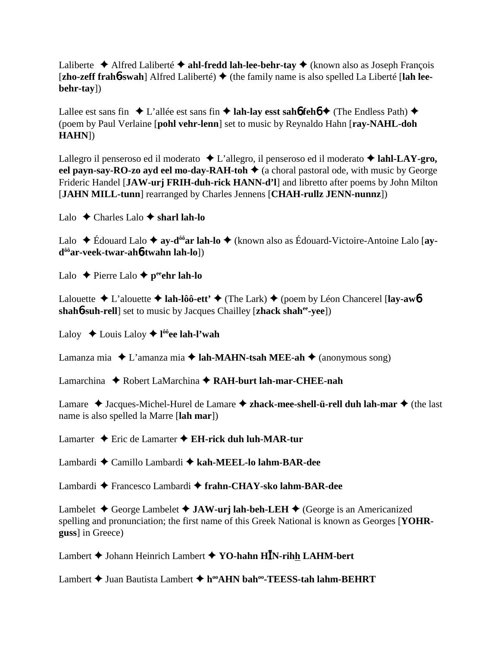Laliberte  $\triangle$  Alfred Laliberté  $\triangle$  ahl-fredd lah-lee-behr-tay  $\triangle$  (known also as Joseph François [zho-zeff frahb-swah] Alfred Laliberté) ♦ (the family name is also spelled La Liberté [lah lee**behr-tay**])

Lallee est sans fin  $\triangle$  L'allée est sans fin  $\triangle$  **lah-lay esst sahó fehó**  $\triangle$  (The Endless Path)  $\triangle$ (poem by Paul Verlaine [**pohl vehr-lenn**] set to music by Reynaldo Hahn [**ray-NAHL-doh HAHN**])

Lallegro il penseroso ed il moderato  $\triangle$  L'allegro, il penseroso ed il moderato  $\triangle$  **lahl-LAY-gro, eel payn-say-RO-zo ayd eel mo-day-RAH-toh ♦** (a choral pastoral ode, with music by George Frideric Handel [**JAW-urj FRIH-duh-rick HANN-d'l**] and libretto after poems by John Milton [**JAHN MILL-tunn**] rearranged by Charles Jennens [**CHAH-rullz JENN-nunnz**])

Lalo Charles Lalo **sharl lah-lo**

Lalo Édouard Lalo **ay-dôôar lah-lo** (known also as Édouard-Victoire-Antoine Lalo [**aydôôar-veek-twar-ah**6**-twahn lah-lo**])

Lalo  $\triangle$  Pierre Lalo  $\triangle$  p<sup>ee</sup>ehr lah-lo

Lalouette  $\triangle$  L'alouette  $\triangle$  **lah-lôô-ett'**  $\triangle$  (The Lark)  $\triangle$  (poem by Léon Chancerel [**lay-aw6 shah<sup>6</sup>-suh-rell**] set to music by Jacques Chailley [**zhack shah<sup>ee</sup>-yee**])

Laloy Louis Laloy **l ôôee lah-l'wah**

Lamanza mia  $\triangle$  L'amanza mia  $\triangle$  **lah-MAHN-tsah MEE-ah**  $\triangle$  (anonymous song)

Lamarchina ◆ Robert LaMarchina **◆ RAH-burt lah-mar-CHEE-nah** 

Lamare  $\triangle$  Jacques-Michel-Hurel de Lamare  $\triangle$  **zhack-mee-shell-ü-rell duh lah-mar**  $\triangle$  (the last name is also spelled la Marre [**lah mar**])

Lamarter ◆ Eric de Lamarter ◆ EH-rick duh luh-MAR-tur

Lambardi Camillo Lambardi **kah-MEEL-lo lahm-BAR-dee**

Lambardi Francesco Lambardi **frahn-CHAY-sko lahm-BAR-dee**

Lambelet **←** George Lambelet ← **JAW-urj lah-beh-LEH** ← (George is an Americanized spelling and pronunciation; the first name of this Greek National is known as Georges [**YOHRguss**] in Greece)

Lambert Johann Heinrich Lambert **YO-hahn HN-rihh LAHM-bert**

Lambert **→** Juan Bautista Lambert ◆ h<sup>oo</sup>AHN bah<sup>oo</sup>-TEESS-tah lahm-BEHRT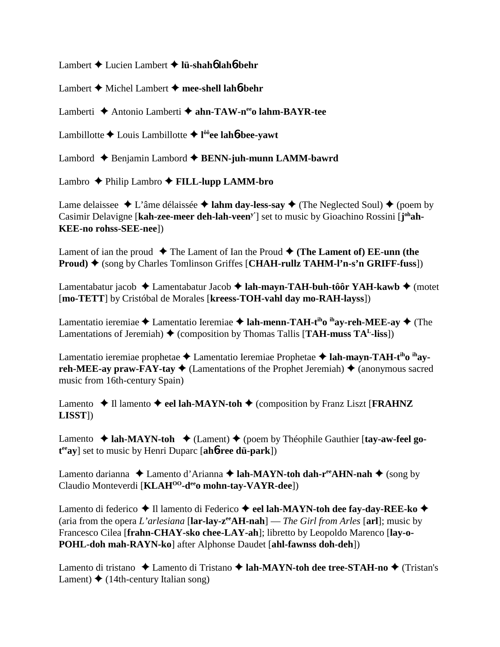Lambert Lucien Lambert **lü-shah**6 **lah**6**-behr**

Lambert Michel Lambert **mee-shell lah**6**-behr**

Lamberti **→** Antonio Lamberti → ahn-TAW-n<sup>ee</sup>o lahm-BAYR-tee

Lambillotte Louis Lambillotte **l ôôee lah**6**-bee-yawt**

Lambord Benjamin Lambord **BENN-juh-munn LAMM-bawrd**

Lambro Philip Lambro **FILL-lupp LAMM-bro**

Lame delaissee  $\triangle$  L'âme délaissée  $\triangle$  **lahm day-less-say**  $\triangle$  (The Neglected Soul)  $\triangle$  (poem by Casimir Delavigne [kah-zee-meer deh-lah-veen<sup>y</sup>'] set to music by Gioachino Rossini [j<sup>oh</sup>ah-**KEE-no rohss-SEE-nee**])

Lament of ian the proud  $\blacklozenge$  The Lament of Ian the Proud  $\blacklozenge$  (The Lament of) EE-unn (the **Proud)** ♦ (song by Charles Tomlinson Griffes [CHAH-rullz TAHM-l'n-s'n GRIFF-fuss])

Lamentabatur jacob Lamentabatur Jacob **lah-mayn-TAH-buh-tôôr YAH-kawb** (motet [**mo-TETT**] by Cristóbal de Morales [**kreess-TOH-vahl day mo-RAH-layss**])

Lamentatio ieremiae  $\triangle$  Lamentatio Ieremiae  $\triangle$  **lah-menn-TAH-t<sup>ih</sup>o <sup>ih</sup>ay-reh-MEE-ay**  $\triangle$  (The Lamentations of Jeremiah)  $\triangle$  (composition by Thomas Tallis [**TAH-muss TA<sup>L</sup>-liss**])

Lamentatio ieremiae prophetae ◆ Lamentatio Ieremiae Prophetae ◆ lah-mayn-TAH-t<sup>ih</sup>o <sup>ih</sup>ay**reh-MEE-ay praw-FAY-tay**  $\blacklozenge$  (Lamentations of the Prophet Jeremiah)  $\blacklozenge$  (anonymous sacred music from 16th-century Spain)

Lamento  $\triangle$  Il lamento  $\triangle$  eel lah-MAYN-toh  $\triangle$  (composition by Franz Liszt [**FRAHNZ LISST**])

Lamento ◆ lah-MAYN-toh ◆ (Lament) ◆ (poem by Théophile Gauthier [tay-aw-feel go**t eeay**] set to music by Henri Duparc [**ah**6**-ree dü-park**])

Lamento darianna ◆ Lamento d'Arianna ◆ lah-MAYN-toh dah-r<sup>ee</sup>AHN-nah ◆ (song by Claudio Monteverdi [**KLAH<sup>00</sup>-d<sup>ee</sup>o mohn-tay-VAYR-dee**])

Lamento di federico **→** Il lamento di Federico **→ eel lah-MAYN-toh dee fay-day-REE-ko →** (aria from the opera *L'arlesiana* [**lar-lay-zeeAH-nah**] — *The Girl from Arles* [**arl**]; music by Francesco Cilea [**frahn-CHAY-sko chee-LAY-ah**]; libretto by Leopoldo Marenco [**lay-o-POHL-doh mah-RAYN-ko**] after Alphonse Daudet [**ahl-fawnss doh-deh**])

Lamento di tristano ◆ Lamento di Tristano ◆ lah-MAYN-toh dee tree-STAH-no ◆ (Tristan's Lament)  $\triangleq$  (14th-century Italian song)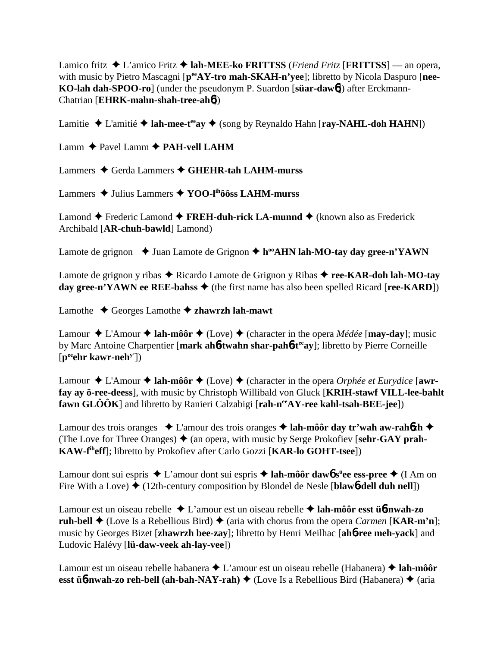Lamico fritz  $\triangle$  L'amico Fritz  $\triangle$  **lah-MEE-ko FRITTSS** (*Friend Fritz* [**FRITTSS**] — an opera, with music by Pietro Mascagni [ $p^{ee}AY$ -tro mah-SKAH-n'yee]; libretto by Nicola Daspuro [nee-**KO-lah dah-SPOO-ro**] (under the pseudonym P. Suardon [**süar-daw**6]) after Erckmann-Chatrian [**EHRK-mahn-shah-tree-ah**6])

Lamitie  $\triangle$  L'amitié  $\triangle$  **lah-mee-t<sup>ee</sup>ay**  $\triangle$  (song by Reynaldo Hahn [**ray-NAHL-doh HAHN**])

Lamm  $\triangle$  Pavel Lamm  $\triangle$  **PAH-vell LAHM** 

Lammers ◆ Gerda Lammers ◆ GHEHR-tah LAHM-murss

Lammers Julius Lammers **YOO-lihôôss LAHM-murss**

Lamond  $\triangle$  Frederic Lamond  $\triangle$  **FREH-duh-rick LA-munnd**  $\triangle$  (known also as Frederick Archibald [**AR-chuh-bawld**] Lamond)

Lamote de grignon  $\triangleleft$  Juan Lamote de Grignon  $\triangleleft$  h<sup>oo</sup>AHN lah-MO-tay day gree-n'YAWN

Lamote de grignon y ribas  $\triangle$  Ricardo Lamote de Grignon y Ribas  $\triangle$  ree-KAR-doh lah-MO-tay **day gree-n'YAWN ee REE-bahss**  $\blacklozenge$  (the first name has also been spelled Ricard [**ree-KARD**])

Lamothe  $\triangle$  Georges Lamothe  $\triangle$  zhawrzh lah-mawt

Lamour  $\triangle$  L'Amour  $\triangle$  **lah-môôr**  $\triangle$  (Love)  $\triangle$  (character in the opera *Médée* [**may-day**]; music by Marc Antoine Charpentier [**mark ah**6**-twahn shar-pah**6**-teeay**]; libretto by Pierre Corneille [**peeehr kawr-nehy'**])

Lamour  $\triangle$  L'Amour  $\triangle$  **lah-môôr**  $\triangle$  (Love)  $\triangle$  (character in the opera *Orphée et Eurydice* [awr**fay ay ö-ree-deess**], with music by Christoph Willibald von Gluck [**KRIH-stawf VILL-lee-bahlt fawn GLÔÔK**] and libretto by Ranieri Calzabigi [rah-n<sup>ee</sup>AY-ree kahl-tsah-BEE-jee])

Lamour des trois oranges  $\triangle$  L'amour des trois oranges  $\triangle$  lah-môôr day tr'wah aw-rah6zh  $\triangle$ (The Love for Three Oranges)  $\triangleq$  (an opera, with music by Serge Prokofiev [sehr-GAY prah-**KAW-fiheff**]; libretto by Prokofiev after Carlo Gozzi [**KAR-lo GOHT-tsee**])

Lamour dont sui espris L'amour dont sui espris **lah-môôr daw**6 **sü ee ess-pree** (I Am on Fire With a Love)  $\triangle$  (12th-century composition by Blondel de Nesle [blawb-dell duh nell])

Lamour est un oiseau rebelle L'amour est un oiseau rebelle  **lah-môôr esst ü**6**-nwah-zo ruh-bell**  $\blacklozenge$  (Love Is a Rebellious Bird)  $\blacklozenge$  (aria with chorus from the opera *Carmen* [**KAR-m'n**]; music by Georges Bizet [**zhawrzh bee-zay**]; libretto by Henri Meilhac [**ah**6**-ree meh-yack**] and Ludovic Halévy [**lü-daw-veek ah-lay-vee**])

Lamour est un oiseau rebelle habanera **→** L'amour est un oiseau rebelle (Habanera) → **lah-môôr esst üb-nwah-zo reh-bell (ah-bah-NAY-rah)**  $\blacklozenge$  (Love Is a Rebellious Bird (Habanera)  $\blacklozenge$  (aria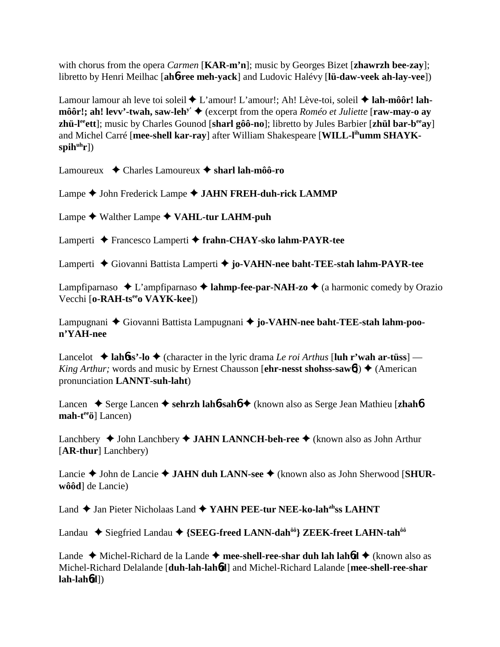with chorus from the opera *Carmen* [**KAR-m'n**]; music by Georges Bizet [**zhawrzh bee-zay**]; libretto by Henri Meilhac [**ah**6**-ree meh-yack**] and Ludovic Halévy [**lü-daw-veek ah-lay-vee**])

Lamour lamour ah leve toi soleil ◆ L'amour! L'amour!; Ah! Lève-toi, soleil ◆ lah-môôr! lah**môôr!; ah! levv'-twah, saw-leh<sup>y'</sup> ♦ (excerpt from the opera** *Roméo et Juliette* **[<b>raw-may-o ay zhü-leeett**]; music by Charles Gounod [**sharl gôô-no**]; libretto by Jules Barbier [**zhül bar-beeay**] and Michel Carré [**mee-shell kar-ray**] after William Shakespeare [**WILL-lihumm SHAYK**spih<sup>uh</sup>r])

Lamoureux Charles Lamoureux **sharl lah-môô-ro**

Lampe ◆ John Frederick Lampe ◆ JAHN FREH-duh-rick LAMMP

Lampe ◆ Walther Lampe ◆ VAHL-tur LAHM-puh

Lamperti Francesco Lamperti **frahn-CHAY-sko lahm-PAYR-tee**

Lamperti Giovanni Battista Lamperti **jo-VAHN-nee baht-TEE-stah lahm-PAYR-tee**

Lampfiparnaso  $\triangle$  L'ampfiparnaso  $\triangle$  **lahmp-fee-par-NAH-zo**  $\triangle$  (a harmonic comedy by Orazio Vecchi [o-RAH-ts<sup>ee</sup>o VAYK-kee])

Lampugnani Giovanni Battista Lampugnani **jo-VAHN-nee baht-TEE-stah lahm-poon'YAH-nee**

Lancelot  $\triangle$  lah**6ss'**-lo  $\triangle$  (character in the lyric drama *Le roi Arthus* [luh r'wah ar-tüss] — *King Arthur;* words and music by Ernest Chausson [**ehr-nesst shohss-saw6**])  $\triangle$  (American pronunciation **LANNT-suh-laht**)

Lancen ◆ Serge Lancen ◆ sehrzh lah**6-sahó** ◆ (known also as Serge Jean Mathieu [zhah**6**) mah-t<sup>ee</sup>ö] Lancen)

Lanchbery ◆ John Lanchbery ◆ **JAHN LANNCH-beh-ree** ◆ (known also as John Arthur [**AR-thur**] Lanchbery)

Lancie ◆ John de Lancie ◆ JAHN duh LANN-see ◆ (known also as John Sherwood [SHUR**wôôd**] de Lancie)

Land **←** Jan Pieter Nicholaas Land ← YAHN PEE-tur NEE-ko-lah<sup>ah</sup>ss LAHNT

Landau ◆ Siegfried Landau ◆ {SEEG-freed LANN-dah<sup>ôô</sup>} ZEEK-freet LAHN-tah<sup>ôô</sup>

Lande ◆ Michel-Richard de la Lande ◆ mee-shell-ree-shar duh lah lah6d ◆ (known also as Michel-Richard Delalande [**duh-lah-lah**6**d**] and Michel-Richard Lalande [**mee-shell-ree-shar lah-lah**6**d**])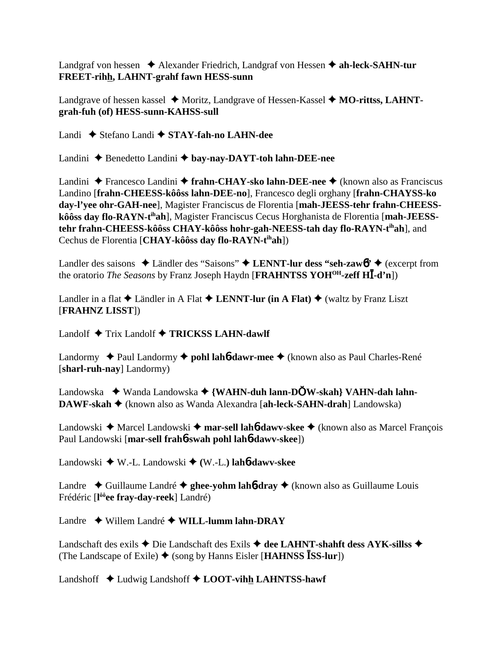Landgraf von hessen **→** Alexander Friedrich, Landgraf von Hessen → ah-leck-SAHN-tur **FREET-rihh, LAHNT-grahf fawn HESS-sunn**

Landgrave of hessen kassel ◆ Moritz, Landgrave of Hessen-Kassel ◆ MO-rittss, LAHNT**grah-fuh (of) HESS-sunn-KAHSS-sull**

Landi Stefano Landi **STAY-fah-no LAHN-dee**

Landini ◆ Benedetto Landini ◆ bay-nay-DAYT-toh lahn-DEE-nee

Landini Francesco Landini **frahn-CHAY-sko lahn-DEE-nee** (known also as Franciscus Landino [**frahn-CHEESS-kôôss lahn-DEE-no**], Francesco degli orghany [**frahn-CHAYSS-ko day-l'yee ohr-GAH-nee**], Magister Franciscus de Florentia [**mah-JEESS-tehr frahn-CHEESSkôôss day flo-RAYN-tihah**], Magister Franciscus Cecus Horghanista de Florentia [**mah-JEESStehr frahn-CHEESS-kôôss CHAY-kôôss hohr-gah-NEESS-tah day flo-RAYN-tihah**], and Cechus de Florentia [**CHAY-kôôss day flo-RAYN-tihah**])

Landler des saisons  $\triangle$  Ländler des "Saisons"  $\triangle$  LENNT-lur dess "seh-zaw6"  $\triangle$  (excerpt from the oratorio *The Seasons* by Franz Joseph Haydn [**FRAHNTSS YOHOH-zeff H-d'n**])

Landler in a flat  $\triangle$  Ländler in A Flat  $\triangle$  LENNT-lur (in A Flat)  $\triangle$  (waltz by Franz Liszt [**FRAHNZ LISST**])

Landolf  $\triangle$  Trix Landolf  $\triangle$  **TRICKSS LAHN-dawlf** 

Landormy ◆ Paul Landormy ◆ pohl lah**6-dawr-mee** ◆ (known also as Paul Charles-René [**sharl-ruh-nay**] Landormy)

Landowska ◆ Wanda Landowska ◆ {WAHN-duh lann-DOW-skah} VAHN-dah lahn-**DAWF-skah ♦** (known also as Wanda Alexandra [ah-leck-SAHN-drah] Landowska)

Landowski ◆ Marcel Landowski ◆ mar-sell lah**6-dawv-skee** ◆ (known also as Marcel François Paul Landowski [**mar-sell frah**6**-swah pohl lah**6**-dawv-skee**])

Landowski W.-L. Landowski **(**W.-L.**) lah**6**-dawv-skee**

Landre  $\triangle$  Guillaume Landré  $\triangle$  ghee-yohm lah**6-dray**  $\triangle$  (known also as Guillaume Louis Frédéric [**l ôôee fray-day-reek**] Landré)

Landre Willem Landré **WILL-lumm lahn-DRAY**

Landschaft des exils ◆ Die Landschaft des Exils ◆ dee LAHNT-shahft dess AYK-sillss ◆ (The Landscape of Exile)  $\blacklozenge$  (song by Hanns Eisler [**HAHNSS ISS-lur**])

Landshoff **↓** Ludwig Landshoff **◆ LOOT-vihh LAHNTSS-hawf**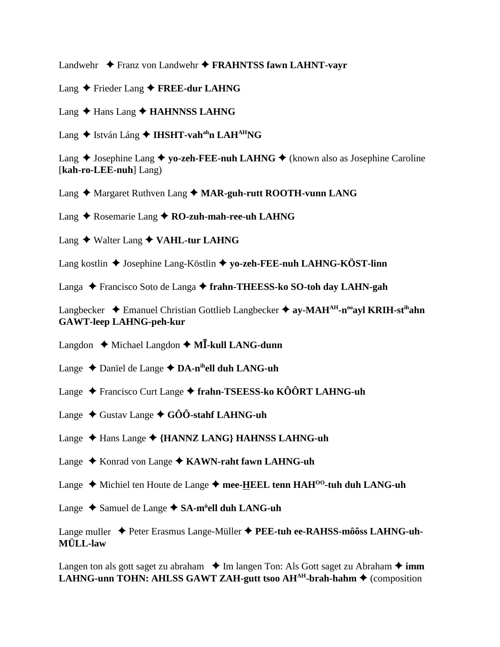Landwehr **◆ Franz von Landwehr ◆ FRAHNTSS fawn LAHNT-vavr** 

- Lang ◆ Frieder Lang ◆ FREE-dur LAHNG
- Lang ◆ Hans Lang ◆ **HAHNNSS LAHNG**
- Lang ◆ István Láng ◆ **IHSHT-vah<sup>ah</sup>n LAH<sup>AH</sup>NG**

Lang  $\triangle$  Josephine Lang  $\triangle$  yo-zeh-FEE-nuh LAHNG  $\triangle$  (known also as Josephine Caroline [**kah-ro-LEE-nuh**] Lang)

Lang ♦ Margaret Ruthven Lang ♦ MAR-guh-rutt ROOTH-vunn LANG

Lang ◆ Rosemarie Lang ◆ RO-zuh-mah-ree-uh LAHNG

Lang ◆ Walter Lang ◆ VAHL-tur LAHNG

Lang kostlin ◆ Josephine Lang-Köstlin ◆ yo-zeh-FEE-nuh LAHNG-KÖST-linn

Langa Francisco Soto de Langa **frahn-THEESS-ko SO-toh day LAHN-gah**

Langbecker  $\triangle$  Emanuel Christian Gottlieb Langbecker  $\triangle$  ay-MAH<sup>AH</sup>-n<sup>oo</sup>ayl KRIH-st<sup>ih</sup>ahn **GAWT-leep LAHNG-peh-kur**

Langdon  $\triangle$  Michael Langdon  $\triangle$  M**I**-kull LANG-dunn

Lange ◆ Danïel de Lange ◆ DA-n<sup>ih</sup>ell duh LANG-uh

Lange Francisco Curt Lange **frahn-TSEESS-ko KÔÔRT LAHNG-uh**

Lange  $\blacklozenge$  Gustav Lange  $\blacklozenge$  GÔÔ-stahf LAHNG-uh

Lange Hans Lange **{HANNZ LANG} HAHNSS LAHNG-uh**

Lange ◆ Konrad von Lange ◆ KAWN-raht fawn LAHNG-uh

Lange  $\triangle$  Michiel ten Houte de Lange  $\triangle$  mee-**HEEL tenn HAH<sup>oo</sup>-tuh duh LANG-uh** 

Lange Samuel de Lange **SA-mü ell duh LANG-uh**

Lange muller Peter Erasmus Lange-Müller **PEE-tuh ee-RAHSS-môôss LAHNG-uh-MÜLL-law**

Langen ton als gott saget zu abraham  $\triangle$  Im langen Ton: Als Gott saget zu Abraham  $\triangle$  imm **LAHNG-unn TOHN: AHLSS GAWT ZAH-gutt tsoo AH<sup>AH</sup>-brah-hahm ♦ (composition**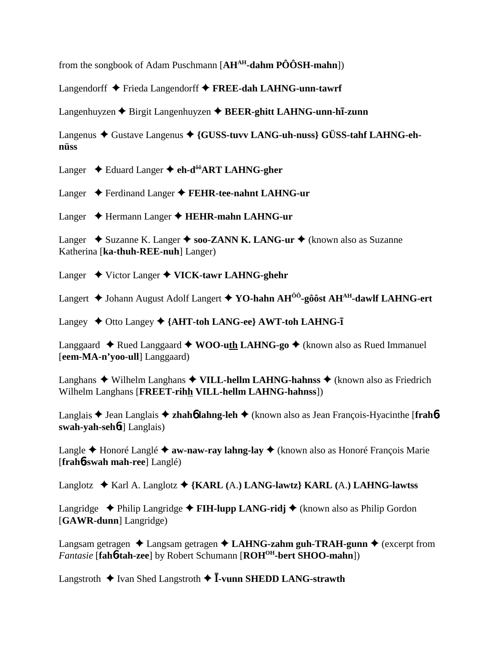from the songbook of Adam Puschmann [**AHAH-dahm PÔÔSH-mahn**])

Langendorff Frieda Langendorff **FREE-dah LAHNG-unn-tawrf**

Langenhuyzen ◆ Birgit Langenhuyzen ◆ BEER-ghitt LAHNG-unn-hī-zunn

Langenus ◆ Gustave Langenus ◆ {GUSS-tuvv LANG-uh-nuss} GÜSS-tahf LAHNG-eh**nüss**

Langer Eduard Langer **eh-dôôART LAHNG-gher**

Langer Ferdinand Langer **FEHR-tee-nahnt LAHNG-ur**

Langer Hermann Langer **HEHR-mahn LAHNG-ur**

Langer  $\triangle$  Suzanne K. Langer  $\triangle$  soo-ZANN K. LANG-ur  $\triangle$  (known also as Suzanne Katherina [**ka-thuh-REE-nuh**] Langer)

Langer **→** Victor Langer ◆ VICK-tawr LAHNG-ghehr

Langert ◆ Johann August Adolf Langert ◆ YO-hahn AH<sup>ÔÔ</sup>-gôôst AH<sup>AH</sup>-dawlf LAHNG-ert

Langey ◆ Otto Langey ◆ {AHT-toh LANG-ee} AWT-toh LAHNG-**1** 

Langgaard  $\triangle$  Rued Langgaard  $\triangle$  WOO-uth LAHNG-go  $\triangle$  (known also as Rued Immanuel [**eem-MA-n'yoo-ull**] Langgaard)

Langhans  $\blacklozenge$  Wilhelm Langhans  $\blacklozenge$  VILL-hellm LAHNG-hahnss  $\blacklozenge$  (known also as Friedrich Wilhelm Langhans [**FREET-rihh VILL-hellm LAHNG-hahnss**])

Langlais Jean Langlais **zhah**6 **lahng-leh** (known also as Jean François-Hyacinthe [**frah**6 **swah-yah-seh**6**t**] Langlais)

Langle **←** Honoré Langlé ← **aw-naw-ray lahng-lay** ← (known also as Honoré François Marie [**frah**6**-swah mah-ree**] Langlé)

Langlotz Karl A. Langlotz **{KARL (**A.**) LANG-lawtz} KARL (**A.**) LAHNG-lawtss**

Langridge  $\triangle$  Philip Langridge  $\triangle$  **FIH-lupp LANG-ridj**  $\triangle$  (known also as Philip Gordon [**GAWR-dunn**] Langridge)

Langsam getragen  $\triangle$  Langsam getragen  $\triangle$  LAHNG-zahm guh-TRAH-gunn  $\triangle$  (excerpt from *Fantasie* [**fah**6**-tah-zee**] by Robert Schumann [**ROHOH-bert SHOO-mahn**])

Langstroth  $\triangleq$  Ivan Shed Langstroth  $\triangleq$  **I**-vunn SHEDD LANG-strawth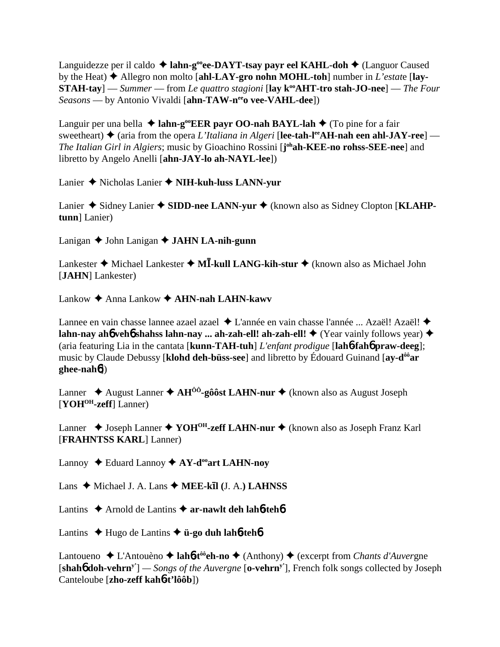Languidezze per il caldo ◆ lahn-g<sup>oo</sup>ee-DAYT-tsay payr eel KAHL-doh ◆ (Languor Caused by the Heat)  $\blacklozenge$  Allegro non molto [ahl-LAY-gro nohn MOHL-toh] number in *L'estat*e [lay-**STAH-tay**] — *Summer* — from *Le quattro stagioni* [lay k<sup>oo</sup>AHT-tro stah-JO-nee] — *The Four Seasons* — by Antonio Vivaldi [ahn-TAW-nee vee-VAHL-dee])

Languir per una bella ◆ lahn-g<sup>oo</sup>EER payr OO-nah BAYL-lah ◆ (To pine for a fair sweetheart)  $\blacklozenge$  (aria from the opera *L'Italiana in Algeri* [lee-tah-l<sup>ee</sup>AH-nah een ahl-JAY-ree] — The Italian Girl in Algiers; music by Gioachino Rossini [j<sup>oh</sup>ah-KEE-no rohss-SEE-nee] and libretto by Angelo Anelli [**ahn-JAY-lo ah-NAYL-lee**])

Lanier Nicholas Lanier **NIH-kuh-luss LANN-yur**

Lanier ◆ Sidney Lanier ◆ SIDD-nee LANN-yur ◆ (known also as Sidney Clopton [KLAHP**tunn**] Lanier)

Lanigan ◆ John Lanigan ◆ **JAHN LA-nih-gunn** 

Lankester ◆ Michael Lankester ◆ M**Ī-kull LANG-kih-stur** ◆ (known also as Michael John [**JAHN**] Lankester)

Lankow **→** Anna Lankow **→ AHN-nah LAHN-kawv** 

Lannee en vain chasse lannee azael azael ◆ L'année en vain chasse l'année ... Azaël! Azaël! ◆ **lahn-nay ah6 veh6 shahss lahn-nay ... ah-zah-ell! ah-zah-ell! ♦ (Year vainly follows year) ♦** (aria featuring Lia in the cantata [**kunn-TAH-tuh**] *L'enfant prodigue* [**lah**6**-fah**6 **praw-deeg**]; music by Claude Debussy [**klohd deh-büss-see**] and libretto by Édouard Guinand [**ay-dôôar ghee-nah**6])

Lanner ◆ August Lanner ◆ AH<sup>ÔÔ</sup>-gôôst LAHN-nur ◆ (known also as August Joseph [**YOHOH-zeff**] Lanner)

Lanner ◆ Joseph Lanner ◆ YOH<sup>OH</sup>-zeff LAHN-nur ◆ (known also as Joseph Franz Karl [**FRAHNTSS KARL**] Lanner)

Lannoy  $\triangle$  Eduard Lannoy  $\triangle$  AY-d<sup>oo</sup>art LAHN-noy

Lans ◆ Michael J. A. Lans ◆ MEE-kīl (J. A.) LAHNSS

Lantins  $\triangle$  Arnold de Lantins  $\triangle$  **ar-nawlt deh lah<sup>6</sup>-teh<sup>6</sup>** 

Lantins Hugo de Lantins **ü-go duh lah**6**-teh**6

Lantoueno ◆ L'Antouèno ◆ **lah6-t<sup>ôô</sup>eh-no** ◆ (Anthony) ◆ (excerpt from *Chants d'Auver* gne [**shah**6 **doh-vehrny'**] *— Songs of the Auvergne* [**o-vehrny'**], French folk songs collected by Joseph Canteloube [**zho-zeff kah**6**-t'lôôb**])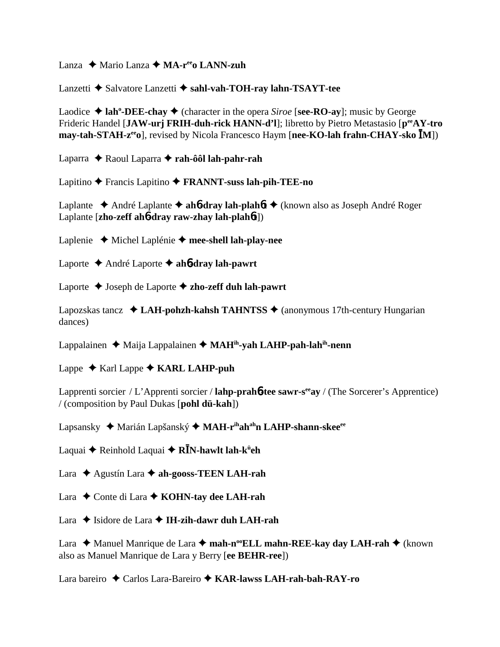Lanza ◆ Mario Lanza ◆ MA-r<sup>ee</sup>o LANN-zuh

Lanzetti ◆ Salvatore Lanzetti ◆ sahl-vah-TOH-ray lahn-TSAYT-tee

Laodice  $\triangleleft$  lah<sup>o</sup>-DEE-chay  $\triangleleft$  (character in the opera *Siroe* [see-RO-ay]; music by George Frideric Handel [JAW-urj FRIH-duh-rick HANN-d'l]; libretto by Pietro Metastasio [ $p^{ee}AY$ -tro **may-tah-STAH-z<sup>ee</sup>o**], revised by Nicola Francesco Haym [**nee-KO-lah frahn-CHAY-sko IM**])

Laparra Raoul Laparra **rah-ôôl lah-pahr-rah**

Lapitino Francis Lapitino  **FRANNT-suss lah-pih-TEE-no**

Laplante ◆ André Laplante ◆ ah**6-dray lah-plah6t** ◆ (known also as Joseph André Roger Laplante [**zho-zeff ah**6**-dray raw-zhay lah-plah**6**t**])

Laplenie Michel Laplénie **mee-shell lah-play-nee**

Laporte André Laporte **ah**6**-dray lah-pawrt**

Laporte Joseph de Laporte **zho-zeff duh lah-pawrt**

Lapozskas tancz  $\triangleleft$  **LAH-pohzh-kahsh TAHNTSS**  $\triangleleft$  (anonymous 17th-century Hungarian dances)

Lappalainen ◆ Maija Lappalainen ◆ MAH<sup>ih</sup>-yah LAHP-pah-lah<sup>ih</sup>-nenn

Lappe  $\triangle$  Karl Lappe  $\triangle$  KARL LAHP-puh

Lapprenti sorcier / L'Apprenti sorcier / **lahp-prah<sup>6-tee</sup> sawr-s<sup>ee</sup>ay** / (The Sorcerer's Apprentice) / (composition by Paul Dukas [**pohl dü-kah**])

Lapsansky ◆ Marián Lapšanský ◆ MAH-r<sup>ih</sup>ah<sup>ah</sup>n LAHP-shann-skee<sup>ee</sup>

Laquai ◆ Reinhold Laquai ◆ **RĪN-hawlt lah-k<sup>ü</sup>eh** 

Lara **→** Agustín Lara → ah-gooss-TEEN LAH-rah

Lara ◆ Conte di Lara ◆ **KOHN-tay dee LAH-rah** 

Lara  $\triangle$  Isidore de Lara  $\triangle$  IH-zih-dawr duh LAH-rah

Lara ◆ Manuel Manrique de Lara ◆ mah-n<sup>oo</sup>ELL mahn-REE-kay day LAH-rah ◆ (known also as Manuel Manrique de Lara y Berry [**ee BEHR-ree**])

Lara bareiro Carlos Lara-Bareiro **KAR-lawss LAH-rah-bah-RAY-ro**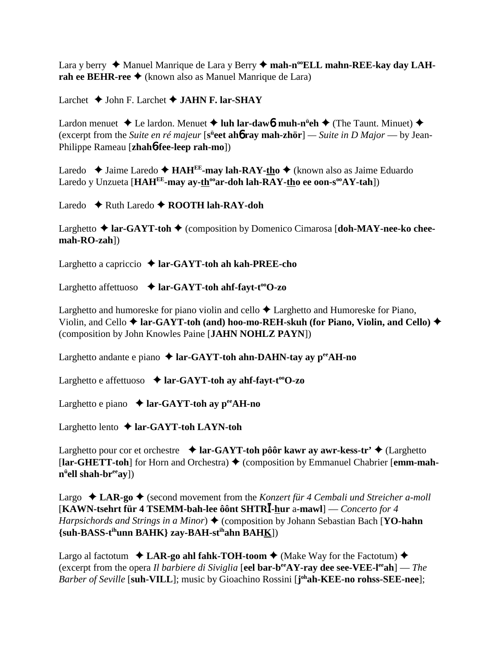Lara y berry ◆ Manuel Manrique de Lara y Berry ◆ mah-n<sup>oo</sup>ELL mahn-REE-kay day LAH**rah ee BEHR-ree ♦** (known also as Manuel Manrique de Lara)

Larchet John F. Larchet **JAHN F. lar-SHAY**

Lardon menuet ◆ Le lardon. Menuet ◆ luh lar-daw**6. muh-n<sup>ü</sup>eh ◆** (The Taunt. Minuet) ◆ (excerpt from the *Suite en ré majeur* [s<sup>ü</sup>eet ah**ó ray mah-zhör**] — *Suite in D Major* — by Jean-Philippe Rameau [**zhah**6**-fee-leep rah-mo**])

Laredo ◆ Jaime Laredo ◆ **HAH<sup>EE</sup>-may lah-RAY-tho** ◆ (known also as Jaime Eduardo Laredo y Unzueta [HAH<sup>EE</sup>-may ay-th<sup>oo</sup>ar-doh lah-RAY-tho ee oon-s<sup>oo</sup>AY-tah])

Laredo **←** Ruth Laredo ← **ROOTH lah-RAY-doh** 

Larghetto **→ lar-GAYT-toh →** (composition by Domenico Cimarosa [doh-MAY-nee-ko chee**mah-RO-zah**])

Larghetto a capriccio **lar-GAYT-toh ah kah-PREE-cho**

Larghetto affettuoso **↓ lar-GAYT-toh ahf-fayt-t<sup>oo</sup>O-zo** 

Larghetto and humoreske for piano violin and cello  $\triangle$  Larghetto and Humoreske for Piano, Violin, and Cello  $\triangle$  lar-GAYT-toh (and) hoo-mo-REH-skuh (for Piano, Violin, and Cello)  $\triangle$ (composition by John Knowles Paine [**JAHN NOHLZ PAYN**])

Larghetto andante e piano ◆ lar-GAYT-toh ahn-DAHN-tay ay p<sup>ee</sup>AH-no

Larghetto e affettuoso **↓ lar-GAYT-toh ay ahf-fayt-t<sup>oo</sup>O-zo** 

Larghetto e piano  $\triangle$  **lar-GAYT-toh ay p<sup>ee</sup>AH-no** 

Larghetto lento  $\triangle$  lar-GAYT-toh LAYN-toh

Larghetto pour cor et orchestre  $\triangle$  lar-GAYT-toh pôôr kawr ay awr-kess-tr'  $\triangle$  (Larghetto [lar-GHETT-toh] for Horn and Orchestra) ♦ (composition by Emmanuel Chabrier [emm-mah**nü ell shah-breeay**])

Largo  $\triangleleft$  LAR-go  $\triangleleft$  (second movement from the *Konzert für 4 Cembali und Streicher a-moll* [**KAWN-tsehrt für 4 TSEMM-bah-lee ôônt SHTR-hur** a**-mawl**] — *Concerto for 4 Harpsichords and Strings in a Minor*)  $\triangle$  (composition by Johann Sebastian Bach [**YO-hahn {suh-BASS-tihunn BAHK} zay-BAH-stihahn BAHK**])

Largo al factotum  $\triangleleft$  **LAR-go ahl fahk-TOH-toom**  $\triangleleft$  (Make Way for the Factotum)  $\triangleleft$ (excerpt from the opera *Il barbiere di Siviglia* [**eel bar-beeAY-ray dee see-VEE-leeah**] — *The Barber of Seville* [**suh-VILL**]; music by Gioachino Rossini [**j ohah-KEE-no rohss-SEE-nee**];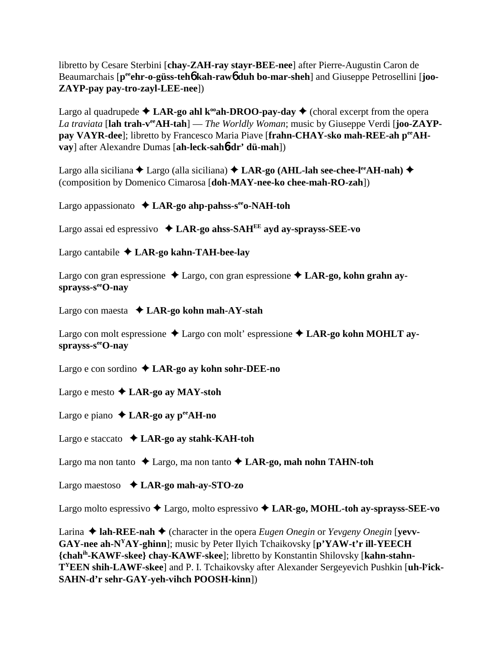libretto by Cesare Sterbini [**chay-ZAH-ray stayr-BEE-nee**] after Pierre-Augustin Caron de Beaumarchais [p<sup>ee</sup>ehr-o-güss-teh**6** kah-raw<sub>0</sub> duh bo-mar-sheh] and Giuseppe Petrosellini [joo-**ZAYP-pay pay-tro-zayl-LEE-nee**])

Largo al quadrupede  $\triangle$  LAR-go ahl k<sup>oo</sup>ah-DROO-pay-day  $\triangle$  (choral excerpt from the opera *La traviata* [**lah trah-veeAH-tah**] — *The Worldly Woman*; music by Giuseppe Verdi [**joo-ZAYP**pay VAYR-dee]; libretto by Francesco Maria Piave [frahn-CHAY-sko mah-REE-ah p<sup>ee</sup>AH**vay**] after Alexandre Dumas [**ah-leck-sah**6**-dr' dü-mah**])

Largo alla siciliana ◆ Largo (alla siciliana) ◆ LAR-go (AHL-lah see-chee-l<sup>ee</sup>AH-nah) ◆ (composition by Domenico Cimarosa [**doh-MAY-nee-ko chee-mah-RO-zah**])

Largo appassionato **LAR-go ahp-pahss-seeo-NAH-toh**

Largo assai ed espressivo **LAR-go ahss-SAHEE ayd ay-sprayss-SEE-vo**

Largo cantabile  $\triangle$  LAR-go kahn-TAH-bee-lay

Largo con gran espressione  $\triangle$  Largo, con gran espressione  $\triangle$  LAR-go, kohn grahn ay**sprayss-seeO-nay**

Largo con maesta **LAR-go kohn mah-AY-stah**

Largo con molt espressione  $\triangle$  Largo con molt' espressione  $\triangle$  LAR-go kohn MOHLT aysprayss-s<sup>ee</sup>O-nay

Largo e con sordino **LAR-go ay kohn sohr-DEE-no**

Largo e mesto **LAR-go ay MAY-stoh**

Largo e piano  $\triangle$  **LAR-go ay p<sup>ee</sup>AH-no** 

Largo e staccato **LAR-go ay stahk-KAH-toh**

Largo ma non tanto  $\triangle$  Largo, ma non tanto  $\triangle$  LAR-go, mah nohn TAHN-toh

Largo maestoso  **LAR-go mah-ay-STO-zo**

Largo molto espressivo Largo, molto espressivo **LAR-go, MOHL-toh ay-sprayss-SEE-vo**

Larina  $\triangle$  lah-REE-nah  $\triangle$  (character in the opera *Eugen Onegin* or *Yevgeny Onegin* [**yevv**-**GAY-nee ah-NYAY-ghinn**]; music by Peter Ilyich Tchaikovsky [**p'YAW-t'r ill-YEECH {chahih-KAWF-skee} chay-KAWF-skee**]; libretto by Konstantin Shilovsky [**kahn-stahn-TYEEN shih-LAWF-skee**] and P. I. Tchaikovsky after Alexander Sergeyevich Pushkin [**uh-ly ick-SAHN-d'r sehr-GAY-yeh-vihch POOSH-kinn**])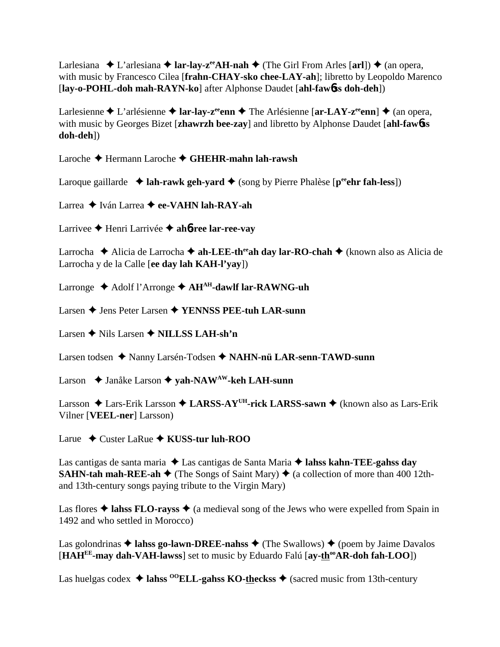Larlesiana  $\blacklozenge$  L'arlesiana  $\blacklozenge$  **lar-lay-z<sup>ee</sup>AH-nah**  $\blacklozenge$  (The Girl From Arles [arl])  $\blacklozenge$  (an opera, with music by Francesco Cilea [**frahn-CHAY-sko chee-LAY-ah**]; libretto by Leopoldo Marenco [**lay-o-POHL-doh mah-RAYN-ko**] after Alphonse Daudet [**ahl-faw**6**ss doh-deh**])

Larlesienne  $\triangle$  L'arlésienne  $\triangle$  **lar-lay-z<sup>ee</sup>enn**  $\triangle$  The Arlésienne [**ar-LAY-z<sup>ee</sup>enn**]  $\triangle$  (an opera, with music by Georges Bizet [**zhawrzh bee-zay**] and libretto by Alphonse Daudet [**ahl-faw**6**ss doh-deh**])

Laroche Hermann Laroche **GHEHR-mahn lah-rawsh**

Laroque gaillarde  $\triangleleft$  **lah-rawk geh-yard**  $\triangleleft$  (song by Pierre Phalèse [ $p^{ee}$ **chr fah-less**])

Larrea **→** Iván Larrea → ee-VAHN lah-RAY-ah

Larrivee Henri Larrivée **ah**6**-ree lar-ree-vay**

Larrocha **→** Alicia de Larrocha → ah-LEE-th<sup>ee</sup>ah day lar-RO-chah → (known also as Alicia de Larrocha y de la Calle [**ee day lah KAH-l'yay**])

Larronge **→** Adolf l'Arronge → AH<sup>AH</sup>-dawlf lar-RAWNG-uh

Larsen **→** Jens Peter Larsen ◆ **YENNSS PEE-tuh LAR-sunn** 

Larsen **←** Nils Larsen ← NILLSS LAH-sh'n

Larsen todsen ◆ Nanny Larsén-Todsen ◆ NAHN-nü LAR-senn-TAWD-sunn

Larson ◆ Janåke Larson ◆ yah-NAW<sup>AW</sup>-keh LAH-sunn

Larsson  $\triangle$  Lars-Erik Larsson  $\triangle$  LARSS-AY<sup>UH</sup>-rick LARSS-sawn  $\triangle$  (known also as Lars-Erik Vilner [**VEEL-ner**] Larsson)

Larue ◆ Custer LaRue ◆ **KUSS-tur luh-ROO** 

Las cantigas de santa maria ◆ Las cantigas de Santa Maria ◆ lahss kahn-TEE-gahss day **SAHN-tah mah-REE-ah**  $\blacklozenge$  (The Songs of Saint Mary)  $\blacklozenge$  (a collection of more than 400 12thand 13th-century songs paying tribute to the Virgin Mary)

Las flores  $\triangle$  lahse FLO-rayss  $\triangle$  (a medieval song of the Jews who were expelled from Spain in 1492 and who settled in Morocco)

Las golondrinas  $\triangleq$  lahss go-lawn-DREE-nahss  $\triangleq$  (The Swallows)  $\triangleq$  (poem by Jaime Davalos [HAH<sup>EE</sup>-may dah-VAH-lawss] set to music by Eduardo Falú [ay-th<sup>oo</sup>AR-doh fah-LOO])

Las huelgas codex  $\triangleleft$  lahss <sup>00</sup>ELL-gahss KO-theckss  $\triangleleft$  (sacred music from 13th-century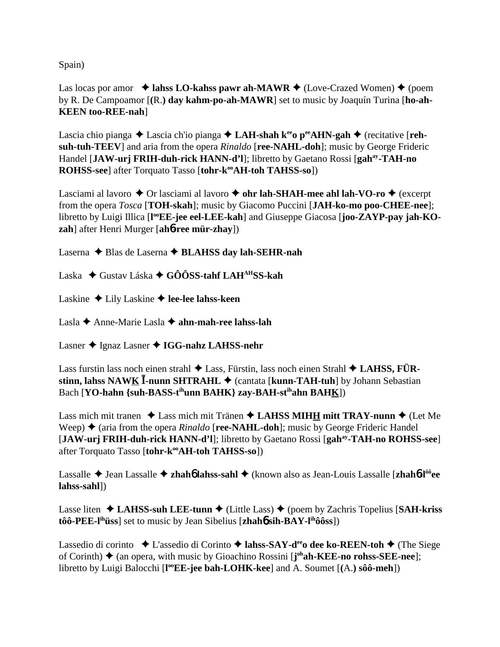Spain)

Las locas por amor  $\triangleleft$  lahss LO-kahss pawr ah-MAWR  $\triangleleft$  (Love-Crazed Women)  $\triangleleft$  (poem by R. De Campoamor [**(**R.**) day kahm-po-ah-MAWR**] set to music by Joaquín Turina [**ho-ah-KEEN too-REE-nah**]

Lascia chio pianga  $\triangle$  Lascia ch'io pianga  $\triangle$  **LAH-shah k<sup>ee</sup>o p<sup>ee</sup>AHN-gah**  $\triangle$  (recitative [**rehsuh-tuh-TEEV**] and aria from the opera *Rinaldo* [**ree-NAHL-doh**]; music by George Frideric Handel [**JAW-urj FRIH-duh-rick HANN-d'l**]; libretto by Gaetano Rossi [**gahay-TAH-no ROHSS-see**] after Torquato Tasso [tohr-k<sup>oo</sup>AH-toh TAHSS-so])

Lasciami al lavoro  $\triangle$  Or lasciami al lavoro  $\triangle$  ohr lah-SHAH-mee ahl lah-VO-ro  $\triangle$  (excerpt from the opera *Tosca* [**TOH-skah**]; music by Giacomo Puccini [**JAH-ko-mo poo-CHEE-nee**]; libretto by Luigi Illica [l<sup>oo</sup>EE-jee eel-LEE-kah] and Giuseppe Giacosa [joo-ZAYP-pay jah-KO**zah**] after Henri Murger [**ah**6**-ree mür-zhay**])

Laserna ◆ Blas de Laserna ◆ **BLAHSS day lah-SEHR-nah** 

Laska Gustav Láska **GÔÔSS-tahf LAHAHSS-kah**

Laskine ◆ Lily Laskine **◆ lee-lee lahss-keen** 

Lasla Anne-Marie Lasla **ahn-mah-ree lahss-lah**

Lasner ◆ Ignaz Lasner ◆ IGG-nahz LAHSS-nehr

Lass furstin lass noch einen strahl **→** Lass, Fürstin, lass noch einen Strahl ◆ LAHSS, FÜR**stinn, lahss NAWK I-nunn SHTRAHL** ♦ (cantata [**kunn-TAH-tuh**] by Johann Sebastian Bach [**YO-hahn** {suh-BASS-t<sup>ih</sup>unn BAHK} zay-BAH-st<sup>ih</sup>ahn BAHK])

Lass mich mit tranen  $\triangle$  Lass mich mit Tränen  $\triangle$  **LAHSS MIHH mitt TRAY-nunn**  $\triangle$  (Let Me Weep)  $\triangle$  (aria from the opera *Rinaldo* [**ree-NAHL-doh**]; music by George Frideric Handel [**JAW-urj FRIH-duh-rick HANN-d'l**]; libretto by Gaetano Rossi [**gahay-TAH-no ROHSS-see**] after Torquato Tasso [tohr-k<sup>oo</sup>AH-toh TAHSS-so])

Lassalle Jean Lassalle **zhah**6 **lahss-sahl** (known also as Jean-Louis Lassalle [**zhah**6**-lôôee lahss-sahl**])

Lasse liten  $\triangle$  **LAHSS-suh LEE-tunn**  $\triangle$  (Little Lass)  $\triangle$  (poem by Zachris Topelius [**SAH-kriss tôô-PEE-lihüss**] set to music by Jean Sibelius [**zhah**6 **sih-BAY-lihôôss**])

Lassedio di corinto **→** L'assedio di Corinto → lahss-SAY-d<sup>ee</sup>o dee ko-REEN-toh → (The Siege of Corinth) ◆ (an opera, with music by Gioachino Rossini [j<sup>oh</sup>ah-KEE-no rohss-SEE-nee]; libretto by Luigi Balocchi [l<sup>oo</sup>EE-jee bah-LOHK-kee] and A. Soumet [(A.) sôô-meh])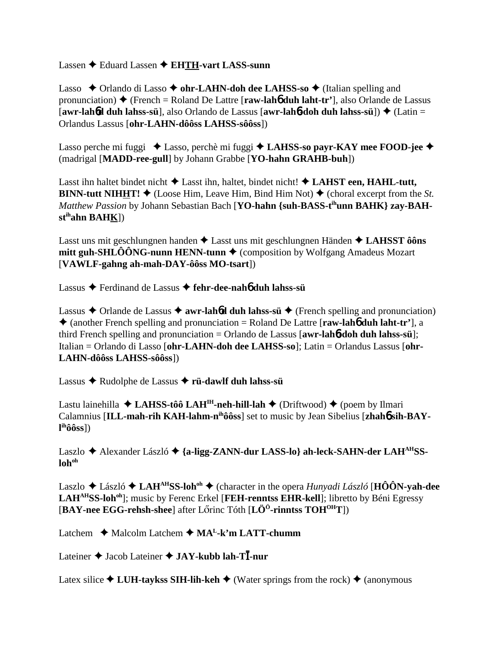Lassen **→** Eduard Lassen → **EHTH-vart LASS-sunn** 

Lasso  $\rightarrow$  Orlando di Lasso  $\rightarrow$  ohr-LAHN-doh dee LAHSS-so  $\rightarrow$  (Italian spelling and pronunciation)  $\triangle$  (French = Roland De Lattre [**raw-lah<sub>0</sub>** duh laht-tr'], also Orlande de Lassus [**awr-lah**6**d duh lahss-sü**], also Orlando de Lassus [**awr-lah**6**-doh duh lahss-sü**]) (Latin = Orlandus Lassus [**ohr-LAHN-dôôss LAHSS-sôôss**])

Lasso perche mi fuggi ◆ Lasso, perchè mi fuggi ◆ LAHSS-so payr-KAY mee FOOD-jee ◆ (madrigal [**MADD-ree-gull**] by Johann Grabbe [**YO-hahn GRAHB-buh**])

Lasst ihn haltet bindet nicht  $\triangle$  Lasst ihn, haltet, bindet nicht!  $\triangle$  LAHST een, HAHL-tutt, **BINN-tutt NIHHT!**  $\blacklozenge$  (Loose Him, Leave Him, Bind Him Not)  $\blacklozenge$  (choral excerpt from the *St.*) *Matthew Passion* by Johann Sebastian Bach [YO-hahn {suh-BASS-t<sup>ih</sup>unn BAHK} zay-BAH**stihahn BAHK**])

Lasst uns mit geschlungnen handen Lasst uns mit geschlungnen Händen **LAHSST ôôns mitt guh-SHLÔÔNG-nunn HENN-tunn ♦** (composition by Wolfgang Amadeus Mozart [**VAWLF-gahng ah-mah-DAY-ôôss MO-tsart**])

Lassus Ferdinand de Lassus **fehr-dee-nah**6 **duh lahss-sü**

Lassus  $\triangle$  Orlande de Lassus  $\triangle$  **awr-lah<sup>6</sup>d duh lahss-sü**  $\triangle$  (French spelling and pronunciation) (another French spelling and pronunciation = Roland De Lattre [**raw-lah**6 **duh laht-tr'**], a third French spelling and pronunciation = Orlando de Lassus [**awr-lah**6**-doh duh lahss-sü**]; Italian = Orlando di Lasso [**ohr-LAHN-doh dee LAHSS-so**]; Latin = Orlandus Lassus [**ohr-LAHN-dôôss LAHSS-sôôss**])

Lassus Rudolphe de Lassus **rü-dawlf duh lahss-sü**

Lastu lainehilla  $\triangle$  **LAHSS-tôô LAH<sup>IH</sup>-neh-hill-lah**  $\triangle$  (Driftwood)  $\triangle$  (poem by Ilmari Calamnius [ILL-mah-rih KAH-lahm-n<sup>ih</sup>ôôss] set to music by Jean Sibelius [zhah**ó sih-BAYl ihôôss**])

Laszlo Alexander László **{a-ligg-ZANN-dur LASS-lo} ah-leck-SAHN-der LAHAHSS**loh<sup>oh</sup>

Laszlo László **LAHAHSS-lohoh** (character in the opera *Hunyadi László* [**HÔÔN-yah-dee** LAH<sup>AH</sup>SS-loh<sup>oh</sup>]; music by Ferenc Erkel [FEH-renntss EHR-kell]; libretto by Béni Egressy [**BAY-nee EGG-rehsh-shee**] after Lrinc Tóth [**LÖÖ-rinntss TOHOHT**])

Latchem ◆ Malcolm Latchem ◆ MA<sup>L</sup>-k'm LATT-chumm

Lateiner Jacob Lateiner **JAY-kubb lah-T-nur**

Latex silice  $\triangle$  LUH-taykss SIH-lih-keh  $\triangle$  (Water springs from the rock)  $\triangle$  (anonymous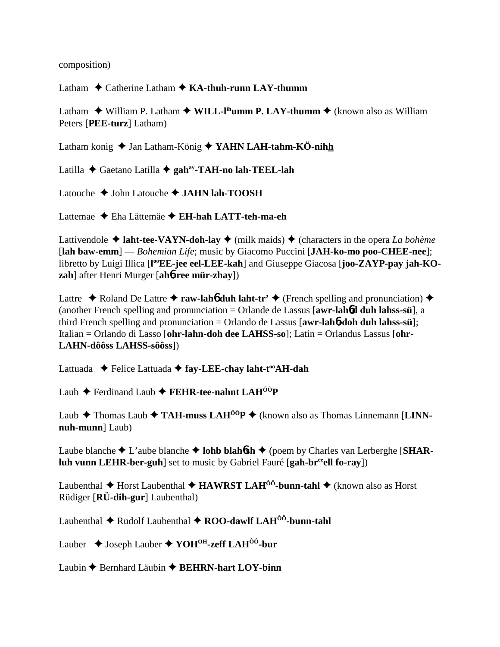composition)

Latham ◆ Catherine Latham ◆ **KA-thuh-runn LAY-thumm** 

Latham  $\triangle$  William P. Latham  $\triangle$  WILL-l<sup>ih</sup>umm P. LAY-thumm  $\triangle$  (known also as William Peters [**PEE-turz**] Latham)

Latham konig ◆ Jan Latham-König ◆ YAHN LAH-tahm-KÖ-nihh

Latilla Gaetano Latilla **gahay-TAH-no lah-TEEL-lah**

Latouche **→ John Latouche → JAHN lah-TOOSH** 

Lattemae Eha Lättemäe **EH-hah LATT-teh-ma-eh**

Lattivendole  $\triangleleft$  **laht-tee-VAYN-doh-lay**  $\triangleleft$  (milk maids)  $\triangleleft$  (characters in the opera *La bohème* [**lah baw-emm**] — *Bohemian Life*; music by Giacomo Puccini [**JAH-ko-mo poo-CHEE-nee**]; libretto by Luigi Illica [l<sup>oo</sup>EE-jee eel-LEE-kah] and Giuseppe Giacosa [joo-ZAYP-pay jah-KO**zah**] after Henri Murger [**ah**6**-ree mür-zhay**])

Lattre  $\triangle$  Roland De Lattre  $\triangle$  **raw-lah<sub>6</sub>** duh laht-tr'  $\triangle$  (French spelling and pronunciation)  $\triangle$ (another French spelling and pronunciation = Orlande de Lassus [**awr-lah**6**d duh lahss-sü**], a third French spelling and pronunciation = Orlando de Lassus [**awr-lah**6**-doh duh lahss-sü**]; Italian = Orlando di Lasso [**ohr-lahn-doh dee LAHSS-so**]; Latin = Orlandus Lassus [**ohr-LAHN-dôôss LAHSS-sôôss**])

Lattuada ◆ Felice Lattuada ◆ fay-LEE-chay laht-t<sup>oo</sup>AH-dah

Laub Ferdinand Laub **FEHR-tee-nahnt LAHÔÔP**

Laub  $\triangle$  Thomas Laub  $\triangle$  TAH-muss LAH<sup> $\hat{O} \hat{O}$   $\triangle$  (known also as Thomas Linnemann [LINN-</sup> **nuh-munn**] Laub)

Laube blanche  $\blacklozenge$  L'aube blanche  $\blacklozenge$  **lohb blahósh**  $\blacklozenge$  (poem by Charles van Lerberghe [**SHARluh vunn LEHR-ber-guh**] set to music by Gabriel Fauré [**gah-breeell fo-ray**])

Laubenthal ◆ Horst Laubenthal ◆ HAWRST LAH<sup>ôô</sup>-bunn-tahl ◆ (known also as Horst Rüdiger [**RÜ-dih-gur**] Laubenthal)

Laubenthal ◆ Rudolf Laubenthal ◆ ROO-dawlf LAH<sup>ôô</sup>-bunn-tahl

Lauber Joseph Lauber **YOHOH-zeff LAHÔÔ-bur**

Laubin **←** Bernhard Läubin ← **BEHRN-hart LOY-binn**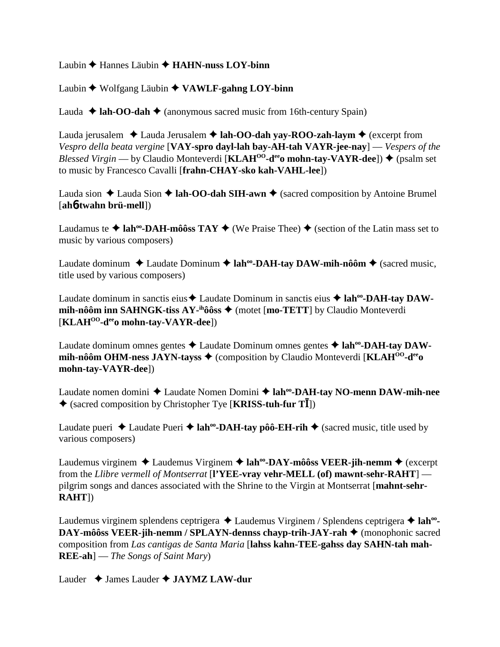## Laubin **←** Hannes Läubin ← **HAHN-nuss LOY-binn**

## Laubin ◆ Wolfgang Läubin ◆ VAWLF-gahng LOY-binn

Lauda  $\triangleleft$  **lah-OO-dah**  $\triangleleft$  (anonymous sacred music from 16th-century Spain)

Lauda jerusalem  $\triangle$  Lauda Jerusalem  $\triangle$  **lah-OO-dah yay-ROO-zah-laym**  $\triangle$  (excerpt from *Vespro della beata vergine* [**VAY-spro dayl-lah bay-AH-tah VAYR-jee-nay**] — *Vespers of the Blessed Virgin* — by Claudio Monteverdi [**KLAH<sup>00</sup>-d<sup>ee</sup>o mohn-tay-VAYR-dee**])  $\blacklozenge$  (psalm set to music by Francesco Cavalli [**frahn-CHAY-sko kah-VAHL-lee**])

Lauda sion  $\triangle$  Lauda Sion  $\triangle$  **lah-OO-dah SIH-awn**  $\triangle$  (sacred composition by Antoine Brumel [**ah**6**-twahn brü-mell**])

Laudamus te  $\triangle$  lah<sup>oo</sup>-DAH-môôss TAY  $\triangle$  (We Praise Thee)  $\triangle$  (section of the Latin mass set to music by various composers)

Laudate dominum ◆ Laudate Dominum ◆ lah<sup>oo</sup>-DAH-tay DAW-mih-nôôm ◆ (sacred music, title used by various composers)

Laudate dominum in sanctis eius  $\triangle$  Laudate Dominum in sanctis eius  $\triangle$  **lah<sup>oo</sup>-DAH-tay DAWmih-nôôm inn SAHNGK-tiss AY-<sup>ih</sup>ôôss ♦** (motet [**mo-TETT**] by Claudio Monteverdi [**KLAHOO-deeo mohn-tay-VAYR-dee**])

Laudate dominum omnes gentes  $\triangle$  Laudate Dominum omnes gentes  $\triangle$  lah<sup>oo</sup>-DAH-tay DAW**mih-nôôm OHM-ness JAYN-tayss ♦** (composition by Claudio Monteverdi [KLAH<sup>00</sup>-d<sup>ee</sup>o **mohn-tay-VAYR-dee**])

Laudate nomen domini ◆ Laudate Nomen Domini ◆ lah<sup>oo</sup>-DAH-tay NO-menn DAW-mih-nee (sacred composition by Christopher Tye [**KRISS-tuh-fur T**])

Laudate pueri  $\triangle$  Laudate Pueri  $\triangle$  **lah<sup>oo</sup>-DAH-tay pôô-EH-rih**  $\triangle$  (sacred music, title used by various composers)

Laudemus virginem ◆ Laudemus Virginem ◆ lah<sup>oo</sup>-DAY-môôss VEER-jih-nemm ◆ (excerpt from the *Llibre vermell of Montserrat* [**l'YEE-vray vehr-MELL (of) mawnt-sehr-RAHT**] pilgrim songs and dances associated with the Shrine to the Virgin at Montserrat [**mahnt-sehr-RAHT**])

Laudemus virginem splendens ceptrigera ◆ Laudemus Virginem / Splendens ceptrigera ◆ lah<sup>oo</sup>-**DAY-môôss VEER-jih-nemm / SPLAYN-dennss chayp-trih-JAY-rah** (monophonic sacred composition from *Las cantigas de Santa Maria* [**lahss kahn-TEE-gahss day SAHN-tah mah-REE-ah**] — *The Songs of Saint Mary*)

Lauder  $\triangle$  James Lauder  $\triangle$  **JAYMZ LAW-dur**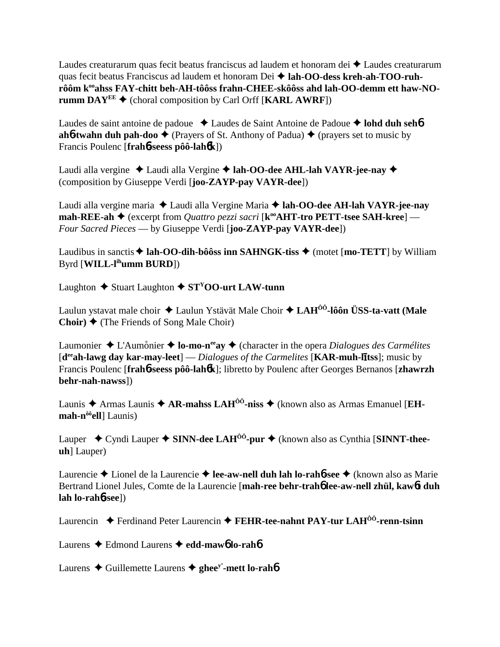Laudes creaturarum quas fecit beatus franciscus ad laudem et honoram dei  $\triangle$  Laudes creaturarum quas fecit beatus Franciscus ad laudem et honoram Dei **lah-OO-dess kreh-ah-TOO-ruh**rôôm k<sup>oo</sup>ahss FAY-chitt beh-AH-tôôss frahn-CHEE-skôôss ahd lah-OO-demm ett haw-NO**rumm DAY<sup>EE</sup>**  $\blacklozenge$  (choral composition by Carl Orff [**KARL AWRF**])

Laudes de saint antoine de padoue **↓** Laudes de Saint Antoine de Padoue **→ lohd duh seh6 ah6-twahn duh pah-doo**  $\blacklozenge$  (Prayers of St. Anthony of Padua)  $\blacklozenge$  (prayers set to music by Francis Poulenc [**frah**6**-seess pôô-lah**6**k**])

Laudi alla vergine Laudi alla Vergine **lah-OO-dee AHL-lah VAYR-jee-nay** (composition by Giuseppe Verdi [**joo-ZAYP-pay VAYR-dee**])

Laudi alla vergine maria Laudi alla Vergine Maria **lah-OO-dee AH-lah VAYR-jee-nay mah-REE-ah ♦** (excerpt from *Quattro pezzi sacri* [**k**<sup>°</sup>**AHT-tro PETT-tsee SAH-kree**] — *Four Sacred Pieces* — by Giuseppe Verdi [**joo-ZAYP-pay VAYR-dee**])

Laudibus in sanctis  $\triangle$  lah-OO-dih-bôôss inn SAHNGK-tiss  $\triangle$  (motet [mo-TETT] by William Byrd [**WILL-lihumm BURD**])

Laughton  $\triangle$  Stuart Laughton  $\triangle$  ST<sup>Y</sup>OO-urt LAW-tunn

Laulun ystavat male choir Laulun Ystävät Male Choir **LAHÔÔ-lôôn ÜSS-ta-vatt (Male Choir)** (The Friends of Song Male Choir)

Laumonier  $\triangle$  L'Aumonier  $\triangle$  **lo-mo-n<sup>ee</sup>ay**  $\triangle$  (character in the opera *Dialogues des Carmélites* [d<sup>ee</sup>ah-lawg day kar-may-leet] — *Dialogues of the Carmelites* [KAR-muh-litss]; music by Francis Poulenc [**frah**6**-seess pôô-lah**6**k**]; libretto by Poulenc after Georges Bernanos [**zhawrzh behr-nah-nawss**])

Launis  $\triangle$  Armas Launis  $\triangle$  AR-mahss LAH<sup>00</sup>-niss  $\triangle$  (known also as Armas Emanuel [EH**mah-nôôell**] Launis)

Lauper ◆ Cyndi Lauper ◆ SINN-dee LAH<sup>ôô</sup>-pur ◆ (known also as Cynthia [SINNT-thee**uh**] Lauper)

Laurencie Lionel de la Laurencie **lee-aw-nell duh lah lo-rah**6**-see** (known also as Marie Bertrand Lionel Jules, Comte de la Laurencie [**mah-ree behr-trah**6 **lee-aw-nell zhül, kaw**6**t duh lah lo-rah**6**-see**])

Laurencin ◆ Ferdinand Peter Laurencin ◆ FEHR-tee-nahnt PAY-tur LAH<sup>ôô</sup>-renn-tsinn

Laurens Edmond Laurens **edd-maw**6 **lo-rah**6

Laurens  $\triangle$  Guillemette Laurens  $\triangle$  ghee<sup>y</sup>-mett lo-rah**6**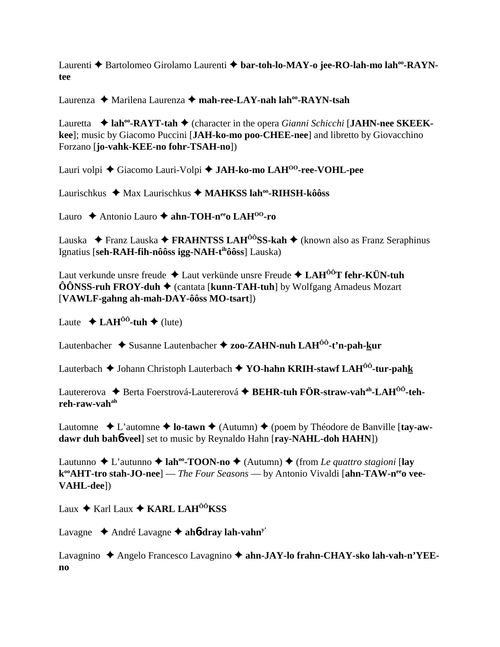Laurenti ◆ Bartolomeo Girolamo Laurenti ◆ bar-toh-lo-MAY-o jee-RO-lah-mo lah<sup>oo</sup>-RAYN**tee**

Laurenza Marilena Laurenza **mah-ree-LAY-nah lahoo-RAYN-tsah**

**Lauretta → lah<sup>oo</sup>-RAYT-tah →** (character in the opera *Gianni Schicchi* [JAHN-nee SKEEK**kee**]; music by Giacomo Puccini [**JAH-ko-mo poo-CHEE-nee**] and libretto by Giovacchino Forzano [**jo-vahk-KEE-no fohr-TSAH-no**])

Lauri volpi Giacomo Lauri-Volpi **JAH-ko-mo LAHOO-ree-VOHL-pee**

Laurischkus ◆ Max Laurischkus ◆ MAHKSS lah<sup>oo</sup>-RIHSH-kôôss

Lauro ◆ Antonio Lauro ◆ ahn-TOH-n<sup>ee</sup>o LAH<sup>00</sup>-ro

Lauska Franz Lauska **FRAHNTSS LAHÔÔSS-kah** (known also as Franz Seraphinus Ignatius [**seh-RAH-fih-nôôss igg-NAH-tihôôss**] Lauska)

Laut verkunde unsre freude Laut verkünde unsre Freude **LAHÔÔT fehr-KÜN-tuh** ÔÔNSS-ruh FROY-duh ♦ (cantata [kunn-TAH-tuh] by Wolfgang Amadeus Mozart [**VAWLF-gahng ah-mah-DAY-ôôss MO-tsart**])

Laute  $\triangle$  **LAH<sup>ôô</sup>-tuh**  $\triangle$  (lute)

Lautenbacher Susanne Lautenbacher **zoo-ZAHN-nuh LAHÔÔ-t'n-pah-kur**

Lauterbach  $\triangle$  Johann Christoph Lauterbach  $\triangle$  **YO-hahn KRIH-stawf LAH<sup>** $\hat{O}$ **0**-tur-pahk</sup>

Lautererova ◆ Berta Foerstrová-Lautererová ◆ BEHR-tuh FÖR-straw-vah<sup>ah</sup>-LAH<sup>ôô</sup>-teh**reh-raw-vahah**

Lautomne  $\bullet$  L'automne  $\bullet$  **lo-tawn**  $\bullet$  (Autumn)  $\bullet$  (poem by Théodore de Banville [tay-aw**dawr duh bah**6**-veel**] set to music by Reynaldo Hahn [**ray-NAHL-doh HAHN**])

Lautunno  $\triangle$  L'autunno  $\triangle$  **lah<sup>oo</sup>-TOON-no**  $\triangle$  (Autumn)  $\triangle$  (from *Le quattro stagioni* [**lay** k<sup>oo</sup>AHT-tro stah-JO-nee] — *The Four Seasons* — by Antonio Vivaldi [ahn-TAW-n<sup>ee</sup>o vee-**VAHL-dee**])

Laux  $\triangle$  Karl Laux  $\triangle$  KARL LAH<sup> $\hat{o}$ *i*</sup>KSS

Lavagne André Lavagne **ah**6**-dray lah-vahny'**

Lavagnino ◆ Angelo Francesco Lavagnino ◆ ahn-JAY-lo frahn-CHAY-sko lah-vah-n'YEE**no**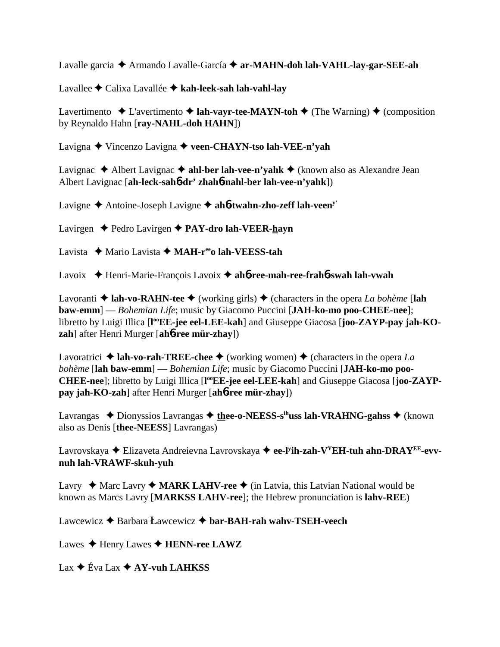Lavalle garcia Armando Lavalle-García **ar-MAHN-doh lah-VAHL-lay-gar-SEE-ah**

Lavallee Calixa Lavallée **kah-leek-sah lah-vahl-lay**

Lavertimento  $\triangle$  L'avertimento  $\triangle$  **lah-vayr-tee-MAYN-toh**  $\triangle$  (The Warning)  $\triangle$  (composition by Reynaldo Hahn [**ray-NAHL-doh HAHN**])

Lavigna Vincenzo Lavigna **veen-CHAYN-tso lah-VEE-n'yah**

Lavignac  $\triangle$  Albert Lavignac  $\triangle$  ahl-ber lah-vee-n'yahk  $\triangle$  (known also as Alexandre Jean Albert Lavignac [**ah-leck-sah**6**-dr' zhah**6**-nahl-ber lah-vee-n'yahk**])

Lavigne Antoine-Joseph Lavigne **ah**6**-twahn-zho-zeff lah-veeny'**

Lavirgen Pedro Lavirgen **PAY-dro lah-VEER-hayn**

Lavista ◆ Mario Lavista ◆ MAH-r<sup>ee</sup>o lah-VEESS-tah

Lavoix Henri-Marie-François Lavoix **ah**6**-ree-mah-ree-frah**6**-swah lah-vwah**

Lavoranti  $\triangle$  **lah-vo-RAHN-tee**  $\triangle$  (working girls)  $\triangle$  (characters in the opera *La bohème* [**lah baw-emm**] — *Bohemian Life*; music by Giacomo Puccini [**JAH-ko-mo poo-CHEE-nee**]; libretto by Luigi Illica [l<sup>oo</sup>EE-jee eel-LEE-kah] and Giuseppe Giacosa [joo-ZAYP-pay jah-KO**zah**] after Henri Murger [**ah**6**-ree mür-zhay**])

Lavoratrici  $\triangle$  **lah-vo-rah-TREE-chee**  $\triangle$  (working women)  $\triangle$  (characters in the opera *La bohème* [**lah baw-emm**] — *Bohemian Life*; music by Giacomo Puccini [**JAH-ko-mo poo-**CHEE-nee]; libretto by Luigi Illica [l<sup>oo</sup>EE-jee eel-LEE-kah] and Giuseppe Giacosa [joo-ZAYP**pay jah-KO-zah**] after Henri Murger [**ah**6**-ree mür-zhay**])

Lavrangas ◆ Dionyssios Lavrangas ◆ thee-o-NEESS-s<sup>ih</sup>uss lah-VRAHNG-gahss ◆ (known also as Denis [**thee-NEESS**] Lavrangas)

Lavrovskaya Elizaveta Andreievna Lavrovskaya **ee-ly ih-zah-VYEH-tuh ahn-DRAYEE-evvnuh lah-VRAWF-skuh-yuh**

Lavry  $\triangle$  Marc Lavry  $\triangle$  **MARK LAHV-ree**  $\triangle$  (in Latvia, this Latvian National would be known as Marcs Lavry [**MARKSS LAHV-ree**]; the Hebrew pronunciation is **lahv-REE**)

Lawcewicz **→** Barbara Lawcewicz → bar-BAH-rah wahv-TSEH-veech

Lawes  $\triangle$  Henry Lawes  $\triangle$  **HENN-ree LAWZ** 

 $\text{Lax} \triangleq \text{Eva} \text{Lax} \triangleq \text{AY-vuh} \text{LAHKSS}$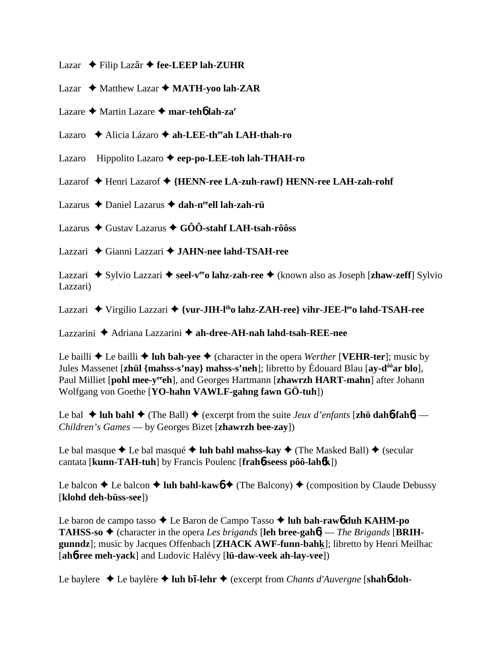- Lazar  $\triangle$  Filip Lazãr  $\triangle$  fee-LEEP lah-ZUHR
- Lazar ◆ Matthew Lazar ◆ MATH-yoo lah-ZAR
- Lazare Martin Lazare **mar-teh**6 **lah-zar**
- Lazaro Alicia Lázaro **ah-LEE-theeah LAH-thah-ro**
- Lazaro Hippolito Lazaro **eep-po-LEE-toh lah-THAH-ro**
- Lazarof Henri Lazarof **{HENN-ree LA-zuh-rawf} HENN-ree LAH-zah-rohf**
- Lazarus Daniel Lazarus **dah-neeell lah-zah-rü**
- Lazarus Gustav Lazarus **GÔÔ-stahf LAH-tsah-rôôss**
- Lazzari Gianni Lazzari **JAHN-nee lahd-TSAH-ree**
- Lazzari ◆ Sylvio Lazzari ◆ seel-v<sup>ee</sup>o lahz-zah-ree ◆ (known also as Joseph [zhaw-zeff] Sylvio Lazzari)
- Lazzari ◆ Virgilio Lazzari ◆ {vur-JIH-l<sup>ih</sup>o lahz-ZAH-ree} vihr-JEE-l<sup>ee</sup>o lahd-TSAH-ree

Lazzarini Adriana Lazzarini **ah-dree-AH-nah lahd-tsah-REE-nee**

Le bailli  $\triangle$  Le bailli  $\triangle$  luh bah-yee  $\triangle$  (character in the opera *Werther* [**VEHR-ter**]; music by Jules Massenet [**zhül {mahss-s'nay} mahss-s'neh**]; libretto by Édouard Blau [**ay-dôôar blo**], Paul Milliet [pohl mee-y<sup>ee</sup>ch], and Georges Hartmann [zhawrzh HART-mahn] after Johann Wolfgang von Goethe [**YO-hahn VAWLF-gahng fawn GÖ-tuh**])

Le bal  $\blacklozenge$  **luh bahl**  $\blacklozenge$  (The Ball)  $\blacklozenge$  (excerpt from the suite *Jeux d'enfants* [**zhö dahb-fahb**] — *Children's Games* — by Georges Bizet [**zhawrzh bee-zay**])

Le bal masque  $\triangle$  Le bal masqué  $\triangle$  luh bahl mahss-kay  $\triangle$  (The Masked Ball)  $\triangle$  (secular cantata [**kunn-TAH-tuh**] by Francis Poulenc [**frah**6**-seess pôô-lah**6**k**])

Le balcon  $\triangle$  Le balcon  $\triangle$  **luh bahl-kaw** $\phi$   $\triangle$  (The Balcony)  $\triangle$  (composition by Claude Debussy [**klohd deh-büss-see**])

Le baron de campo tasso ◆ Le Baron de Campo Tasso ◆ luh bah-raw6 duh KAHM-po **TAHSS-so**  $\triangle$  (character in the opera *Les brigands* [leh bree-gah $\phi$ ] — *The Brigands* [BRIH**gunndz**]; music by Jacques Offenbach [**ZHACK AWF-funn-bahk**]; libretto by Henri Meilhac [**ah**6**-ree meh-yack**] and Ludovic Halévy [**lü-daw-veek ah-lay-vee**])

Le baylere **→** Le baylère ◆ luh b**ī-lehr** ◆ (excerpt from *Chants d'Auvergne* [shah**6** doh-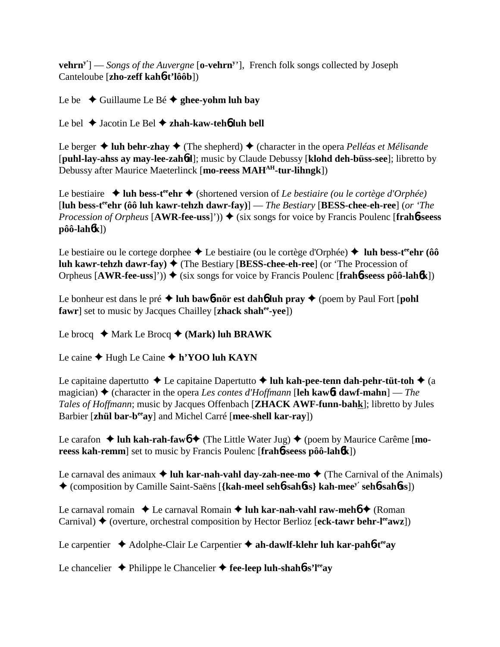**vehrn**<sup>y'</sup>] — *Songs of the Auvergne* [o-vehrn<sup>y</sup>'], French folk songs collected by Joseph Canteloube [**zho-zeff kah**6**-t'lôôb**])

Le be  $\triangle$  Guillaume Le Bé  $\triangle$  ghee-yohm luh bay

Le bel Jacotin Le Bel **zhah-kaw-teh**6 **luh bell**

Le berger  $\triangleq$  luh behr-zhay  $\triangleq$  (The shepherd)  $\triangleq$  (character in the opera *Pelléas et Mélisande* [**puhl-lay-ahss ay may-lee-zah**6**d**]; music by Claude Debussy [**klohd deh-büss-see**]; libretto by Debussy after Maurice Maeterlinck [**mo-reess MAHAH-tur-lihngk**])

Le bestiaire **→ luh bess-t<sup>ee</sup>chr →** (shortened version of *Le bestiaire (ou le cortège d'Orphée)* [**luh bess-teeehr (ôô luh kawr-tehzh dawr-fay)**] — *The Bestiary* [**BESS-chee-eh-ree**] (*or 'The Procession of Orpheus*  $[AWR-free-uss]')$   $\rightarrow$  (six songs for voice by Francis Poulenc  $[frah6-seess]$ **pôô-lah**6**k**])

Le bestiaire ou le cortege dorphee  $\triangle$  Le bestiaire (ou le cortège d'Orphée)  $\triangle$  luh bess-t<sup>ee</sup>ehr (ôô **luh kawr-tehzh dawr-fay) ♦ (The Bestiary [BESS-chee-eh-ree] (or 'The Procession of** Orpheus  $[AWR-free-uss]')$   $\rightarrow$  (six songs for voice by Francis Poulenc  $[frah6-seess pôô-lah6k]$ )

Le bonheur est dans le pré **luh baw**6**-nör est dah**6 **luh pray**  (poem by Paul Fort [**pohl fawr**] set to music by Jacques Chailley [**zhack shahee-yee**])

Le brocq  $\triangle$  Mark Le Brocq  $\triangle$  (Mark) luh BRAWK

Le caine  $\triangle$  Hugh Le Caine  $\triangle$  h'YOO luh KAYN

Le capitaine dapertutto  $\triangle$  Le capitaine Dapertutto  $\triangle$  luh kah-pee-tenn dah-pehr-tüt-toh  $\triangle$  (a magician)  $\triangle$  (character in the opera *Les contes d'Hoffmann* [leh kaw out daw f-mahn] — *The Tales of Hoffmann*; music by Jacques Offenbach [**ZHACK AWF-funn-bahk**]; libretto by Jules Barbier [**zhül bar-beeay**] and Michel Carré [**mee-shell kar-ray**])

Le carafon ◆ luh kah-rah-fawb ◆ (The Little Water Jug) ◆ (poem by Maurice Carême [**moreess kah-remm**] set to music by Francis Poulenc [**frah**6**-seess pôô-lah**6**k**])

Le carnaval des animaux  $\triangleq$  luh kar-nah-vahl day-zah-nee-mo $\triangleq$  (The Carnival of the Animals) (composition by Camille Saint-Saëns [**{kah-meel seh**6**-sah**6**ss} kah-meey' seh**6**-sah**6**ss**])

Le carnaval romain **↓** Le carnaval Romain **↓ luh kar-nah-vahl raw-meh6 ◆** (Roman Carnival)  $\blacklozenge$  (overture, orchestral composition by Hector Berlioz [eck-tawr behr-l<sup>ee</sup>awz])

Le carpentier ◆ Adolphe-Clair Le Carpentier ◆ ah-dawlf-klehr luh kar-pah**6**-t<sup>ee</sup>ay

Le chancelier **→** Philippe le Chancelier → fee-leep luh-shah**6**-s'l<sup>ee</sup>av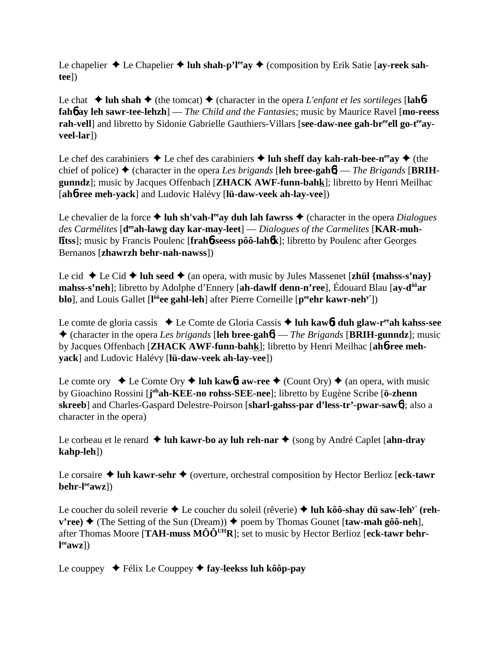Le chapelier  $\triangle$  Le Chapelier  $\triangle$  luh shah-p'l<sup>ee</sup>ay  $\triangle$  (composition by Erik Satie [ay-reek sah**tee**])

Le chat  $\triangle$  luh shah  $\triangle$  (the tomcat)  $\triangle$  (character in the opera *L'enfant et les sortileges* [lah**6fah**6 **ay leh sawr-tee-lehzh**] — *The Child and the Fantasies*; music by Maurice Ravel [**mo-reess** rah-vell] and libretto by Sidonie Gabrielle Gauthiers-Villars [see-daw-nee gah-br<sup>ee</sup>ell go-t<sup>ee</sup>ay**veel-lar**])

Le chef des carabiniers  $\triangle$  Le chef des carabiniers  $\triangle$  luh sheff day kah-rah-bee-n<sup>ee</sup>ay  $\triangle$  (the chief of police)  $\blacklozenge$  (character in the opera *Les brigands* [leh bree-gah**6**] — *The Brigands* [BRIH**gunndz**]; music by Jacques Offenbach [**ZHACK AWF-funn-bahk**]; libretto by Henri Meilhac [**ah**6**-ree meh-yack**] and Ludovic Halévy [**lü-daw-veek ah-lay-vee**])

Le chevalier de la force  $\triangle$  luh sh'vah-l<sup>ee</sup>ay duh lah fawrss  $\triangle$  (character in the opera *Dialogues* des Carmélites [d<sup>ee</sup>ah-lawg day kar-may-leet] — *Dialogues of the Carmelites* [KAR-muhlitss]; music by Francis Poulenc [frah6-seess pôô-lah6k]; libretto by Poulenc after Georges Bernanos [**zhawrzh behr-nah-nawss**])

Le cid  $\blacklozenge$  Le Cid  $\blacklozenge$  **luh seed**  $\blacklozenge$  (an opera, with music by Jules Massenet [**zhül** {mahss-s'nay} **mahss-s'neh**]; libretto by Adolphe d'Ennery [**ah-dawlf denn-n'ree**], Édouard Blau [**ay-dôôar blo**], and Louis Gallet [l<sup>ôô</sup>ee gahl-leh] after Pierre Corneille [p<sup>ee</sup>ehr kawr-neh<sup>y'</sup>])

Le comte de gloria cassis ◆ Le Comte de Gloria Cassis ◆ luh kaw6**t duh glaw-r<sup>ee</sup>ah kahss-see**  (character in the opera *Les brigands* [**leh bree-gah**6] — *The Brigands* [**BRIH-gunndz**]; music by Jacques Offenbach [**ZHACK AWF-funn-bahk**]; libretto by Henri Meilhac [**ah**6**-ree mehyack**] and Ludovic Halévy [**lü-daw-veek ah-lay-vee**])

Le comte ory  $\triangle$  Le Comte Ory  $\triangle$  luh kawbt aw-ree  $\triangle$  (Count Ory)  $\triangle$  (an opera, with music by Gioachino Rossini [**j ohah-KEE-no rohss-SEE-nee**]; libretto by Eugène Scribe [**ö-zhenn skreeb**] and Charles-Gaspard Delestre-Poirson [**sharl-gahss-par d'less-tr'-pwar-saw**6]; also a character in the opera)

Le corbeau et le renard **→ luh kawr-bo ay luh reh-nar** ◆ (song by André Caplet [**ahn-dray kahp-leh**])

Le corsaire ◆ luh kawr-sehr ◆ (overture, orchestral composition by Hector Berlioz [eck-tawr **behr-leeawz**])

Le coucher du soleil reverie ◆ Le coucher du soleil (rêverie) ◆ luh kôô-shay dü saw-leh<sup>y'</sup> (reh- $\mathbf{v'ree} \rightarrow (\text{The Setting of the Sun (Dream)}) \rightarrow \text{poem by Thomas Gounet [taw-mah gôô-neh]},$ after Thomas Moore [**TAH-muss MÔÔUHR**]; set to music by Hector Berlioz [**eck-tawr behrl eeawz**])

Le couppey  $\blacklozenge$  Félix Le Couppey  $\blacklozenge$  fay-leekss luh kôôp-pay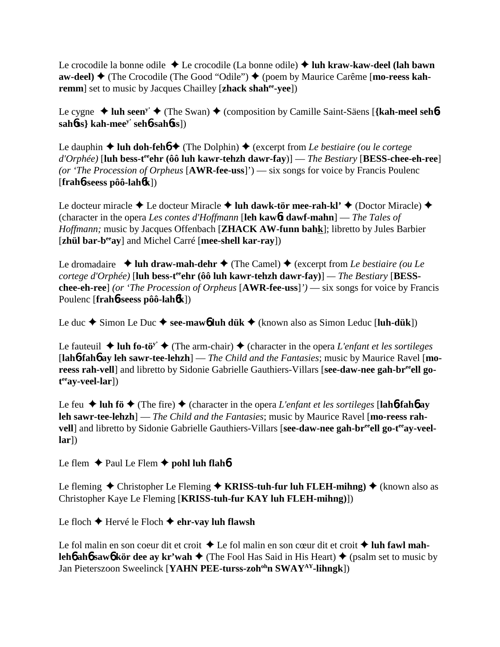Le crocodile la bonne odile Le crocodile (La bonne odile) **luh kraw-kaw-deel (lah bawn aw-deel) ♦ (The Crocodile (The Good "Odile") ♦ (poem by Maurice Carême [mo-reess kahremm** set to music by Jacques Chailley [**zhack shah<sup>ee</sup>-yee**])

Le cygne  $\triangleleft$  luh seen<sup>y'</sup>  $\triangleleft$  (The Swan)  $\triangleleft$  (composition by Camille Saint-Säens [{kah-meel sehb**sah**6**ss} kah-meey' seh**6**-sah**6**ss**])

Le dauphin  $\triangle$  luh doh-feh $\triangle$  (The Dolphin)  $\triangle$  (excerpt from *Le bestiaire (ou le cortege d'Orphée)* [**luh** bess-t<sup>ee</sup>ehr (ôô luh kawr-tehzh dawr-fay)] — *The Bestiary* [BESS-chee-eh-ree] *(or 'The Procession of Orpheus* [**AWR-fee-uss**]') — six songs for voice by Francis Poulenc [**frah**6**-seess pôô-lah**6**k**])

Le docteur miracle  $\triangle$  Le docteur Miracle  $\triangle$  luh dawk-tör mee-rah-kl'  $\triangle$  (Doctor Miracle)  $\triangle$ (character in the opera *Les contes d'Hoffmann* [**leh kaw**6**t dawf-mahn**] — *The Tales of Hoffmann;* music by Jacques Offenbach [**ZHACK AW-funn bahk**]; libretto by Jules Barbier [**zhül bar-beeay**] and Michel Carré [**mee-shell kar-ray**])

Le dromadaire  $\rightarrow$  luh draw-mah-dehr  $\rightarrow$  (The Camel)  $\rightarrow$  (excerpt from *Le bestiaire (ou Le cortege d'Orphée*) [luh bess-t<sup>ee</sup>ehr (ôô luh kawr-tehzh dawr-fay)] — The Bestiary [BESS**chee-eh-ree**] *(or 'The Procession of Orpheus* [**AWR-fee-uss**]*')* — six songs for voice by Francis Poulenc [**frah**6**-seess pôô-lah**6**k**])

Le duc  $\triangle$  Simon Le Duc  $\triangle$  see-maw**6** luh dük  $\triangle$  (known also as Simon Leduc [luh-dük])

Le fauteuil  $\triangleq$  luh fo-tö<sup>y'</sup>  $\triangleq$  (The arm-chair)  $\triangleq$  (character in the opera *L'enfant et les sortileges* [**lah**6**-fah**6 **ay leh sawr-tee-lehzh**] — *The Child and the Fantasies*; music by Maurice Ravel [**mo**reess rah-vell] and libretto by Sidonie Gabrielle Gauthiers-Villars [see-daw-nee gah-br<sup>ee</sup>ell go**t eeay-veel-lar**])

Le feu  $\blacklozenge$  luh fö $\blacklozenge$  (The fire)  $\blacklozenge$  (character in the opera *L'enfant et les sortileges* [lah**6-fahb** ay **leh sawr-tee-lehzh**] — *The Child and the Fantasies*; music by Maurice Ravel [**mo-reess rah**vell] and libretto by Sidonie Gabrielle Gauthiers-Villars [see-daw-nee gah-br<sup>ee</sup>ell go-t<sup>ee</sup>av-veel**lar**])

Le flem  $\triangle$  Paul Le Flem  $\triangle$  pohl luh flah**b** 

Le fleming  $\triangle$  Christopher Le Fleming  $\triangle$  **KRISS-tuh-fur luh FLEH-mihng**)  $\triangle$  (known also as Christopher Kaye Le Fleming [**KRISS-tuh-fur KAY luh FLEH-mihng)**])

Le floch **←** Hervé le Floch ← ehr-vay luh flawsh

Le fol malin en son coeur dit et croit  $\triangle$  Le fol malin en son cœur dit et croit  $\triangle$  luh fawl mah**leh6 ah6 saw6 kör dee ay kr'wah**  $\triangle$  (The Fool Has Said in His Heart)  $\triangle$  (psalm set to music by Jan Pieterszoon Sweelinck [**YAHN PEE-turss-zohohn SWAYAY-lihngk**])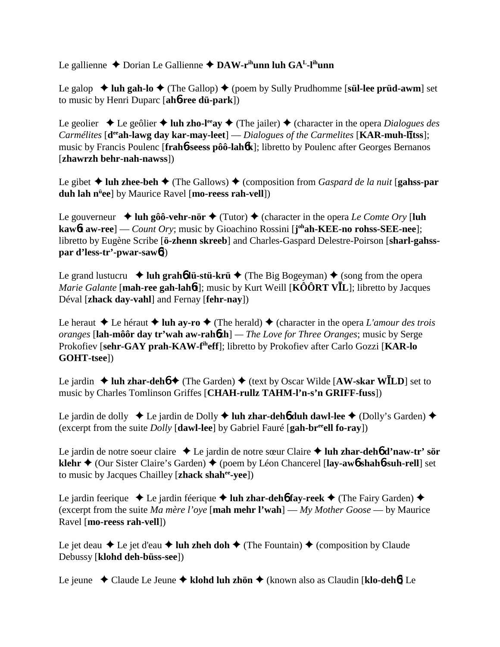Le gallienne ◆ Dorian Le Gallienne ◆ DAW-r<sup>ih</sup>unn luh GA<sup>L</sup>-l<sup>ih</sup>unn

Le galop  $\triangle$  luh gah-lo  $\triangle$  (The Gallop)  $\triangle$  (poem by Sully Prudhomme [s**ül-lee prüd-awm**] set to music by Henri Duparc [**ah**6**-ree dü-park**])

Le geolier  $\triangle$  Le geôlier  $\triangle$  luh zho-l<sup>ee</sup>ay  $\triangle$  (The jailer)  $\triangle$  (character in the opera *Dialogues des* Carmélites [d<sup>ee</sup>ah-lawg day kar-may-leet] — *Dialogues of the Carmelites* [KAR-muh-litss]; music by Francis Poulenc [**frah**6**-seess pôô-lah**6**k**]; libretto by Poulenc after Georges Bernanos [**zhawrzh behr-nah-nawss**])

Le gibet  $\triangle$  luh zhee-beh  $\triangle$  (The Gallows)  $\triangle$  (composition from *Gaspard de la nuit* [**gahss-par duh lah nü ee**] by Maurice Ravel [**mo-reess rah-vell**])

Le gouverneur  $\triangleleft$  luh gôô-vehr-nör  $\triangleleft$  (Tutor)  $\triangleleft$  (character in the opera *Le Comte Ory* [luh **kaw**6**t aw-ree**] — *Count Ory*; music by Gioachino Rossini [**j ohah-KEE-no rohss-SEE-nee**]; libretto by Eugène Scribe [**ö-zhenn skreeb**] and Charles-Gaspard Delestre-Poirson [**sharl-gahsspar d'less-tr'-pwar-saw**6])

Le grand lustucru  $\rightarrow$  luh grah**b** lü-stü-krü  $\rightarrow$  (The Big Bogeyman)  $\rightarrow$  (song from the opera *Marie Galante* [**mah-ree gah-lah**6**t**]; music by Kurt Weill [**KÔÔRT VL**]; libretto by Jacques Déval [**zhack day-vahl**] and Fernay [**fehr-nay**])

Le heraut  $\triangle$  Le héraut  $\triangle$  luh ay-ro  $\triangle$  (The herald)  $\triangle$  (character in the opera *L'amour des trois oranges* [**lah-môôr day tr'wah aw-rah**6**zh**] *— The Love for Three Oranges*; music by Serge Prokofiev [**sehr-GAY prah-KAW-fiheff**]; libretto by Prokofiev after Carlo Gozzi [**KAR-lo GOHT-tsee**])

Le jardin  $\triangle$  luh zhar-deh**<sup>6</sup>**  $\triangle$  (The Garden)  $\triangle$  (text by Oscar Wilde [AW-skar WILD] set to music by Charles Tomlinson Griffes [**CHAH-rullz TAHM-l'n-s'n GRIFF-fuss**])

Le jardin de dolly ◆ Le jardin de Dolly ◆ luh zhar-deh**6** duh dawl-lee ◆ (Dolly's Garden) ◆ (excerpt from the suite *Dolly* [**dawl-lee**] by Gabriel Fauré [**gah-breeell fo-ray**])

Le jardin de notre soeur claire Le jardin de notre sœur Claire  **luh zhar-deh**6 **d'naw-tr' sör klehr ♦** (Our Sister Claire's Garden) ♦ (poem by Léon Chancerel [lay-aw<sub>0</sub> shaho-suh-rell] set to music by Jacques Chailley [**zhack shahee-yee**])

Le jardin feerique ◆ Le jardin féerique ◆ luh zhar-deh**6** fay-reek ◆ (The Fairy Garden) ◆ (excerpt from the suite *Ma mère l'oye* [**mah mehr l'wah**] — *My Mother Goose* — by Maurice Ravel [**mo-reess rah-vell**])

Le jet deau  $\triangle$  Le jet d'eau  $\triangle$  luh zheh doh  $\triangle$  (The Fountain)  $\triangle$  (composition by Claude Debussy [**klohd deh-büss-see**])

Le jeune Claude Le Jeune **klohd luh zhön** (known also as Claudin [**klo-deh**6] Le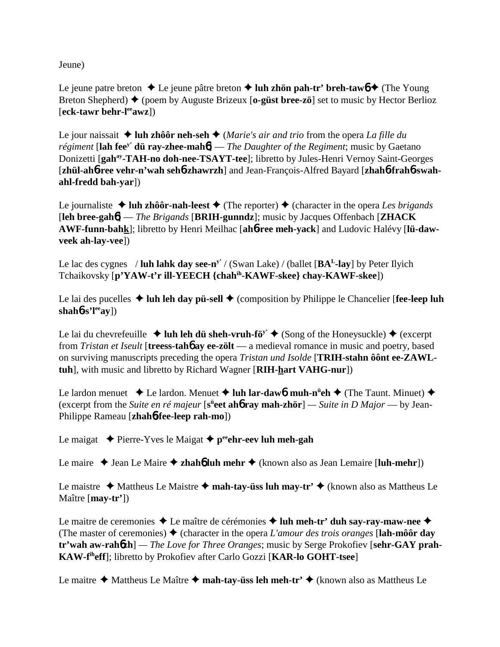Jeune)

Le jeune patre breton  $\triangle$  Le jeune pâtre breton  $\triangle$  luh zhön pah-tr' breh-taw $6 \triangle$  (The Young Breton Shepherd) (poem by Auguste Brizeux [**o-güst bree-zö**] set to music by Hector Berlioz [**eck-tawr behr-leeawz**])

Le jour naissait  $\triangleq$  luh zhôôr neh-seh  $\triangleq$  (*Marie's air and trio* from the opera *La fille du régiment* [**lah feey' dü ray-zhee-mah**6] — *The Daughter of the Regiment*; music by Gaetano Donizetti [**gahay-TAH-no doh-nee-TSAYT-tee**]; libretto by Jules-Henri Vernoy Saint-Georges [**zhül-ah**6**-ree vehr-n'wah seh**6**-zhawrzh**] and Jean-François-Alfred Bayard [**zhah**6**-frah**6**-swahahl-fredd bah-yar**])

Le journaliste  $\triangle$  luh zhôôr-nah-leest  $\triangle$  (The reporter)  $\triangle$  (character in the opera *Les brigands* [**leh bree-gah**6] — *The Brigands* [**BRIH-gunndz**]; music by Jacques Offenbach [**ZHACK AWF-funn-bahk**]; libretto by Henri Meilhac [**ah**6**-ree meh-yack**] and Ludovic Halévy [**lü-dawveek ah-lay-vee**])

Le lac des cygnes / **luh lahk day see-ny'** / (Swan Lake) / (ballet [**BAL-lay**] by Peter Ilyich Tchaikovsky [**p'YAW-t'r ill-YEECH {chahih-KAWF-skee} chay-KAWF-skee**])

Le lai des pucelles  $\triangle$  luh leh day pü-sell  $\triangle$  (composition by Philippe le Chancelier [**fee-leep luh**  $shah6-s'l<sup>ee</sup>ay$ ])

Le lai du chevrefeuille  $\triangleq$  luh leh dü sheh-vruh-fö<sup>y'</sup>  $\triangleq$  (Song of the Honeysuckle)  $\triangleq$  (excerpt from *Tristan et Iseult* [**treess-tah**6 **ay ee-zölt** — a medieval romance in music and poetry, based on surviving manuscripts preceding the opera *Tristan und Isolde* [**TRIH-stahn ôônt ee-ZAWLtuh**], with music and libretto by Richard Wagner [**RIH-hart VAHG-nur**])

Le lardon menuet **→** Le lardon. Menuet **→ luh lar-daw6. muh-n<sup>ü</sup>eh →** (The Taunt. Minuet) ◆ (excerpt from the *Suite en ré majeur* [s<sup>ü</sup>eet ah**ó ray mah-zhör**] — *Suite in D Major* — by Jean-Philippe Rameau [**zhah**6**-fee-leep rah-mo**])

Le maigat  $\triangle$  Pierre-Yves le Maigat  $\triangle$  p<sup>ee</sup>ehr-eev luh meh-gah

Le maire  $\triangle$  Jean Le Maire  $\triangle$  **zhahó luh mehr**  $\triangle$  (known also as Jean Lemaire [**luh-mehr**])

Le maistre  $\triangle$  Mattheus Le Maistre  $\triangle$  mah-tay-üss luh may-tr'  $\triangle$  (known also as Mattheus Le Maître [**may-tr'**])

Le maitre de ceremonies **→** Le maître de cérémonies **→ luh meh-tr' duh say-ray-maw-nee** → (The master of ceremonies)  $\triangle$  (character in the opera *L'amour des trois oranges* [**lah-môôr day tr'wah aw-rah**6**zh**] *— The Love for Three Oranges*; music by Serge Prokofiev [**sehr-GAY prah-KAW-fiheff**]; libretto by Prokofiev after Carlo Gozzi [**KAR-lo GOHT-tsee**]

Le maitre **→** Mattheus Le Maître ◆ mah-tay-üss leh meh-tr' ◆ (known also as Mattheus Le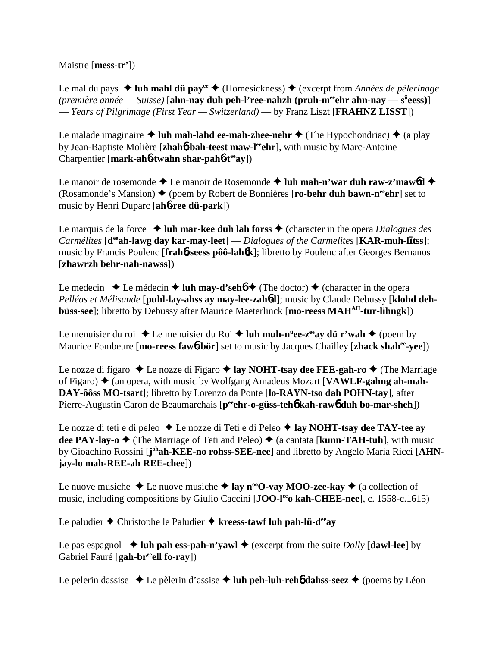Maistre [**mess-tr'**])

Le mal du pays **→ luh mahl dü pay<sup>ee</sup> →** (Homesickness) ◆ (excerpt from *Années de pèlerinage* (première année — Suisse) [**ahn-nay duh peh-l'ree-nahzh (pruh-m<sup>ee</sup>ehr ahn-nay — s<sup>ü</sup>eess)**] — *Years of Pilgrimage (First Year — Switzerland)* — by Franz Liszt [**FRAHNZ LISST**])

Le malade imaginaire  $\triangle$  luh mah-lahd ee-mah-zhee-nehr  $\triangle$  (The Hypochondriac)  $\triangle$  (a play by Jean-Baptiste Molière [**zhah**6**-bah-teest maw-leeehr**], with music by Marc-Antoine Charpentier [**mark-ah**6**-twahn shar-pah**6**-teeay**])

Le manoir de rosemonde  $\triangle$  Le manoir de Rosemonde  $\triangle$  luh mah-n'war duh raw-z'mawbd  $\triangle$ (Rosamonde's Mansion)  $\triangle$  (poem by Robert de Bonnières [**ro-behr duh bawn-n<sup>ee</sup>ehr**] set to music by Henri Duparc [**ah**6**-ree dü-park**])

Le marquis de la force  $\triangleleft$  **luh mar-kee duh lah forss**  $\triangleleft$  (character in the opera *Dialogues des Carmélites* [d<sup>ee</sup>ah-lawg day kar-may-leet] — *Dialogues of the Carmelites* [KAR-muh-litss]; music by Francis Poulenc [**frah**6**-seess pôô-lah**6**k**]; libretto by Poulenc after Georges Bernanos [**zhawrzh behr-nah-nawss**])

Le medecin  $\triangle$  Le médecin  $\triangle$  luh may-d'seh**6**  $\triangle$  (The doctor)  $\triangle$  (character in the opera *Pelléas et Mélisande* [**puhl-lay-ahss ay may-lee-zah**6**d**]; music by Claude Debussy [**klohd dehbüss-see**]; libretto by Debussy after Maurice Maeterlinck [mo-reess MAH<sup>AH</sup>-tur-lihngk])

Le menuisier du roi ◆ Le menuisier du Roi **◆ luh muh-n<sup>ü</sup>ee-z<sup>ee</sup>ay dü r'wah ◆** (poem by Maurice Fombeure [**mo-reess faw**6**-bör**] set to music by Jacques Chailley [**zhack shahee-yee**])

Le nozze di figaro **→** Le nozze di Figaro → lay NOHT-tsay dee FEE-gah-ro → (The Marriage of Figaro)  $\triangle$  (an opera, with music by Wolfgang Amadeus Mozart [**VAWLF-gahng ah-mah-DAY-ôôss MO-tsart**]; libretto by Lorenzo da Ponte [**lo-RAYN-tso dah POHN-tay**], after Pierre-Augustin Caron de Beaumarchais [p<sup>ee</sup>ehr-o-güss-teh**6** kah-raw6 duh bo-mar-sheh])

Le nozze di teti e di peleo **→** Le nozze di Teti e di Peleo **→ lay NOHT-tsay dee TAY-tee ay dee PAY-lay-o**  $\blacklozenge$  (The Marriage of Teti and Peleo)  $\blacklozenge$  (a cantata [**kunn-TAH-tuh**], with music by Gioachino Rossini [joh**ah-KEE-no rohss-SEE-nee**] and libretto by Angelo Maria Ricci [AHN**jay-lo mah-REE-ah REE-chee**])

Le nuove musiche  $\triangle$  Le nuove musiche  $\triangle$  lay n<sup>oo</sup>O-vay MOO-zee-kay  $\triangle$  (a collection of music, including compositions by Giulio Caccini [**JOO-leeo kah-CHEE-nee**], c. 1558-c.1615)

Le paludier  $\triangle$  Christophe le Paludier  $\triangle$  kreess-tawf luh pah-lü-d<sup>ee</sup>ay

Le pas espagnol  $\triangleleft$  luh pah ess-pah-n'yawl  $\triangleleft$  (excerpt from the suite *Dolly* [dawl-lee] by Gabriel Fauré [**gah-breeell fo-ray**])

Le pelerin dassise  $\triangle$  Le pèlerin d'assise  $\triangle$  luh peh-luh-reh**6** dahss-seez  $\triangle$  (poems by Léon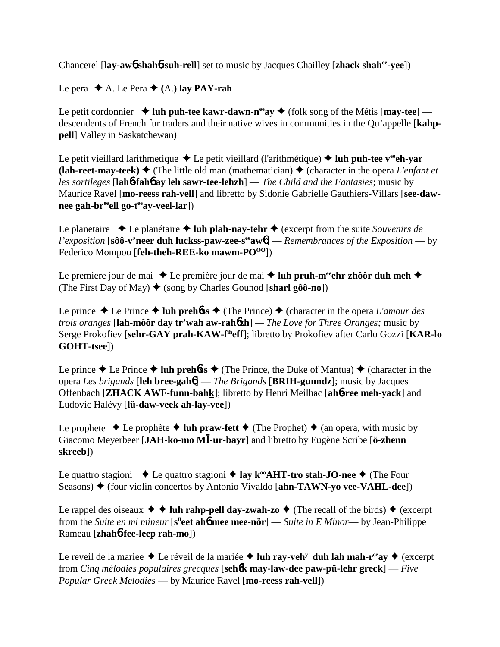Chancerel [**lay-aw**6 **shah**6**-suh-rell**] set to music by Jacques Chailley [**zhack shahee-yee**])

Le pera  $\triangle$  A. Le Pera  $\triangle$  (A.) lay PAY-rah

Le petit cordonnier  $\triangleleft$  luh puh-tee kawr-dawn-n<sup>ee</sup>ay  $\triangleleft$  (folk song of the Métis [may-tee] descendents of French fur traders and their native wives in communities in the Qu'appelle [**kahppell**] Valley in Saskatchewan)

Le petit vieillard larithmetique  $\triangle$  Le petit vieillard (l'arithmétique)  $\triangle$  luh puh-tee v<sup>ee</sup>ch-var **(lah-reet-may-teek)**  $\blacklozenge$  (The little old man (mathematician)  $\blacklozenge$  (character in the opera *L'enfant et les sortileges* [**lah**6**-fah**6 **ay leh sawr-tee-lehzh**] — *The Child and the Fantasies*; music by Maurice Ravel [**mo-reess rah-vell**] and libretto by Sidonie Gabrielle Gauthiers-Villars [**see-daw**nee gah-br<sup>ee</sup>ell go-t<sup>ee</sup>ay-veel-lar])

Le planetaire  $\triangle$  Le planétaire  $\triangle$  luh plah-nay-tehr  $\triangle$  (excerpt from the suite *Souvenirs de l'exposition* [**sôô-v'neer duh luckss-paw-zee-seeaw**6] — *Remembrances of the Exposition* — by Federico Mompou [**feh-theh-REE-ko mawm-PO**<sup>00</sup>])

Le premiere jour de mai  $\triangle$  Le première jour de mai  $\triangle$  luh pruh-m<sup>ee</sup>ehr zhôôr duh meh  $\triangle$ (The First Day of May)  $\triangleq$  (song by Charles Gounod [sharl gôô-no])

Le prince  $\triangle$  Le Prince  $\triangle$  luh preh**6ss**  $\triangle$  (The Prince)  $\triangle$  (character in the opera *L'amour des trois oranges* [**lah-môôr day tr'wah aw-rah**6**zh**] *— The Love for Three Oranges;* music by Serge Prokofiev [**sehr-GAY prah-KAW-fiheff**]; libretto by Prokofiev after Carlo Gozzi [**KAR-lo GOHT-tsee**])

Le prince  $\triangle$  Le Prince  $\triangle$  **luh prehoss**  $\triangle$  (The Prince, the Duke of Mantua)  $\triangle$  (character in the opera *Les brigands* [**leh bree-gah**6] — *The Brigands* [**BRIH-gunndz**]; music by Jacques Offenbach [**ZHACK AWF-funn-bahk**]; libretto by Henri Meilhac [**ah**6**-ree meh-yack**] and Ludovic Halévy [**lü-daw-veek ah-lay-vee**])

Le prophete  $\triangle$  Le prophète  $\triangle$  luh praw-fett  $\triangle$  (The Prophet)  $\triangle$  (an opera, with music by Giacomo Meyerbeer [**JAH-ko-mo M-ur-bayr**] and libretto by Eugène Scribe [**ö-zhenn skreeb**])

Le quattro stagioni  $\triangle$  Le quattro stagioni  $\triangle$  lay k<sup>oo</sup>AHT-tro stah-JO-nee  $\triangle$  (The Four Seasons)  $\triangle$  (four violin concertos by Antonio Vivaldo [**ahn-TAWN-yo vee-VAHL-dee**])

Le rappel des oiseaux  $\blacklozenge \blacklozenge$  **luh rahp-pell day-zwah-zo**  $\blacklozenge$  (The recall of the birds)  $\blacklozenge$  (excerpt from the *Suite en mi mineur* [s<sup>ü</sup>eet ah**6** mee mee-nör] — *Suite in E Minor*— by Jean-Philippe Rameau [**zhah**6**-fee-leep rah-mo**])

Le reveil de la mariee  $\triangle$  Le réveil de la mariée  $\triangle$  luh ray-veh<sup>y'</sup> duh lah mah-r<sup>ee</sup>ay  $\triangle$  (excerpt from *Cinq mélodies populaires grecques* [**seh**6**k may-law-dee paw-pü-lehr greck**] — *Five Popular Greek Melodies* — by Maurice Ravel [**mo-reess rah-vell**])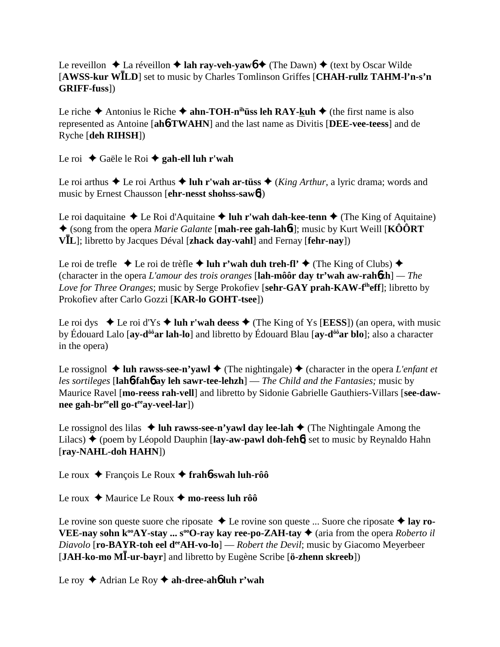Le reveillon  $\triangle$  La réveillon  $\triangle$  **lah ray-veh-yaw6**  $\triangle$  (The Dawn)  $\triangle$  (text by Oscar Wilde [**AWSS-kur WLD**] set to music by Charles Tomlinson Griffes [**CHAH-rullz TAHM-l'n-s'n GRIFF-fuss**])

Le riche  $\triangle$  Antonius le Riche  $\triangle$  **ahn-TOH-n<sup>ih</sup>üss leh RAY-kuh**  $\triangle$  (the first name is also represented as Antoine [**ah**6**-TWAHN**] and the last name as Divitis [**DEE-vee-teess**] and de Ryche [**deh RIHSH**])

Le roi ◆ Gaële le Roi **◆ gah-ell luh r'wah** 

Le roi arthus  $\triangle$  Le roi Arthus  $\triangle$  luh r'wah ar-tüss  $\triangle$  (*King Arthur*, a lyric drama; words and music by Ernest Chausson [**ehr-nesst shohss-saw**6])

Le roi daquitaine  $\triangle$  Le Roi d'Aquitaine  $\triangle$  luh r'wah dah-kee-tenn  $\triangle$  (The King of Aquitaine) (song from the opera *Marie Galante* [**mah-ree gah-lah**6**t**]; music by Kurt Weill [**KÔÔRT VL**]; libretto by Jacques Déval [**zhack day-vahl**] and Fernay [**fehr-nay**])

Le roi de trefle  $\triangle$  Le roi de trèfle  $\triangle$  luh r'wah duh treh-fl'  $\triangle$  (The King of Clubs)  $\triangle$ (character in the opera *L'amour des trois oranges* [**lah-môôr day tr'wah aw-rah**6**zh**] *— The Love for Three Oranges*; music by Serge Prokofiev [**sehr-GAY prah-KAW-fiheff**]; libretto by Prokofiev after Carlo Gozzi [**KAR-lo GOHT-tsee**])

Le roi dys  $\blacklozenge$  Le roi d'Ys  $\blacklozenge$  luh r'wah deess  $\blacklozenge$  (The King of Ys [EESS]) (an opera, with music by Édouard Lalo [**ay-dôôar lah-lo**] and libretto by Édouard Blau [**ay-dôôar blo**]; also a character in the opera)

Le rossignol  $\triangleq$  luh rawss-see-n'yawl  $\triangleq$  (The nightingale)  $\triangleq$  (character in the opera *L'enfant et les sortileges* [**lah**6**-fah**6 **ay leh sawr-tee-lehzh**] — *The Child and the Fantasies;* music by Maurice Ravel [**mo-reess rah-vell**] and libretto by Sidonie Gabrielle Gauthiers-Villars [**see-daw**nee gah-br<sup>ee</sup>ell go-t<sup>ee</sup>ay-veel-lar])

Le rossignol des lilas  $\triangle$  luh rawss-see-n'yawl day lee-lah  $\triangle$  (The Nightingale Among the Lilacs) **◆** (poem by Léopold Dauphin [**lay-aw-pawl doh-feh<sup>6</sup>]** set to music by Reynaldo Hahn [**ray-NAHL-doh HAHN**])

Le roux François Le Roux **frah**6**-swah luh-rôô**

Le roux  $\triangle$  Maurice Le Roux  $\triangle$  mo-reess luh rôô

Le rovine son queste suore che riposate **→** Le rovine son queste ... Suore che riposate **→ lay ro-VEE-nay sohn k<sup>oo</sup>AY-stay ... s<sup>oo</sup>O-ray kay ree-po-ZAH-tay ♦** (aria from the opera *Roberto il Diavolo* [**ro-BAYR-toh eel d<sup>ee</sup>AH-vo-lo**] — *Robert the Devil*; music by Giacomo Meyerbeer [**JAH-ko-mo M-ur-bayr**] and libretto by Eugène Scribe [**ö-zhenn skreeb**])

Le roy **→** Adrian Le Roy **→ ah-dree-ah<sub>6</sub> luh r'wah**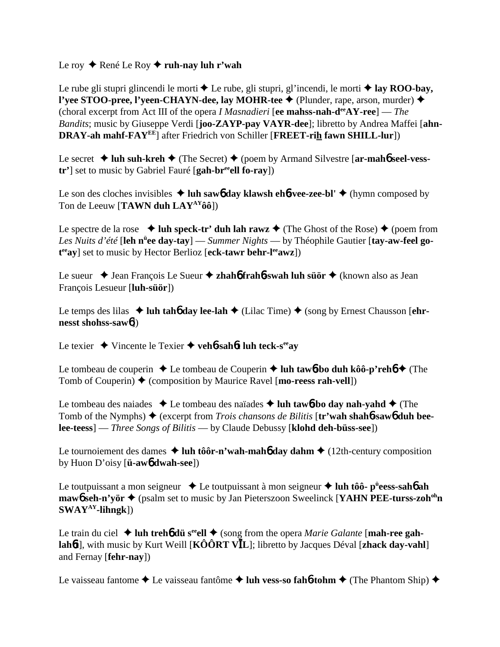## Le roy **←** René Le Roy ← ruh-nay luh r'wah

Le rube gli stupri glincendi le morti  $\triangle$  Le rube, gli stupri, gl'incendi, le morti  $\triangle$  lay ROO-bay, **l'yee STOO-pree, l'yeen-CHAYN-dee, lay MOHR-tee ♦** (Plunder, rape, arson, murder) ♦ (choral excerpt from Act III of the opera *I Masnadieri* [**ee mahss-nah-deeAY-ree**] — *The Bandits*; music by Giuseppe Verdi [**joo-ZAYP-pay VAYR-dee**]; libretto by Andrea Maffei [**ahn-DRAY-ah mahf-FAYEE**] after Friedrich von Schiller [**FREET-rih fawn SHILL-lur**])

Le secret  $\triangleleft$  luh suh-kreh  $\triangleleft$  (The Secret)  $\triangleleft$  (poem by Armand Silvestre [ar-mah**6** seel-vess**tr'**] set to music by Gabriel Fauré [**gah-breeell fo-ray**])

Le son des cloches invisibles  $\triangleleft$  luh sawb day klawsh ehb-vee-zee-bl'  $\triangleleft$  (hymn composed by Ton de Leeuw [**TAWN duh LAYAYôô**])

Le spectre de la rose  $\triangleleft$  luh speck-tr' duh lah rawz  $\triangleleft$  (The Ghost of the Rose)  $\triangleleft$  (poem from Les Nuits d'été [leh n<sup>ü</sup>ee day-tay] — Summer Nights — by Théophile Gautier [tay-aw-feel go**t eeay**] set to music by Hector Berlioz [**eck-tawr behr-leeawz**])

Le sueur ◆ Jean François Le Sueur ◆ zhah**6** frah**6**-swah luh süör ◆ (known also as Jean François Lesueur [**luh-süör**])

Le temps des lilas  $\triangleleft$  luh tah**6** day lee-lah  $\triangleleft$  (Lilac Time)  $\triangleleft$  (song by Ernest Chausson [ehr**nesst shohss-saw**6])

Le texier Vincente le Texier **veh**6**-sah**6**t luh teck-seeay**

Le tombeau de couperin  $\triangle$  Le tombeau de Couperin  $\triangle$  luh taw**6**-bo duh kôô-p'reh**6**  $\triangle$  (The Tomb of Couperin)  $\triangle$  (composition by Maurice Ravel [**mo-reess rah-vell**])

Le tombeau des naiades  $\triangle$  Le tombeau des naïades  $\triangle$  luh taw**6**-bo day nah-yahd  $\triangle$  (The Tomb of the Nymphs) ♦ (excerpt from *Trois chansons de Bilitis* [**tr'wah shah6-saw6 duh beelee-teess**] — *Three Songs of Bilitis* — by Claude Debussy [**klohd deh-büss-see**])

Le tournoiement des dames  $\triangleleft$  luh tôôr-n'wah-mah<sub>6</sub> day dahm $\triangleleft$  (12th-century composition by Huon D'oisy [**ü-aw**6 **dwah-see**])

Le toutpuissant a mon seigneur ◆ Le toutpuissant à mon seigneur ◆ luh tôô- p<sup>ü</sup>eess-sah**6** ah **maw6** seh-n'yör ♦ (psalm set to music by Jan Pieterszoon Sweelinck [**YAHN PEE-turss-zoh<sup>oh</sup>n SWAYAY-lihngk**])

Le train du ciel  $\triangleleft$  luh treh**6** dü s<sup>ee</sup>ell  $\triangleleft$  (song from the opera *Marie Galante* [mah-ree gah**lah**6**t**], with music by Kurt Weill [**KÔÔRT VL**]; libretto by Jacques Déval [**zhack day-vahl**] and Fernay [**fehr-nay**])

Le vaisseau fantome **→** Le vaisseau fantôme **→ luh vess-so fah6-tohm** → (The Phantom Ship) →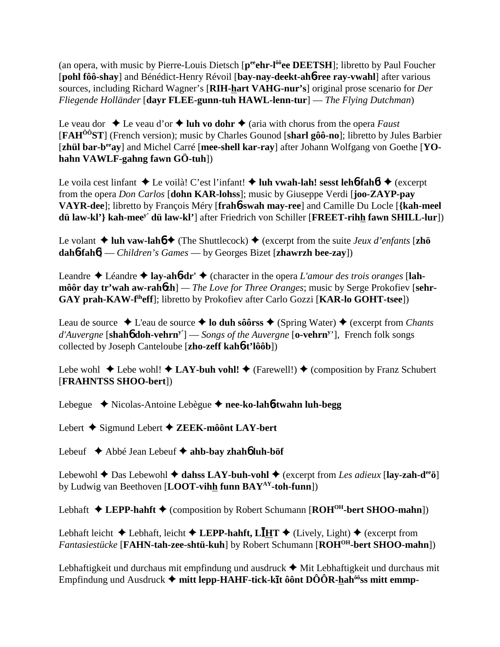(an opera, with music by Pierre-Louis Dietsch [peenr-l<sup>ôô</sup>ee DEETSH]; libretto by Paul Foucher [**pohl fôô-shay**] and Bénédict-Henry Révoil [**bay-nay-deekt-ah**6**-ree ray-vwahl**] after various sources, including Richard Wagner's [**RIH-hart VAHG-nur's**] original prose scenario for *Der Fliegende Holländer* [**dayr FLEE-gunn-tuh HAWL-lenn-tur**] — *The Flying Dutchman*)

Le veau dor  $\triangle$  Le veau d'or  $\triangle$  luh vo dohr  $\triangle$  (aria with chorus from the opera *Faust* [**FAHÔÔST**] (French version); music by Charles Gounod [**sharl gôô-no**]; libretto by Jules Barbier [zhül bar-b<sup>ee</sup>ay] and Michel Carré [mee-shell kar-ray] after Johann Wolfgang von Goethe [YO**hahn VAWLF-gahng fawn GÖ-tuh**])

Le voila cest linfant  $\triangle$  Le voilà! C'est l'infant!  $\triangle$  luh vwah-lah! sesst leh**6**-fah**6!**  $\triangle$  (excerpt from the opera *Don Carlos* [**dohn KAR-lohss**]; music by Giuseppe Verdi [**joo-ZAYP-pay VAYR-dee**]; libretto by François Méry [**frah**6**-swah may-ree**] and Camille Du Locle [**{kah-meel dü law-kl'} kah-meey' dü law-kl'**] after Friedrich von Schiller [**FREET-rihh fawn SHILL-lur**])

Le volant  $\triangle$  luh vaw-lah**6**  $\triangle$  (The Shuttlecock)  $\triangle$  (excerpt from the suite *Jeux d'enfants* [zhö **dah**6**-fah**6] — *Children's Games* — by Georges Bizet [**zhawrzh bee-zay**])

Leandre  $\triangle$  Léandre  $\triangle$  **lay-ah6-dr'**  $\triangle$  (character in the opera *L'amour des trois oranges* [lah**môôr day tr'wah aw-rah** $6zh$ **]** — *The Love for Three Oranges*; music by Serge Prokofiev [sehr-**GAY prah-KAW-fiheff**]; libretto by Prokofiev after Carlo Gozzi [**KAR-lo GOHT-tsee**])

Leau de source  $\triangle$  L'eau de source  $\triangle$  **lo duh sôôrss**  $\triangle$  (Spring Water)  $\triangle$  (excerpt from *Chants d'Auvergne* [**shah**6 **doh-vehrny'**] — *Songs of the Auvergne* [**o-vehrny** '], French folk songs collected by Joseph Canteloube [**zho-zeff kah**6**-t'lôôb**])

Lebe wohl  $\triangle$  Lebe wohl!  $\triangle$  LAY-buh vohl!  $\triangle$  (Farewell!)  $\triangle$  (composition by Franz Schubert [**FRAHNTSS SHOO-bert**])

Lebegue Nicolas-Antoine Lebègue **nee-ko-lah**6**-twahn luh-begg**

Lebert Sigmund Lebert **ZEEK-môônt LAY-bert**

Lebeuf Abbé Jean Lebeuf **ahb-bay zhah**6 **luh-böf**

Lebewohl **←** Das Lebewohl ← dahss LAY-buh-vohl ← (excerpt from *Les adieux* [lay-zah-d<sup>ee</sup>ö] by Ludwig van Beethoven [**LOOT-vihh funn BAYAY-toh-funn**])

Lebhaft  $\triangle$  LEPP-hahft  $\triangle$  (composition by Robert Schumann [ROH<sup>OH</sup>-bert SHOO-mahn])

Lebhaft leicht  $\triangle$  Lebhaft, leicht  $\triangle$  LEPP-hahft, L**I**HT  $\triangle$  (Lively, Light)  $\triangle$  (excerpt from *Fantasiestücke* [**FAHN-tah-zee-shtü-kuh**] by Robert Schumann [**ROHOH-bert SHOO-mahn**])

Lebhaftigkeit und durchaus mit empfindung und ausdruck  $\triangle$  Mit Lebhaftigkeit und durchaus mit Empfindung und Ausdruck ◆ mitt lepp-HAHF-tick-kīt ôônt DÔÔR-hah<sup>ôô</sup>ss mitt emmp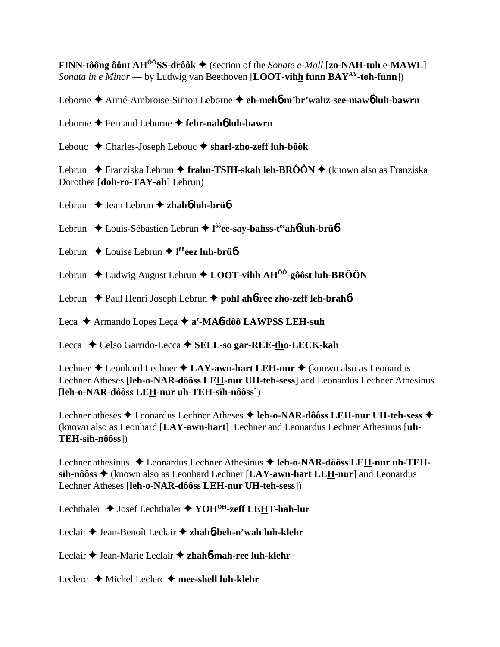**FINN-tôông ôônt AH<sup>ÔÔ</sup>SS-drôôk**  $\blacklozenge$  (section of the *Sonate e-Moll* [zo-NAH-tuh e-MAWL] — *Sonata in e Minor* — by Ludwig van Beethoven [**LOOT-vihh funn BAYAY-toh-funn**])

Leborne Aimé-Ambroise-Simon Leborne **eh-meh**6**-m'br'wahz-see-maw**6 **luh-bawrn**

Leborne Fernand Leborne **fehr-nah**6 **luh-bawrn**

Lebouc Charles-Joseph Lebouc **sharl-zho-zeff luh-bôôk**

Lebrun  $\blacklozenge$  Franziska Lebrun  $\blacklozenge$  frahn-TSIH-skah leh-BRÔÔN  $\blacklozenge$  (known also as Franziska Dorothea [**doh-ro-TAY-ah**] Lebrun)

Lebrun **→** Jean Lebrun → zhah**6** luh-brü**6** 

Lebrun ◆ Louis-Sébastien Lebrun ◆ l<sup>ôô</sup>**ee-say-bahss-t<sup>ee</sup>ah<b>6** luh-brü**6** 

Lebrun ◆ Louise Lebrun ◆ l<sup>ôô</sup>eez luh-brü**ó** 

Lebrun ◆ Ludwig August Lebrun ◆ LOOT-vihh AH<sup>ôô</sup>-gôôst luh-BRÔÔN

Lebrun ◆ Paul Henri Joseph Lebrun ◆ pohl ah**6-ree zho-zeff leh-brah6** 

Leca ◆ Armando Lopes Leça ◆ a<sup>r</sup>-MA**6-dôô LAWPSS LEH-suh** 

Lecca ◆ Celso Garrido-Lecca ◆ SELL-so gar-REE-tho-LECK-kah

Lechner **◆** Leonhard Lechner ◆ LAY-awn-hart LEH-nur ◆ (known also as Leonardus Lechner Atheses [**leh-o-NAR-dôôss LEH-nur UH-teh-sess**] and Leonardus Lechner Athesinus [**leh-o-NAR-dôôss LEH-nur uh-TEH-sih-nôôss**])

Lechner atheses ◆ Leonardus Lechner Atheses ◆ leh-o-NAR-dôôss LEH-nur UH-teh-sess ◆ (known also as Leonhard [**LAY-awn-hart**] Lechner and Leonardus Lechner Athesinus [**uh-TEH-sih-nôôss**])

Lechner athesinus ◆ Leonardus Lechner Athesinus ◆ leh-o-NAR-dôôss LEH-nur uh-TEH**sih-nôôss** (known also as Leonhard Lechner [**LAY-awn-hart LEH-nur**] and Leonardus Lechner Atheses [**leh-o-NAR-dôôss LEH-nur UH-teh-sess**])

Lechthaler ♦ Josef Lechthaler ♦ YOH<sup>OH</sup>-zeff LEHT-hah-lur

Leclair Jean-Benoît Leclair **zhah**6**-beh-n'wah luh-klehr**

Leclair Jean-Marie Leclair **zhah**6**-mah-ree luh-klehr**

Leclerc Michel Leclerc **mee-shell luh-klehr**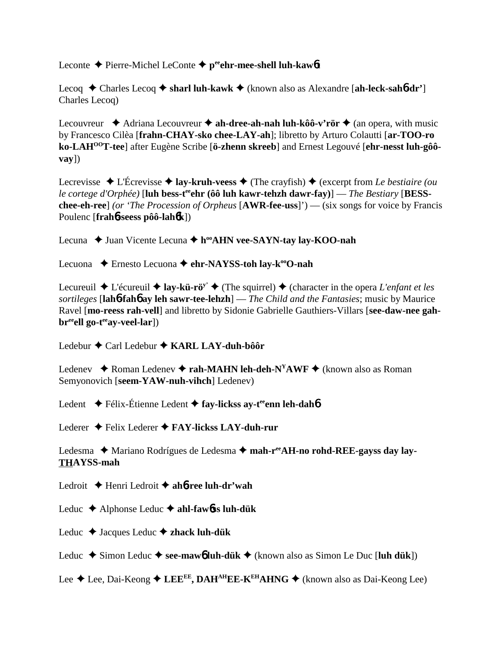Leconte **→** Pierre-Michel LeConte → peehr-mee-shell luh-kaw6**t** 

Lecoq Charles Lecoq **sharl luh-kawk** (known also as Alexandre [**ah-leck-sah**6**-dr'**] Charles Lecoq)

Lecouvreur  $\triangleq$  Adriana Lecouvreur  $\triangleq$  ah-dree-ah-nah luh-kôô-v'rör  $\triangleq$  (an opera, with music by Francesco Cilèa [**frahn-CHAY-sko chee-LAY-ah**]; libretto by Arturo Colautti [**ar-TOO-ro** ko-LAH<sup>00</sup>T-tee] after Eugène Scribe [ö-zhenn skreeb] and Ernest Legouvé [ehr-nesst luh-gôô**vay**])

Lecrevisse  $\triangle$  L'Écrevisse  $\triangle$  **lay-kruh-veess**  $\triangle$  (The crayfish)  $\triangle$  (excerpt from *Le bestiaire (ou le cortege d'Orphée*) [**luh bess-t<sup>ee</sup>ehr (ôô luh kawr-tehzh dawr-fay**)] — *The Bestiary* [**BESSchee-eh-ree**] *(or 'The Procession of Orpheus* [**AWR-fee-uss**]') — (six songs for voice by Francis Poulenc [**frah**6**-seess pôô-lah**6**k**])

Lecuna ◆ Juan Vicente Lecuna ◆ h<sup>oo</sup>AHN vee-SAYN-tay lay-KOO-nah

Lecuona ◆ Ernesto Lecuona ◆ ehr-NAYSS-toh lay-k<sup>oo</sup>O-nah

Lecureuil  $\triangle$  L'écureuil  $\triangle$  **lay-kü-rö<sup>y'</sup>**  $\triangle$  (The squirrel)  $\triangle$  (character in the opera *L'enfant et les sortileges* [**lah**6**-fah**6 **ay leh sawr-tee-lehzh**] — *The Child and the Fantasies*; music by Maurice Ravel [**mo-reess rah-vell**] and libretto by Sidonie Gabrielle Gauthiers-Villars [**see-daw-nee gah**br<sup>ee</sup>ell go-t<sup>ee</sup>ay-veel-lar])

Ledebur Carl Ledebur **KARL LAY-duh-bôôr**

Ledenev  $\triangle$  Roman Ledenev  $\triangle$  **rah-MAHN leh-deh-N<sup>Y</sup>AWF**  $\triangle$  (known also as Roman Semyonovich [**seem-YAW-nuh-vihch**] Ledenev)

Ledent **←** Félix-Étienne Ledent ← fay-lickss ay-t<sup>ee</sup>enn leh-dah**6** 

Lederer **→** Felix Lederer **→ FAY-lickss LAY-duh-rur** 

Ledesma ◆ Mariano Rodrígues de Ledesma ◆ mah-r<sup>ee</sup>AH-no rohd-REE-gayss day lay-**THAYSS-mah**

Ledroit Henri Ledroit  **ah**6**-ree luh-dr'wah**

Leduc Alphonse Leduc **ahl-faw**6**ss luh-dük**

Leduc Jacques Leduc **zhack luh-dük**

Leduc  $\triangle$  Simon Leduc  $\triangle$  see-mawb luh-dük  $\triangle$  (known also as Simon Le Duc [luh dük])

Lee  $\triangle$  Lee, Dai-Keong  $\triangle$  LEE<sup>EE</sup>, DAH<sup>AH</sup>EE-K<sup>EH</sup>AHNG  $\triangle$  (known also as Dai-Keong Lee)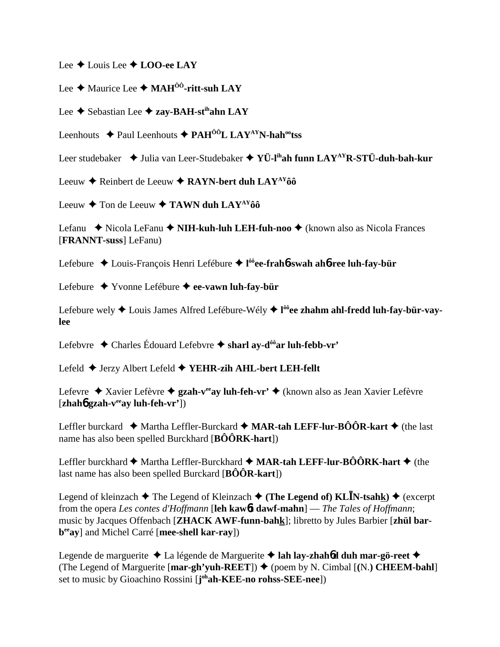Lee **↓** Louis Lee **↓ LOO-ee LAY** 

Lee **→** Maurice Lee ◆ MAH<sup>ÔÔ</sup>-ritt-suh LAY

Lee **←** Sebastian Lee ← zay-BAH-st<sup>ih</sup>ahn LAY

Leenhouts  $\triangle$  Paul Leenhouts  $\triangle$  PAH<sup>ôô</sup>L LAY<sup>AY</sup>N-hah<sup>oo</sup>tss

Leer studebaker **→** Julia van Leer-Studebaker → YÜ-l<sup>ih</sup>ah funn LAY<sup>AY</sup>R-STÜ-duh-bah-kur

Leeuw **→** Reinbert de Leeuw ◆ RAYN-bert duh LAY<sup>AY</sup>ôô

Leeuw **→** Ton de Leeuw → TAWN duh LAY<sup>AY</sup>ôô

Lefanu ◆ Nicola LeFanu ◆ NIH-kuh-luh LEH-fuh-noo ◆ (known also as Nicola Frances [**FRANNT-suss**] LeFanu)

Lefebure Louis-François Henri Lefébure **l ôôee-frah**6**-swah ah**6**-ree luh-fay-bür**

Lefebure Yvonne Lefébure **ee-vawn luh-fay-bür**

Lefebure wely ◆ Louis James Alfred Lefébure-Wély ◆ l<sup>ôô</sup>**ee zhahm ahl-fredd luh-fay-bür-vaylee**

Lefebvre Charles Édouard Lefebvre **sharl ay-dôôar luh-febb-vr'**

Lefeld Jerzy Albert Lefeld **YEHR-zih AHL-bert LEH-fellt**

Lefevre ◆ Xavier Lefèvre ◆ **gzah-v<sup>ee</sup>ay luh-feh-vr'** ◆ (known also as Jean Xavier Lefèvre [**zhah**6 **gzah-veeay luh-feh-vr'**])

Leffler burckard  $\blacklozenge$  Martha Leffler-Burckard  $\blacklozenge$  **MAR-tah LEFF-lur-BÔÔR-kart**  $\blacklozenge$  (the last name has also been spelled Burckhard [**BÔÔRK-hart**])

Leffler burckhard  $\blacklozenge$  Martha Leffler-Burckhard  $\blacklozenge$  **MAR-tah LEFF-lur-BÔÔRK-hart**  $\blacklozenge$  (the last name has also been spelled Burckard [**BÔÔR-kart**])

Legend of kleinzach  $\blacklozenge$  The Legend of Kleinzach  $\blacklozenge$  (The Legend of) KL**I**N-tsahk)  $\blacklozenge$  (excerpt from the opera *Les contes d'Hoffmann* [**leh kaw**6**t dawf-mahn**] — *The Tales of Hoffmann*; music by Jacques Offenbach [**ZHACK AWF-funn-bahk**]; libretto by Jules Barbier [**zhül barbeeay**] and Michel Carré [**mee-shell kar-ray**])

Legende de marguerite La légende de Marguerite **lah lay-zhah**6**d duh mar-gö-reet** (The Legend of Marguerite  $[\text{mar-gh' yuh-REF}]\blacklozenge$  (poem by N. Cimbal  $[(N.)]$  CHEEM-bahl set to music by Gioachino Rossini [**j ohah-KEE-no rohss-SEE-nee**])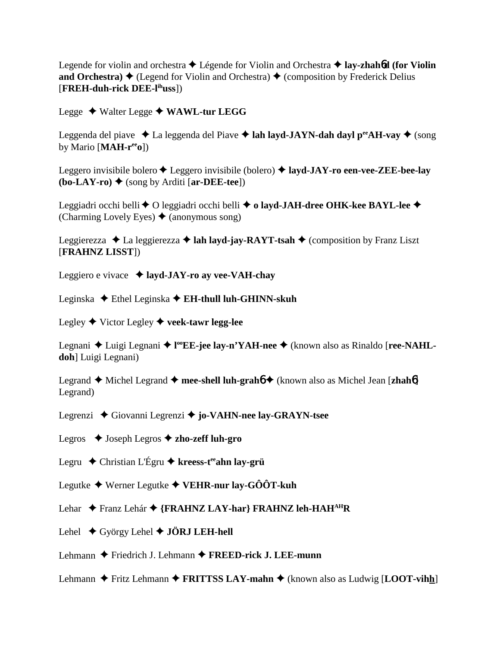Legende for violin and orchestra  $\triangle$  Légende for Violin and Orchestra  $\triangle$  **lay-zhah6d (for Violin and Orchestra)**  $\blacklozenge$  (Legend for Violin and Orchestra)  $\blacklozenge$  (composition by Frederick Delius [**FREH-duh-rick DEE-lihuss**])

Legge Walter Legge **WAWL-tur LEGG**

Leggenda del piave  $\triangle$  La leggenda del Piave  $\triangle$  lah layd-JAYN-dah dayl p<sup>ee</sup>AH-vay  $\triangle$  (song by Mario [**MAH-reeo**])

Leggero invisibile bolero Leggero invisibile (bolero) **layd-JAY-ro een-vee-ZEE-bee-lay**  $(bo-LAY-ro)$   $\leftrightarrow$  (song by Arditi [ar-DEE-tee])

Leggiadri occhi belli ◆ O leggiadri occhi belli ◆ **o layd-JAH-dree OHK-kee BAYL-lee ◆** (Charming Lovely Eyes)  $\triangle$  (anonymous song)

Leggierezza  $\triangleleft$  La leggierezza  $\triangleleft$  **lah layd-jay-RAYT-tsah**  $\triangleleft$  (composition by Franz Liszt [**FRAHNZ LISST**])

Leggiero e vivace **layd-JAY-ro ay vee-VAH-chay**

Leginska ◆ Ethel Leginska ◆ **EH-thull luh-GHINN-skuh** 

Legley Victor Legley **veek-tawr legg-lee**

Legnani ◆ Luigi Legnani ◆ l<sup>oo</sup>EE-jee lay-n'YAH-nee ◆ (known also as Rinaldo [ree-NAHL**doh**] Luigi Legnani)

Legrand **→** Michel Legrand → mee-shell luh-grahó → (known also as Michel Jean [zhahó] Legrand)

Legrenzi Giovanni Legrenzi **jo-VAHN-nee lay-GRAYN-tsee**

Legros Joseph Legros **zho-zeff luh-gro**

Legru Christian L'Égru **kreess-teeahn lay-grü**

Legutke Werner Legutke **VEHR-nur lay-GÔÔT-kuh**

Lehar Franz Lehár **{FRAHNZ LAY-har} FRAHNZ leh-HAHAHR**

Lehel **→** György Lehel ◆ **JÖRJ LEH-hell** 

Lehmann ◆ Friedrich J. Lehmann ◆ **FREED-rick J. LEE-munn** 

Lehmann  $\triangle$  Fritz Lehmann  $\triangle$  **FRITTSS LAY-mahn**  $\triangle$  (known also as Ludwig [**LOOT-vihh**]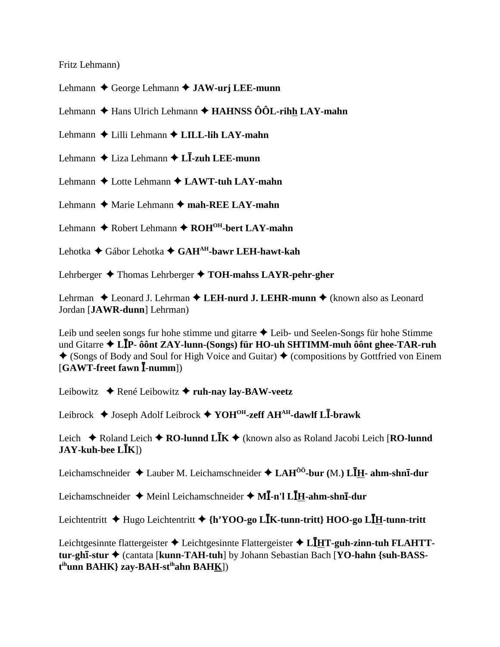Fritz Lehmann)

Lehmann **←** George Lehmann ← **JAW-urj LEE-munn** 

Lehmann **←** Hans Ulrich Lehmann ← **HAHNSS ÔÔL-rihh LAY-mahn** 

Lehmann Lilli Lehmann **LILL-lih LAY-mahn**

Lehmann ♦ Liza Lehmann ♦ L**I-zuh LEE-munn** 

Lehmann **◆** Lotte Lehmann ◆ **LAWT-tuh LAY-mahn** 

Lehmann **→** Marie Lehmann → mah-REE LAY-mahn

Lehmann ◆ Robert Lehmann ◆ ROH<sup>OH</sup>-bert LAY-mahn

Lehotka Gábor Lehotka **GAHAH-bawr LEH-hawt-kah**

Lehrberger **→** Thomas Lehrberger → **TOH-mahss LAYR-pehr-gher** 

Lehrman ◆ Leonard J. Lehrman ◆ LEH-nurd J. LEHR-munn ◆ (known also as Leonard Jordan [**JAWR-dunn**] Lehrman)

Leib und seelen songs fur hohe stimme und gitarre  $\triangle$  Leib- und Seelen-Songs für hohe Stimme und Gitarre **LP- ôônt ZAY-lunn-(Songs) für HO-uh SHTIMM-muh ôônt ghee-TAR-ruh**  $\triangle$  (Songs of Body and Soul for High Voice and Guitar)  $\triangle$  (compositions by Gottfried von Einem [**GAWT-freet fawn -numm**])

Leibowitz ◆ René Leibowitz ◆ ruh-nay lay-BAW-veetz

Leibrock Joseph Adolf Leibrock **YOHOH-zeff AHAH-dawlf L-brawk**

Leich **→** Roland Leich **→ RO-lunnd LĪK** → (known also as Roland Jacobi Leich [**RO-lunnd JAY-kuh-bee LK**])

Leichamschneider ◆ Lauber M. Leichamschneider ◆ LAH<sup>ôô</sup>-bur (M.) LĪ<u>H</u>- ahm-shnī-dur

Leichamschneider ♦ Meinl Leichamschneider ♦ MĪ-n'l LĪ<u>H</u>-ahm-shnī-dur

Leichtentritt Hugo Leichtentritt **{h'YOO-go LK-tunn-tritt} HOO-go LH-tunn-tritt**

Leichtgesinnte flattergeister ◆ Leichtgesinnte Flattergeister ◆ L**IHT-guh-zinn-tuh FLAHTT**tur-ghi-stur ◆ (cantata [kunn-TAH-tuh] by Johann Sebastian Bach [YO-hahn {suh-BASS**t ihunn BAHK} zay-BAH-stihahn BAHK**])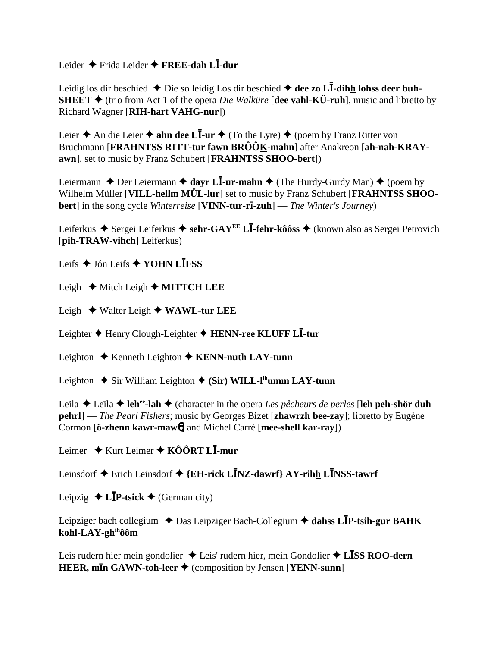Leider Frida Leider **FREE-dah L-dur**

Leidig los dir beschied  $\blacklozenge$  Die so leidig Los dir beschied  $\blacklozenge$  dee zo L**I**-dihh lohss deer buh-**SHEET**  $\blacklozenge$  (trio from Act 1 of the opera *Die Walküre* [dee vahl-KÜ-ruh], music and libretto by Richard Wagner [**RIH-hart VAHG-nur**])

Leier **→** An die Leier **→ ahn dee LI-ur →** (To the Lyre) ◆ (poem by Franz Ritter von Bruchmann [**FRAHNTSS RITT-tur fawn BRÔÔK-mahn**] after Anakreon [**ah-nah-KRAYawn**], set to music by Franz Schubert [**FRAHNTSS SHOO-bert**])

Leiermann  $\triangle$  Der Leiermann  $\triangle$  dayr L**I**-ur-mahn  $\triangle$  (The Hurdy-Gurdy Man)  $\triangle$  (poem by Wilhelm Müller [**VILL-hellm MÜL-lur**] set to music by Franz Schubert [**FRAHNTSS SHOObert**] in the song cycle *Winterreise* [**VINN-tur-rī-zuh**] — *The Winter's Journey*)

Leiferkus ◆ Sergei Leiferkus ◆ sehr-GAY<sup>EE</sup> L**I-fehr-kôôss** ◆ (known also as Sergei Petrovich [**pih-TRAW-vihch**] Leiferkus)

Leifs Jón Leifs **YOHN LFSS**

Leigh  $\triangle$  Mitch Leigh  $\triangle$  **MITTCH LEE** 

Leigh **→** Walter Leigh ◆ WAWL-tur LEE

Leighter Henry Clough-Leighter **HENN-ree KLUFF L-tur**

Leighton **←** Kenneth Leighton ← **KENN-nuth LAY-tunn** 

Leighton  $\triangle$  Sir William Leighton  $\triangle$  (Sir) WILL-l<sup>ih</sup>umm LAY-tunn

Leila **→** Leïla → leh<sup>ee</sup>-lah → (character in the opera *Les pêcheurs de perles* [leh peh-shör duh **pehrl**] — *The Pearl Fishers*; music by Georges Bizet [**zhawrzh bee-zay**]; libretto by Eugène Cormon [**ö-zhenn kawr-maw**6] and Michel Carré [**mee-shell kar-ray**])

Leimer ◆ Kurt Leimer ◆ KÔÔRT L**Ī-mur** 

Leinsdorf **→** Erich Leinsdorf → {EH-rick L**I**NZ-dawrf} AY-rihh L**I**NSS-tawrf

Leipzig  $\triangle$  **LIP-tsick**  $\triangle$  (German city)

Leipziger bach collegium **→** Das Leipziger Bach-Collegium → dahss L**IP-tsih-gur BAHK kohl-LAY-ghihôôm**

Leis rudern hier mein gondolier ◆ Leis' rudern hier, mein Gondolier ◆ L**ISS ROO-dern HEER, min GAWN-toh-leer ♦** (composition by Jensen [**YENN-sunn**]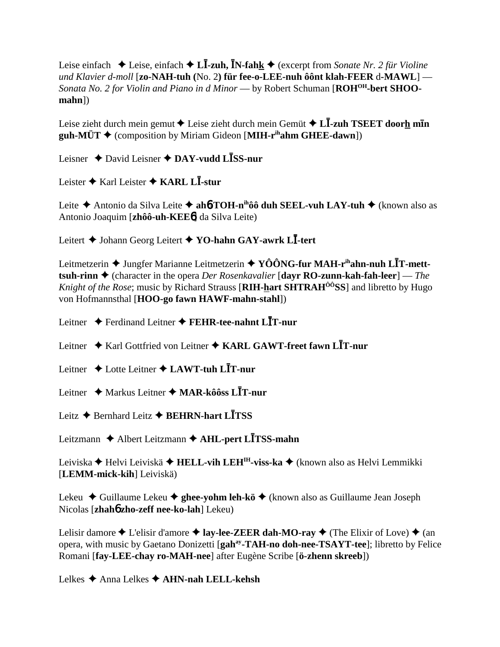Leise einfach ◆ Leise, einfach ◆ **LĪ-zuh, ĪN-fahk** ◆ (excerpt from *Sonate Nr. 2 für Violine und Klavier d-moll* [**zo-NAH-tuh (**No. 2**) für fee-o-LEE-nuh ôônt klah-FEER** d**-MAWL**] — *Sonata No. 2 for Violin and Piano in d Minor* — by Robert Schuman [ $ROH^{OH}$ -bert SHOO**mahn**])

Leise zieht durch mein gemut ◆ Leise zieht durch mein Gemüt ◆ L**Ī-zuh TSEET door<u>h</u> mīn guh-MÜT**  $\triangle$  (composition by Miriam Gideon [MIH- $\mathbf{r}^{\text{ih}}$ **ahm GHEE-dawn**])

Leisner David Leisner **DAY-vudd LSS-nur**

Leister **→** Karl Leister ◆ **KARL LI**-stur

Leite Antonio da Silva Leite **ah**6**-TOH-nihôô duh SEEL-vuh LAY-tuh** (known also as Antonio Joaquim [**zhôô-uh-KEE**6] da Silva Leite)

Leitert Johann Georg Leitert **YO-hahn GAY-awrk L-tert**

Leitmetzerin ◆ Jungfer Marianne Leitmetzerin ◆ YÔÔNG-fur MAH-r<sup>ih</sup>ahn-nuh L**I**T-mett**tsuh-rinn ♦** (character in the opera *Der Rosenkavalier* [**dayr RO-zunn-kah-fah-leer**] — *The Knight of the Rose*; music by Richard Strauss [RIH-hart SHTRAH<sup>00</sup>SS] and libretto by Hugo von Hofmannsthal [**HOO-go fawn HAWF-mahn-stahl**])

Leitner Ferdinand Leitner **FEHR-tee-nahnt LT-nur**

Leitner ◆ Karl Gottfried von Leitner ◆ KARL GAWT-freet fawn L**I**T-nur

Leitner Lotte Leitner **LAWT-tuh LT-nur**

Leitner Markus Leitner **MAR-kôôss LT-nur**

Leitz **→** Bernhard Leitz **→ BEHRN-hart LTSS** 

Leitzmann Albert Leitzmann **AHL-pert LTSS-mahn**

Leiviska Helvi Leiviskä **HELL-vih LEHIH-viss-ka** (known also as Helvi Lemmikki [**LEMM-mick-kih**] Leiviskä)

Lekeu Guillaume Lekeu **ghee-yohm leh-kö** (known also as Guillaume Jean Joseph Nicolas [**zhah**6 **zho-zeff nee-ko-lah**] Lekeu)

Lelisir damore  $\triangle$  L'elisir d'amore  $\triangle$  **lay-lee-ZEER dah-MO-ray**  $\triangle$  (The Elixir of Love)  $\triangle$  (an opera, with music by Gaetano Donizetti [gah<sup>ay</sup>-TAH-no doh-nee-TSAYT-tee]; libretto by Felice Romani [**fay-LEE-chay ro-MAH-nee**] after Eugène Scribe [**ö-zhenn skreeb**])

Lelkes **→** Anna Lelkes ◆ **AHN-nah LELL-kehsh**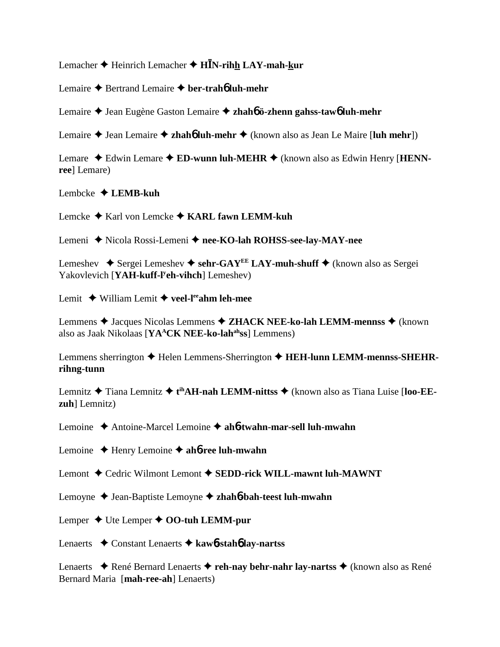Lemacher Heinrich Lemacher **HN-rihh LAY-mah-kur**

Lemaire **→** Bertrand Lemaire **→ ber-trah<sup>6</sup> luh-mehr** 

Lemaire Jean Eugène Gaston Lemaire **zhah**6 **ö-zhenn gahss-taw**6 **luh-mehr**

Lemaire ◆ Jean Lemaire ◆ zhah**6** luh-mehr ◆ (known also as Jean Le Maire [luh mehr])

Lemare  $\triangle$  Edwin Lemare  $\triangle$  **ED-wunn luh-MEHR**  $\triangle$  (known also as Edwin Henry [**HENNree**] Lemare)

Lembcke  **LEMB-kuh**

Lemcke Karl von Lemcke **KARL fawn LEMM-kuh**

Lemeni ◆ Nicola Rossi-Lemeni ◆ nee-KO-lah ROHSS-see-lay-MAY-nee

Lemeshev  $\blacklozenge$  Sergei Lemeshev  $\blacklozenge$  sehr-GAY<sup>EE</sup> LAY-muh-shuff  $\blacklozenge$  (known also as Sergei Yakovlevich [**YAH-kuff-ly eh-vihch**] Lemeshev)

Lemit **→** William Lemit → veel-l<sup>ee</sup>ahm leh-mee

Lemmens ◆ Jacques Nicolas Lemmens ◆ ZHACK NEE-ko-lah LEMM-mennss ◆ (known also as Jaak Nikolaas [**YA<sup>A</sup>CK NEE-ko-lah<sup>ah</sup>ss**] Lemmens)

Lemmens sherrington **→** Helen Lemmens-Sherrington ◆ HEH-lunn LEMM-mennss-SHEHR**rihng-tunn**

Lemnitz ◆ Tiana Lemnitz ◆ t<sup>ih</sup>AH-nah LEMM-nittss ◆ (known also as Tiana Luise [loo-EE**zuh**] Lemnitz)

Lemoine Antoine-Marcel Lemoine **ah**6**-twahn-mar-sell luh-mwahn**

Lemoine Henry Lemoine **ah**6**-ree luh-mwahn**

Lemont  $\triangle$  Cedric Wilmont Lemont  $\triangle$  SEDD-rick WILL-mawnt luh-MAWNT

Lemoyne Jean-Baptiste Lemoyne **zhah**6**-bah-teest luh-mwahn**

Lemper  $\triangle$  Ute Lemper  $\triangle$  **OO-tuh LEMM-pur** 

Lenaerts Constant Lenaerts **kaw**6**-stah**6 **lay-nartss**

Lenaerts ◆ René Bernard Lenaerts ◆ reh-nay behr-nahr lay-nartss ◆ (known also as René Bernard Maria [**mah-ree-ah**] Lenaerts)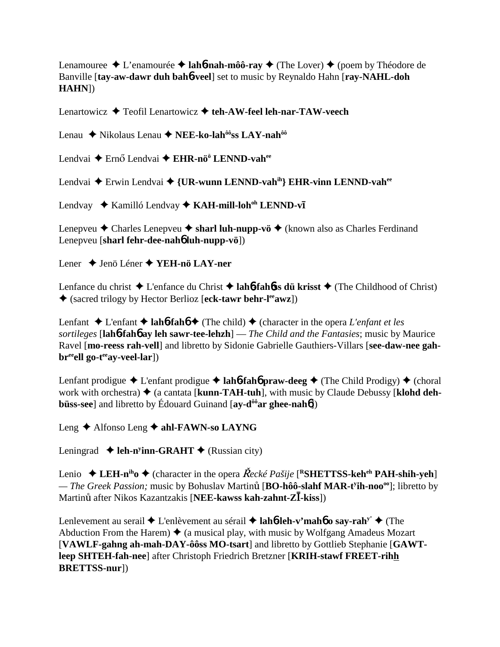Lenamouree  $\triangle$  L'enamourée  $\triangle$  **lah<sup>6</sup>-nah-môô-ray**  $\triangle$  (The Lover)  $\triangle$  (poem by Théodore de Banville [**tay-aw-dawr duh bah**6**-veel**] set to music by Reynaldo Hahn [**ray-NAHL-doh HAHN**])

Lenartowicz Teofil Lenartowicz **teh-AW-feel leh-nar-TAW-veech**

Lenau ◆ Nikolaus Lenau ◆ NEE-ko-lah<sup>ôô</sup>ss LAY-nah<sup>ôô</sup>

Lendvai ◆ Ernő Lendvai ◆ EHR-nö<sup>ö</sup> LENND-vah<sup>ee</sup>

Lendvai ◆ Erwin Lendvai ◆ {**UR-wunn LENND-vah<sup>ih</sup>} EHR-vinn LENND-vah<sup>ee</sup>** 

Lendvay ◆ Kamilló Lendvay ◆ KAH-mill-loh<sup>oh</sup> LENND-vī

Lenepveu  $\triangle$  Charles Lenepveu  $\triangle$  sharl luh-nupp-vö  $\triangle$  (known also as Charles Ferdinand Lenepveu [**sharl fehr-dee-nah**6 **luh-nupp-vö**])

Lener Jenö Léner **YEH-nö LAY-ner**

Lenfance du christ **◆** L'enfance du Christ **◆ lah6-fah6ss dü krisst** ◆ (The Childhood of Christ) (sacred trilogy by Hector Berlioz [**eck-tawr behr-leeawz**])

Lenfant  $\triangle$  L'enfant  $\triangle$  **lah<sup>6</sup>-fah<sup>6</sup>**  $\triangle$  (The child)  $\triangle$  (character in the opera *L'enfant et les sortileges* [**lah**6**-fah**6 **ay leh sawr-tee-lehzh**] — *The Child and the Fantasies*; music by Maurice Ravel [**mo-reess rah-vell**] and libretto by Sidonie Gabrielle Gauthiers-Villars [**see-daw-nee gah**br<sup>ee</sup>ell go-t<sup>ee</sup>ay-veel-lar])

Lenfant prodigue  $\triangle$  L'enfant prodigue  $\triangle$  **lah<sup>6</sup>-fah<sup>6</sup> praw-deeg**  $\triangle$  (The Child Prodigy)  $\triangle$  (choral work with orchestra)  $\triangle$  (a cantata [kunn-TAH-tuh], with music by Claude Debussy [klohd deh**büss-see**] and libretto by Édouard Guinand [ay-d<sup>ôô</sup>ar ghee-nah**6**])

Leng **←** Alfonso Leng ← ahl-FAWN-so LAYNG

Leningrad ◆ leh-n<sup>y</sup>inn-GRAHT ◆ (Russian city)

Lenio  $\triangle$  LEH-n<sup>ih</sup>o  $\triangle$  (character in the opera *Řecké Pašije* [<sup>R</sup>SHETTSS-keh<sup>eh</sup> PAH-shih-yeh] — The Greek Passion; music by Bohuslav Martinu<sup>t</sup> [BO-hôô-slahf MAR-t<sup>y</sup>ih-noo<sup>oo</sup>]; libretto by Martinu<sup>t</sup> after Nikos Kazantzakis [**NEE-kawss kah-zahnt-ZI**-kiss])

Lenlevement au serail **→** L'enlèvement au sérail **→ lah<sup>6</sup>-leh-v'mah<sup>6</sup> o say-rah<sup>y'</sup> →** (The Abduction From the Harem)  $\triangleq$  (a musical play, with music by Wolfgang Amadeus Mozart [**VAWLF-gahng ah-mah-DAY-ôôss MO-tsart**] and libretto by Gottlieb Stephanie [**GAWTleep SHTEH-fah-nee**] after Christoph Friedrich Bretzner [**KRIH-stawf FREET-rihh BRETTSS-nur**])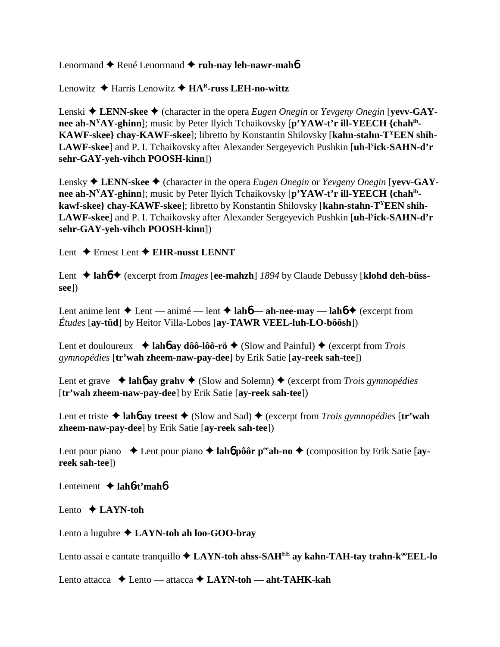Lenormand ◆ René Lenormand ◆ ruh-nay leh-nawr-mah**6** 

Lenowitz Harris Lenowitz **HAR-russ LEH-no-wittz**

Lenski ◆ LENN-skee ◆ (character in the opera *Eugen Onegin* or *Yevgeny Onegin* [**yevv-GAYnee ah-NYAY-ghinn**]; music by Peter Ilyich Tchaikovsky [**p'YAW-t'r ill-YEECH {chahih-KAWF-skee} chay-KAWF-skee**]; libretto by Konstantin Shilovsky [**kahn-stahn-TYEEN shih-LAWF-skee**] and P. I. Tchaikovsky after Alexander Sergeyevich Pushkin [**uh-ly ick-SAHN-d'r sehr-GAY-yeh-vihch POOSH-kinn**])

Lensky **→ LENN-skee →** (character in the opera *Eugen Onegin* or *Yevgeny Onegin* [**yevv-GAYnee ah-NYAY-ghinn**]; music by Peter Ilyich Tchaikovsky [**p'YAW-t'r ill-YEECH {chahihkawf-skee} chay-KAWF-skee**]; libretto by Konstantin Shilovsky [**kahn-stahn-TYEEN shih-LAWF-skee**] and P. I. Tchaikovsky after Alexander Sergeyevich Pushkin [**uh-ly ick-SAHN-d'r sehr-GAY-yeh-vihch POOSH-kinn**])

Lent **↓** Ernest Lent **◆ EHR-nusst LENNT** 

Lent **→ lah<sup>6</sup> → (excerpt from** *Images* **[ee-mahzh]** *1894* **by Claude Debussy [klohd deh-büsssee**])

Lent anime lent  $\triangle$  Lent — anime — lent  $\triangle$  **lah<sub>6</sub>** — **ah-nee-may — lah<sub>6</sub>**  $\triangle$  (excerpt from *Études* [**ay-tüd**] by Heitor Villa-Lobos [**ay-TAWR VEEL-luh-LO-bôôsh**])

Lent et douloureux  $\rightarrow$  lah**6** ay dôô-lôô-rö  $\rightarrow$  (Slow and Painful)  $\rightarrow$  (excerpt from *Trois gymnopédies* [**tr'wah zheem-naw-pay-dee**] by Erik Satie [**ay-reek sah-tee**])

Lent et grave  $\triangleleft$  lah**b** ay grahv  $\triangleleft$  (Slow and Solemn)  $\triangleleft$  (excerpt from *Trois gymnopédies* [**tr'wah zheem-naw-pay-dee**] by Erik Satie [**ay-reek sah-tee**])

Lent et triste  $\triangle$  lah**6** ay treest  $\triangle$  (Slow and Sad)  $\triangle$  (excerpt from *Trois gymnopédies* [tr'wah **zheem-naw-pay-dee**] by Erik Satie [**ay-reek sah-tee**])

Lent pour piano  $\triangleleft$  Lent pour piano  $\triangleleft$  **lahb** pôôr p<sup>ee</sup> ah-no  $\triangleleft$  (composition by Erik Satie [ay**reek sah-tee**])

Lentement **lah**6**-t'mah**6

Lento **LAYN-toh**

Lento a lugubre **↓ LAYN-toh ah loo-GOO-bray** 

Lento assai e cantate tranquillo  $\triangle$  **LAYN-toh ahss-SAH<sup>EE</sup> ay kahn-TAH-tay trahn-k<sup>oo</sup>EEL-lo** 

Lento attacca **→** Lento — attacca **→ LAYN-toh — aht-TAHK-kah**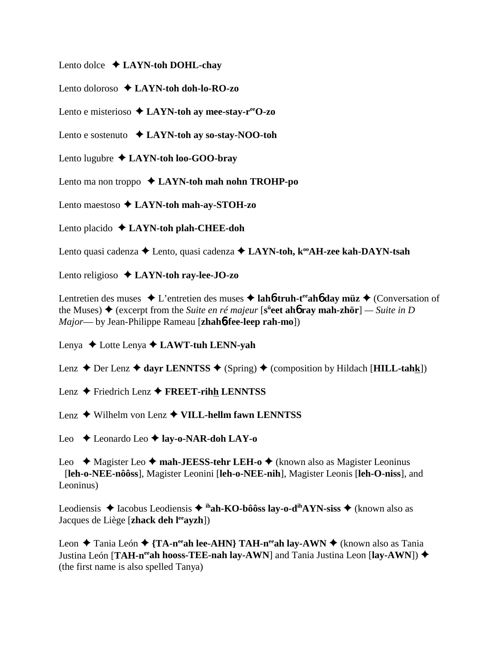Lento dolce **LAYN-toh DOHL-chay**

Lento doloroso **LAYN-toh doh-lo-RO-zo**

Lento e misterioso **LAYN-toh ay mee-stay-reeO-zo**

Lento e sostenuto **LAYN-toh ay so-stay-NOO-toh**

Lento lugubre **LAYN-toh loo-GOO-bray**

Lento ma non troppo **LAYN-toh mah nohn TROHP-po**

Lento maestoso **LAYN-toh mah-ay-STOH-zo**

Lento placido **LAYN-toh plah-CHEE-doh**

Lento quasi cadenza **→** Lento, quasi cadenza ◆ LAYN-toh, k<sup>oo</sup>AH-zee kah-DAYN-tsah

Lento religioso **↓ LAYN-toh ray-lee-JO-zo** 

Lentretien des muses  $\triangle$  L'entretien des muses  $\triangle$  lah**6-truh-t<sup>ee</sup>ah<sup>6</sup> day müz**  $\triangle$  (Conversation of the Muses) ◆ (excerpt from the *Suite en ré majeur* [s<sup>ü</sup>eet ah**ó ray mah-zhör**] — *Suite in D Major*— by Jean-Philippe Rameau [**zhah**6**-fee-leep rah-mo**])

Lenya Lotte Lenya **LAWT-tuh LENN-yah**

Lenz  $\triangle$  Der Lenz  $\triangle$  dayr LENNTSS  $\triangle$  (Spring)  $\triangle$  (composition by Hildach [**HILL-tahk**])

Lenz **←** Friedrich Lenz ← FREET-rihh LENNTSS

Lenz Wilhelm von Lenz **VILL-hellm fawn LENNTSS**

Leo Leonardo Leo **lay-o-NAR-doh LAY-o**

Leo ◆ Magister Leo ◆ mah-JEESS-tehr LEH-o ◆ (known also as Magister Leoninus [**leh-o-NEE-nôôss**], Magister Leonini [**leh-o-NEE-nih**], Magister Leonis [**leh-O-niss**], and Leoninus)

Leodiensis **→** Iacobus Leodiensis → <sup>ih</sup>ah-KO-bôôss lay-o-d<sup>ih</sup>AYN-siss → (known also as Jacques de Liège [**zhack deh l<sup>ee</sup>ayzh**])

Leon  $\triangle$  Tania León  $\triangle$  {TA-n<sup>ee</sup>ah lee-AHN} TAH-n<sup>ee</sup>ah lay-AWN  $\triangle$  (known also as Tania Justina León [TAH-n<sup>ee</sup>ah hooss-TEE-nah lay-AWN] and Tania Justina Leon [lay-AWN]) ◆ (the first name is also spelled Tanya)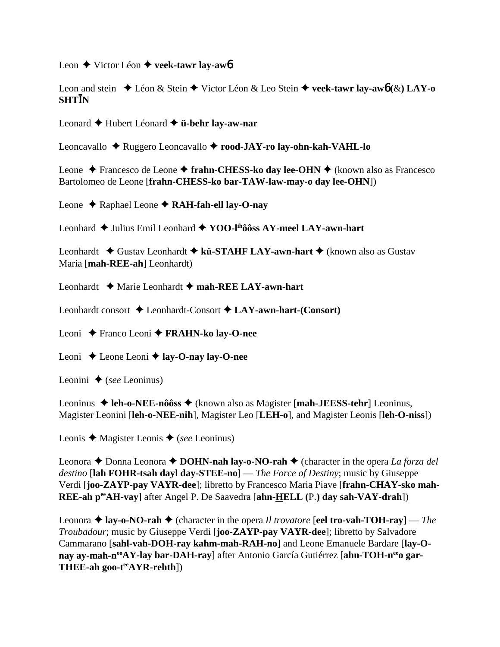Leon **←** Victor Léon ← veek-tawr lay-aw<sub>6</sub>

Leon and stein Léon & Stein Victor Léon & Leo Stein **veek-tawr lay-aw**6 **(**&**) LAY-o SHTN**

Leonard Hubert Léonard **ü-behr lay-aw-nar**

Leoncavallo Ruggero Leoncavallo **rood-JAY-ro lay-ohn-kah-VAHL-lo**

Leone ◆ Francesco de Leone ◆ frahn-CHESS-ko day lee-OHN ◆ (known also as Francesco Bartolomeo de Leone [**frahn-CHESS-ko bar-TAW-law-may-o day lee-OHN**])

Leone Raphael Leone **RAH-fah-ell lay-O-nay**

Leonhard **→** Julius Emil Leonhard → **YOO-l<sup>ih</sup>ôôss AY-meel LAY-awn-hart** 

Leonhardt ◆ Gustav Leonhardt ◆ kü-STAHF LAY-awn-hart ◆ (known also as Gustav Maria [**mah-REE-ah**] Leonhardt)

Leonhardt Marie Leonhardt **mah-REE LAY-awn-hart**

Leonhardt consort  $\triangle$  Leonhardt-Consort  $\triangle$  LAY-awn-hart-(Consort)

Leoni Franco Leoni **FRAHN-ko lay-O-nee**

Leoni Leone Leoni **lay-O-nay lay-O-nee**

Leonini  $\triangle$  (*see* Leoninus)

Leoninus ◆ leh-o-NEE-nôôss ◆ (known also as Magister [mah-JEESS-tehr] Leoninus, Magister Leonini [**leh-o-NEE-nih**], Magister Leo [**LEH-o**], and Magister Leonis [**leh-O-niss**])

Leonis Magister Leonis (*see* Leoninus)

Leonora ◆ Donna Leonora ◆ **DOHN-nah lay-o-NO-rah** ◆ (character in the opera *La forza del destino* [**lah FOHR-tsah dayl day-STEE-no**] — *The Force of Destiny*; music by Giuseppe Verdi [**joo-ZAYP-pay VAYR-dee**]; libretto by Francesco Maria Piave [**frahn-CHAY-sko mah-REE-ah peeAH-vay**] after Angel P. De Saavedra [**ahn-HELL (**P.**) day sah-VAY-drah**])

Leonora  $\triangle$  lay-o-NO-rah  $\triangle$  (character in the opera *Il trovatore* [eel tro-vah-TOH-ray] — *The Troubadour*; music by Giuseppe Verdi [**joo-ZAYP-pay VAYR-dee**]; libretto by Salvadore Cammarano [**sahl-vah-DOH-ray kahm-mah-RAH-no**] and Leone Emanuele Bardare [**lay-O**nay ay-mah-n<sup>oo</sup>AY-lay bar-DAH-ray] after Antonio García Gutiérrez [ahn-TOH-n<sup>ee</sup>o gar-**THEE-ah goo-teeAYR-rehth**])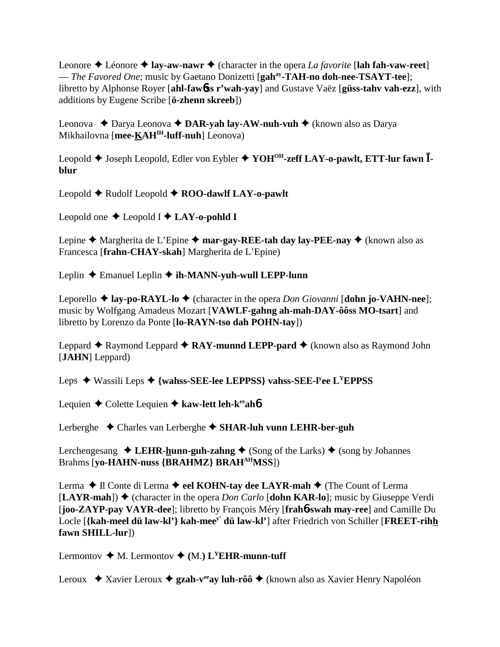Leonore  $\triangle$  Léonore  $\triangle$  **lay-aw-nawr**  $\triangle$  (character in the opera *La favorite* [lah fah-vaw-reet] — *The Favored One*; music by Gaetano Donizetti [**gahay-TAH-no doh-nee-TSAYT-tee**]; libretto by Alphonse Royer [**ahl-faw**6**ss r'wah-yay**] and Gustave Vaëz [**güss-tahv vah-ezz**], with additions by Eugene Scribe [**ö-zhenn skreeb**])

Leonova  **→** Darya Leonova **→ DAR-yah lay-AW-nuh-vuh →** (known also as Darya Mikhailovna [**mee-KAHIH-luff-nuh**] Leonova)

Leopold Joseph Leopold, Edler von Eybler **YOHOH-zeff LAY-o-pawlt, ETT-lur fawn blur**

Leopold ♦ Rudolf Leopold ♦ ROO-dawlf LAY-o-pawlt

Leopold one  $\triangle$  Leopold I  $\triangle$  LAY-o-pohld I

Lepine  $\triangle$  Margherita de L'Epine  $\triangle$  mar-gay-REE-tah day lay-PEE-nay  $\triangle$  (known also as Francesca [**frahn-CHAY-skah**] Margherita de L'Epine)

Leplin Emanuel Leplin **ih-MANN-yuh-wull LEPP-lunn**

Leporello  $\triangle$  **lay-po-RAYL-lo**  $\triangle$  (character in the opera *Don Giovanni* [**dohn jo-VAHN-nee**]; music by Wolfgang Amadeus Mozart [**VAWLF-gahng ah-mah-DAY-ôôss MO-tsart**] and libretto by Lorenzo da Ponte [**lo-RAYN-tso dah POHN-tay**])

Leppard  $\triangle$  Raymond Leppard  $\triangle$  **RAY-munnd LEPP-pard**  $\triangle$  (known also as Raymond John [**JAHN**] Leppard)

Leps ◆ Wassili Leps ◆ {wahss-SEE-lee LEPPSS} vahss-SEE-l<sup>y</sup>ee L<sup>Y</sup>EPPSS

Lequien **←** Colette Lequien ← kaw-lett leh-k<sup>ee</sup>ah**6** 

Lerberghe Charles van Lerberghe **SHAR-luh vunn LEHR-ber-guh** 

Lerchengesang  $\triangle$  LEHR-hunn-guh-zahng  $\triangle$  (Song of the Larks)  $\triangle$  (song by Johannes Brahms [**yo-HAHN-nuss {BRAHMZ} BRAHAHMSS**])

Lerma **→** Il Conte di Lerma → eel KOHN-tay dee LAYR-mah → (The Count of Lerma  $[**LAYR-mah**]$   $\blacklozenge$  (character in the opera *Don Carlo* [dohn KAR-lo]; music by Giuseppe Verdi [**joo-ZAYP-pay VAYR-dee**]; libretto by François Méry [**frah**6**-swah may-ree**] and Camille Du Locle [**{kah-meel dü law-kl'} kah-meey' dü law-kl'**] after Friedrich von Schiller [**FREET-rihh fawn SHILL-lur**])

Lermontov  $\blacklozenge M$ . Lermontov  $\blacklozenge (M)$ . L<sup>Y</sup>EHR-munn-tuff

Leroux ◆ Xavier Leroux ◆ gzah-v<sup>ee</sup>ay luh-rôô ◆ (known also as Xavier Henry Napoléon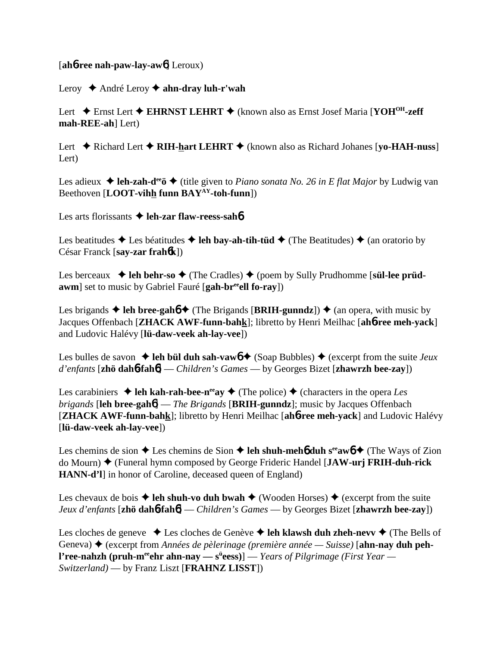## [**ah**6**-ree nah-paw-lay-aw**6] Leroux)

## Leroy André Leroy **ahn-dray luh-r'wah**

Lert **→** Ernst Lert ◆ EHRNST LEHRT ◆ (known also as Ernst Josef Maria [YOH<sup>OH</sup>-zeff **mah-REE-ah**] Lert)

Lert  $\blacklozenge$  Richard Lert  $\blacklozenge$  **RIH-hart LEHRT**  $\blacklozenge$  (known also as Richard Johanes [yo-**HAH-nuss**] Lert)

Les adieux **→ leh-zah-d<sup>ee</sup>ö →** (title given to *Piano sonata No. 26 in E flat Major* by Ludwig van Beethoven [**LOOT-vihh funn BAYAY-toh-funn**])

Les arts florissants **→ leh-zar flaw-reess-sah6** 

Les beatitudes  $\triangle$  Les béatitudes  $\triangle$  leh bay-ah-tih-tüd  $\triangle$  (The Beatitudes)  $\triangle$  (an oratorio by César Franck [**say-zar frah**6**k**])

Les berceaux  $\rightarrow$  leh behr-so  $\rightarrow$  (The Cradles)  $\rightarrow$  (poem by Sully Prudhomme [s**ül-lee prüdawm**] set to music by Gabriel Fauré [**gah-br<sup>ee</sup>ell fo-ray**])

Les brigands  $\blacklozenge$  leh bree-gah $6 \blacklozenge$  (The Brigands [BRIH-gunndz])  $\blacklozenge$  (an opera, with music by Jacques Offenbach [**ZHACK AWF-funn-bahk**]; libretto by Henri Meilhac [**ah**6**-ree meh-yack**] and Ludovic Halévy [**lü-daw-veek ah-lay-vee**])

Les bulles de savon  $\triangle$  leh bül duh sah-vaw $\phi$   $\triangle$  (Soap Bubbles)  $\triangle$  (excerpt from the suite *Jeux d'enfants* [**zhö dah**6**-fah**6] — *Children's Games* — by Georges Bizet [**zhawrzh bee-zay**])

Les carabiniers  $\triangle$  leh kah-rah-bee-n<sup>ee</sup>ay  $\triangle$  (The police)  $\triangle$  (characters in the opera *Les brigands* [**leh bree-gah**6] — *The Brigands* [**BRIH-gunndz**]; music by Jacques Offenbach [**ZHACK AWF-funn-bahk**]; libretto by Henri Meilhac [**ah**6**-ree meh-yack**] and Ludovic Halévy [**lü-daw-veek ah-lay-vee**])

Les chemins de sion  $\triangle$  Les chemins de Sion  $\triangle$  **leh shuh-meh6** duh s<sup>ee</sup>aw**6**  $\triangle$  (The Ways of Zion do Mourn) (Funeral hymn composed by George Frideric Handel [**JAW-urj FRIH-duh-rick HANN-d'l**] in honor of Caroline, deceased queen of England)

Les chevaux de bois  $\triangle$  **leh shuh-vo duh bwah**  $\triangle$  (Wooden Horses)  $\triangle$  (excerpt from the suite *Jeux d'enfants* [**zhö dah**6**-fah**6] — *Children's Games* — by Georges Bizet [**zhawrzh bee-zay**])

Les cloches de geneve  $\triangle$  Les cloches de Genève  $\triangle$  leh klawsh duh zheh-nevv  $\triangle$  (The Bells of Geneva)  $\triangle$  (excerpt from *Années de pèlerinage (première année — Suisse*) [ahn-nay duh peh**l'ree-nahzh (pruh-m<sup>ee</sup>ehr ahn-nay — s<sup>ü</sup>eess)] —** *Years of Pilgrimage (First Year — Switzerland)* — by Franz Liszt [**FRAHNZ LISST**])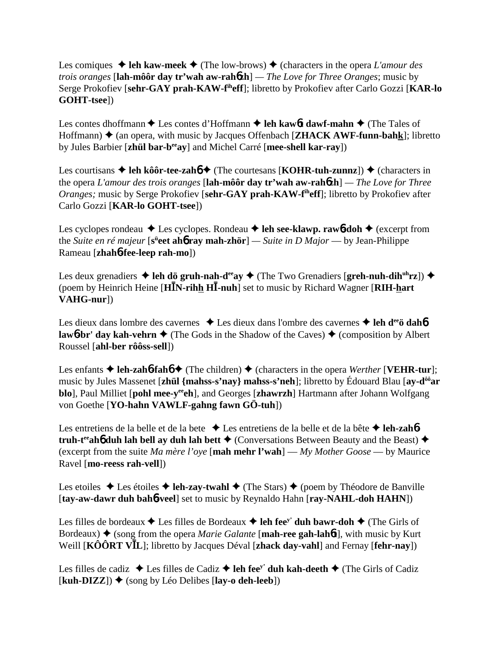# Les comiques  $\triangle$  leh kaw-meek  $\triangle$  (The low-brows)  $\triangle$  (characters in the opera *L'amour des trois oranges* [**lah-môôr day tr'wah aw-rah**6**zh**] *— The Love for Three Oranges*; music by Serge Prokofiev [**sehr-GAY prah-KAW-fiheff**]; libretto by Prokofiev after Carlo Gozzi [**KAR-lo GOHT-tsee**])

Les contes dhoffmann **→** Les contes d'Hoffmann **→ leh kaw6t dawf-mahn** → (The Tales of Hoffmann)  $\triangle$  (an opera, with music by Jacques Offenbach [**ZHACK AWF-funn-bahk**]; libretto by Jules Barbier [**zhül bar-beeay**] and Michel Carré [**mee-shell kar-ray**])

Les courtisans  $\triangle$  leh kôôr-tee-zahó  $\triangle$  (The courtesans [KOHR-tuh-zunnz])  $\triangle$  (characters in the opera *L'amour des trois oranges* [**lah-môôr day tr'wah aw-rah**6**zh**] *— The Love for Three Oranges*; music by Serge Prokofiev [sehr-GAY prah-KAW-f<sup>ih</sup>eff]; libretto by Prokofiev after Carlo Gozzi [**KAR-lo GOHT-tsee**])

Les cyclopes rondeau  $\triangle$  Les cyclopes. Rondeau  $\triangle$  leh see-klawp. rawb-doh  $\triangle$  (excerpt from the *Suite en ré majeur* [s<sup>ü</sup>eet ahb ray mah-zhör] — *Suite in D Major* — by Jean-Philippe Rameau [**zhah**6**-fee-leep rah-mo**])

Les deux grenadiers  $\triangleq$  leh dö gruh-nah-d<sup>ee</sup>ay  $\triangleq$  (The Two Grenadiers [greh-nuh-dih<sup>uh</sup>rz])  $\triangleq$ (poem by Heinrich Heine [**HN-rihh H-nuh**] set to music by Richard Wagner [**RIH-hart VAHG-nur**])

Les dieux dans lombre des cavernes  $\triangle$  Les dieux dans l'ombre des cavernes  $\triangle$  leh d<sup>ee</sup>ö dah**6 law6-br' day kah-vehrn**  $\triangleq$  (The Gods in the Shadow of the Caves)  $\triangleq$  (composition by Albert Roussel [**ahl-ber rôôss-sell**])

Les enfants  $\triangle$  **leh-zah<sup>6</sup>-fah<sup>6</sup>**  $\triangle$  (The children)  $\triangle$  (characters in the opera *Werther* [**VEHR-tur**]; music by Jules Massenet [**zhül {mahss-s'nay} mahss-s'neh**]; libretto by Édouard Blau [**ay-dôôar blo**], Paul Milliet [**pohl mee-y<sup>ee</sup>ch**], and Georges [**zhawrzh**] Hartmann after Johann Wolfgang von Goethe [**YO-hahn VAWLF-gahng fawn GÖ-tuh**])

Les entretiens de la belle et de la bete **→** Les entretiens de la belle et de la bête **→ leh-zah6 truh-t<sup>ee</sup>ah<sup>6</sup> duh lah bell ay duh lah bett**  $\triangle$  (Conversations Between Beauty and the Beast)  $\triangle$ (excerpt from the suite *Ma mère l'oye* [**mah mehr l'wah**] — *My Mother Goose* — by Maurice Ravel [**mo-reess rah-vell**])

Les etoiles  $\triangle$  Les étoiles  $\triangle$  **leh-zay-twahl**  $\triangle$  (The Stars)  $\triangle$  (poem by Théodore de Banville [**tay-aw-dawr duh bah**6**-veel**] set to music by Reynaldo Hahn [**ray-NAHL-doh HAHN**])

Les filles de bordeaux  $\triangle$  Les filles de Bordeaux  $\triangle$  leh fee<sup>y'</sup> duh bawr-doh  $\triangle$  (The Girls of Bordeaux)  $\triangle$  (song from the opera *Marie Galante* [**mah-ree gah-lah6t**], with music by Kurt Weill [**KÔÔRT VL**]; libretto by Jacques Déval [**zhack day-vahl**] and Fernay [**fehr-nay**])

Les filles de cadiz  $\triangle$  Les filles de Cadiz  $\triangle$  leh fee<sup>y</sup> duh kah-deeth  $\triangle$  (The Girls of Cadiz  $[kuh-DIZZ]$ )  $\blacklozenge$  (song by Léo Delibes  $[lay\text{-}o\text{-}deh\text{-}leeb]$ )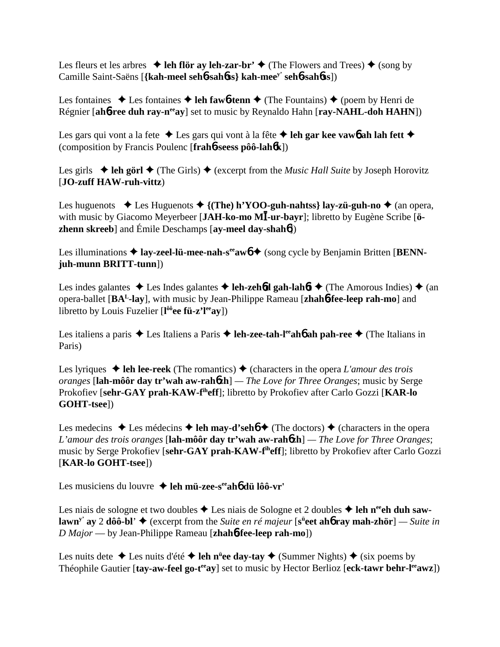Les fleurs et les arbres  $\triangleleft$  leh flör ay leh-zar-br'  $\triangleleft$  (The Flowers and Trees)  $\triangleq$  (song by Camille Saint-Saëns [**{kah-meel seh**6**-sah**6**ss} kah-meey' seh**6**-sah**6**ss**])

Les fontaines  $\triangle$  Les fontaines  $\triangle$  leh faw**6**-tenn  $\triangle$  (The Fountains)  $\triangle$  (poem by Henri de Régnier [ah**6-ree duh ray-n<sup>ee</sup>ay**] set to music by Reynaldo Hahn [ray-NAHL-doh HAHN])

Les gars qui vont a la fete  $\triangle$  Les gars qui vont à la fête  $\triangle$  leh gar kee vaw6 ah lah fett  $\triangle$ (composition by Francis Poulenc [**frah**6**-seess pôô-lah**6**k**])

Les girls  $\triangleq$  leh görl  $\triangleq$  (The Girls)  $\triangleq$  (excerpt from the *Music Hall Suite* by Joseph Horovitz [**JO-zuff HAW-ruh-vittz**)

Les huguenots  $\triangle$  Les Huguenots  $\triangle$  {(The) h'YOO-guh-nahtss} lay-zü-guh-no  $\triangle$  (an opera, with music by Giacomo Meyerbeer [JAH-ko-mo MI-ur-bayr]; libretto by Eugène Scribe [ö**zhenn skreeb**] and Émile Deschamps [**ay-meel day-shah**6])

Les illuminations  $\triangleq$  lay-zeel-lü-mee-nah-s<sup>ee</sup>aw<sub>0</sub>  $\triangleq$  (song cycle by Benjamin Britten [BENN**juh-munn BRITT-tunn**])

Les indes galantes  $\triangle$  Les Indes galantes  $\triangle$  **leh-zeh<sup>6</sup>d gah-lah<sup>6t</sup>**  $\triangle$  (The Amorous Indies)  $\triangle$  (an opera-ballet [**BAL-lay**], with music by Jean-Philippe Rameau [**zhah**6**-fee-leep rah-mo**] and libretto by Louis Fuzelier [**l ôôee fü-z'leeay**])

Les italiens a paris ◆ Les Italiens a Paris ◆ leh-zee-tah-l<sup>ee</sup>ah**6** ah pah-ree ◆ (The Italians in Paris)

Les lyriques  $\triangleleft$  leh lee-reek (The romantics)  $\triangleleft$  (characters in the opera *L'amour des trois oranges* [**lah-môôr day tr'wah aw-rah**6**zh**] *— The Love for Three Oranges*; music by Serge Prokofiev [**sehr-GAY prah-KAW-fiheff**]; libretto by Prokofiev after Carlo Gozzi [**KAR-lo GOHT-tsee**])

Les medecins  $\triangle$  Les médecins  $\triangle$  **leh may-d'seh** $6 \triangle$  (The doctors)  $\triangle$  (characters in the opera *L'amour des trois oranges* [**lah-môôr day tr'wah aw-rah**6**zh**] *— The Love for Three Oranges*; music by Serge Prokofiev [**sehr-GAY prah-KAW-fiheff**]; libretto by Prokofiev after Carlo Gozzi [**KAR-lo GOHT-tsee**])

Les musiciens du louvre **→ leh mü-zee-s<sup>ee</sup>ah6 dü lôô-vr'** 

Les niais de sologne et two doubles  $\triangle$  Les niais de Sologne et 2 doubles  $\triangle$  leh n<sup>ee</sup> ch duh saw**lawn<sup>y</sup>' ay 2 dôô-bl' ♦** (excerpt from the *Suite en ré majeur* [**s<sup>ü</sup>eet ah6 ray mah-zhör**] — *Suite in D Major* — by Jean-Philippe Rameau [**zhah**6**-fee-leep rah-mo**])

Les nuits dete ◆ Les nuits d'été ◆ leh n<sup>ü</sup>ee day-tay ◆ (Summer Nights) ◆ (six poems by Théophile Gautier [tay-aw-feel go-t<sup>ee</sup>ay] set to music by Hector Berlioz [eck-tawr behr-l<sup>ee</sup>awz])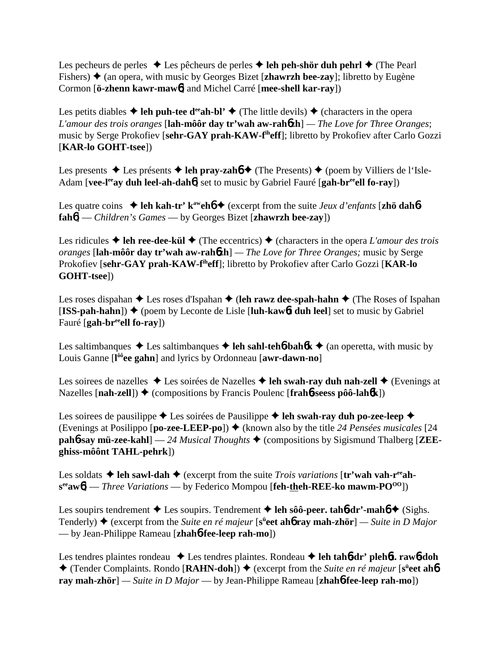Les pecheurs de perles  $\triangle$  Les pêcheurs de perles  $\triangle$  leh peh-shör duh pehrl  $\triangle$  (The Pearl Fishers)  $\triangle$  (an opera, with music by Georges Bizet [**zhawrzh bee-zay**]; libretto by Eugène Cormon [**ö-zhenn kawr-maw**6] and Michel Carré [**mee-shell kar-ray**])

Les petits diables  $\triangleq$  leh puh-tee d<sup>ee</sup>ah-bl'  $\triangleq$  (The little devils)  $\triangleq$  (characters in the opera *L'amour des trois oranges* [**lah-môôr day tr'wah aw-rah**6**zh**] *— The Love for Three Oranges*; music by Serge Prokofiev [**sehr-GAY prah-KAW-fiheff**]; libretto by Prokofiev after Carlo Gozzi [**KAR-lo GOHT-tsee**])

Les presents  $\triangle$  Les présents  $\triangle$  **leh pray-zahó**  $\triangle$  (The Presents)  $\triangle$  (poem by Villiers de l'Isle-Adam [vee-l<sup>ee</sup>ay duh leel-ah-dah**6**] set to music by Gabriel Fauré [gah-br<sup>ee</sup>ell fo-ray])

Les quatre coins  $\triangleleft$  leh kah-tr' k<sup>aw</sup>eh**<sup>6</sup>**  $\triangleleft$  (excerpt from the suite *Jeux d'enfants* [**zhö dah<sup>6</sup>fah**6] — *Children's Games* — by Georges Bizet [**zhawrzh bee-zay**])

Les ridicules  $\triangle$  leh ree-dee-kül  $\triangle$  (The eccentrics)  $\triangle$  (characters in the opera *L'amour des trois oranges* [**lah-môôr day tr'wah aw-rah**6**zh**] *— The Love for Three Oranges;* music by Serge Prokofiev [**sehr-GAY prah-KAW-fiheff**]; libretto by Prokofiev after Carlo Gozzi [**KAR-lo GOHT-tsee**])

Les roses dispahan  $\triangle$  Les roses d'Ispahan  $\triangle$  (leh rawz dee-spah-hahn  $\triangle$  (The Roses of Ispahan  $[ISS-path-hahn]$   $\blacklozenge$  (poem by Leconte de Lisle [luh-kaw6**t duh leel**] set to music by Gabriel Fauré [**gah-breeell fo-ray**])

Les saltimbanques  $\triangle$  Les saltimbanques  $\triangle$  leh sahl-teh**6**-bah**6** $k \triangle$  (an operetta, with music by Louis Ganne [**l ôôee gahn**] and lyrics by Ordonneau [**awr-dawn-no**]

Les soirees de nazelles **→** Les soirées de Nazelles **→ leh swah-ray duh nah-zell** ◆ (Evenings at Nazelles [**nah-zell**]) ♦ (compositions by Francis Poulenc [**frah**6**-seess pôô-lah**6**k**])

Les soirees de pausilippe  $\triangle$  Les soirées de Pausilippe  $\triangle$  leh swah-ray duh po-zee-leep  $\triangle$ (Evenings at Posilippo  $[\textbf{po-zee-LEEP-po}]$ )  $\blacklozenge$  (known also by the title 24 *Pensées musicales* [24] **pah<sup>6</sup>-say mü-zee-kahl**] — 24 *Musical Thoughts*  $\blacklozenge$  (compositions by Sigismund Thalberg [**ZEEghiss-môônt TAHL-pehrk**])

Les soldats  $\triangle$  leh sawl-dah  $\triangle$  (excerpt from the suite *Trois variations* [tr'wah vah-r<sup>ee</sup>ah**seeaw**6] — *Three Variations* — by Federico Mompou [**feh-theh-REE-ko mawm-POOO**])

Les soupirs tendrement  $\triangle$  Les soupirs. Tendrement  $\triangle$  leh sôô-peer. tah**6**-dr'-mah**6**  $\triangle$  (Sighs. Tenderly) ◆ (excerpt from the *Suite en ré majeur* [s<sup>ü</sup>eet ah**ó ray mah-zhör**] — Suite in D Major — by Jean-Philippe Rameau [**zhah**6**-fee-leep rah-mo**])

Les tendres plaintes rondeau ◆ Les tendres plaintes. Rondeau ◆ leh tah**6**-dr' pleh**6t. raw6**-doh ◆ (Tender Complaints. Rondo [RAHN-doh]) ◆ (excerpt from the *Suite en ré majeur* [s<sup>ü</sup>eet ah**6 ray mah-zhör**] *— Suite in D Major* — by Jean-Philippe Rameau [**zhah**6**-fee-leep rah-mo**])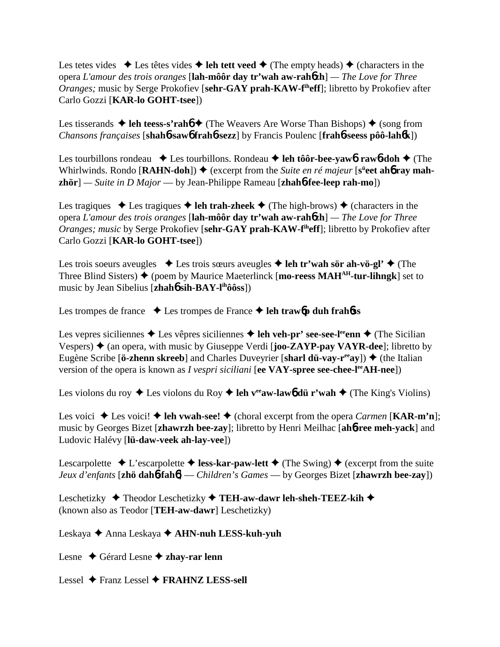Les tetes vides  $\triangle$  Les têtes vides  $\triangle$  leh tett veed  $\triangle$  (The empty heads)  $\triangle$  (characters in the opera *L'amour des trois oranges* [**lah-môôr day tr'wah aw-rah**6**zh**] *— The Love for Three Oranges*; music by Serge Prokofiev [sehr-GAY prah-KAW-f<sup>ih</sup>eff]; libretto by Prokofiev after Carlo Gozzi [**KAR-lo GOHT-tsee**])

Les tisserands  $\triangle$  leh teess-s'rah**b**  $\triangle$  (The Weavers Are Worse Than Bishops)  $\triangle$  (song from *Chansons françaises* [**shah**6**-saw**6 **frah**6**-sezz**] by Francis Poulenc [**frah**6**-seess pôô-lah**6**k**])

Les tourbillons rondeau  $\triangle$  Les tourbillons. Rondeau  $\triangle$  leh tôôr-bee-yaw**6**. rawb-doh  $\triangle$  (The Whirlwinds. Rondo [RAHN-doh])  $\blacklozenge$  (excerpt from the *Suite en ré majeur* [s<sup>ü</sup>eet ah**6** ray mah**zhör**] *— Suite in D Major* — by Jean-Philippe Rameau [**zhah**6**-fee-leep rah-mo**])

Les tragiques  $\triangle$  Les tragiques  $\triangle$  leh trah-zheek  $\triangle$  (The high-brows)  $\triangle$  (characters in the opera *L'amour des trois oranges* [**lah-môôr day tr'wah aw-rah**6**zh**] *— The Love for Three Oranges; music* by Serge Prokofiev [sehr-GAY prah-KAW-f<sup>th</sup>eff]; libretto by Prokofiev after Carlo Gozzi [**KAR-lo GOHT-tsee**])

Les trois soeurs aveugles  $\triangle$  Les trois sœurs aveugles  $\triangle$  leh tr'wah sör ah-vö-gl'  $\triangle$  (The Three Blind Sisters)  $\blacklozenge$  (poem by Maurice Maeterlinck [**mo-reess MAH<sup>AH</sup>-tur-lihngk**] set to music by Jean Sibelius [**zhah**6 **sih-BAY-lihôôss**])

Les trompes de france  $\rightarrow$  Les trompes de France  $\rightarrow$  leh trawb duh frahbes

Les vepres siciliennes  $\triangle$  Les vêpres siciliennes  $\triangle$  leh veh-pr' see-see-l<sup>ee</sup>enn  $\triangle$  (The Sicilian Vespers)  $\triangle$  (an opera, with music by Giuseppe Verdi [**joo-ZAYP-pay VAYR-dee**]; libretto by Eugène Scribe [**ö-zhenn skreeb**] and Charles Duveyrier [**sharl dü-vay-r<sup>ee</sup>ay**])  $\blacklozenge$  (the Italian version of the opera is known as *I vespri siciliani* [ee VAY-spree see-chee-l<sup>ee</sup>AH-nee])

Les violons du roy  $\triangle$  Les violons du Roy  $\triangle$  leh v<sup>ee</sup>aw-law<sub>6</sub> dü r'wah  $\triangle$  (The King's Violins)

Les voici  $\triangle$  Les voici!  $\triangle$  leh vwah-see!  $\triangle$  (choral excerpt from the opera *Carmen* [**KAR-m'n**]; music by Georges Bizet [**zhawrzh bee-zay**]; libretto by Henri Meilhac [**ah**6**-ree meh-yack**] and Ludovic Halévy [**lü-daw-veek ah-lay-vee**])

Lescarpolette  $\triangle$  L'escarpolette  $\triangle$  less-kar-paw-lett  $\triangle$  (The Swing)  $\triangle$  (excerpt from the suite *Jeux d'enfants* [**zhö dah**6**-fah**6] — *Children's Games* — by Georges Bizet [**zhawrzh bee-zay**])

Leschetizky ◆ Theodor Leschetizky ◆ TEH-aw-dawr leh-sheh-TEEZ-kih ◆ (known also as Teodor [**TEH-aw-dawr**] Leschetizky)

Leskaya Anna Leskaya **AHN-nuh LESS-kuh-yuh**

Lesne ◆ Gérard Lesne **◆ zhay-rar lenn** 

Lessel Franz Lessel **FRAHNZ LESS-sell**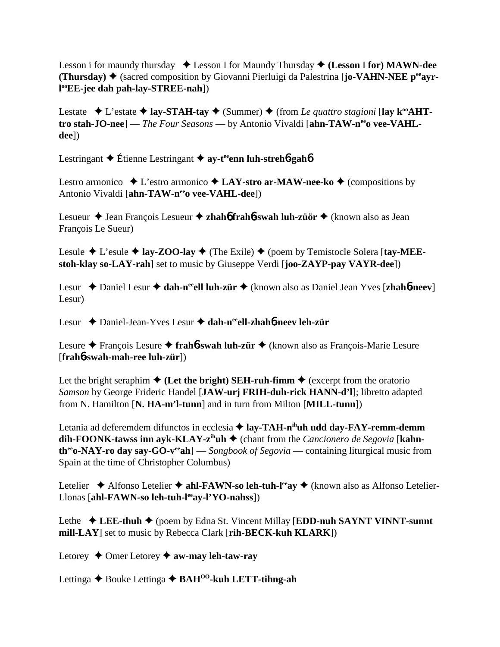Lesson i for maundy thursday Lesson I for Maundy Thursday **(Lesson** I **for) MAWN-dee (Thursday) ♦ (sacred composition by Giovanni Pierluigi da Palestrina [<b>jo-VAHN-NEE p<sup>ee</sup>ayrl ooEE-jee dah pah-lay-STREE-nah**])

Lestate  $\triangle$  L'estate  $\triangle$  lay-STAH-tay  $\triangle$  (Summer)  $\triangle$  (from *Le quattro stagioni* [lay k<sup>oo</sup>AHTtro stah-JO-nee] — *The Four Seasons* — by Antonio Vivaldi [ahn-TAW-n<sup>ee</sup>o vee-VAHL**dee**])

Lestringant **→** Étienne Lestringant **→ av-t<sup>ee</sup>enn luh-streh<sup>6</sup>-gah<sup>6</sup>** 

Lestro armonico  $\triangle$  L'estro armonico  $\triangle$  LAY-stro ar-MAW-nee-ko  $\triangle$  (compositions by Antonio Vivaldi [ahn-TAW-neeo vee-VAHL-dee])

Lesueur ◆ Jean François Lesueur ◆ zhah**6** frah**6-swah luh-züör** ◆ (known also as Jean François Le Sueur)

Lesule  $\blacklozenge$  L'esule  $\blacklozenge$  **lay-ZOO-lay**  $\blacklozenge$  (The Exile)  $\blacklozenge$  (poem by Temistocle Solera [tay-MEE**stoh-klay so-LAY-rah**] set to music by Giuseppe Verdi [**joo-ZAYP-pay VAYR-dee**])

Lesur ◆ Daniel Lesur ◆ dah-n<sup>ee</sup>ell luh-zür ◆ (known also as Daniel Jean Yves [zhah6-neev] Lesur)

Lesur Daniel-Jean-Yves Lesur **dah-neeell-zhah**6**-neev leh-zür**

Lesure François Lesure **frah**6**-swah luh-zür** (known also as François-Marie Lesure [**frah**6**-swah-mah-ree luh-zür**])

Let the bright seraphim  $\triangle$  (Let the bright) SEH-ruh-fimm  $\triangle$  (excerpt from the oratorio *Samson* by George Frideric Handel [**JAW-urj FRIH-duh-rick HANN-d'l**]; libretto adapted from N. Hamilton [**N. HA-m'l-tunn**] and in turn from Milton [**MILL-tunn**])

Letania ad deferemdem difunctos in ecclesia **→ lay-TAH-n<sup>ih</sup>uh udd day-FAY-remm-demm dih-FOONK-tawss inn ayk-KLAY-z<sup>ih</sup>uh**  $\triangleq$  (chant from the *Cancionero de Segovia* [**kahntheeo-NAY-ro day say-GO-veeah**] — *Songbook of Segovia* — containing liturgical music from Spain at the time of Christopher Columbus)

Letelier  $\triangle$  Alfonso Letelier  $\triangle$  ahl-FAWN-so leh-tuh-l<sup>ee</sup>ay  $\triangle$  (known also as Alfonso Letelier-Llonas [ahl-FAWN-so leh-tuh-l<sup>ee</sup>ay-l'YO-nahss])

Lethe  $\triangle$  LEE-thuh  $\triangle$  (poem by Edna St. Vincent Millay [EDD-nuh SAYNT VINNT-sunnt **mill-LAY**] set to music by Rebecca Clark [**rih-BECK-kuh KLARK**])

Letorey  $\triangle$  Omer Letorey  $\triangle$  aw-may leh-taw-ray

Lettinga **→** Bouke Lettinga ◆ BAH<sup>00</sup>-kuh LETT-tihng-ah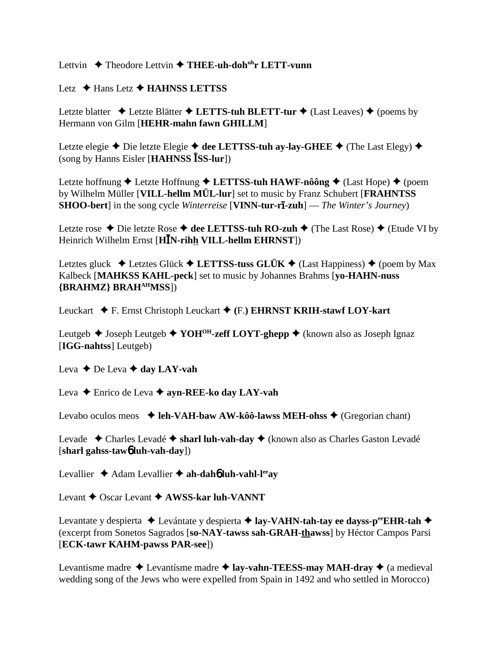Lettvin **→** Theodore Lettvin → THEE-uh-doh<sup>uh</sup>r LETT-vunn

Letz **← Hans Letz ← HAHNSS LETTSS** 

Letzte blatter  $\triangle$  Letzte Blätter  $\triangle$  LETTS-tuh BLETT-tur  $\triangle$  (Last Leaves)  $\triangle$  (poems by Hermann von Gilm [**HEHR-mahn fawn GHILLM**]

Letzte elegie  $\triangle$  Die letzte Elegie  $\triangle$  dee LETTSS-tuh ay-lay-GHEE  $\triangle$  (The Last Elegy)  $\triangle$ (song by Hanns Eisler [**HAHNSS SS-lur**])

Letzte hoffnung ◆ Letzte Hoffnung ◆ LETTSS-tuh HAWF-nôông ◆ (Last Hope) ◆ (poem by Wilhelm Müller [**VILL-hellm MÜL-lur**] set to music by Franz Schubert [**FRAHNTSS SHOO-bert**] in the song cycle *Winterreise* [**VINN-tur-rī-zuh**] — *The Winter's Journey*)

Letzte rose  $\triangle$  Die letzte Rose  $\triangle$  dee LETTSS-tuh RO-zuh  $\triangle$  (The Last Rose)  $\triangle$  (Etude VI by Heinrich Wilhelm Ernst [**HN-rihh VILL-hellm EHRNST**])

Letztes gluck  $\triangle$  Letztes Glück  $\triangle$  LETTSS-tuss GLÜK  $\triangle$  (Last Happiness)  $\triangle$  (poem by Max Kalbeck [**MAHKSS KAHL-peck**] set to music by Johannes Brahms [**yo-HAHN-nuss {BRAHMZ} BRAHAHMSS**])

Leuckart F. Ernst Christoph Leuckart **(**F.**) EHRNST KRIH-stawf LOY-kart**

Leutgeb  $\triangle$  Joseph Leutgeb  $\triangle$  YOH<sup>OH</sup>-zeff LOYT-ghepp  $\triangle$  (known also as Joseph Ignaz [**IGG-nahtss**] Leutgeb)

Leva  $\triangle$  De Leva  $\triangle$  day LAY-vah

Leva **→** Enrico de Leva → **ayn-REE-ko day LAY-vah** 

Levabo oculos meos  $\triangleleft$  leh-VAH-baw AW-kôô-lawss MEH-ohss  $\triangleleft$  (Gregorian chant)

Levade Charles Levadé **sharl luh-vah-day** (known also as Charles Gaston Levadé [**sharl gahss-taw**6 **luh-vah-day**])

Levallier  $\triangle$  Adam Levallier  $\triangle$  ah-dah**6** luh-vahl-l<sup>ee</sup>ay

Levant **→** Oscar Levant **→ AWSS-kar luh-VANNT** 

Levantate y despierta **→** Levántate y despierta **→ lay-VAHN-tah-tay ee dayss-p<sup>ee</sup>EHR-tah →** (excerpt from Sonetos Sagrados [**so-NAY-tawss sah-GRAH-thawss**] by Héctor Campos Parsi [**ECK-tawr KAHM-pawss PAR-see**])

Levantisme madre  $\triangle$  Levantisme madre  $\triangle$  **lay-vahn-TEESS-may MAH-dray**  $\triangle$  (a medieval wedding song of the Jews who were expelled from Spain in 1492 and who settled in Morocco)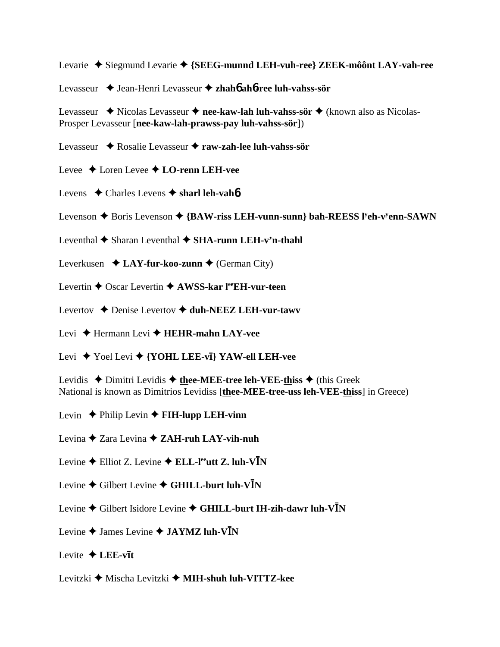Levarie Siegmund Levarie **{SEEG-munnd LEH-vuh-ree} ZEEK-môônt LAY-vah-ree**

Levasseur Jean-Henri Levasseur **zhah**6 **ah**6**-ree luh-vahss-sör**

Levasseur ◆ Nicolas Levasseur ◆ nee-kaw-lah luh-vahss-sör ◆ (known also as Nicolas-Prosper Levasseur [**nee-kaw-lah-prawss-pay luh-vahss-sör**])

- Levasseur Rosalie Levasseur **raw-zah-lee luh-vahss-sör**
- Levee Loren Levee  **LO-renn LEH-vee**
- Levens **→** Charles Levens ◆ sharl leh-vah**6**
- Levenson ◆ Boris Levenson ◆ {BAW-riss LEH-vunn-sunn} bah-REESS l<sup>y</sup>eh-v<sup>y</sup>enn-SAWN
- Leventhal  $\blacklozenge$  Sharan Leventhal  $\blacklozenge$  **SHA-runn LEH-v'n-thahl**
- Leverkusen  $\triangle$  **LAY-fur-koo-zunn**  $\triangle$  (German City)
- Levertin **←** Oscar Levertin ← AWSS-kar l<sup>ee</sup>EH-vur-teen
- Levertov **→** Denise Levertov ◆ duh-NEEZ LEH-vur-tawy
- Levi Hermann Levi **HEHR-mahn LAY-vee**
- Levi ◆ Yoel Levi ◆ {**YOHL LEE-vi**} **YAW-ell LEH-vee**
- Levidis  $\triangle$  Dimitri Levidis  $\triangle$  thee-MEE-tree leh-VEE-thiss  $\triangle$  (this Greek National is known as Dimitrios Levidiss [**thee-MEE-tree-uss leh-VEE-thiss**] in Greece)
- Levin  $\triangle$  Philip Levin  $\triangle$  **FIH-lupp LEH-vinn**
- Levina Zara Levina **ZAH-ruh LAY-vih-nuh**
- Levine  $\triangle$  Elliot Z. Levine  $\triangle$  **ELL-l<sup>ee</sup>utt Z. luh-VN**
- Levine ♦ Gilbert Levine ♦ GHILL-burt luh-V<sup>I</sup>N
- Levine **→** Gilbert Isidore Levine ◆ GHILL-burt IH-zih-dawr luh-V**I**N
- Levine  $\triangle$  James Levine  $\triangle$  **JAYMZ luh-VN**
- Levite  $\triangle$  LEE-vit
- Levitzki Mischa Levitzki **MIH-shuh luh-VITTZ-kee**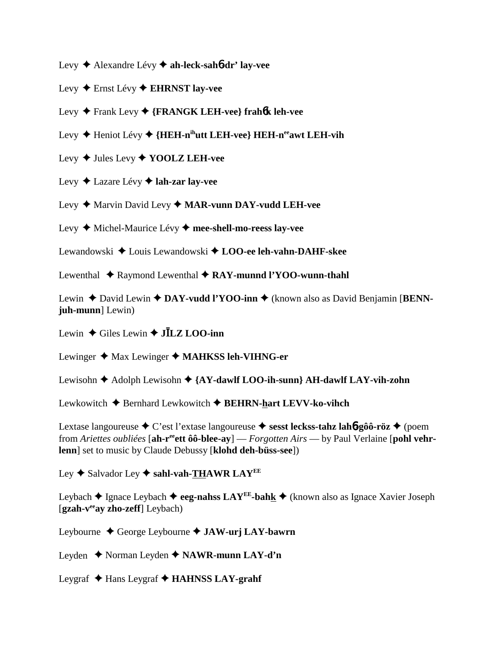Levy Alexandre Lévy **ah-leck-sah**6**-dr' lay-vee**

Levy Ernst Lévy **EHRNST lay-vee**

Levy Frank Levy **{FRANGK LEH-vee} frah**6**k leh-vee**

- Levy ◆ Heniot Lévy ◆ {HEH-n<sup>ih</sup>utt LEH-vee} HEH-n<sup>ee</sup>awt LEH-vih
- Levy Jules Levy **YOOLZ LEH-vee**
- Levy Lazare Lévy **lah-zar lay-vee**
- Levy ♦ Marvin David Levy ♦ MAR-vunn DAY-vudd LEH-vee

Levy Michel-Maurice Lévy **mee-shell-mo-reess lay-vee**

Lewandowski Louis Lewandowski **LOO-ee leh-vahn-DAHF-skee**

Lewenthal ◆ Raymond Lewenthal ◆ RAY-munnd l'YOO-wunn-thahl

Lewin ◆ David Lewin ◆ DAY-vudd l'YOO-inn ◆ (known also as David Benjamin [BENN**juh-munn**] Lewin)

Lewin  $\triangle$  Giles Lewin  $\triangle$  **JILZ LOO-inn** 

Lewinger ◆ Max Lewinger ◆ MAHKSS leh-VIHNG-er

Lewisohn ♦ Adolph Lewisohn ♦ {AY-dawlf LOO-ih-sunn} AH-dawlf LAY-vih-zohn

Lewkowitch ◆ Bernhard Lewkowitch ◆ BEHRN-hart LEVV-ko-vihch

Lextase langoureuse C'est l'extase langoureuse  **sesst leckss-tahz lah**6**-gôô-röz** (poem from *Ariettes oubliées* [**ah-reeett ôô-blee-ay**] — *Forgotten Airs* — by Paul Verlaine [**pohl vehrlenn**] set to music by Claude Debussy [**klohd deh-büss-see**])

Ley **→** Salvador Ley ◆ sahl-vah-THAWR LAY<sup>EE</sup>

Leybach  $\triangle$  Ignace Leybach  $\triangle$  eeg-nahss LAY<sup>EE</sup>-bahk  $\triangle$  (known also as Ignace Xavier Joseph [gzah-v<sup>ee</sup>ay zho-zeff] Leybach)

Leybourne George Leybourne **JAW-urj LAY-bawrn**

Leyden Norman Leyden **NAWR-munn LAY-d'n**

Leygraf **→** Hans Leygraf → **HAHNSS LAY-grahf**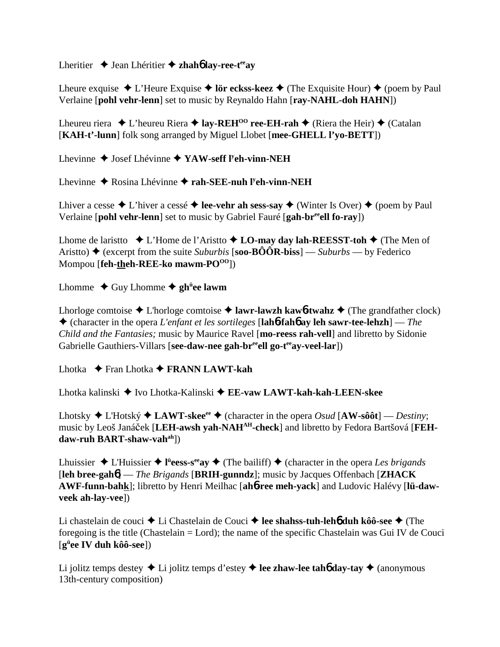Lheritier ◆ Jean Lhéritier ◆ zhah**6** lay-ree-t<sup>ee</sup>ay

Lheure exquise  $\triangle$  L'Heure Exquise  $\triangle$  lör eckss-keez  $\triangle$  (The Exquisite Hour)  $\triangle$  (poem by Paul Verlaine [**pohl vehr-lenn**] set to music by Reynaldo Hahn [**ray-NAHL-doh HAHN**])

Lheureu riera  $\triangle$  L'heureu Riera  $\triangle$  **lay-REH<sup>00</sup> ree-EH-rah**  $\triangle$  (Riera the Heir)  $\triangle$  (Catalan [**KAH-t'-lunn**] folk song arranged by Miguel Llobet [**mee-GHELL l'yo-BETT**])

Lhevinne ◆ Josef Lhévinne ◆ YAW-seff l<sup>y</sup>eh-vinn-NEH

Lhevinne ◆ Rosina Lhévinne ◆ rah-SEE-nuh l<sup>y</sup>eh-vinn-NEH

Lhiver a cesse  $\triangle$  L'hiver a cessé  $\triangle$  **lee-vehr ah sess-say**  $\triangle$  (Winter Is Over)  $\triangle$  (poem by Paul Verlaine [**pohl vehr-lenn**] set to music by Gabriel Fauré [**gah-breeell fo-ray**])

Lhome de laristto  $\bullet$  L'Home de l'Aristto  $\bullet$  **LO-may day lah-REESST-toh**  $\bullet$  (The Men of Aristto)  $\triangle$  (excerpt from the suite *Suburbis* [**soo-BÔÔR-biss**] — *Suburbs* — by Federico Mompou [**feh-theh-REE-ko mawm-PO<sup>OO</sup>]**)

Lhomme ◆ Guy Lhomme ◆ gh<sup>ü</sup>ee lawm

Lhorloge comtoise  $\triangle$  L'horloge comtoise  $\triangle$  **lawr-lawzh kaw6-twahz**  $\triangle$  (The grandfather clock) (character in the opera *L'enfant et les sortileges* [**lah**6**-fah**6 **ay leh sawr-tee-lehzh**] — *The Child and the Fantasies;* music by Maurice Ravel [**mo-reess rah-vell**] and libretto by Sidonie Gabrielle Gauthiers-Villars [see-daw-nee gah-br<sup>ee</sup>ell go-t<sup>ee</sup>ay-veel-lar])

Lhotka Fran Lhotka **FRANN LAWT-kah**

Lhotka kalinski Ivo Lhotka-Kalinski **EE-vaw LAWT-kah-kah-LEEN-skee**

Lhotsky  $\triangle$  L'Hotský  $\triangle$  **LAWT-skee**<sup>ee</sup>  $\triangle$  (character in the opera *Osud* [**AW-sôôt**] — *Destiny*; music by Leoš Janáček [LEH-awsh yah-NAH<sup>AH</sup>-check] and libretto by Fedora Bartšová [FEH**daw-ruh BART-shaw-vahah**])

Lhuissier  $\triangle$  L'Huissier  $\triangle$  l<sup>ii</sup>eess-s<sup>ee</sup>ay  $\triangle$  (The bailiff)  $\triangle$  (character in the opera *Les brigands* [**leh bree-gah**6] — *The Brigands* [**BRIH-gunndz**]; music by Jacques Offenbach [**ZHACK AWF-funn-bahk**]; libretto by Henri Meilhac [**ah**6**-ree meh-yack**] and Ludovic Halévy [**lü-dawveek ah-lay-vee**])

Li chastelain de couci ◆ Li Chastelain de Couci ◆ lee shahss-tuh-leh**6** duh kôô-see ◆ (The foregoing is the title (Chastelain = Lord); the name of the specific Chastelain was Gui IV de Couci [**gü ee IV duh kôô-see**])

Li jolitz temps destey  $\triangle$  Li jolitz temps d'estey  $\triangle$  lee zhaw-lee tah**6** day-tay  $\triangle$  (anonymous 13th-century composition)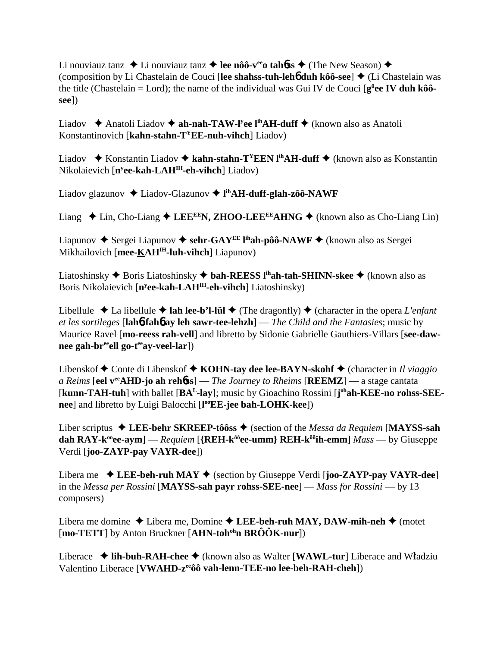Li nouviauz tanz  $\triangle$  Li nouviauz tanz  $\triangle$  lee nôô-v<sup>ee</sup> tah**onerouple** (The New Season)  $\triangle$ (composition by Li Chastelain de Couci [lee shahss-tuh-leh**6** duh kôô-see] ♦ (Li Chastelain was the title (Chastelain = Lord); the name of the individual was Gui IV de Couci [ $g^{\text{ii}}$ ee IV duh kôô**see**])

Liadov **→** Anatoli Liadov **→ ah-nah-TAW-l<sup>y</sup>ee l<sup>ih</sup>AH-duff →** (known also as Anatoli Konstantinovich [**kahn-stahn-TYEE-nuh-vihch**] Liadov)

Liadov  $\triangle$  Konstantin Liadov **→ kahn-stahn-T<sup>Y</sup>EEN l<sup>ih</sup>AH-duff** ◆ (known also as Konstantin Nikolaievich [**ny ee-kah-LAHIH-eh-vihch**] Liadov)

Liadov glazunov Liadov-Glazunov  **lihAH-duff-glah-zôô-NAWF**

Liang  $\triangle$  Lin, Cho-Liang  $\triangle$  LEE<sup>EE</sup>N, ZHOO-LEE<sup>EE</sup>AHNG  $\triangle$  (known also as Cho-Liang Lin)

Liapunov  $\triangle$  Sergei Liapunov  $\triangle$  sehr-GAY<sup>EE</sup> l<sup>ih</sup>ah-pôô-NAWF  $\triangle$  (known also as Sergei Mikhailovich [mee-KAH<sup>IH</sup>-luh-vihch] Liapunov)

Liatoshinsky **→** Boris Liatoshinsky → **bah-REESS l<sup>ih</sup>ah-tah-SHINN-skee** → (known also as Boris Nikolaievich [**ny ee-kah-LAHIH-eh-vihch**] Liatoshinsky)

Libellule  $\triangle$  La libellule  $\triangle$  lah lee-b'l-lül  $\triangle$  (The dragonfly)  $\triangle$  (character in the opera *L'enfant et les sortileges* [**lah**6**-fah**6 **ay leh sawr-tee-lehzh**] — *The Child and the Fantasies*; music by Maurice Ravel [**mo-reess rah-vell**] and libretto by Sidonie Gabrielle Gauthiers-Villars [**see-daw**nee gah-br<sup>ee</sup>ell go-t<sup>ee</sup>ay-veel-lar])

Libenskof **→** Conte di Libenskof → **KOHN-tay dee lee-BAYN-skohf** → (character in *Il viaggio a Reims* [**eel veeAHD-jo ah reh**6**ss**] — *The Journey to Rheims* [**REEMZ**] — a stage cantata [kunn-TAH-tuh] with ballet [BA<sup>L</sup>-lay]; music by Gioachino Rossini [j<sup>oh</sup>ah-KEE-no rohss-SEE**nee**] and libretto by Luigi Balocchi [**l ooEE-jee bah-LOHK-kee**])

Liber scriptus **LEE-behr SKREEP-tôôss** (section of the *Messa da Requiem* [**MAYSS-sah dah RAY-k<sup>oo</sup>ee-aym**] — *Requiem* [{**REH-k<sup>ôô</sup>ee-umm} REH-k<sup>ôô</sup>ih-emm**] *Mass* — by Giuseppe Verdi [**joo-ZAYP-pay VAYR-dee**])

Libera me **LEE-beh-ruh MAY** (section by Giuseppe Verdi [**joo-ZAYP-pay VAYR-dee**] in the *Messa per Rossini* [**MAYSS-sah payr rohss-SEE-nee**] — *Mass for Rossini* — by 13 composers)

Libera me domine  $\triangle$  Libera me, Domine  $\triangle$  LEE-beh-ruh MAY, DAW-mih-neh  $\triangle$  (motet [**mo-TETT**] by Anton Bruckner [**AHN-toh<sup>oh</sup>n BRÔÔK-nur**])

Liberace  $\triangleleft$  **lih-buh-RAH-chee**  $\triangleleft$  (known also as Walter [**WAWL-tur**] Liberace and Władziu Valentino Liberace [**VWAHD-zeeôô vah-lenn-TEE-no lee-beh-RAH-cheh**])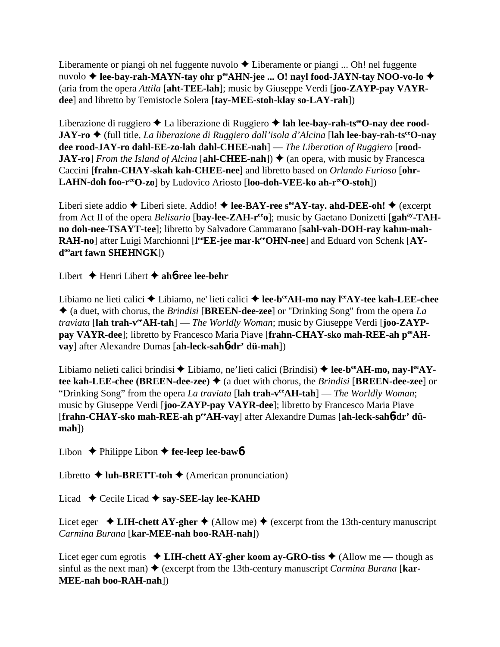Liberamente or piangi oh nel fuggente nuvolo  $\triangle$  Liberamente or piangi ... Oh! nel fuggente nuvolo ◆ lee-bay-rah-MAYN-tay ohr p<sup>ee</sup>AHN-jee ... O! nayl food-JAYN-tay NOO-vo-lo ◆ (aria from the opera *Attila* [**aht-TEE-lah**]; music by Giuseppe Verdi [**joo-ZAYP-pay VAYRdee**] and libretto by Temistocle Solera [**tay-MEE-stoh-klay so-LAY-rah**])

Liberazione di ruggiero ◆ La liberazione di Ruggiero ◆ lah lee-bay-rah-ts<sup>ee</sup>O-nay dee rood-**JAY-ro** (full title, *La liberazione di Ruggiero dall'isola d'Alcina* [**lah lee-bay-rah-tseeO-nay dee rood-JAY-ro dahl-EE-zo-lah dahl-CHEE-nah**] — *The Liberation of Ruggiero* [**rood-JAY-ro**] *From the Island of Alcina* [ahl-CHEE-nah])  $\triangleq$  (an opera, with music by Francesca Caccini [**frahn-CHAY-skah kah-CHEE-nee**] and libretto based on *Orlando Furioso* [**ohr-LAHN-doh foo-reeO-zo**] by Ludovico Ariosto [**loo-doh-VEE-ko ah-reeO-stoh**])

Liberi siete addio  $\blacklozenge$  Liberi siete. Addio!  $\blacklozenge$  **lee-BAY-ree s<sup>ee</sup>AY-tay. ahd-DEE-oh!**  $\blacklozenge$  (excerpt from Act II of the opera *Belisario* [**bay-lee-ZAH-r<sup>ee</sup>o**]; music by Gaetano Donizetti [**gah**<sup>ay</sup>-TAH**no doh-nee-TSAYT-tee**]; libretto by Salvadore Cammarano [**sahl-vah-DOH-ray kahm-mah-**RAH-no] after Luigi Marchionni [l<sup>oo</sup>EE-jee mar-kerOHN-nee] and Eduard von Schenk [AY**dooart fawn SHEHNGK**])

Libert Henri Libert **ah**6**-ree lee-behr**

Libiamo ne lieti calici ◆ Libiamo, ne' lieti calici ◆ lee-b<sup>ee</sup>AH-mo nay l<sup>ee</sup>AY-tee kah-LEE-chee (a duet, with chorus, the *Brindisi* [**BREEN-dee-zee**] or "Drinking Song" from the opera *La traviata* [**lah trah-veeAH-tah**] — *The Worldly Woman*; music by Giuseppe Verdi [**joo-ZAYP**pay VAYR-dee]; libretto by Francesco Maria Piave [frahn-CHAY-sko mah-REE-ah p<sup>ee</sup>AH**vay**] after Alexandre Dumas [**ah-leck-sah**6**-dr' dü-mah**])

Libiamo nelieti calici brindisi ◆ Libiamo, ne'lieti calici (Brindisi) ◆ lee-b<sup>ee</sup>AH-mo, nay-l<sup>ee</sup>AY**tee kah-LEE-chee (BREEN-dee-zee) ♦ (a duet with chorus, the** *Brindisi* **[BREEN-dee-zee] or** "Drinking Song" from the opera *La traviata* [**lah trah-veeAH-tah**] — *The Worldly Woman*; music by Giuseppe Verdi [**joo-ZAYP-pay VAYR-dee**]; libretto by Francesco Maria Piave [frahn-CHAY-sko mah-REE-ah peeAH-vay] after Alexandre Dumas [ah-leck-sah6-dr' dü**mah**])

Libon  $\triangle$  Philippe Libon  $\triangle$  fee-leep lee-baw6

Libretto  $\triangle$  **luh-BRETT-toh**  $\triangle$  (American pronunciation)

Licad  $\triangle$  Cecile Licad  $\triangle$  say-SEE-lay lee-KAHD

Licet eger  $\triangle$  **LIH-chett AY-gher**  $\triangle$  (Allow me)  $\triangle$  (excerpt from the 13th-century manuscript *Carmina Burana* [**kar-MEE-nah boo-RAH-nah**])

Licet eger cum egrotis **LIH-chett AY-gher koom ay-GRO-tiss** (Allow me — though as sinful as the next man)  $\triangle$  (excerpt from the 13th-century manuscript *Carmina Burana* [**kar-MEE-nah boo-RAH-nah**])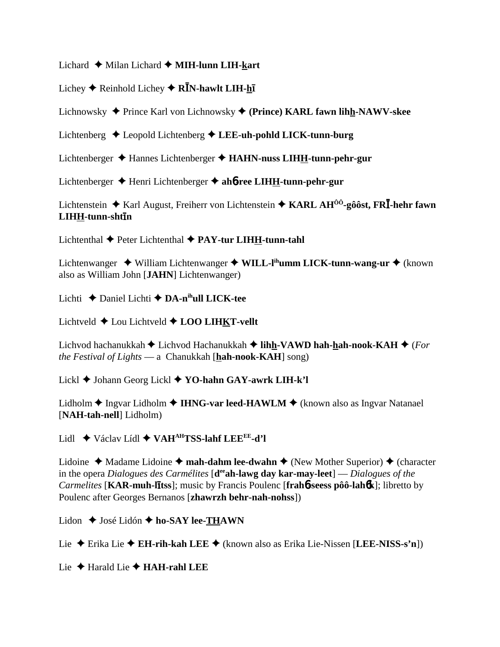#### Lichard Milan Lichard **MIH-lunn LIH-kart**

# Lichey ◆ Reinhold Lichey ◆ **RĪN-hawlt LIH-<u>h</u>ī**

Lichnowsky Prince Karl von Lichnowsky **(Prince) KARL fawn lihh-NAWV-skee**

Lichtenberg Leopold Lichtenberg **LEE-uh-pohld LICK-tunn-burg**

Lichtenberger Hannes Lichtenberger **HAHN-nuss LIHH-tunn-pehr-gur**

Lichtenberger Henri Lichtenberger **ah**6**-ree LIHH-tunn-pehr-gur**

Lichtenstein Karl August, Freiherr von Lichtenstein **KARL AHÔÔ-gôôst, FR-hehr fawn**  $LIH\underline{H}$ -tunn-sht**ī**n

Lichtenthal Peter Lichtenthal **PAY-tur LIHH-tunn-tahl**

Lichtenwanger ◆ William Lichtenwanger ◆ WILL-l<sup>ih</sup>umm LICK-tunn-wang-ur ◆ (known also as William John [**JAHN**] Lichtenwanger)

Lichti Daniel Lichti **DA-nihull LICK-tee**

Lichtveld Lou Lichtveld **LOO LIHKT-vellt**

Lichvod hachanukkah Lichvod Hachanukkah **lihh-VAWD hah-hah-nook-KAH** (*For the Festival of Lights* — a Chanukkah [**hah-nook-KAH**] song)

Lickl Johann Georg Lickl **YO-hahn GAY-awrk LIH-k'l**

Lidholm ◆ Ingvar Lidholm ◆ **IHNG-var leed-HAWLM** ◆ (known also as Ingvar Natanael [**NAH-tah-nell**] Lidholm)

Lidl Václav Lídl **VAHAHTSS-lahf LEEEE-d'l**

Lidoine  $\triangle$  Madame Lidoine  $\triangle$  **mah-dahm lee-dwahn**  $\triangle$  (New Mother Superior)  $\triangle$  (character in the opera *Dialogues des Carmélites* [**deeah-lawg day kar-may-leet**] — *Dialogues of the*  $Carnelites$  [KAR-muh-litss]; music by Francis Poulenc [frah6-seess pôô-lah6k]; libretto by Poulenc after Georges Bernanos [**zhawrzh behr-nah-nohss**])

Lidon  $\triangle$  José Lidón  $\triangle$  ho-SAY lee-THAWN

Lie Erika Lie **EH-rih-kah LEE** (known also as Erika Lie-Nissen [**LEE-NISS-s'n**])

Lie Harald Lie **HAH-rahl LEE**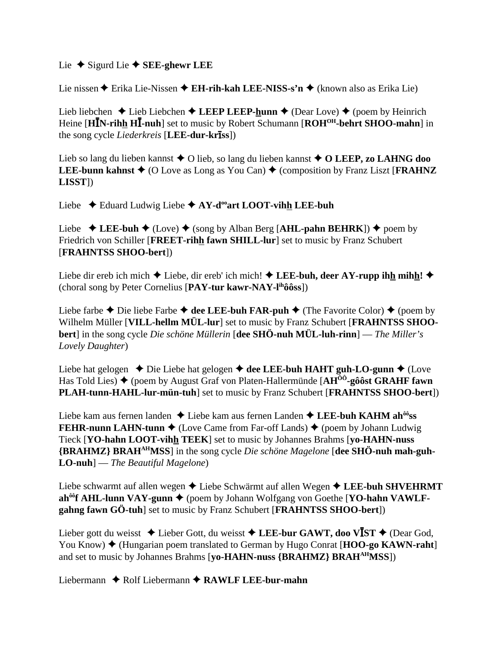#### Lie  $\triangle$  Sigurd Lie  $\triangle$  **SEE-ghewr LEE**

Lie nissen **→** Erika Lie-Nissen → E**H-rih-kah LEE-NISS-s'n** → (known also as Erika Lie)

Lieb liebchen  $\triangle$  Lieb Liebchen  $\triangle$  LEEP LEEP-hunn  $\triangle$  (Dear Love)  $\triangle$  (poem by Heinrich Heine [HIN-rihh HI-nuh] set to music by Robert Schumann [ROH<sup>OH</sup>-behrt SHOO-mahn] in the song cycle *Liederkreis* [**LEE-dur-kr**-**ss**])

Lieb so lang du lieben kannst **→** O lieb, so lang du lieben kannst **→ O LEEP, zo LAHNG doo LEE-bunn kahnst**  $\blacklozenge$  (O Love as Long as You Can)  $\blacklozenge$  (composition by Franz Liszt [**FRAHNZ LISST**])

Liebe ◆ Eduard Ludwig Liebe ◆ AY-d<sup>oo</sup>art LOOT-vihh LEE-buh

Liebe  $\triangle$  LEE-buh  $\triangle$  (Love)  $\triangle$  (song by Alban Berg [AHL-pahn BEHRK])  $\triangle$  poem by Friedrich von Schiller [**FREET-rihh fawn SHILL-lur**] set to music by Franz Schubert [**FRAHNTSS SHOO-bert**])

Liebe dir ereb ich mich  $\blacklozenge$  Liebe, dir ereb' ich mich!  $\blacklozenge$  LEE-buh, deer AY-rupp ihh mihh!  $\blacklozenge$ (choral song by Peter Cornelius [**PAY-tur kawr-NAY-lihôôss**])

Liebe farbe  $\triangle$  Die liebe Farbe  $\triangle$  dee LEE-buh FAR-puh  $\triangle$  (The Favorite Color)  $\triangle$  (poem by Wilhelm Müller [**VILL-hellm MÜL-lur**] set to music by Franz Schubert [**FRAHNTSS SHOObert**] in the song cycle *Die schöne Müllerin* [**dee SHÖ-nuh MÜL-luh-rinn**] — *The Miller's Lovely Daughter*)

Liebe hat gelogen  $\triangle$  Die Liebe hat gelogen  $\triangle$  dee LEE-buh HAHT guh-LO-gunn  $\triangle$  (Love Has Told Lies) (poem by August Graf von Platen-Hallermünde [**AHÔÔ-gôôst GRAHF fawn PLAH-tunn-HAHL-lur-mün-tuh**] set to music by Franz Schubert [**FRAHNTSS SHOO-bert**])

Liebe kam aus fernen landen Liebe kam aus fernen Landen **LEE-buh KAHM ahôôss FEHR-nunn LAHN-tunn**  $\blacklozenge$  (Love Came from Far-off Lands)  $\blacklozenge$  (poem by Johann Ludwig) Tieck [**YO-hahn LOOT-vihh TEEK**] set to music by Johannes Brahms [**yo-HAHN-nuss {BRAHMZ} BRAHAHMSS**] in the song cycle *Die schöne Magelone* [**dee SHÖ-nuh mah-guh-LO-nuh**] — *The Beautiful Magelone*)

Liebe schwarmt auf allen wegen  $\triangle$  Liebe Schwärmt auf allen Wegen  $\triangle$  LEE-buh SHVEHRMT **ah<sup>ôô</sup>f AHL-lunn VAY-gunn ♦** (poem by Johann Wolfgang von Goethe [**YO-hahn VAWLFgahng fawn GÖ-tuh**] set to music by Franz Schubert [**FRAHNTSS SHOO-bert**])

Lieber gott du weisst  $\triangle$  Lieber Gott, du weisst  $\triangle$  LEE-bur GAWT, doo V**I**ST  $\triangle$  (Dear God, You Know)  $\blacklozenge$  (Hungarian poem translated to German by Hugo Conrat [**HOO-go KAWN-raht**] and set to music by Johannes Brahms [**yo-HAHN-nuss {BRAHMZ} BRAHAHMSS**])

Liebermann ◆ Rolf Liebermann ◆ RAWLF LEE-bur-mahn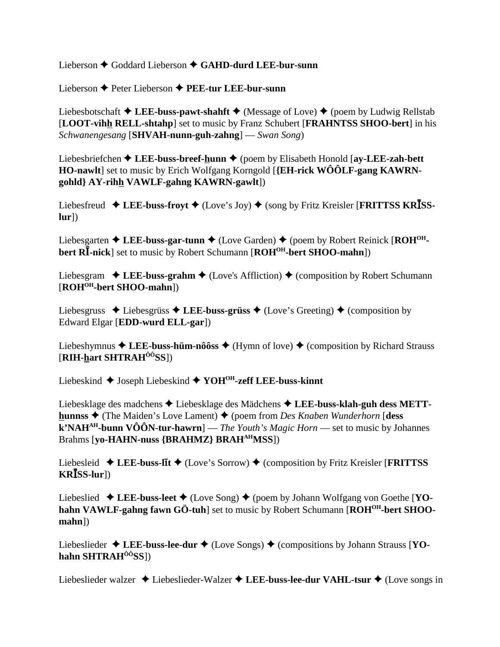Lieberson Goddard Lieberson **GAHD-durd LEE-bur-sunn**

Lieberson Peter Lieberson **PEE-tur LEE-bur-sunn**

Liebesbotschaft  $\triangle$  LEE-buss-pawt-shahft  $\triangle$  (Message of Love)  $\triangle$  (poem by Ludwig Rellstab [**LOOT-vihh RELL-shtahp**] set to music by Franz Schubert [**FRAHNTSS SHOO-bert**] in his *Schwanengesang* [**SHVAH-nunn-guh-zahng**] — *Swan Song*)

Liebesbriefchen **← LEE-buss-breef-hunn ←** (poem by Elisabeth Honold [**ay-LEE-zah-bett HO-nawlt**] set to music by Erich Wolfgang Korngold [**{EH-rick WÔÔLF-gang KAWRNgohld} AY-rihh VAWLF-gahng KAWRN-gawlt**])

Liebesfreud  $\triangleleft$  LEE-buss-froyt  $\triangleleft$  (Love's Joy)  $\triangleleft$  (song by Fritz Kreisler [**FRITTSS KRISSlur**])

Liebesgarten  $\triangle$  LEE-buss-gar-tunn  $\triangle$  (Love Garden)  $\triangle$  (poem by Robert Reinick [ROH<sup>OH</sup>**bert RI**-nick] set to music by Robert Schumann [ROH<sup>OH</sup>-bert SHOO-mahn])

Liebesgram  $\triangle$  LEE-buss-grahm  $\triangle$  (Love's Affliction)  $\triangle$  (composition by Robert Schumann [**ROHOH-bert SHOO-mahn**])

Liebesgruss  $\triangle$  Liebesgrüss  $\triangle$  LEE-buss-grüss  $\triangle$  (Love's Greeting)  $\triangle$  (composition by Edward Elgar [**EDD-wurd ELL-gar**])

Liebeshymnus  $\triangle$  LEE-buss-hüm-nôôss  $\triangle$  (Hymn of love)  $\triangle$  (composition by Richard Strauss [**RIH-hart SHTRAHÔÔSS**])

Liebeskind Joseph Liebeskind **YOHOH-zeff LEE-buss-kinnt**

Liebesklage des madchens **→** Liebesklage des Mädchens ◆ LEE-buss-klah-guh dess METT**hunnss ♦** (The Maiden's Love Lament) ♦ (poem from *Des Knaben Wunderhorn* [**dess k'NAHAH-bunn VÔÔN-tur-hawrn**] — *The Youth's Magic Horn* — set to music by Johannes Brahms [**yo-HAHN-nuss {BRAHMZ} BRAHAHMSS**])

Liebesleid **↓ LEE-buss-līt ◆** (Love's Sorrow) ◆ (composition by Fritz Kreisler [FRITTSS **KRSS-lur**])

Liebeslied  $\triangle$  LEE-buss-leet  $\triangle$  (Love Song)  $\triangle$  (poem by Johann Wolfgang von Goethe [YOhahn VAWLF-gahng fawn GÖ-tuh] set to music by Robert Schumann [ROH<sup>OH</sup>-bert SHOO**mahn**])

Liebeslieder ◆ LEE-buss-lee-dur ◆ (Love Songs) ◆ (compositions by Johann Strauss [YO**hahn SHTRAHÔÔSS**])

Liebeslieder walzer Liebeslieder-Walzer **LEE-buss-lee-dur VAHL-tsur** (Love songs in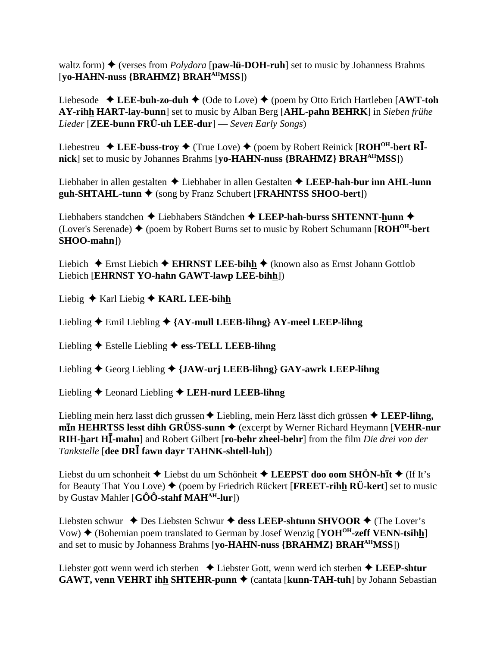waltz form)  $\blacklozenge$  (verses from *Polydora* [**paw-lü-DOH-ruh**] set to music by Johanness Brahms [**yo-HAHN-nuss {BRAHMZ} BRAHAHMSS**])

Liebesode  $\triangle$  LEE-buh-zo-duh  $\triangle$  (Ode to Love)  $\triangle$  (poem by Otto Erich Hartleben [AWT-toh **AY-rihh HART-lay-bunn**] set to music by Alban Berg [**AHL-pahn BEHRK**] in *Sieben frühe Lieder* [**ZEE-bunn FRÜ-uh LEE-dur**] — *Seven Early Songs*)

Liebestreu **→ LEE-buss-troy →** (True Love) ◆ (poem by Robert Reinick [ROH<sup>OH</sup>-bert RI**nick**] set to music by Johannes Brahms [**yo-HAHN-nuss {BRAHMZ} BRAHAHMSS**])

Liebhaber in allen gestalten Liebhaber in allen Gestalten **LEEP-hah-bur inn AHL-lunn guh-SHTAHL-tunn ♦** (song by Franz Schubert [**FRAHNTSS SHOO-bert**])

Liebhabers standchen Liebhabers Ständchen **LEEP-hah-burss SHTENNT-hunn** (Lover's Serenade)  $\triangle$  (poem by Robert Burns set to music by Robert Schumann [ $\text{ROH}^{\text{OH}}$ -bert **SHOO-mahn**])

Liebich  $\triangle$  Ernst Liebich  $\triangle$  **EHRNST LEE-bihh**  $\triangle$  (known also as Ernst Johann Gottlob Liebich [**EHRNST YO-hahn GAWT-lawp LEE-bihh**])

Liebig **→** Karl Liebig ◆ **KARL LEE-bihh** 

Liebling Emil Liebling **{AY-mull LEEB-lihng} AY-meel LEEP-lihng**

Liebling Estelle Liebling **ess-TELL LEEB-lihng**

Liebling Georg Liebling **{JAW-urj LEEB-lihng} GAY-awrk LEEP-lihng**

Liebling Leonard Liebling **LEH-nurd LEEB-lihng**

Liebling mein herz lasst dich grussen  $\triangle$  Liebling, mein Herz lässt dich grüssen  $\triangle$  LEEP-lihng, **mIn HEHRTSS lesst dihh GRÜSS-sunn ♦** (excerpt by Werner Richard Heymann [**VEHR-nur RIH-hart H-mahn**] and Robert Gilbert [**ro-behr zheel-behr**] from the film *Die drei von der Tankstelle* [**dee DR fawn dayr TAHNK-shtell-luh**])

Liebst du um schonheit ◆ Liebst du um Schönheit ◆ **LEEPST doo oom SHÖN-hīt** ◆ (If It's for Beauty That You Love)  $\blacklozenge$  (poem by Friedrich Rückert [**FREET-rihh RÜ-kert**] set to music by Gustav Mahler [**GÔÔ-stahf MAHAH-lur**])

Liebsten schwur ◆ Des Liebsten Schwur ◆ dess LEEP-shtunn SHVOOR ◆ (The Lover's Vow) ♦ (Bohemian poem translated to German by Josef Wenzig [**YOH<sup>OH</sup>-zeff VENN-tsihh**] and set to music by Johanness Brahms [**yo-HAHN-nuss {BRAHMZ} BRAHAHMSS**])

Liebster gott wenn werd ich sterben Liebster Gott, wenn werd ich sterben **LEEP-shtur GAWT, venn VEHRT ihh SHTEHR-punn**  $\triangle$  (cantata [**kunn-TAH-tuh**] by Johann Sebastian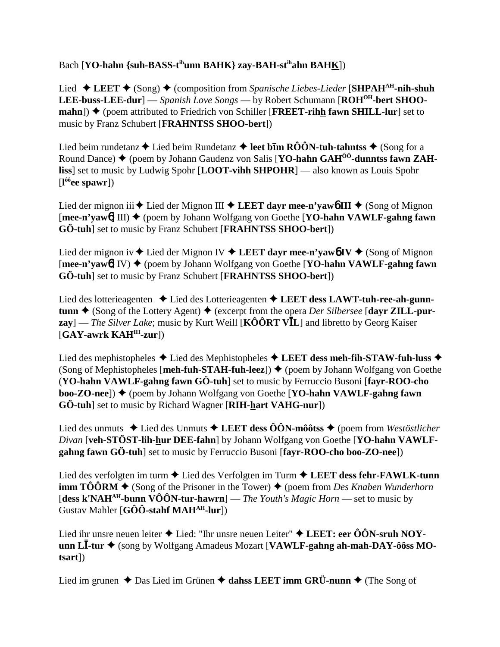### Bach [**YO-hahn** {suh-BASS-t<sup>ih</sup>unn BAHK} zay-BAH-st<sup>ih</sup>ahn BAHK])

Lied  $\triangle$  LEET  $\triangle$  (Song)  $\triangle$  (composition from *Spanische Liebes-Lieder* [SHPAH<sup>AH</sup>-nih-shuh LEE-buss-LEE-dur] — *Spanish Love Songs* — by Robert Schumann [ROH<sup>OH</sup>-bert SHOO $mahn$ ])  $\blacklozenge$  (poem attributed to Friedrich von Schiller [**FREET-rihh fawn SHILL-lur**] set to music by Franz Schubert [**FRAHNTSS SHOO-bert**])

Lied beim rundetanz  $\blacklozenge$  Lied beim Rundetanz  $\blacklozenge$  **leet bīm RÔÔN-tuh-tahntss**  $\blacklozenge$  (Song for a Round Dance) (poem by Johann Gaudenz von Salis [**YO-hahn GAHÔÔ-dunntss fawn ZAHliss**] set to music by Ludwig Spohr [**LOOT-vihh SHPOHR**] — also known as Louis Spohr [**l ôôee spawr**])

Lied der mignon iii  $\blacklozenge$  Lied der Mignon III  $\blacklozenge$  LEET dayr mee-n'yaw**6** III  $\blacklozenge$  (Song of Mignon [**mee-n'yaw**<sup>6</sup>] III) ◆ (poem by Johann Wolfgang von Goethe [**YO-hahn VAWLF-gahng fawn GÖ-tuh**] set to music by Franz Schubert [**FRAHNTSS SHOO-bert**])

Lied der mignon iv  $\blacklozenge$  Lied der Mignon IV  $\blacklozenge$  LEET dayr mee-n'yaw**6** IV  $\blacklozenge$  (Song of Mignon [**mee-n'yaw**6] IV) ♦ (poem by Johann Wolfgang von Goethe [**YO-hahn VAWLF-gahng fawn GÖ-tuh**] set to music by Franz Schubert [**FRAHNTSS SHOO-bert**])

Lied des lotterieagenten **→** Lied des Lotterieagenten → LEET dess LAWT-tuh-ree-ah-gunn**tunn ♦** (Song of the Lottery Agent) ♦ (excerpt from the opera *Der Silbersee* [dayr ZILL-pur**zay**] — *The Silver Lake*; music by Kurt Weill [**KÔÔRT VL**] and libretto by Georg Kaiser [**GAY-awrk KAHIH-zur**])

Lied des mephistopheles **→** Lied des Mephistopheles **→ LEET dess meh-fih-STAW-fuh-luss →** (Song of Mephistopheles [**meh-fuh-STAH-fuh-leez**])  $\blacklozenge$  (poem by Johann Wolfgang von Goethe (**YO-hahn VAWLF-gahng fawn GÖ-tuh**] set to music by Ferruccio Busoni [**fayr-ROO-cho boo-ZO-nee**]) ♦ (poem by Johann Wolfgang von Goethe [YO-hahn VAWLF-gahng fawn **GÖ-tuh**] set to music by Richard Wagner [**RIH-hart VAHG-nur**])

Lied des unmuts  $\triangle$  Lied des Unmuts  $\triangle$  LEET dess  $\hat{O}\hat{O}N$ -môôtss  $\triangle$  (poem from *Westöstlicher* Divan [veh-STÖST-lih-hur DEE-fahn] by Johann Wolfgang von Goethe [YO-hahn VAWLF**gahng fawn GÖ-tuh**] set to music by Ferruccio Busoni [**fayr-ROO-cho boo-ZO-nee**])

Lied des verfolgten im turm **←** Lied des Verfolgten im Turm ← LEET dess fehr-FAWLK-tunn **imm TÔÔRM**  $\triangle$  (Song of the Prisoner in the Tower)  $\triangle$  (poem from *Des Knaben Wunderhorn* [**dess k'NAHAH-bunn VÔÔN-tur-hawrn**] — *The Youth's Magic Horn* — set to music by Gustav Mahler [**GÔÔ-stahf MAHAH-lur**])

Lied ihr unsre neuen leiter  $\triangle$  Lied: "Ihr unsre neuen Leiter"  $\triangle$  **LEET: eer ÔÔN-sruh NOYunn L-tur** (song by Wolfgang Amadeus Mozart [**VAWLF-gahng ah-mah-DAY-ôôss MOtsart**])

Lied im grunen ◆ Das Lied im Grünen ◆ dahss LEET imm GRÜ-nunn ◆ (The Song of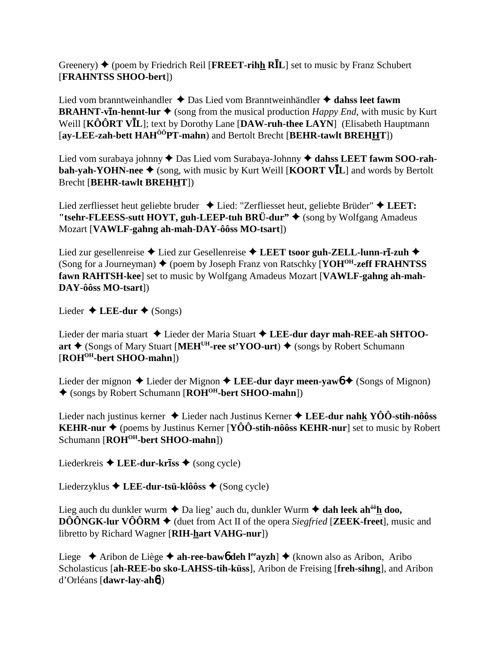Greenery)  $\triangle$  (poem by Friedrich Reil [**FREET-rihh RI**L] set to music by Franz Schubert [**FRAHNTSS SHOO-bert**])

Lied vom branntweinhandler Das Lied vom Branntweinhändler **dahss leet fawm BRAHNT-vIn-hennt-lur**  $\triangleq$  (song from the musical production *Happy End*, with music by Kurt Weill [**KÔÔRT VL**]; text by Dorothy Lane [**DAW-ruh-thee LAYN**] (Elisabeth Hauptmann [**ay-LEE-zah-bett HAHÔÔPT-mahn**) and Bertolt Brecht [**BEHR-tawlt BREHHT**])

Lied vom surabaya johnny  $\triangle$  Das Lied vom Surabaya-Johnny  $\triangle$  dahss LEET fawm SOO-rah**bah-yah-YOHN-nee**  $\blacklozenge$  (song, with music by Kurt Weill [**KOORT VI**L] and words by Bertolt Brecht [**BEHR-tawlt BREHHT**])

Lied zerfliesset heut geliebte bruder Lied: "Zerfliesset heut, geliebte Brüder" **LEET:** "tsehr-FLEESS-sutt HOYT, guh-LEEP-tuh BRÜ-dur" ◆ (song by Wolfgang Amadeus Mozart [**VAWLF-gahng ah-mah-DAY-ôôss MO-tsart**])

Lied zur gesellenreise ◆ Lied zur Gesellenreise ◆ LEET tsoor guh-ZELL-lunn-rī-zuh ◆ (Song for a Journeyman)  $\blacklozenge$  (poem by Joseph Franz von Ratschky [**YOH<sup>OH</sup>-zeff FRAHNTSS fawn RAHTSH-kee**] set to music by Wolfgang Amadeus Mozart [**VAWLF-gahng ah-mah-DAY-ôôss MO-tsart**])

Lieder  $\triangle$  **LEE-dur**  $\triangle$  (Songs)

Lieder der maria stuart ◆ Lieder der Maria Stuart ◆ LEE-dur dayr mah-REE-ah SHTOO**art ♦** (Songs of Mary Stuart [MEH<sup>UH</sup>-ree st'YOO-urt) ♦ (songs by Robert Schumann [**ROHOH-bert SHOO-mahn**])

Lieder der mignon  $\triangle$  Lieder der Mignon  $\triangle$  LEE-dur dayr meen-yaw<sup>6</sup>  $\triangle$  (Songs of Mignon) (songs by Robert Schumann [**ROHOH-bert SHOO-mahn**])

Lieder nach justinus kerner Lieder nach Justinus Kerner **LEE-dur nahk YÔÔ-stih-nôôss KEHR-nur**  $\triangle$  (poems by Justinus Kerner [**YÔÔ-stih-nôôss KEHR-nur**] set to music by Robert Schumann [**ROHOH-bert SHOO-mahn**])

Liederkreis ◆ LEE-dur-kriss ◆ (song cycle)

Liederzyklus **LEE-dur-tsü-klôôss** (Song cycle)

Lieg auch du dunkler wurm  $\triangleq$  Da lieg' auch du, dunkler Wurm  $\triangleq$  dah leek ah<sup>ôô</sup>h doo, **DÔÔNGK-lur VÔÔRM**  $\blacklozenge$  (duet from Act II of the opera *Siegfried* [**ZEEK-freet**], music and libretto by Richard Wagner [**RIH-hart VAHG-nur**])

Liege ◆ Aribon de Liège ◆ **ah-ree-baw6** deh l<sup>ee</sup>ayzh] ◆ (known also as Aribon, Aribo Scholasticus [**ah-REE-bo sko-LAHSS-tih-küss**], Aribon de Freising [**freh-sihng**], and Aribon d'Orléans [**dawr-lay-ah**6])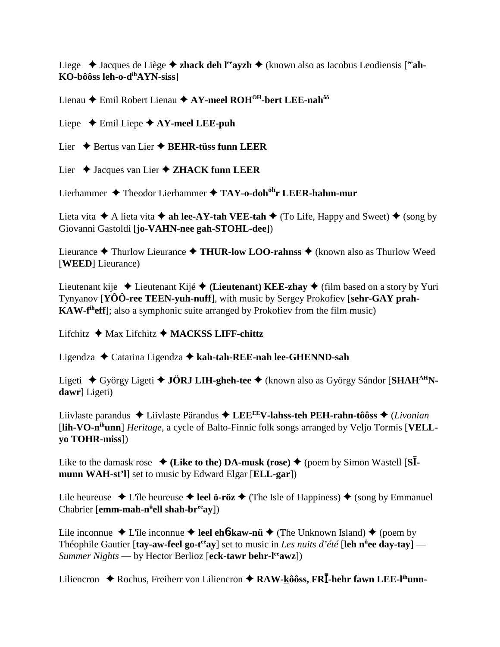Liege ◆ Jacques de Liège ◆ zhack deh l<sup>ee</sup>ayzh ◆ (known also as Iacobus Leodiensis [<sup>ee</sup>ah-**KO-bôôss leh-o-dihAYN-siss**]

Lienau **←** Emil Robert Lienau ← AY-meel ROH<sup>OH</sup>-bert LEE-nah<sup>ôô</sup>

Liepe  $\triangle$  Emil Liepe  $\triangle$  AY-meel LEE-puh

Lier **→** Bertus van Lier **→ BEHR-tüss funn LEER** 

Lier ◆ Jacques van Lier ◆ ZHACK funn LEER

Lierhammer ◆ Theodor Lierhammer ◆ TAY-o-doh<sup>oh</sup>r LEER-hahm-mur

Lieta vita  $\triangle$  A lieta vita  $\triangle$  ah lee-AY-tah VEE-tah  $\triangle$  (To Life, Happy and Sweet)  $\triangle$  (song by Giovanni Gastoldi [**jo-VAHN-nee gah-STOHL-dee**])

Lieurance **→** Thurlow Lieurance → THUR-low LOO-rahnss → (known also as Thurlow Weed [**WEED**] Lieurance)

Lieutenant kije  $\triangle$  Lieutenant Kijé  $\triangle$  (Lieutenant) KEE-zhay  $\triangle$  (film based on a story by Yuri Tynyanov [**YÔÔ-ree TEEN-yuh-nuff**], with music by Sergey Prokofiev [**sehr-GAY prah-KAW-f<sup>th</sup>eff**]; also a symphonic suite arranged by Prokofiev from the film music)

Lifchitz **→** Max Lifchitz **→ MACKSS LIFF-chittz** 

Ligendza Catarina Ligendza **kah-tah-REE-nah lee-GHENND-sah**

Ligeti György Ligeti **JÖRJ LIH-gheh-tee** (known also as György Sándor [**SHAHAHNdawr**] Ligeti)

Liivlaste parandus Liivlaste Pärandus **LEEEEV-lahss-teh PEH-rahn-tôôss** (*Livonian* [**lih-VO-nihunn**] *Heritage*, a cycle of Balto-Finnic folk songs arranged by Veljo Tormis [**VELLyo TOHR-miss**])

Like to the damask rose  $\blacklozenge$  (Like to the) DA-musk (rose)  $\blacklozenge$  (poem by Simon Wastell [S**Imunn WAH-st'l**] set to music by Edward Elgar [**ELL-gar**])

Lile heureuse  $\triangle$  L'île heureuse  $\triangle$  **leel ö-röz**  $\triangle$  (The Isle of Happiness)  $\triangle$  (song by Emmanuel Chabrier [**emm-mah-n<sup>ü</sup>ell shah-br<sup>ee</sup>ay**])

Lile inconnue  $\triangle$  L'île inconnue  $\triangle$  **leel eh6-kaw-nü**  $\triangle$  (The Unknown Island)  $\triangle$  (poem by Théophile Gautier [tay-aw-feel go-t<sup>ee</sup>ay] set to music in *Les nuits d'été* [leh n<sup>ü</sup>ee day-tay] — *Summer Nights* — by Hector Berlioz [eck-tawr behr-l<sup>ee</sup>awz])

Liliencron ◆ Rochus, Freiherr von Liliencron ◆ RAW-kôôss, FR**I**-hehr fawn LEE-l<sup>ih</sup>unn-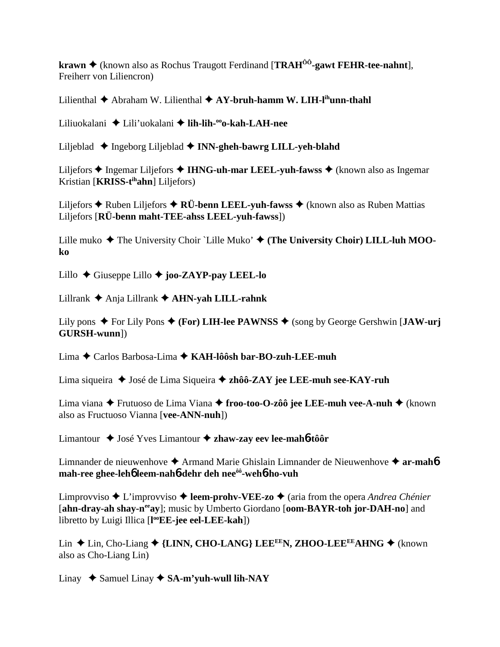**krawn ♦** (known also as Rochus Traugott Ferdinand [**TRAH<sup>ôô</sup>-gawt FEHR-tee-nahnt**], Freiherr von Liliencron)

Lilienthal  $\triangle$  Abraham W. Lilienthal  $\triangle$  AY-bruh-hamm W. LIH-l<sup>ih</sup>unn-thahl

Liliuokalani Lili'uokalani **lih-lih-ooo-kah-LAH-nee**

Liljeblad **→** Ingeborg Liljeblad → **INN-gheh-bawrg LILL-yeh-blahd** 

Liljefors ◆ Ingemar Liljefors ◆ IHNG-uh-mar LEEL-yuh-fawss ◆ (known also as Ingemar Kristian [**KRISS-tihahn**] Liljefors)

Liljefors  $\triangle$  Ruben Liljefors  $\triangle$  RÜ-benn LEEL-yuh-fawss  $\triangle$  (known also as Ruben Mattias Liljefors [**RÜ-benn maht-TEE-ahss LEEL-yuh-fawss**])

Lille muko ◆ The University Choir `Lille Muko' ◆ (The University Choir) LILL-luh MOO**ko**

Lillo Giuseppe Lillo **joo-ZAYP-pay LEEL-lo**

Lillrank Anja Lillrank **AHN-yah LILL-rahnk**

Lily pons  $\blacklozenge$  For Lily Pons  $\blacklozenge$  (**For**) LIH-lee PAWNSS  $\blacklozenge$  (song by George Gershwin [JAW-urj **GURSH-wunn**])

Lima Carlos Barbosa-Lima **KAH-lôôsh bar-BO-zuh-LEE-muh**

Lima siqueira ◆ José de Lima Siqueira ◆ zhôô-ZAY jee LEE-muh see-KAY-ruh

Lima viana ◆ Frutuoso de Lima Viana ◆ froo-too-O-zôô jee LEE-muh vee-A-nuh ◆ (known also as Fructuoso Vianna [**vee-ANN-nuh**])

Limantour José Yves Limantour **zhaw-zay eev lee-mah**6**-tôôr**

Limnander de nieuwenhove **→** Armand Marie Ghislain Limnander de Nieuwenhove → **ar-mah6 mah-ree ghee-leh**6 **leem-nah**6**-dehr deh neeôô-weh**6**-ho-vuh**

Limprovviso ◆ L'improvviso ◆ **leem-prohv-VEE-zo** ◆ (aria from the opera *Andrea Chénier* [ahn-dray-ah shay-n<sup>ee</sup>ay]; music by Umberto Giordano [oom-BAYR-toh jor-DAH-no] and libretto by Luigi Illica [**l ooEE-jee eel-LEE-kah**])

Lin ◆ Lin, Cho-Liang ◆ {LINN, CHO-LANG} LEE<sup>EE</sup>N, ZHOO-LEE<sup>EE</sup>AHNG ◆ (known also as Cho-Liang Lin)

Linay  $\rightarrow$  Samuel Linay  $\rightarrow$  SA-m'yuh-wull lih-NAY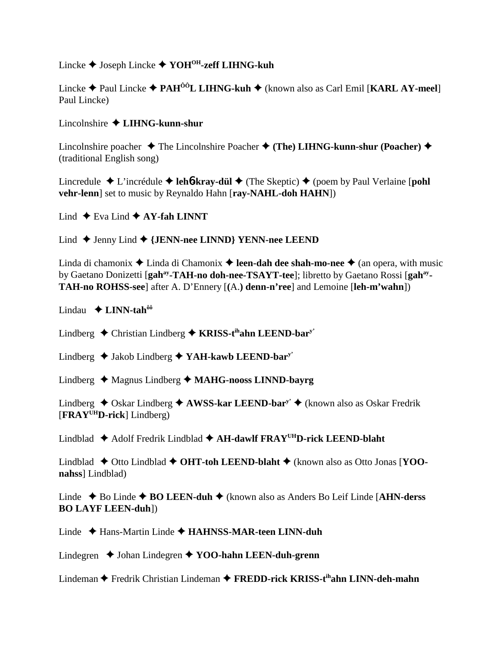## Lincke Joseph Lincke **YOHOH-zeff LIHNG-kuh**

Lincke Paul Lincke **PAHÔÔL LIHNG-kuh** (known also as Carl Emil [**KARL AY-meel**] Paul Lincke)

#### Lincolnshire **LIHNG-kunn-shur**

Lincolnshire poacher **→** The Lincolnshire Poacher → (The) LIHNG-kunn-shur (Poacher) → (traditional English song)

Lincredule  $\triangle$  L'incrédule  $\triangle$  **leh<sup>6</sup>-kray-dül**  $\triangle$  (The Skeptic)  $\triangle$  (poem by Paul Verlaine [**pohl vehr-lenn**] set to music by Reynaldo Hahn [**ray-NAHL-doh HAHN**])

Lind  $\triangle$  Eva Lind  $\triangle$  AY-fah LINNT

Lind Jenny Lind **{JENN-nee LINND} YENN-nee LEEND**

Linda di chamonix  $\triangle$  Linda di Chamonix  $\triangle$  **leen-dah dee shah-mo-nee**  $\triangle$  (an opera, with music by Gaetano Donizetti [gah<sup>ay</sup>-TAH-no doh-nee-TSAYT-tee]; libretto by Gaetano Rossi [gah<sup>ay</sup>-**TAH-no ROHSS-see**] after A. D'Ennery [**(**A.**) denn-n'ree**] and Lemoine [**leh-m'wahn**])

Lindau **LINN-tahôô**

Lindberg **←** Christian Lindberg ← **KRISS-t<sup>ih</sup>ahn LEEND-bar**y'

Lindberg Jakob Lindberg **YAH-kawb LEEND-bary'**

Lindberg Magnus Lindberg **MAHG-nooss LINND-bayrg**

Lindberg ◆ Oskar Lindberg ◆ AWSS-kar LEEND-bar<sup>y'</sup> ◆ (known also as Oskar Fredrik [**FRAYUHD-rick**] Lindberg)

Lindblad Adolf Fredrik Lindblad **AH-dawlf FRAYUHD-rick LEEND-blaht**

Lindblad ◆ Otto Lindblad ◆ OHT-toh LEEND-blaht ◆ (known also as Otto Jonas [YOO**nahss**] Lindblad)

Linde Bo Linde **BO LEEN-duh** (known also as Anders Bo Leif Linde [**AHN-derss BO LAYF LEEN-duh**])

Linde Hans-Martin Linde **HAHNSS-MAR-teen LINN-duh**

Lindegren **→** Johan Lindegren **→ YOO-hahn LEEN-duh-grenn** 

Lindeman Fredrik Christian Lindeman **FREDD-rick KRISS-tihahn LINN-deh-mahn**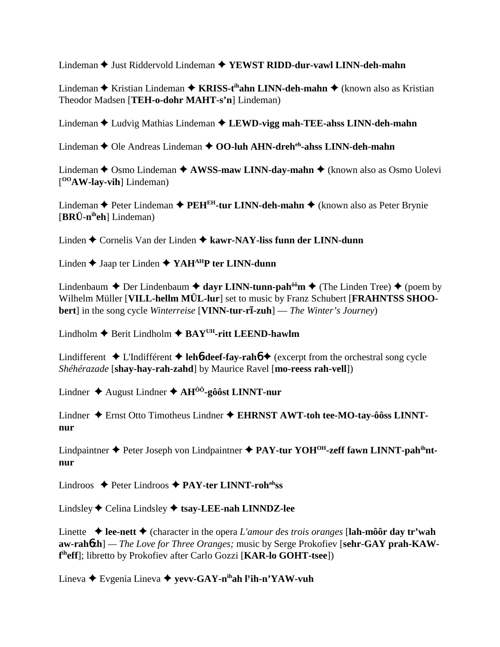Lindeman **→** Just Riddervold Lindeman → **YEWST RIDD-dur-vawl LINN-deh-mahn** 

Lindeman **→** Kristian Lindeman → **KRISS-t<sup>ih</sup>ahn LINN-deh-mahn** → (known also as Kristian Theodor Madsen [**TEH-o-dohr MAHT-s'n**] Lindeman)

Lindeman ♦ Ludvig Mathias Lindeman ♦ LEWD-vigg mah-TEE-ahss LINN-deh-mahn

Lindeman **←** Ole Andreas Lindeman ← OO-luh AHN-dreh<sup>eh</sup>-ahss LINN-deh-mahn

Lindeman ◆ Osmo Lindeman ◆ AWSS-maw LINN-day-mahn ◆ (known also as Osmo Uolevi [ **OOAW-lay-vih**] Lindeman)

Lindeman **←** Peter Lindeman ← PEH<sup>EH</sup>-tur LINN-deh-mahn ← (known also as Peter Brynie [**BRÜ-niheh**] Lindeman)

Linden Cornelis Van der Linden **kawr-NAY-liss funn der LINN-dunn**

Linden **→** Jaap ter Linden ◆ YAH<sup>AH</sup>P ter LINN-dunn

Lindenbaum  $\triangle$  Der Lindenbaum  $\triangle$  dayr LINN-tunn-pah<sup>ôô</sup>m  $\triangle$  (The Linden Tree)  $\triangle$  (poem by Wilhelm Müller [**VILL-hellm MÜL-lur**] set to music by Franz Schubert [**FRAHNTSS SHOObert**] in the song cycle *Winterreise* [**VINN-tur-rī-zuh**] — *The Winter's Journey*)

Lindholm  $\triangle$  Berit Lindholm  $\triangle$  BAY<sup>UH</sup>-ritt LEEND-hawlm

Lindifferent  $\triangle$  L'Indifférent  $\triangle$  **leh<sup>6</sup>-deef-fay-rah<sup>6</sup>**  $\triangle$  (excerpt from the orchestral song cycle *Shéhérazade* [**shay-hay-rah-zahd**] by Maurice Ravel [**mo-reess rah-vell**])

Lindner August Lindner **AHÔÔ-gôôst LINNT-nur**

Lindner Ernst Otto Timotheus Lindner **EHRNST AWT-toh tee-MO-tay-ôôss LINNTnur**

Lindpaintner  $\triangle$  Peter Joseph von Lindpaintner  $\triangle$  PAY-tur YOH<sup>OH</sup>-zeff fawn LINNT-pah<sup>ih</sup>nt**nur**

Lindroos Peter Lindroos **PAY-ter LINNT-rohohss**

Lindsley Celina Lindsley **tsay-LEE-nah LINNDZ-lee**

Linette  $\triangle$  **lee-nett**  $\triangle$  (character in the opera *L'amour des trois oranges* [lah-môôr day tr'wah aw-rahbzh] — The Love for Three Oranges; music by Serge Prokofiev [sehr-GAY prah-KAW**f iheff**]; libretto by Prokofiev after Carlo Gozzi [**KAR-lo GOHT-tsee**])

Lineva Evgenia Lineva  **yevv-GAY-nihah ly ih-n'YAW-vuh**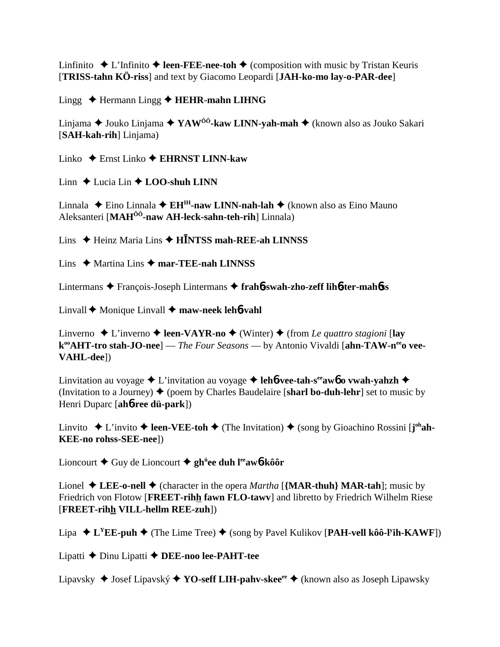Linfinito  $\triangle$  L'Infinito  $\triangle$  **leen-FEE-nee-toh**  $\triangle$  (composition with music by Tristan Keuris [**TRISS-tahn KÖ-riss**] and text by Giacomo Leopardi [**JAH-ko-mo lay-o-PAR-dee**]

Lingg **→** Hermann Lingg → **HEHR-mahn LIHNG** 

Linjama ◆ Jouko Linjama ◆ YAW<sup>ôô</sup>-kaw LINN-yah-mah ◆ (known also as Jouko Sakari [**SAH-kah-rih**] Linjama)

Linko Ernst Linko **EHRNST LINN-kaw**

Linn  $\triangle$  Lucia Lin  $\triangle$  **LOO-shuh LINN** 

Linnala ◆ Eino Linnala ◆ EH<sup>IH</sup>-naw LINN-nah-lah ◆ (known also as Eino Mauno Aleksanteri [**MAHÔÔ-naw AH-leck-sahn-teh-rih**] Linnala)

Lins ♦ Heinz Maria Lins ♦ **HINTSS mah-REE-ah LINNSS** 

Lins  $\triangle$  Martina Lins  $\triangle$  mar-TEE-nah LINNSS

Lintermans François-Joseph Lintermans **frah**6**-swah-zho-zeff lih**6**-ter-mah**6**ss**

Linvall  $\blacklozenge$  Monique Linvall  $\blacklozenge$  maw-neek leh**6**-vahl

Linverno  $\triangle$  L'inverno  $\triangle$  **leen-VAYR-no**  $\triangle$  (Winter)  $\triangle$  (from *Le quattro stagioni* [**lay** k<sup>oo</sup>AHT-tro stah-JO-nee] — *The Four Seasons* — by Antonio Vivaldi [ahn-TAW-n<sup>ee</sup>o vee-**VAHL-dee**])

Linvitation au voyage  $\triangle$  L'invitation au voyage  $\triangle$  leh**6**-vee-tah-s<sup>ee</sup>aw6 o vwah-yahzh  $\triangle$ (Invitation to a Journey)  $\triangle$  (poem by Charles Baudelaire [**sharl bo-duh-lehr**] set to music by Henri Duparc [**ah**6**-ree dü-park**])

Linvito  $\triangle$  L'invito  $\triangle$  leen-VEE-toh  $\triangle$  (The Invitation)  $\triangle$  (song by Gioachino Rossini [**j**<sup>oh</sup>ah-**KEE-no rohss-SEE-nee**])

Lioncourt ◆ Guy de Lioncourt ◆ gh<sup>ü</sup>ee duh l<sup>ee</sup>aw6-kôôr

Lionel  $\triangle$  LEE-o-nell  $\triangle$  (character in the opera *Martha* [**{MAR-thuh} MAR-tah**]; music by Friedrich von Flotow [**FREET-rihh fawn FLO-tawv**] and libretto by Friedrich Wilhelm Riese [**FREET-rihh VILL-hellm REE-zuh**])

Lipa **→ L<sup>Y</sup>EE-puh →** (The Lime Tree) ◆ (song by Pavel Kulikov [PAH-vell kôô-l<sup>y</sup>ih-KAWF])

Lipatti Dinu Lipatti **DEE-noo lee-PAHT-tee**

Lipavsky Josef Lipavský **YO-seff LIH-pahv-skeeee** (known also as Joseph Lipawsky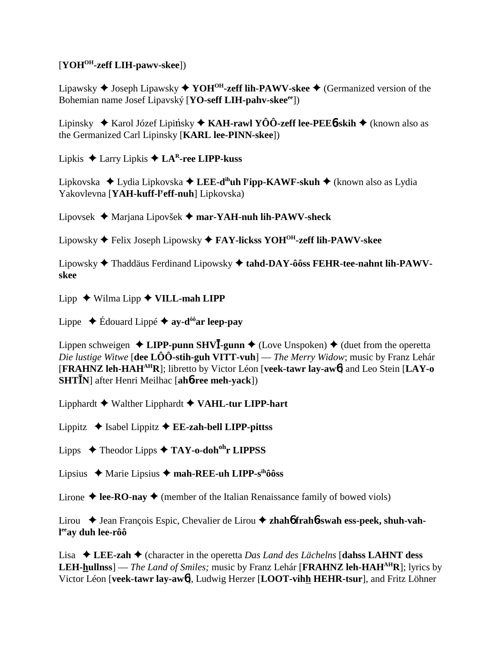### [**YOHOH-zeff LIH-pawv-skee**])

Lipawsky Joseph Lipawsky **YOHOH-zeff lih-PAWV-skee** (Germanized version of the Bohemian name Josef Lipavský [**YO-seff LIH-pahv-skeeee**])

Lipinsky ◆ Karol Józef Lipińsky ◆ KAH-rawl YÔÔ-zeff lee-PEE6-skih ◆ (known also as the Germanized Carl Lipinsky [**KARL lee-PINN-skee**])

Lipkis  $\triangle$  Larry Lipkis  $\triangle$  **LA<sup>R</sup>-ree LIPP-kuss** 

Lipkovska Lydia Lipkovska **LEE-dihuh ly ipp-KAWF-skuh** (known also as Lydia Yakovlevna [**YAH-kuff-ly eff-nuh**] Lipkovska)

Lipovsek Marjana Lipovšek **mar-YAH-nuh lih-PAWV-sheck**

Lipowsky Felix Joseph Lipowsky **FAY-lickss YOHOH-zeff lih-PAWV-skee**

Lipowsky Thaddäus Ferdinand Lipowsky **tahd-DAY-ôôss FEHR-tee-nahnt lih-PAWVskee**

Lipp  $\blacklozenge$  Wilma Lipp  $\blacklozenge$  VILL-mah LIPP

Lippe  $\blacklozenge$  Édouard Lippé  $\blacklozenge$  ay-d<sup>ôô</sup>ar leep-pay

Lippen schweigen  $\triangle$  LIPP-punn SHV**I**-gunn  $\triangle$  (Love Unspoken)  $\triangle$  (duet from the operetta *Die lustige Witwe* [**dee LÔÔ-stih-guh VITT-vuh**] — *The Merry Widow*; music by Franz Lehár [**FRAHNZ leh-HAHAHR**]; libretto by Victor Léon [**veek-tawr lay-aw**6] and Leo Stein [**LAY-o SHTN**] after Henri Meilhac [**ah**6**-ree meh-yack**])

Lipphardt Walther Lipphardt **VAHL-tur LIPP-hart**

Lippitz  $\triangle$  Isabel Lippitz  $\triangle$  **EE-zah-bell LIPP-pittss** 

Lipps Theodor Lipps **TAY-o-dohohr LIPPSS**

Lipsius Marie Lipsius **mah-REE-uh LIPP-sihôôss**

Lirone  $\triangle$  **lee-RO-nay**  $\triangle$  (member of the Italian Renaissance family of bowed viols)

Lirou ◆ Jean François Espic, Chevalier de Lirou ◆ zhah**6** frah**6**-swah ess-peek, shuh-vah**l eeay duh lee-rôô**

Lisa  $\triangle$  LEE-zah  $\triangle$  (character in the operetta *Das Land des Lächelns* [dahss LAHNT dess **LEH-hullnss**] — *The Land of Smiles*; music by Franz Lehár [**FRAHNZ leh-HAH<sup>AH</sup>R**]; lyrics by Victor Léon [**veek-tawr lay-aw**6], Ludwig Herzer [**LOOT-vihh HEHR-tsur**], and Fritz Löhner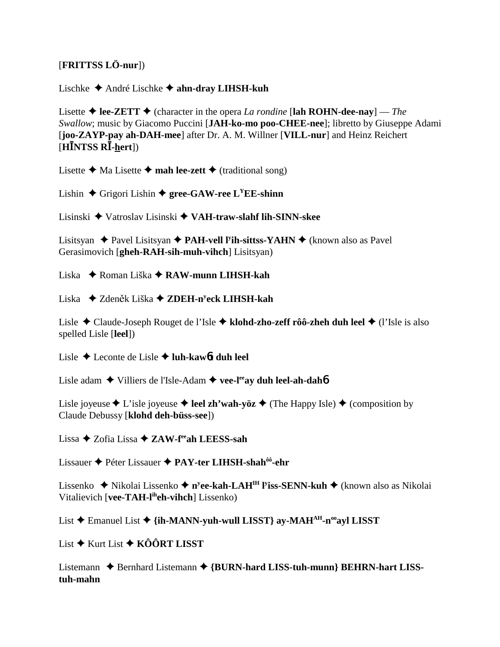### [**FRITTSS LÖ-nur**])

#### Lischke André Lischke **ahn-dray LIHSH-kuh**

Lisette  $\triangle$  **lee-ZETT**  $\triangle$  (character in the opera *La rondine* [lah ROHN-dee-nay] — *The Swallow*; music by Giacomo Puccini [**JAH-ko-mo poo-CHEE-nee**]; libretto by Giuseppe Adami [**joo-ZAYP-pay ah-DAH-mee**] after Dr. A. M. Willner [**VILL-nur**] and Heinz Reichert [**HNTSS R-hert**])

Lisette  $\triangle$  Ma Lisette  $\triangle$  **mah lee-zett**  $\triangle$  (traditional song)

Lishin  $\triangle$  Grigori Lishin  $\triangle$  gree-GAW-ree L<sup>Y</sup>EE-shinn

Lisinski Vatroslav Lisinski **VAH-traw-slahf lih-SINN-skee**

Lisitsyan ◆ Pavel Lisitsyan ◆ PAH-vell l<sup>y</sup>ih-sittss-YAHN ◆ (known also as Pavel Gerasimovich [**gheh-RAH-sih-muh-vihch**] Lisitsyan)

Liska Roman Liška **RAW-munn LIHSH-kah**

Liska Zden k Liška **ZDEH-ny eck LIHSH-kah**

Lisle Claude-Joseph Rouget de l'Isle **klohd-zho-zeff rôô-zheh duh leel** (l'Isle is also spelled Lisle [**leel**])

Lisle Leconte de Lisle **luh-kaw**6**t duh leel**

Lisle adam ◆ Villiers de l'Isle-Adam ◆ vee-l<sup>ee</sup>ay duh leel-ah-dah**6** 

Lisle joyeuse  $\triangle$  L'isle joyeuse  $\triangle$  **leel zh'wah-yöz**  $\triangle$  (The Happy Isle)  $\triangle$  (composition by Claude Debussy [**klohd deh-büss-see**])

Lissa Zofia Lissa **ZAW-feeah LEESS-sah**

Lissauer Péter Lissauer **PAY-ter LIHSH-shahôô-ehr**

Lissenko ◆ Nikolai Lissenko ◆ n<sup>y</sup>ee-kah-LAH<sup>IH</sup> l<sup>y</sup>iss-SENN-kuh ◆ (known also as Nikolai Vitalievich [**vee-TAH-liheh-vihch**] Lissenko)

List  $\triangle$  Emanuel List  $\triangle$  {i**h-MANN-yuh-wull LISST}** av-MAH<sup>AH</sup>-n<sup>oo</sup>ayl LISST

List **→** Kurt List **→ KÔÔRT LISST** 

Listemann ♦ Bernhard Listemann ♦ {BURN-hard LISS-tuh-munn} BEHRN-hart LISS**tuh-mahn**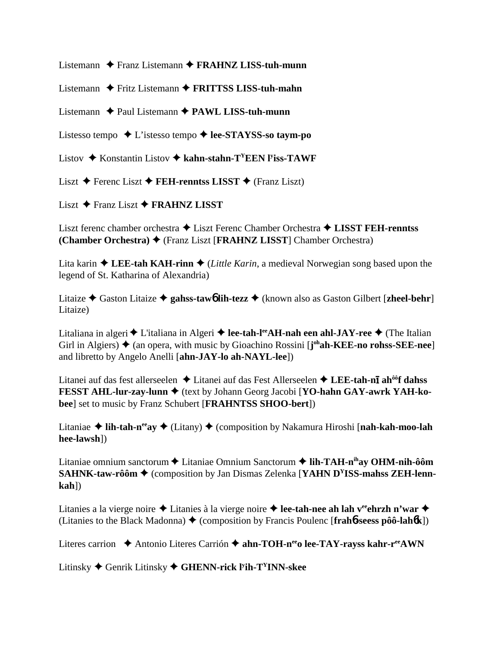Listemann Franz Listemann **FRAHNZ LISS-tuh-munn**

Listemann **←** Fritz Listemann ← **FRITTSS LISS-tuh-mahn** 

Listemann **→** Paul Listemann → PAWL LISS-tuh-munn

Listesso tempo L'istesso tempo **lee-STAYSS-so taym-po**

Listov ◆ Konstantin Listov ◆ kahn-stahn-T<sup>Y</sup>EEN l<sup>y</sup>iss-TAWF

Liszt **→** Ferenc Liszt **→ FEH-renntss LISST** → (Franz Liszt)

Liszt **→** Franz Liszt **→ FRAHNZ LISST** 

Liszt ferenc chamber orchestra Liszt Ferenc Chamber Orchestra **LISST FEH-renntss (Chamber Orchestra)** (Franz Liszt [**FRAHNZ LISST**] Chamber Orchestra)

Lita karin  $\triangle$  LEE-tah KAH-rinn  $\triangle$  (*Little Karin*, a medieval Norwegian song based upon the legend of St. Katharina of Alexandria)

Litaize  $\triangle$  Gaston Litaize  $\triangle$  gahss-taw**6** lih-tezz  $\triangle$  (known also as Gaston Gilbert [zheel-behr] Litaize)

Litaliana in algeri  $\triangle$  L'italiana in Algeri  $\triangle$  lee-tah-l<sup>ee</sup>AH-nah een ahl-JAY-ree  $\triangle$  (The Italian Girl in Algiers)  $\triangle$  (an opera, with music by Gioachino Rossini [**j**<sup>oh</sup>**ah-KEE-no rohss-SEE-nee**] and libretto by Angelo Anelli [**ahn-JAY-lo ah-NAYL-lee**])

Litanei auf das fest allerseelen ♦ Litanei auf das Fest Allerseelen ♦ L**EE-tah-nī ah<sup>ôô</sup>f dahss FESST AHL-lur-zay-lunn**  $\blacklozenge$  **(text by Johann Georg Jacobi [YO-hahn GAY-awrk YAH-kobee**] set to music by Franz Schubert [**FRAHNTSS SHOO-bert**])

Litaniae ◆ lih-tah-n<sup>ee</sup>ay ◆ (Litany) ◆ (composition by Nakamura Hiroshi [nah-kah-moo-lah **hee-lawsh**])

Litaniae omnium sanctorum **←** Litaniae Omnium Sanctorum ← lih-TAH-n<sup>ih</sup>ay OHM-nih-ôôm **SAHNK-taw-rôôm**  $\triangle$  (composition by Jan Dismas Zelenka [**YAHN D<sup>Y</sup>ISS-mahss ZEH-lennkah**])

Litanies a la vierge noire ◆ Litanies à la vierge noire ◆ lee-tah-nee ah lah v<sup>ee</sup>ehrzh n'war ◆ (Litanies to the Black Madonna) (composition by Francis Poulenc [**frah**6**-seess pôô-lah**6**k**])

Literes carrion 
← Antonio Literes Carrión ← ahn-TOH-n<sup>ee</sup>o lee-TAY-rayss kahr-r<sup>ee</sup>AWN

Litinsky Genrik Litinsky **GHENN-rick ly ih-TYINN-skee**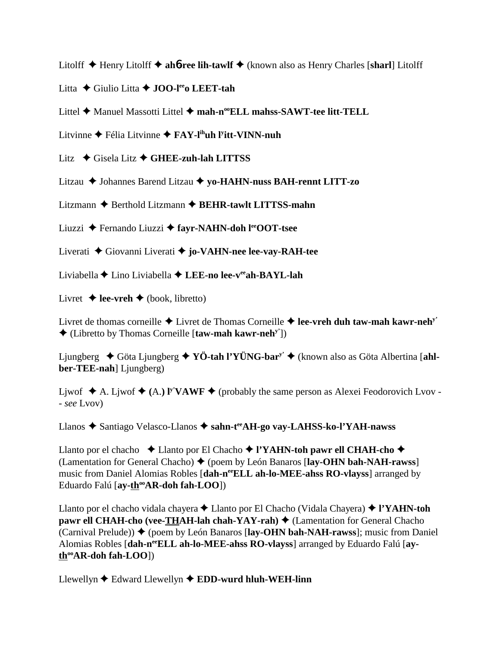Litolff Henry Litolff **ah**6**-ree lih-tawlf** (known also as Henry Charles [**sharl**] Litolff

Litta Giulio Litta **JOO-leeo LEET-tah**

Littel **←** Manuel Massotti Littel ← mah-n<sup>oo</sup>ELL mahss-SAWT-tee litt-TELL

Litvinne ◆ Félia Litvinne **◆ FAY-l<sup>ih</sup>uh l<sup>y</sup>itt-VINN-nuh** 

Litz Gisela Litz **GHEE-zuh-lah LITTSS**

Litzau Johannes Barend Litzau **yo-HAHN-nuss BAH-rennt LITT-zo**

Litzmann **→** Berthold Litzmann → **BEHR-tawlt LITTSS-mahn** 

Liuzzi Fernando Liuzzi **fayr-NAHN-doh leeOOT-tsee**

Liverati Giovanni Liverati **jo-VAHN-nee lee-vay-RAH-tee**

Liviabella Lino Liviabella **LEE-no lee-veeah-BAYL-lah**

Livret  $\triangleq$  **lee-vreh**  $\triangleq$  (book, libretto)

Livret de thomas corneille Livret de Thomas Corneille **lee-vreh duh taw-mah kawr-nehy'** (Libretto by Thomas Corneille [**taw-mah kawr-nehy'**])

Ljungberg Göta Ljungberg **YÖ-tah l'YÜNG-bary'** (known also as Göta Albertina [**ahlber-TEE-nah**] Ljungberg)

Ljwof  $\blacklozenge$  A. Ljwof  $\blacklozenge$  (A.) I<sup>y</sup>VAWF  $\blacklozenge$  (probably the same person as Alexei Feodorovich Lvov -- *see* Lvov)

Llanos Santiago Velasco-Llanos **sahn-teeAH-go vay-LAHSS-ko-l'YAH-nawss**

Llanto por el chacho **→** Llanto por El Chacho → l'YA**HN-toh pawr ell CHAH-cho** → (Lamentation for General Chacho) ♦ (poem by León Banaros [**lay-OHN bah-NAH-rawss**] music from Daniel Alomias Robles [**dah-neeELL ah-lo-MEE-ahss RO-vlayss**] arranged by Eduardo Falú [ay-th<sup>oo</sup>AR-doh fah-LOO])

Llanto por el chacho vidala chayera Llanto por El Chacho (Vidala Chayera) **l'YAHN-toh pawr ell CHAH-cho (vee-THAH-lah chah-YAY-rah) ♦ (Lamentation for General Chacho** (Carnival Prelude))  $\blacklozenge$  (poem by León Banaros [lay-OHN bah-NAH-rawss]; music from Daniel Alomias Robles [dah-n<sup>ee</sup>ELL ah-lo-MEE-ahss RO-vlayss] arranged by Eduardo Falú [ayth<sup>oo</sup>AR-doh fah-LOO])

Llewellyn  $\triangle$  Edward Llewellyn  $\triangle$  **EDD-wurd hluh-WEH-linn**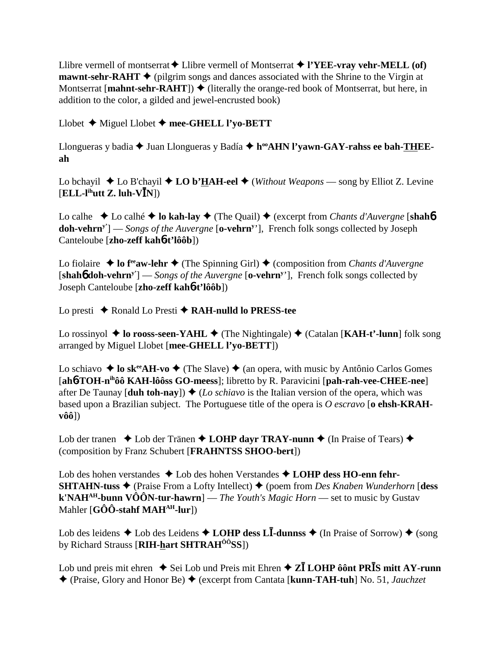Llibre vermell of montserrat  $\blacklozenge$  Llibre vermell of Montserrat  $\blacklozenge$  l'YEE-vray vehr-MELL (of) **mawnt-sehr-RAHT**  $\blacklozenge$  (pilgrim songs and dances associated with the Shrine to the Virgin at Montserrat [**mahnt-sehr-RAHT**])  $\blacklozenge$  (literally the orange-red book of Montserrat, but here, in addition to the color, a gilded and jewel-encrusted book)

Llobet Miguel Llobet **mee-GHELL l'yo-BETT**

Llongueras y badia ◆ Juan Llongueras y Badía ◆ h<sup>oo</sup>AHN l'yawn-GAY-rahss ee bah-THEE**ah**

Lo bchayil  $\triangle$  Lo B'chayil  $\triangle$  LO b'**HAH-eel**  $\triangle$  (*Without Weapons* — song by Elliot Z. Levine  $[ELL-l<sup>ih</sup>utt Z. luh-V<sup>th</sup>N]$ 

Lo calhe **→** Lo calhé **→ lo kah-lay** → (The Quail) → (excerpt from *Chants d'Auvergne* [shah**6**] **doh-vehrny'**] — *Songs of the Auvergne* [**o-vehrny** '], French folk songs collected by Joseph Canteloube [**zho-zeff kah**6**-t'lôôb**])

Lo fiolaire  $\triangle$  lo f<sup>ee</sup>aw-lehr  $\triangle$  (The Spinning Girl)  $\triangle$  (composition from *Chants d'Auvergne* [**shah**6 **doh-vehrny'**] — *Songs of the Auvergne* [**o-vehrny** '], French folk songs collected by Joseph Canteloube [**zho-zeff kah**6**-t'lôôb**])

Lo presti ◆ Ronald Lo Presti ◆ **RAH-nulld lo PRESS-tee** 

Lo rossinyol ◆ lo rooss-seen-YAHL ◆ (The Nightingale) ◆ (Catalan [KAH-t'-lunn] folk song arranged by Miguel Llobet [**mee-GHELL l'yo-BETT**])

Lo schiavo  $\triangleq$  lo sk<sup>ee</sup>AH-vo  $\triangleq$  (The Slave)  $\triangleq$  (an opera, with music by Antônio Carlos Gomes [**ah**6**-TOH-nihôô KAH-lôôss GO-meess**]; libretto by R. Paravicini [**pah-rah-vee-CHEE-nee**] after De Taunay  $\text{[duh toh-nay]}$   $\blacklozenge$  (*Lo schiavo* is the Italian version of the opera, which was based upon a Brazilian subject. The Portuguese title of the opera is *O escravo* [**o ehsh-KRAHvôô**])

Lob der tranen  $\triangle$  Lob der Tränen  $\triangle$  LOHP dayr TRAY-nunn  $\triangle$  (In Praise of Tears)  $\triangle$ (composition by Franz Schubert [**FRAHNTSS SHOO-bert**])

Lob des hohen verstandes Lob des hohen Verstandes **LOHP dess HO-enn fehr-SHTAHN-tuss ♦** (Praise From a Lofty Intellect) ♦ (poem from *Des Knaben Wunderhorn* [**dess k'NAHAH-bunn VÔÔN-tur-hawrn**] — *The Youth's Magic Horn* — set to music by Gustav Mahler [**GÔÔ-stahf MAH<sup>AH</sup>-lur**])

Lob des leidens  $\triangle$  Lob des Leidens  $\triangle$  LOHP dess L**I**-dunnss  $\triangle$  (In Praise of Sorrow)  $\triangle$  (song by Richard Strauss [**RIH-hart SHTRAHÔÔSS**])

Lob und preis mit ehren  $\triangle$  Sei Lob und Preis mit Ehren  $\triangle$  **ZI** LOHP ôônt PR**I**S mitt AY-runn (Praise, Glory and Honor Be) (excerpt from Cantata [**kunn-TAH-tuh**] No. 51, *Jauchzet*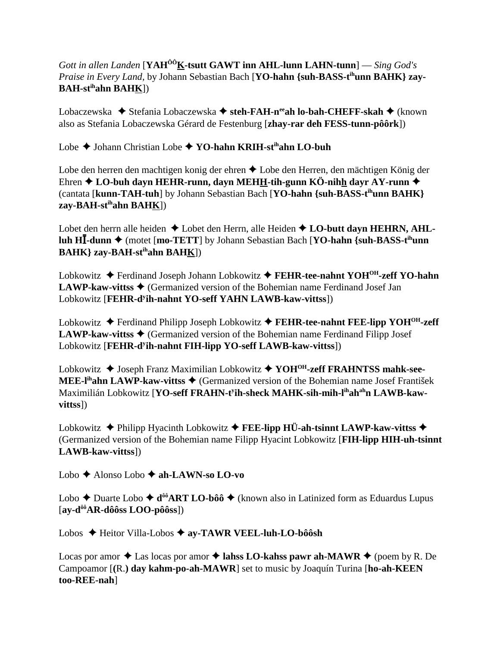### *Gott in allen Landen* [**YAHÔÔK-tsutt GAWT inn AHL-lunn LAHN-tunn**] — *Sing God's Praise in Every Land, by Johann Sebastian Bach* [YO-hahn {suh-BASS-t<sup>ih</sup>unn BAHK} zay-**BAH-stihahn BAHK**])

Lobaczewska ◆ Stefania Lobaczewska ◆ steh-FAH-n<sup>ee</sup>ah lo-bah-CHEFF-skah ◆ (known also as Stefania Lobaczewska Gérard de Festenburg [**zhay-rar deh FESS-tunn-pôôrk**])

Lobe Johann Christian Lobe **YO-hahn KRIH-stihahn LO-buh**

Lobe den herren den machtigen konig der ehren ◆ Lobe den Herren, den mächtigen König der Ehren **LO-buh dayn HEHR-runn, dayn MEHH-tih-gunn KÖ-nihh dayr AY-runn** (cantata [**kunn-TAH-tuh**] by Johann Sebastian Bach [**YO-hahn {suh-BASS-tihunn BAHK} zay-BAH-stihahn BAHK**])

Lobet den herrn alle heiden  $\triangle$  Lobet den Herrn, alle Heiden  $\triangle$  **LO-butt dayn HEHRN, AHLluh H<sup>I</sup>-dunn ♦** (motet [**mo-TETT**] by Johann Sebastian Bach [**YO-hahn** {suh-BASS-t<sup>ih</sup>unn **BAHK} zay-BAH-stihahn BAHK**])

Lobkowitz **→** Ferdinand Joseph Johann Lobkowitz → FEHR-tee-nahnt YOH<sup>OH</sup>-zeff YO-hahn **LAWP-kaw-vittss ♦ (Germanized version of the Bohemian name Ferdinand Josef Jan** Lobkowitz [FEHR-d<sup>y</sup>ih-nahnt YO-seff YAHN LAWB-kaw-vittss])

Lobkowitz Ferdinand Philipp Joseph Lobkowitz **FEHR-tee-nahnt FEE-lipp YOHOH-zeff LAWP-kaw-vittss ♦ (Germanized version of the Bohemian name Ferdinand Filipp Josef** Lobkowitz [FEHR-d<sup>y</sup>ih-nahnt FIH-lipp YO-seff LAWB-kaw-vittss])

Lobkowitz ◆ Joseph Franz Maximilian Lobkowitz ◆ YOH<sup>OH</sup>-zeff FRAHNTSS mahk-see-**MEE-l<sup>ih</sup>ahn LAWP-kaw-vittss ♦ (Germanized version of the Bohemian name Josef František** Maximilián Lobkowitz [**YO-seff FRAHN-ty ih-sheck MAHK-sih-mih-lihahahn LAWB-kawvittss**])

Lobkowitz  $\blacklozenge$  Philipp Hyacinth Lobkowitz  $\blacklozenge$  **FEE-lipp HÜ-ah-tsinnt LAWP-kaw-vittss**  $\blacklozenge$ (Germanized version of the Bohemian name Filipp Hyacint Lobkowitz [**FIH-lipp HIH-uh-tsinnt LAWB-kaw-vittss**])

Lobo Alonso Lobo **ah-LAWN-so LO-vo**

Lobo  $\triangle$  Duarte Lobo  $\triangle$  d<sup>ôô</sup>ART LO-bôô  $\triangle$  (known also in Latinized form as Eduardus Lupus [**ay-dôôAR-dôôss LOO-pôôss**])

Lobos Heitor Villa-Lobos **ay-TAWR VEEL-luh-LO-bôôsh**

Locas por amor  $\triangle$  Las locas por amor  $\triangle$  lahss LO-kahss pawr ah-MAWR  $\triangle$  (poem by R. De Campoamor [**(**R.**) day kahm-po-ah-MAWR**] set to music by Joaquín Turina [**ho-ah-KEEN too-REE-nah**]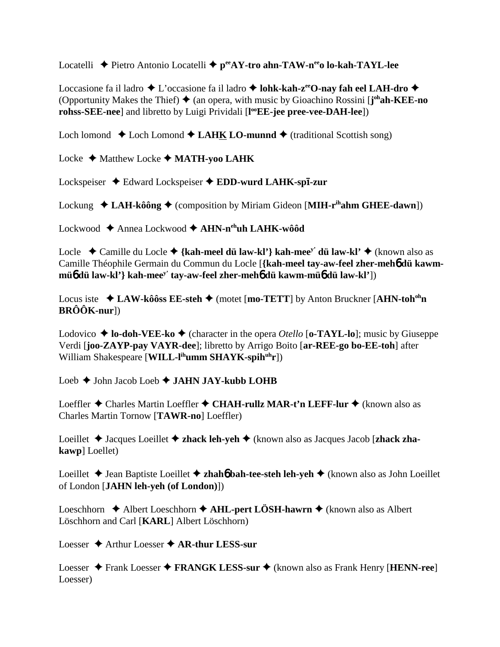Locatelli **→** Pietro Antonio Locatelli → p<sup>ee</sup>AY-tro ahn-TAW-n<sup>ee</sup>o lo-kah-TAYL-lee

Loccasione fa il ladro  $\triangle$  L'occasione fa il ladro  $\triangle$  lohk-kah-z<sup>ee</sup>O-nay fah eel LAH-dro  $\triangle$ (Opportunity Makes the Thief) ♦ (an opera, with music by Gioachino Rossini [j<sup>oh</sup>ah-KEE-no **rohss-SEE-nee**] and libretto by Luigi Prividali [**l ooEE-jee pree-vee-DAH-lee**])

Loch lomond  $\triangle$  Loch Lomond  $\triangle$  **LAHK LO-munnd**  $\triangle$  (traditional Scottish song)

Locke ◆ Matthew Locke ◆ MATH-yoo LAHK

Lockspeiser ◆ Edward Lockspeiser ◆ EDD-wurd LAHK-sp**ī-zur** 

Lockung  $\triangleleft$  **LAH-kôông**  $\triangleleft$  (composition by Miriam Gideon [MIH-r<sup>ih</sup>ahm GHEE-dawn])

Lockwood Annea Lockwood **AHN-nehuh LAHK-wôôd**

Locle ◆ Camille du Locle ◆ {kah-meel dü law-kl'} kah-mee<sup>y'</sup> dü law-kl' ◆ (known also as Camille Théophile Germain du Commun du Locle [**{kah-meel tay-aw-feel zher-meh**6 **dü kawmmü**6 **dü law-kl'} kah-meey' tay-aw-feel zher-meh**6 **dü kawm-mü**6 **dü law-kl'**])

Locus iste **→ LAW-kôôss EE-steh →** (motet [**mo-TETT**] by Anton Bruckner [**AHN-toh<sup>oh</sup>n**</sup> **BRÔÔK-nur**])

Lodovico  $\triangle$  **lo-doh-VEE-ko**  $\triangle$  (character in the opera *Otello* [**o-TAYL-lo**]; music by Giuseppe Verdi [**joo-ZAYP-pay VAYR-dee**]; libretto by Arrigo Boito [**ar-REE-go bo-EE-toh**] after William Shakespeare [**WILL-l<sup>ih</sup>umm SHAYK-spih<sup>uh</sup>r**])

Loeb John Jacob Loeb **JAHN JAY-kubb LOHB**

Loeffler ◆ Charles Martin Loeffler ◆ CHAH-rullz MAR-t'n LEFF-lur ◆ (known also as Charles Martin Tornow [**TAWR-no**] Loeffler)

Loeillet ◆ Jacques Loeillet ◆ zhack leh-yeh ◆ (known also as Jacques Jacob [zhack zha**kawp**] Loellet)

Loeillet **→** Jean Baptiste Loeillet **→ zhah6 bah-tee-steh leh-yeh →** (known also as John Loeillet of London [**JAHN leh-yeh (of London)**])

Loeschhorn  $\triangle$  Albert Loeschhorn  $\triangle$  AHL-pert LÖSH-hawrn  $\triangle$  (known also as Albert Löschhorn and Carl [**KARL**] Albert Löschhorn)

Loesser **→** Arthur Loesser ◆ AR-thur LESS-sur

Loesser ◆ Frank Loesser ◆ FRANGK LESS-sur ◆ (known also as Frank Henry [**HENN-ree**] Loesser)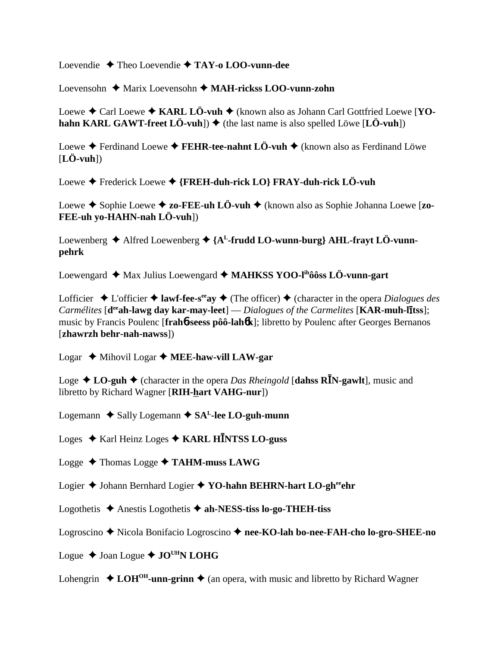Loevendie Theo Loevendie **TAY-o LOO-vunn-dee**

Loevensohn Marix Loevensohn **MAH-rickss LOO-vunn-zohn**

Loewe  $\triangle$  Carl Loewe  $\triangle$  **KARL LÖ-vuh**  $\triangle$  (known also as Johann Carl Gottfried Loewe [**YOhahn KARL GAWT-freet LÖ-vuh**])  $\blacklozenge$  (the last name is also spelled Löwe [LÖ-vuh])

Loewe  $\triangle$  Ferdinand Loewe  $\triangle$  **FEHR-tee-nahnt LÖ-vuh**  $\triangle$  (known also as Ferdinand Löwe [**LÖ-vuh**])

Loewe Frederick Loewe **{FREH-duh-rick LO} FRAY-duh-rick LÖ-vuh**

Loewe ◆ Sophie Loewe ◆ zo-FEE-uh LÖ-vuh ◆ (known also as Sophie Johanna Loewe [zo-**FEE-uh yo-HAHN-nah LÖ-vuh**])

Loewenberg  $\triangle$  Alfred Loewenberg  $\triangle$  {A<sup>L</sup>-frudd LO-wunn-burg} AHL-frayt LÖ-vunn**pehrk**

Loewengard ◆ Max Julius Loewengard ◆ MAHKSS YOO-l<sup>ih</sup>ôôss LÖ-vunn-gart

Lofficier  $\triangle$  L'officier  $\triangle$  **lawf-fee-s<sup>ee</sup>ay**  $\triangle$  (The officer)  $\triangle$  (character in the opera *Dialogues des Carmélites* [d<sup>ee</sup>ah-lawg day kar-may-leet] — *Dialogues of the Carmelites* [KAR-muh-litss]; music by Francis Poulenc [**frah**6**-seess pôô-lah**6**k**]; libretto by Poulenc after Georges Bernanos [**zhawrzh behr-nah-nawss**])

Logar Mihovil Logar **MEE-haw-vill LAW-gar**

Loge  $\triangle$  **LO-guh**  $\triangle$  (character in the opera *Das Rheingold* [dahss **RI**N-gawlt], music and libretto by Richard Wagner [**RIH-hart VAHG-nur**])

Logemann  $\triangle$  Sally Logemann  $\triangle$  SA<sup>L</sup>-lee LO-guh-munn

Loges ♦ Karl Heinz Loges ♦ KARL H**INTSS LO-guss** 

Logge Thomas Logge **TAHM-muss LAWG**

Logier **→** Johann Bernhard Logier → **YO-hahn BEHRN-hart LO-gh<sup>ee</sup>ehr** 

Logothetis  $\triangle$  Anestis Logothetis  $\triangle$  ah-NESS-tiss lo-go-THEH-tiss

Logroscino Nicola Bonifacio Logroscino **nee-KO-lah bo-nee-FAH-cho lo-gro-SHEE-no**

Logue ◆ Joan Logue ◆ JO<sup>UH</sup>N LOHG

Lohengrin  $\triangle$  **LOH<sup>OH</sup>-unn-grinn**  $\triangle$  (an opera, with music and libretto by Richard Wagner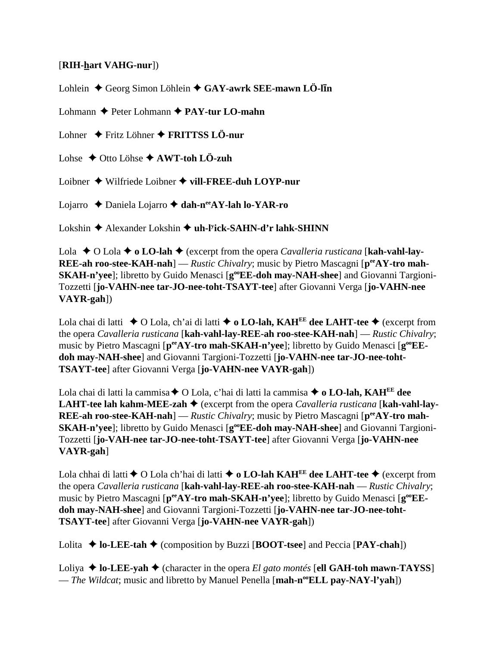#### [**RIH-hart VAHG-nur**])

Lohlein ♦ Georg Simon Löhlein ♦ GAY-awrk SEE-mawn LÖ-lin

Lohmann **←** Peter Lohmann ← **PAY-tur LO-mahn** 

Lohner Fritz Löhner **FRITTSS LÖ-nur**

Lohse  $\rightarrow$  Otto Löhse  $\rightarrow$  AWT-toh LÖ-zuh

Loibner Wilfriede Loibner **vill-FREE-duh LOYP-nur**

Lojarro Daniela Lojarro **dah-neeAY-lah lo-YAR-ro**

Lokshin ◆ Alexander Lokshin ◆ uh-l<sup>y</sup>ick-SAHN-d'r lahk-SHINN

Lola  $\triangle$  O Lola  $\triangle$  o **LO-lah**  $\triangle$  (excerpt from the opera *Cavalleria rusticana* [**kah-vahl-lay-REE-ah roo-stee-KAH-nah**] — *Rustic Chivalry*; music by Pietro Mascagni [ $p^{ee}AY$ -tro mah-**SKAH-n'yee**]; libretto by Guido Menasci [**g**<sup>oo</sup>**EE-doh may-NAH-shee**] and Giovanni Targioni-Tozzetti [**jo-VAHN-nee tar-JO-nee-toht-TSAYT-tee**] after Giovanni Verga [**jo-VAHN-nee VAYR-gah**])

Lola chai di latti  $\triangle$  O Lola, ch'ai di latti  $\triangle$  **o LO-lah, KAH<sup>EE</sup> dee LAHT-tee**  $\triangle$  (excerpt from the opera *Cavalleria rusticana* [**kah-vahl-lay-REE-ah roo-stee-KAH-nah**] — *Rustic Chivalry*; music by Pietro Mascagni [ $p^{ee}AY$ -tro mah-SKAH-n'yee]; libretto by Guido Menasci [ $g^{oe}EE$ **doh may-NAH-shee**] and Giovanni Targioni-Tozzetti [**jo-VAHN-nee tar-JO-nee-toht-TSAYT-tee**] after Giovanni Verga [**jo-VAHN-nee VAYR-gah**])

Lola chai di latti la cammisa ♦ O Lola, c'hai di latti la cammisa ♦ o LO-lah, KAH<sup>EE</sup> dee **LAHT-tee lah kahm-MEE-zah ♦** (excerpt from the opera *Cavalleria rusticana* [kah-vahl-lay-**REE-ah roo-stee-KAH-nah**] — *Rustic Chivalry*; music by Pietro Mascagni [ $p^{ee}AY$ -tro mah-**SKAH-n'yee**]; libretto by Guido Menasci [**g**<sup>oo</sup>**EE-doh may-NAH-shee**] and Giovanni Targioni-Tozzetti [**jo-VAH-nee tar-JO-nee-toht-TSAYT-tee**] after Giovanni Verga [**jo-VAHN-nee VAYR-gah**]

Lola chhai di latti  $\triangle$  O Lola ch'hai di latti  $\triangle$  o LO-lah KAH<sup>EE</sup> dee LAHT-tee  $\triangle$  (excerpt from the opera *Cavalleria rusticana* [**kah-vahl-lay-REE-ah roo-stee-KAH-nah** — *Rustic Chivalry*; music by Pietro Mascagni [ $p^{ee}AY$ -tro mah-SKAH-n'yee]; libretto by Guido Menasci [ $g^{oe}EE$ **doh may-NAH-shee**] and Giovanni Targioni-Tozzetti [**jo-VAHN-nee tar-JO-nee-toht-TSAYT-tee**] after Giovanni Verga [**jo-VAHN-nee VAYR-gah**])

Lolita  $\blacklozenge$  **lo-LEE-tah**  $\blacklozenge$  (composition by Buzzi [**BOOT-tsee**] and Peccia [**PAY-chah**])

Loliya  $\triangle$  lo-LEE-yah  $\triangle$  (character in the opera *El gato montés* [ell GAH-toh mawn-TAYSS] — *The Wildcat*; music and libretto by Manuel Penella [**mah-n<sup>oo</sup>ELL pay-NAY-l'yah**])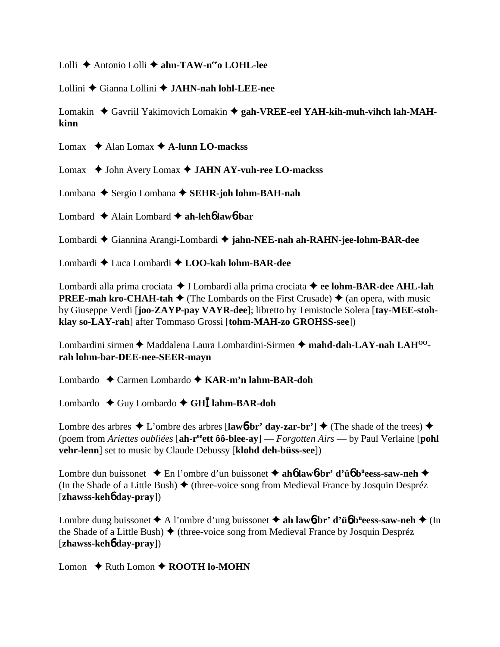Lolli ◆ Antonio Lolli ◆ ahn-TAW-n<sup>ee</sup>o LOHL-lee

Lollini Gianna Lollini **JAHN-nah lohl-LEE-nee**

Lomakin ♦ Gavriil Yakimovich Lomakin ♦ gah-VREE-eel YAH-kih-muh-vihch lah-MAH**kinn**

Lomax Alan Lomax **A-lunn LO-mackss**

Lomax ♦ John Avery Lomax ♦ **JAHN AY-vuh-ree LO-mackss** 

Lombana ◆ Sergio Lombana ◆ **SEHR-joh lohm-BAH-nah** 

Lombard Alain Lombard **ah-leh**6 **law**6**-bar**

Lombardi Giannina Arangi-Lombardi **jahn-NEE-nah ah-RAHN-jee-lohm-BAR-dee**

Lombardi Luca Lombardi **LOO-kah lohm-BAR-dee**

Lombardi alla prima crociata ◆ I Lombardi alla prima crociata ◆ ee lohm-BAR-dee AHL-lah **PREE-mah kro-CHAH-tah**  $\blacklozenge$  (The Lombards on the First Crusade)  $\blacklozenge$  (an opera, with music by Giuseppe Verdi [**joo-ZAYP-pay VAYR-dee**]; libretto by Temistocle Solera [**tay-MEE-stohklay so-LAY-rah**] after Tommaso Grossi [**tohm-MAH-zo GROHSS-see**])

Lombardini sirmen ◆ Maddalena Laura Lombardini-Sirmen ◆ mahd-dah-LAY-nah LAH<sup>00</sup>**rah lohm-bar-DEE-nee-SEER-mayn**

Lombardo Carmen Lombardo **KAR-m'n lahm-BAR-doh**

Lombardo ◆ Guy Lombardo ◆ GH**I** lahm-BAR-doh

Lombre des arbres  $\triangle$  L'ombre des arbres [lawb-br' day-zar-br']  $\triangle$  (The shade of the trees)  $\triangle$ (poem from *Ariettes oubliées* [**ah-reeett ôô-blee-ay**] — *Forgotten Airs* — by Paul Verlaine [**pohl vehr-lenn**] set to music by Claude Debussy [**klohd deh-büss-see**])

Lombre dun buissonet ◆ En l'ombre d'un buissonet ◆ ah**6** law**6-br' d'ü6** b<sup>ü</sup>eess-saw-neh ◆ (In the Shade of a Little Bush)  $\blacklozenge$  (three-voice song from Medieval France by Josquin Despréz [**zhawss-keh**6 **day-pray**])

Lombre dung buissonet A l'ombre d'ung buissonet **ah law**6**-br' d'ü**6 **bü eess-saw-neh** (In the Shade of a Little Bush)  $\triangle$  (three-voice song from Medieval France by Josquin Despréz [**zhawss-keh**6 **day-pray**])

Lomon  $\triangle$  Ruth Lomon  $\triangle$  **ROOTH lo-MOHN**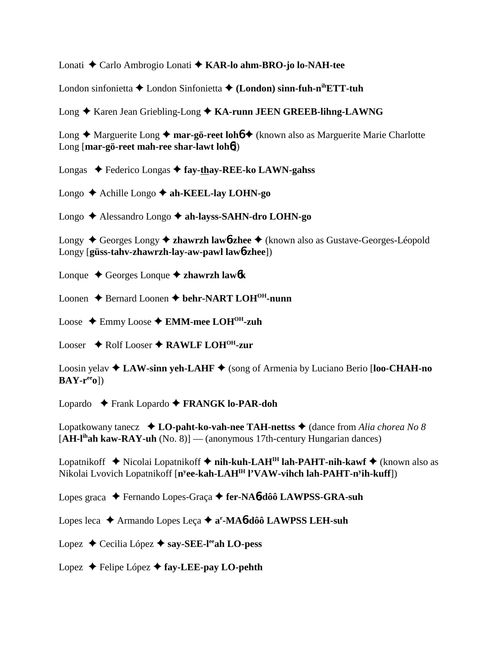Lonati Carlo Ambrogio Lonati **KAR-lo ahm-BRO-jo lo-NAH-tee**

London sinfonietta London Sinfonietta **(London) sinn-fuh-nihETT-tuh**

Long ◆ Karen Jean Griebling-Long ◆ KA-runn JEEN GREEB-lihng-LAWNG

Long ◆ Marguerite Long ◆ **mar-gö-reet lohó** ◆ (known also as Marguerite Marie Charlotte Long [**mar-gö-reet mah-ree shar-lawt loh**6])

Longas Federico Longas **fay-thay-REE-ko LAWN-gahss**

Longo Achille Longo **ah-KEEL-lay LOHN-go**

Longo Alessandro Longo **ah-layss-SAHN-dro LOHN-go**

Longy ◆ Georges Longy ◆ **zhawrzh law<sub>0</sub>-zhee** ◆ (known also as Gustave-Georges-Léopold Longy [**güss-tahv-zhawrzh-lay-aw-pawl law**6**-zhee**])

Lonque Georges Lonque **zhawrzh law**6**k**

Loonen **→** Bernard Loonen **→ behr-NART LOH<sup>OH</sup>-nunn** 

Loose Emmy Loose **EMM-mee LOHOH-zuh**

Looser ◆ Rolf Looser ◆ RAWLF LOH<sup>OH</sup>-zur

Loosin yelav **LAW-sinn yeh-LAHF** (song of Armenia by Luciano Berio [**loo-CHAH-no BAY-reeo**])

Lopardo Frank Lopardo **FRANGK lo-PAR-doh**

Lopatkowany tanecz  $\bullet$  **LO-paht-ko-vah-nee TAH-nettss**  $\bullet$  (dance from *Alia chorea No 8* [**AH-lihah kaw-RAY-uh** (No. 8)] — (anonymous 17th-century Hungarian dances)

Lopatnikoff Nicolai Lopatnikoff  **nih-kuh-LAHIH lah-PAHT-nih-kawf** (known also as Nikolai Lvovich Lopatnikoff [**ny ee-kah-LAHIH l'VAW-vihch lah-PAHT-ny ih-kuff**])

Lopes graca Fernando Lopes-Graça **fer-NA**6**-dôô LAWPSS-GRA-suh**

Lopes leca ◆ Armando Lopes Leça ◆ a<sup>r</sup>-MA**6-dôô LAWPSS LEH-suh** 

Lopez **←** Cecilia López ← say-SEE-l<sup>ee</sup>ah LO-pess

Lopez Felipe López **fay-LEE-pay LO-pehth**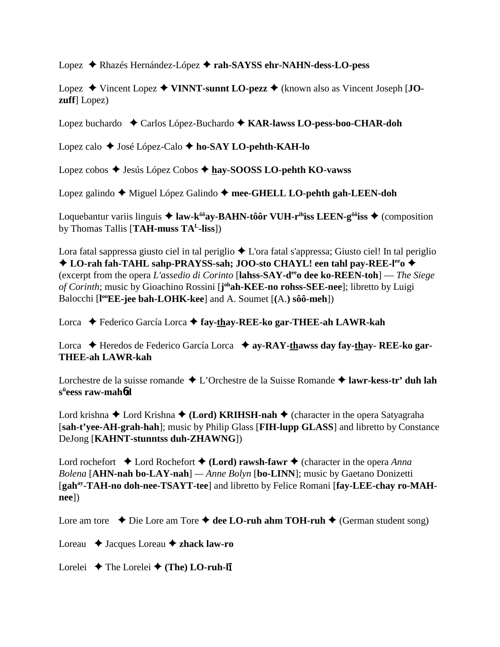Lopez Rhazés Hernández-López **rah-SAYSS ehr-NAHN-dess-LO-pess**

Lopez **→** Vincent Lopez **→ VINNT-sunnt LO-pezz →** (known also as Vincent Joseph [**JOzuff**] Lopez)

Lopez buchardo ◆ Carlos López-Buchardo ◆ KAR-lawss LO-pess-boo-CHAR-doh

Lopez calo José López-Calo **ho-SAY LO-pehth-KAH-lo**

Lopez cobos ◆ Jesús López Cobos ◆ hay-SOOSS LO-pehth KO-vawss

Lopez galindo ◆ Miguel López Galindo ◆ mee-GHELL LO-pehth gah-LEEN-doh

Loquebantur variis linguis  $\triangleq$  law-k<sup> $\delta \delta$ </sup>ay-BAHN-tôôr VUH-r<sup>ih</sup>iss LEEN-g<sup> $\delta \delta$ </sup>iss  $\triangleq$  (composition by Thomas Tallis [**TAH-muss TAL-liss**])

Lora fatal sappressa giusto ciel in tal periglio  $\triangle$  L'ora fatal s'appressa; Giusto ciel! In tal periglio ◆ LO-rah fah-TAHL sahp-PRAYSS-sah; JOO-sto CHAYL! een tahl pay-REE-l<sup>ee</sup>o ◆ (excerpt from the opera *L'assedio di Corinto* [**lahss-SAY-deeo dee ko-REEN-toh**] — *The Siege of Corinth*; music by Gioachino Rossini [**j ohah-KEE-no rohss-SEE-nee**]; libretto by Luigi Balocchi [l<sup>oo</sup>EE-jee bah-LOHK-kee] and A. Soumet [(A.) sôô-meh])

Lorca Federico García Lorca **fay-thay-REE-ko gar-THEE-ah LAWR-kah**

Lorca ◆ Heredos de Federico García Lorca ◆ ay-RAY-thawss day fay-thay- REE-ko gar-**THEE-ah LAWR-kah**

Lorchestre de la suisse romande **→** L'Orchestre de la Suisse Romande **→ lawr-kess-tr' duh lah sü eess raw-mah**6**d**

Lord krishna ◆ Lord Krishna ◆ (**Lord) KRIHSH-nah** ◆ (character in the opera Satyagraha [**sah-t'yee-AH-grah-hah**]; music by Philip Glass [**FIH-lupp GLASS**] and libretto by Constance DeJong [**KAHNT-stunntss duh-ZHAWNG**])

Lord rochefort  $\triangle$  Lord Rochefort  $\triangle$  (**Lord**) **rawsh-fawr**  $\triangle$  (character in the opera *Anna Bolena* [**AHN-nah bo-LAY-nah**] *— Anne Bolyn* [**bo-LINN**]; music by Gaetano Donizetti [gah<sup>ay</sup>-TAH-no doh-nee-TSAYT-tee] and libretto by Felice Romani [fay-LEE-chay ro-MAH**nee**])

Lore am tore  $\rightarrow$  Die Lore am Tore  $\rightarrow$  dee LO-ruh ahm TOH-ruh  $\rightarrow$  (German student song)

Loreau **→** Jacques Loreau **→ zhack law-ro** 

Lorelei **→** The Lorelei → (The) **LO-ruh-li**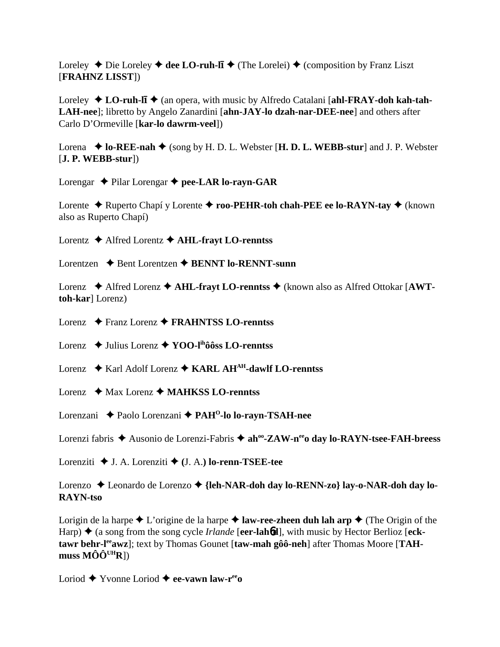Loreley ◆ Die Loreley ◆ dee LO-ruh-li ◆ (The Lorelei) ◆ (composition by Franz Liszt [**FRAHNZ LISST**])

Loreley ◆ LO-ruh-lī ◆ (an opera, with music by Alfredo Catalani [ahl-FRAY-doh kah-tah-**LAH-nee**]; libretto by Angelo Zanardini [**ahn-JAY-lo dzah-nar-DEE-nee**] and others after Carlo D'Ormeville [**kar-lo dawrm-veel**])

Lorena  $\blacklozenge$  **lo-REE-nah**  $\blacklozenge$  (song by H. D. L. Webster [**H. D. L. WEBB-stur**] and J. P. Webster [**J. P. WEBB-stur**])

Lorengar  $\rightarrow$  Pilar Lorengar  $\rightarrow$  pee-LAR lo-rayn-GAR

Lorente ◆ Ruperto Chapí y Lorente ◆ **roo-PEHR-toh chah-PEE ee lo-RAYN-tay** ◆ (known also as Ruperto Chapí)

Lorentz Alfred Lorentz **AHL-frayt LO-renntss**

Lorentzen **→** Bent Lorentzen **→ BENNT lo-RENNT-sunn** 

Lorenz ◆ Alfred Lorenz ◆ **AHL-frayt LO-renntss** ◆ (known also as Alfred Ottokar [**AWTtoh-kar**] Lorenz)

Lorenz Franz Lorenz **FRAHNTSS LO-renntss**

Lorenz ◆ Julius Lorenz ◆ **YOO-l<sup>ih</sup>ôôss LO-renntss** 

Lorenz ◆ Karl Adolf Lorenz ◆ KARL AH<sup>AH</sup>-dawlf LO-renntss

Lorenz **→** Max Lorenz → **MAHKSS LO-renntss** 

Lorenzani Paolo Lorenzani **PAHO-lo lo-rayn-TSAH-nee**

Lorenzi fabris **→** Ausonio de Lorenzi-Fabris → ah<sup>oo</sup>-ZAW-n<sup>ee</sup>o day lo-RAYN-tsee-FAH-breess

Lorenziti J. A. Lorenziti  **(**J. A.**) lo-renn-TSEE-tee**

Lorenzo Leonardo de Lorenzo **{leh-NAR-doh day lo-RENN-zo} lay-o-NAR-doh day lo-RAYN-tso**

Lorigin de la harpe  $\triangle$  L'origine de la harpe  $\triangle$  **law-ree-zheen duh lah arp**  $\triangle$  (The Origin of the Harp)  $\blacklozenge$  (a song from the song cycle *Irlande* [eer-lah6d], with music by Hector Berlioz [eck**tawr behr-l<sup>ee</sup>awz**]; text by Thomas Gounet [taw-mah gôô-neh] after Thomas Moore [TAH**muss MÔÔUHR**])

Loriod Yvonne Loriod **ee-vawn law-reeo**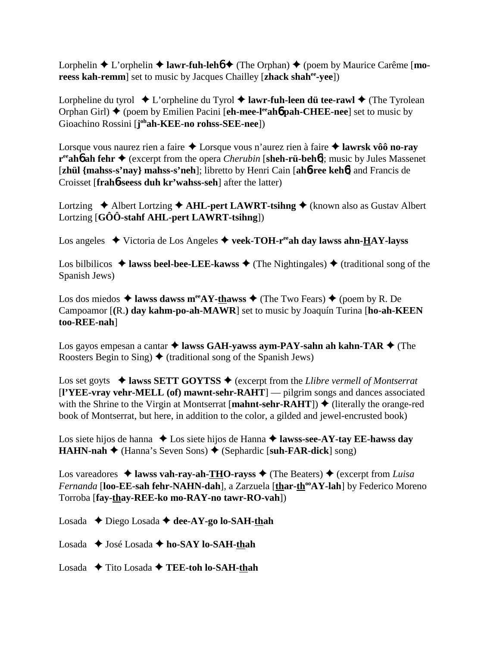Lorphelin  $\triangle$  L'orphelin  $\triangle$  lawr-fuh-leh $\phi$  (The Orphan)  $\triangle$  (poem by Maurice Carême [**moreess kah-remm**] set to music by Jacques Chailley [**zhack shahee-yee**])

Lorpheline du tyrol  $\triangle$  L'orpheline du Tyrol  $\triangle$  **lawr-fuh-leen dü tee-rawl**  $\triangle$  (The Tyrolean Orphan Girl) ♦ (poem by Emilien Pacini [**eh-mee-l<sup>ee</sup>ah6 pah-CHEE-nee**] set to music by Gioachino Rossini [**j**<sup>oh</sup>**ah-KEE-no rohss-SEE-nee**])

Lorsque vous naurez rien a faire **→** Lorsque vous n'aurez rien à faire → lawrsk vôô no-ray **r<sup>ee</sup>ah6 ah fehr ♦** (excerpt from the opera *Cherubin* [**sheh-rü-beh6**]; music by Jules Massenet [**zhül {mahss-s'nay} mahss-s'neh**]; libretto by Henri Cain [**ah**6**-ree keh**6] and Francis de Croisset [**frah**6**-seess duh kr'wahss-seh**] after the latter)

Lortzing  $\triangle$  Albert Lortzing  $\triangle$  AHL-pert LAWRT-tsihng  $\triangle$  (known also as Gustav Albert Lortzing [**GÔÔ-stahf AHL-pert LAWRT-tsihng**])

Los angeles  $\blacklozenge$  Victoria de Los Angeles  $\blacklozenge$  veek-TOH-r<sup>ee</sup>ah day lawss ahn-HAY-layss

Los bilbilicos  $\triangleq$  lawss beel-bee-LEE-kawss  $\triangleq$  (The Nightingales)  $\triangleq$  (traditional song of the Spanish Jews)

Los dos miedos  $\triangleq$  lawss dawss m<sup>ee</sup>AY-thawss  $\triangleq$  (The Two Fears)  $\triangleq$  (poem by R. De Campoamor [**(**R.**) day kahm-po-ah-MAWR**] set to music by Joaquín Turina [**ho-ah-KEEN too-REE-nah**]

Los gayos empesan a cantar ◆ lawss GAH-yawss aym-PAY-sahn ah kahn-TAR ◆ (The Roosters Begin to Sing)  $\blacklozenge$  (traditional song of the Spanish Jews)

Los set goyts **→ lawss SETT GOYTSS →** (excerpt from the *Llibre vermell of Montserrat* [**l'YEE-vray vehr-MELL (of) mawnt-sehr-RAHT**] — pilgrim songs and dances associated with the Shrine to the Virgin at Montserrat [**mahnt-sehr-RAHT**])  $\blacklozenge$  (literally the orange-red book of Montserrat, but here, in addition to the color, a gilded and jewel-encrusted book)

Los siete hijos de hanna ◆ Los siete hijos de Hanna ◆ **lawss-see-AY-tay EE-hawss day HAHN-nah** (Hanna's Seven Sons) (Sephardic [**suh-FAR-dick**] song)

Los vareadores  $\triangleq$  **lawss vah-ray-ah-THO-rayss**  $\triangleq$  (The Beaters)  $\triangleq$  (excerpt from *Luisa Fernanda* [loo-**EE-sah fehr-NAHN-dah**], a Zarzuela [thar-th<sup>oo</sup>AY-lah] by Federico Moreno Torroba [**fay-thay-REE-ko mo-RAY-no tawr-RO-vah**])

Losada ◆ Diego Losada ◆ dee-AY-go lo-SAH-thah

Losada ◆ José Losada ◆ ho-SAY lo-SAH-thah

Losada Tito Losada **TEE-toh lo-SAH-thah**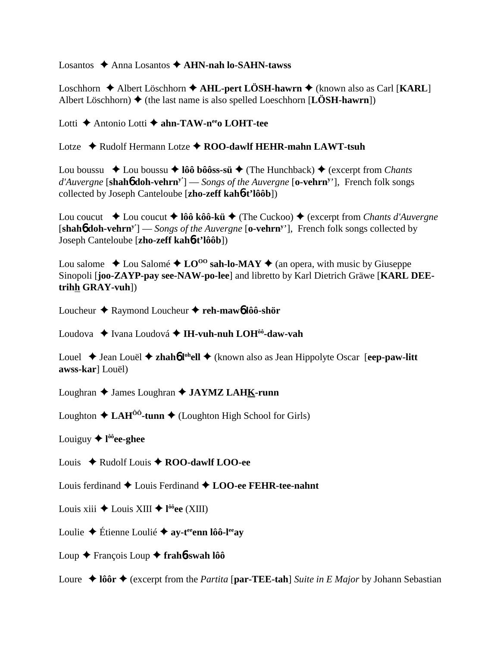Losantos Anna Losantos **AHN-nah lo-SAHN-tawss**

Loschhorn **→** Albert Löschhorn ◆ AHL-pert LÖSH-hawrn ◆ (known also as Carl [KARL] Albert Löschhorn)  $\triangleq$  (the last name is also spelled Loeschhorn [**LÖSH-hawrn**])

Lotti **←** Antonio Lotti ← ahn-TAW-n<sup>ee</sup>o LOHT-tee

Lotze Rudolf Hermann Lotze **ROO-dawlf HEHR-mahn LAWT-tsuh**

Lou boussu ◆ Lou boussu ◆ lôô bôôss-sü ◆ (The Hunchback) ◆ (excerpt from *Chants d'Auvergne* [**shah**6 **doh-vehrny'**] — *Songs of the Auvergne* [**o-vehrny** '], French folk songs collected by Joseph Canteloube [**zho-zeff kah**6**-t'lôôb**])

Lou coucut **→** Lou coucut → **lôô kôô-kü →** (The Cuckoo) → (excerpt from *Chants d'Auvergne* [**shah**6 **doh-vehrny'**] — *Songs of the Auvergne* [**o-vehrny** '], French folk songs collected by Joseph Canteloube [**zho-zeff kah**6**-t'lôôb**])

Lou salome  $\triangle$  Lou Salomé  $\triangle$  LO<sup>00</sup> sah-lo-MAY  $\triangle$  (an opera, with music by Giuseppe Sinopoli [**joo-ZAYP-pay see-NAW-po-lee**] and libretto by Karl Dietrich Gräwe [**KARL DEEtrihh GRAY-vuh**])

Loucheur Raymond Loucheur **reh-maw**6 **lôô-shör**

Loudova ◆ Ivana Loudová ◆ **IH-vuh-nuh LOH<sup>ôô</sup>-daw-vah** 

Louel ◆ Jean Louël ◆ **zhah<sup>6</sup> l<sup>oh</sup>ell ◆** (known also as Jean Hippolyte Oscar [eep-paw-litt] **awss-kar**] Louël)

Loughran ◆ James Loughran ◆ **JAYMZ LAHK-runn** 

Loughton  $\triangle$  LAH<sup> $\hat{0}$ °-tunn  $\triangle$  (Loughton High School for Girls)</sup>

Louiguy ◆ l<sup>ôô</sup>ee-ghee

Louis Rudolf Louis **ROO-dawlf LOO-ee**

Louis ferdinand  $\triangle$  Louis Ferdinand  $\triangle$  LOO-ee FEHR-tee-nahnt

Louis xiii Louis XIII **l ôôee** (XIII)

Loulie  $\triangle$  Étienne Loulie  $\triangle$  ay-t<sup>ee</sup> enn lôô-l<sup>ee</sup> ay

Loup François Loup **frah**6**-swah lôô**

Loure  $\triangle$  lôôr  $\triangle$  (excerpt from the *Partita* [par-TEE-tah] *Suite in E Major* by Johann Sebastian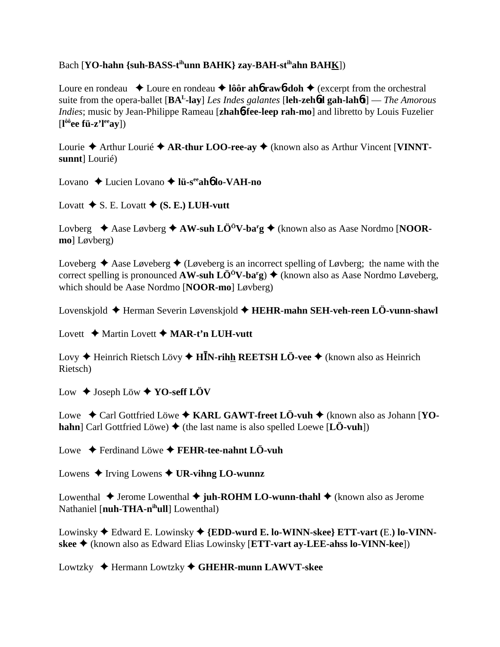## Bach [YO-hahn {suh-BASS-t<sup>ih</sup>unn BAHK} zav-BAH-st<sup>ih</sup>ahn BAHK])

Loure en rondeau  $\triangle$  Loure en rondeau  $\triangle$  lôôr aho raw 6-doh  $\triangle$  (excerpt from the orchestral suite from the opera-ballet  $[\mathbf{BA}^L$ -lay] Les Indes galantes [leh-zeho gah-lahot] — The Amorous *Indies*; music by Jean-Philippe Rameau [zhahb-fee-leep rah-mo] and libretto by Louis Fuzelier  $[1^{\hat{o}\hat{o}}$ ee fü-z'l<sup>ee</sup>ay])

Lourie  $\triangle$  Arthur Lourie  $\triangle$  AR-thur LOO-ree-ay  $\triangle$  (known also as Arthur Vincent [VINNTsunnt] Lourié)

Lovano  $\triangle$  Lucien Lovano  $\triangle$  lii-s<sup>ee</sup> aho lo-VAH-no

Lovatt  $\blacklozenge$  S. E. Lovatt  $\blacklozenge$  (S. E.) LUH-vutt

Lovberg  $\triangle$  Aase Løvberg  $\triangle$  AW-suh LÖ<sup>ö</sup>V-ba<sup>r</sup>g  $\triangle$  (known also as Aase Nordmo [NOORmo] Løvberg)

Loveberg  $\triangle$  Aase Løveberg  $\triangle$  (Løveberg is an incorrect spelling of Løvberg; the name with the correct spelling is pronounced **AW-suh LÖ<sup>ö</sup>V-ba<sup>r</sup>g**)  $\blacklozenge$  (known also as Aase Nordmo Løveberg, which should be Aase Nordmo [NOOR-mo] Løvberg)

Lovenskjold  $\triangle$  Herman Severin Løvenskjold  $\triangle$  HEHR-mahn SEH-veh-reen LÖ-vunn-shawl

Lovett  $\triangle$  Martin Lovett  $\triangle$  MAR-t'n LUH-vutt

Lovy  $\triangle$  Heinrich Rietsch Lövy  $\triangle$  HIN-rihh REETSH LÖ-vee  $\triangle$  (known also as Heinrich Rietsch)

Low  $\triangle$  Joseph Löw  $\triangle$  YO-seff LÖV

Lowe  $\div$  Carl Gottfried Löwe  $\div$  KARL GAWT-freet LÖ-vuh  $\div$  (known also as Johann [YO**hahn** Carl Gottfried Löwe)  $\blacklozenge$  (the last name is also spelled Loewe [LÖ-vuh])

Lowe  $\blacklozenge$  Ferdinand Löwe  $\blacklozenge$  FEHR-tee-nahnt LÖ-vuh

Lowens  $\triangle$  Irving Lowens  $\triangle$  UR-vihng LO-wunnz

Lowenthal  $\triangle$  Jerome Lowenthal  $\triangle$  juh-ROHM LO-wunn-thahl  $\triangle$  (known also as Jerome Nathaniel [nuh-THA-nihull] Lowenthal)

Lowinsky  $\blacklozenge$  Edward E. Lowinsky  $\blacklozenge$  {EDD-wurd E. lo-WINN-skee} ETT-vart (E.) lo-VINNskee ♦ (known also as Edward Elias Lowinsky [ETT-vart ay-LEE-ahss lo-VINN-kee])

Lowtzky  $\triangle$  Hermann Lowtzky  $\triangle$  GHEHR-munn LAWVT-skee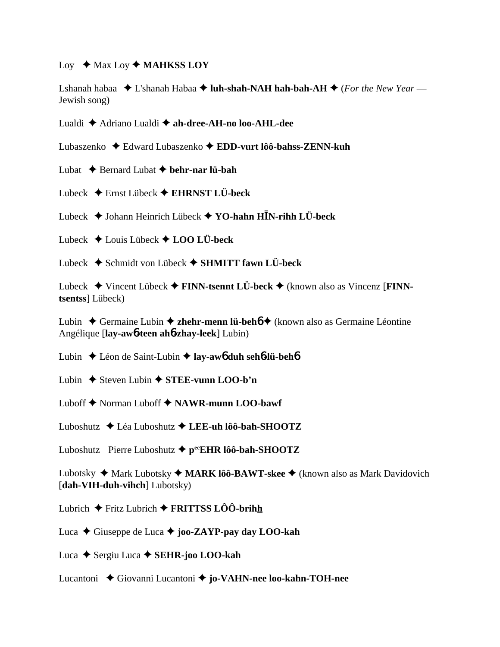## Loy ◆ Max Loy ◆ **MAHKSS LOY**

Lshanah habaa  $\triangle$  L'shanah Habaa  $\triangle$  **luh-shah-NAH hah-bah-AH**  $\triangle$  (*For the New Year* — Jewish song)

Lualdi Adriano Lualdi **ah-dree-AH-no loo-AHL-dee**

Lubaszenko Edward Lubaszenko **EDD-vurt lôô-bahss-ZENN-kuh**

- Lubat  $\triangle$  Bernard Lubat  $\triangle$  behr-nar lü-bah
- Lubeck Ernst Lübeck **EHRNST LÜ-beck**
- Lubeck Johann Heinrich Lübeck **YO-hahn HN-rihh LÜ-beck**
- Lubeck  $\triangle$  Louis Lübeck  $\triangle$  **LOO LÜ-beck**
- Lubeck Schmidt von Lübeck **SHMITT fawn LÜ-beck**

Lubeck Vincent Lübeck **FINN-tsennt LÜ-beck** (known also as Vincenz [**FINNtsentss**] Lübeck)

Lubin Germaine Lubin **zhehr-menn lü-beh**6 (known also as Germaine Léontine Angélique [**lay-aw**6**-teen ah**6**-zhay-leek**] Lubin)

Lubin Léon de Saint-Lubin **lay-aw**6 **duh seh**6**-lü-beh**6

- Lubin  $\triangle$  Steven Lubin  $\triangle$  **STEE-vunn LOO-b'n**
- Luboff ◆ Norman Luboff ◆ NAWR-munn LOO-bawf

Luboshutz Léa Luboshutz **LEE-uh lôô-bah-SHOOTZ**

Luboshutz Pierre Luboshutz **peeEHR lôô-bah-SHOOTZ**

Lubotsky ◆ Mark Lubotsky ◆ MARK lôô-BAWT-skee ◆ (known also as Mark Davidovich [**dah-VIH-duh-vihch**] Lubotsky)

Lubrich Fritz Lubrich **FRITTSS LÔÔ-brihh**

Luca **→** Giuseppe de Luca → **joo-ZAYP-pay day LOO-kah** 

Luca Sergiu Luca **SEHR-joo LOO-kah**

Lucantoni Giovanni Lucantoni **jo-VAHN-nee loo-kahn-TOH-nee**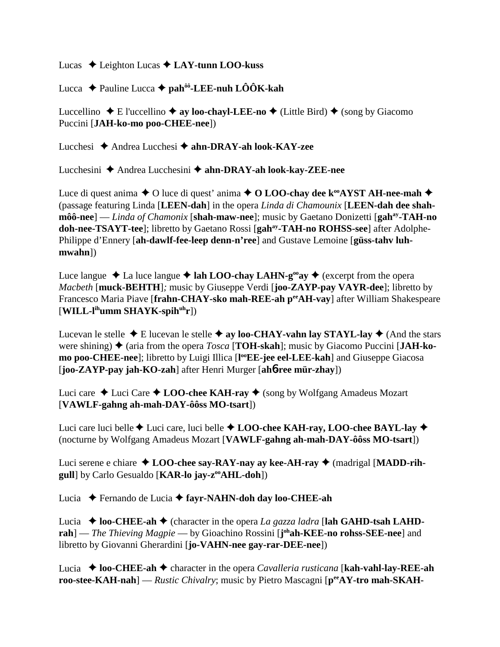Lucas ◆ Leighton Lucas ◆ LAY-tunn LOO-kuss

Lucca Pauline Lucca **pahôô-LEE-nuh LÔÔK-kah**

Luccellino  $\blacklozenge$  E l'uccellino  $\blacklozenge$  ay loo-chayl-LEE-no  $\blacklozenge$  (Little Bird)  $\blacklozenge$  (song by Giacomo Puccini [**JAH-ko-mo poo-CHEE-nee**])

Lucchesi Andrea Lucchesi **ahn-DRAY-ah look-KAY-zee**

Lucchesini Andrea Lucchesini **ahn-DRAY-ah look-kay-ZEE-nee**

Luce di quest anima  $\triangle$  O luce di quest' anima  $\triangle$  O LOO-chay dee k<sup>oo</sup>AYST AH-nee-mah  $\triangle$ (passage featuring Linda [**LEEN-dah**] in the opera *Linda di Chamounix* [**LEEN-dah dee shahmôô-nee**] — *Linda of Chamonix* [**shah-maw-nee**]; music by Gaetano Donizetti [**gah<sup>ay</sup>-TAH-no doh-nee-TSAYT-tee**]; libretto by Gaetano Rossi [**gahay-TAH-no ROHSS-see**] after Adolphe-Philippe d'Ennery [**ah-dawlf-fee-leep denn-n'ree**] and Gustave Lemoine [**güss-tahv luhmwahn**])

Luce langue  $\triangle$  La luce langue  $\triangle$  lah LOO-chay LAHN-g<sup>oo</sup>ay  $\triangle$  (excerpt from the opera *Macbeth* [**muck-BEHTH**]*;* music by Giuseppe Verdi [**joo-ZAYP-pay VAYR-dee**]; libretto by Francesco Maria Piave [**frahn-CHAY-sko mah-REE-ah peeAH-vay**] after William Shakespeare [**WILL-lihumm SHAYK-spihuhr**])

Lucevan le stelle  $\triangle$  E lucevan le stelle  $\triangle$  ay loo-CHAY-vahn lay STAYL-lay  $\triangle$  (And the stars were shining)  $\blacklozenge$  (aria from the opera *Tosca* [**TOH-skah**]; music by Giacomo Puccini [JAH-ko**mo poo-CHEE-nee**]; libretto by Luigi Illica [l<sup>oo</sup>EE-jee eel-LEE-kah] and Giuseppe Giacosa [**joo-ZAYP-pay jah-KO-zah**] after Henri Murger [**ah**6**-ree mür-zhay**])

Luci care  $\triangle$  Luci Care  $\triangle$  **LOO-chee KAH-ray**  $\triangle$  (song by Wolfgang Amadeus Mozart [**VAWLF-gahng ah-mah-DAY-ôôss MO-tsart**])

Luci care luci belle  $\blacklozenge$  Luci care, luci belle  $\blacklozenge$  **LOO-chee KAH-ray, LOO-chee BAYL-lay**  $\blacklozenge$ (nocturne by Wolfgang Amadeus Mozart [**VAWLF-gahng ah-mah-DAY-ôôss MO-tsart**])

Luci serene e chiare **LOO-chee say-RAY-nay ay kee-AH-ray**  (madrigal [**MADD-rihgull**] by Carlo Gesualdo [**KAR-lo jay-z<sup>oo</sup>AHL-doh**])

Lucia Fernando de Lucia **fayr-NAHN-doh day loo-CHEE-ah**

Lucia  $\triangle$  loo-CHEE-ah  $\triangle$  (character in the opera *La gazza ladra* [lah GAHD-tsah LAHD**rah**] — *The Thieving Magpie* — by Gioachino Rossini [**j**<sup>oh</sup>**ah-KEE-no rohss-SEE-nee**] and libretto by Giovanni Gherardini [**jo-VAHN-nee gay-rar-DEE-nee**])

Lucia ◆ loo-CHEE-ah ◆ character in the opera *Cavalleria rusticana* [kah-vahl-lay-REE-ah **roo-stee-KAH-nah**] — *Rustic Chivalry*; music by Pietro Mascagni [ $p^{ee}AY$ -tro mah-SKAH-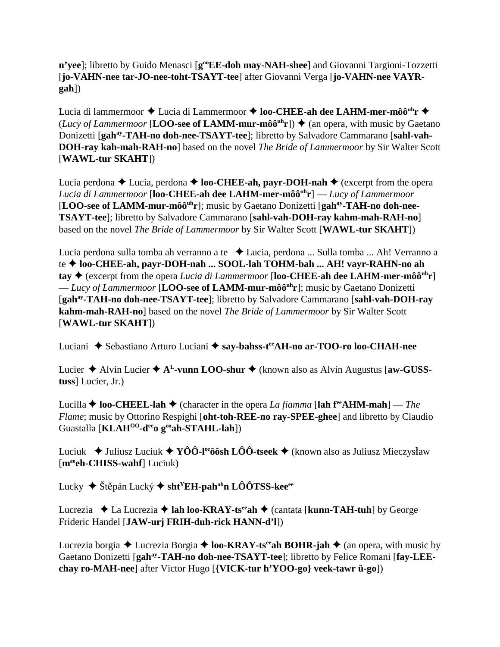n'yee]; libretto by Guido Menasci [g<sup>oo</sup>EE-doh may-NAH-shee] and Giovanni Targioni-Tozzetti [**jo-VAHN-nee tar-JO-nee-toht-TSAYT-tee**] after Giovanni Verga [**jo-VAHN-nee VAYRgah**])

Lucia di lammermoor ◆ Lucia di Lammermoor ◆ loo-CHEE-ah dee LAHM-mer-môô<sup>uh</sup>r ◆ (*Lucy of Lammermoor* [**LOO-see of LAMM-mur-môô**<sup>uh</sup>**r**])  $\triangle$  (an opera, with music by Gaetano Donizetti [gah<sup>ay</sup>-TAH-no doh-nee-TSAYT-tee]; libretto by Salvadore Cammarano [sahl-vah-**DOH-ray kah-mah-RAH-no**] based on the novel *The Bride of Lammermoor* by Sir Walter Scott [**WAWL-tur SKAHT**])

Lucia perdona  $\triangle$  Lucia, perdona  $\triangle$  **loo-CHEE-ah, payr-DOH-nah**  $\triangle$  (excerpt from the opera *Lucia di Lammermoor* [**loo-CHEE-ah dee LAHM-mer-môôuhr**] — *Lucy of Lammermoor* [LOO-see of LAMM-mur-môô<sup>uh</sup>r]; music by Gaetano Donizetti [gah<sup>ay</sup>-TAH-no doh-nee-**TSAYT-tee**]; libretto by Salvadore Cammarano [**sahl-vah-DOH-ray kahm-mah-RAH-no**] based on the novel *The Bride of Lammermoor* by Sir Walter Scott [**WAWL-tur SKAHT**])

Lucia perdona sulla tomba ah verranno a te → Lucia, perdona ... Sulla tomba ... Ah! Verranno a te  **loo-CHEE-ah, payr-DOH-nah ... SOOL-lah TOHM-bah ... AH! vayr-RAHN-no ah tay**  $\triangle$  (excerpt from the opera *Lucia di Lammermoor* [loo-CHEE-ah dee LAHM-mer-môô<sup>uh</sup>r] — *Lucy of Lammermoor* [**LOO-see of LAMM-mur-môôuhr**]; music by Gaetano Donizetti [**gahay-TAH-no doh-nee-TSAYT-tee**]; libretto by Salvadore Cammarano [**sahl-vah-DOH-ray kahm-mah-RAH-no**] based on the novel *The Bride of Lammermoor* by Sir Walter Scott [**WAWL-tur SKAHT**])

Luciani ◆ Sebastiano Arturo Luciani ◆ say-bahss-t<sup>ee</sup>AH-no ar-TOO-ro loo-CHAH-nee

Lucier  $\triangle$  Alvin Lucier  $\triangle$  A<sup>L</sup>-vunn LOO-shur  $\triangle$  (known also as Alvin Augustus [aw-GUSS**tuss**] Lucier, Jr.)

Lucilla  $\triangle$  **loo-CHEEL-lah**  $\triangle$  (character in the opera *La fiamma* [lah  $f^{\text{ee}}$ AHM-mah] — *The Flame*; music by Ottorino Respighi [**oht-toh-REE-no ray-SPEE-ghee**] and libretto by Claudio Guastalla [**KLAH<sup>OO</sup>-d<sup>ee</sup>o g<sup>oo</sup>ah-STAHL-lah**])

Luciuk  $\blacklozenge$  Juliusz Luciuk  $\blacklozenge$  **YÔÔ-l<sup>ee</sup>ôôsh LÔÔ-tseek**  $\blacklozenge$  (known also as Juliusz Mieczysław [**meeeh-CHISS-wahf**] Luciuk)

Lucky ◆ Štěpán Lucký **◆ sht<sup>Y</sup>EH-pah<sup>ah</sup>n LÔÔTSS-kee<sup>ee</sup>** 

Lucrezia **→** La Lucrezia → lah loo-KRAY-ts<sup>ee</sup>ah → (cantata [kunn-TAH-tuh] by George Frideric Handel [**JAW-urj FRIH-duh-rick HANN-d'l**])

Lucrezia borgia  $\triangle$  Lucrezia Borgia  $\triangle$  **loo-KRAY-ts<sup>ee</sup>ah BOHR-jah**  $\triangle$  (an opera, with music by Gaetano Donizetti [**gahay-TAH-no doh-nee-TSAYT-tee**]; libretto by Felice Romani [**fay-LEEchay ro-MAH-nee**] after Victor Hugo [**{VICK-tur h'YOO-go} veek-tawr ü-go**])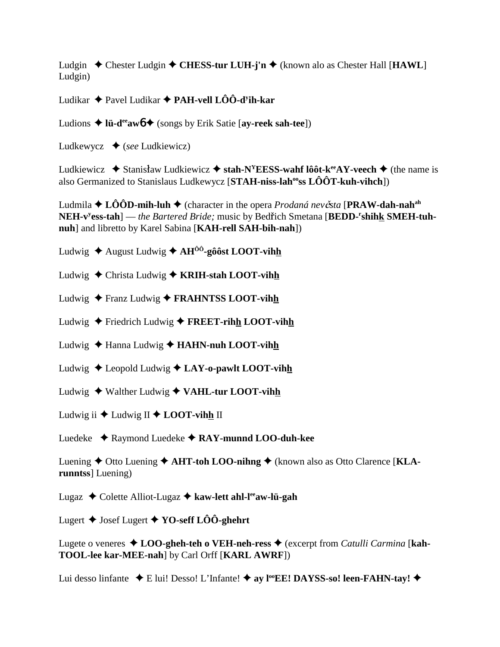Ludgin  $\triangle$  Chester Ludgin  $\triangle$  CHESS-tur LUH-j'n  $\triangle$  (known alo as Chester Hall [HAWL] Ludgin)

Ludikar  $\triangleq$  Pavel Ludikar  $\triangleq$  PAH-vell LÔÔ-d<sup>y</sup>ih-kar

Ludions  $\triangleq$  lü-d<sup>ee</sup> aw  $\triangleq$  (songs by Erik Satie [ay-reek sah-tee])

Ludkewycz  $\bullet$  (see Ludkiewicz)

Ludkiewicz  $\bullet$  Stanisław Ludkiewicz  $\bullet$  stah-N<sup>Y</sup>EESS-wahf lôôt-k<sup>ee</sup>AY-veech  $\bullet$  (the name is also Germanized to Stanislaus Ludkewycz [ $STAH\text{-}niss\text{-}lah\textsuperscript{o}$  ss  $L\hat{O}\hat{O}T\text{-}kuh\text{-}vihch$ ])

Ludmila  $\triangle$  LOOD-mih-luh  $\triangle$  (character in the opera *Prodaná nevěsta* [PRAW-dah-nah<sup>ah</sup> NEH-v<sup>y</sup>ess-tah] — the Bartered Bride; music by Bedřich Smetana [BEDD-'shihk SMEH-tuhnuh] and libretto by Karel Sabina [KAH-rell SAH-bih-nah])

Ludwig  $\triangle$  August Ludwig  $\triangle$  AH<sup> $\hat{0}$ o<sup>2</sup>-gôost LOOT-vihh</sup>

Ludwig  $\triangle$  Christa Ludwig  $\triangle$  KRIH-stah LOOT-vihh

- Ludwig  $\triangle$  Franz Ludwig  $\triangle$  FRAHNTSS LOOT-vihh
- Ludwig  $\triangle$  Friedrich Ludwig  $\triangle$  FREET-rihh LOOT-vihh
- Ludwig  $\triangle$  Hanna Ludwig  $\triangle$  HAHN-nuh LOOT-vihh
- Ludwig  $\triangle$  Leopold Ludwig  $\triangle$  LAY-o-pawlt LOOT-vihh
- Ludwig  $\triangle$  Walther Ludwig  $\triangle$  VAHL-tur LOOT-vihh
- Ludwig ii  $\triangle$  Ludwig II  $\triangle$  LOOT-vihh II

Luedeke  $\triangle$  Raymond Luedeke  $\triangle$  RAY-munnd LOO-duh-kee

Luening  $\triangle$  Otto Luening  $\triangle$  AHT-toh LOO-nihng  $\triangle$  (known also as Otto Clarence [KLArunntss Luening)

Lugaz  $\triangle$  Colette Alliot-Lugaz  $\triangle$  kaw-lett ahl-l<sup>ee</sup>aw-lü-gah

Lugert  $\triangle$  Josef Lugert  $\triangle$  YO-seff LOO-ghehrt

Lugete o veneres  $\triangle$  LOO-gheh-teh o VEH-neh-ress  $\triangle$  (excerpt from *Catulli Carmina* [kah-**TOOL-lee kar-MEE-nah**] by Carl Orff [KARL AWRF])

Lui desso linfante  $\bullet$  E lui! Desso! L'Infante!  $\bullet$  ay l<sup>oo</sup>EE! DAYSS-so! leen-FAHN-tay!  $\bullet$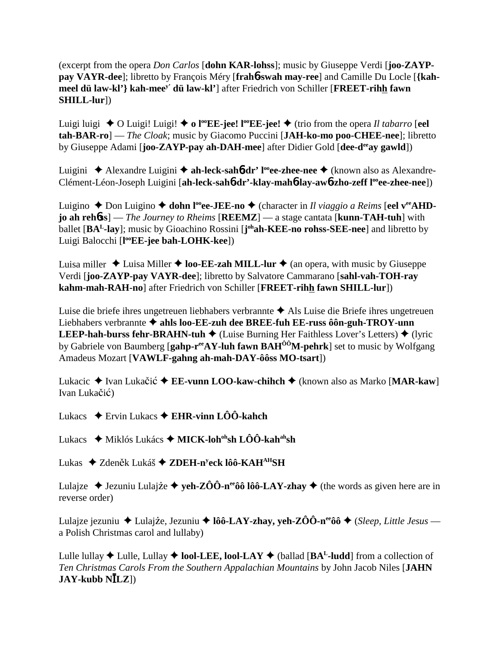(excerpt from the opera *Don Carlos* [**dohn KAR-lohss**]; music by Giuseppe Verdi [**joo-ZAYPpay VAYR-dee**]; libretto by François Méry [**frah**6**-swah may-ree**] and Camille Du Locle [**{kahmeel dü law-kl'} kah-meey' dü law-kl'**] after Friedrich von Schiller [**FREET-rihh fawn SHILL-lur**])

Luigi luigi  $\blacklozenge$  O Luigi! Luigi!  $\blacklozenge$  o l<sup>oo</sup>EE-jee! l<sup>oo</sup>EE-jee!  $\blacklozenge$  (trio from the opera *Il tabarro* [eel **tah-BAR-ro**] — *The Cloak*; music by Giacomo Puccini [**JAH-ko-mo poo-CHEE-nee**]; libretto by Giuseppe Adami [**joo-ZAYP-pay ah-DAH-mee**] after Didier Gold [**dee-deeay gawld**])

Luigini ◆ Alexandre Luigini ◆ ah-leck-sah**6-dr' l<sup>oo</sup>ee-zhee-nee ◆** (known also as Alexandre-Clément-Léon-Joseph Luigini [ah-leck-sah**6-dr'-klay-mah6-lay-aw6-zho-zeff l<sup>oo</sup>ee-zhee-nee**])

Luigino ◆ Don Luigino ◆ **dohn l<sup>oo</sup>ee-JEE-no ◆** (character in *Il viaggio a Reims* [**eel v<sup>ee</sup>AHDjo ah reh**6**ss**] — *The Journey to Rheims* [**REEMZ**] — a stage cantata [**kunn-TAH-tuh**] with ballet [**BAL-lay**]; music by Gioachino Rossini [**j ohah-KEE-no rohss-SEE-nee**] and libretto by Luigi Balocchi [**l ooEE-jee bah-LOHK-kee**])

Luisa miller  $\triangle$  Luisa Miller  $\triangle$  **loo-EE-zah MILL-lur**  $\triangle$  (an opera, with music by Giuseppe Verdi [**joo-ZAYP-pay VAYR-dee**]; libretto by Salvatore Cammarano [**sahl-vah-TOH-ray kahm-mah-RAH-no**] after Friedrich von Schiller [**FREET-rihh fawn SHILL-lur**])

Luise die briefe ihres ungetreuen liebhabers verbrannte  $\triangle$  Als Luise die Briefe ihres ungetreuen Liebhabers verbrannte  $\triangle$  ahls loo-EE-zuh dee BREE-fuh EE-russ ôôn-guh-TROY-unn **LEEP-hah-burss fehr-BRAHN-tuh**  $\blacklozenge$  (Luise Burning Her Faithless Lover's Letters)  $\blacklozenge$  (lyric by Gabriele von Baumberg [**gahp-reeAY-luh fawn BAHÔÔM-pehrk**] set to music by Wolfgang Amadeus Mozart [**VAWLF-gahng ah-mah-DAY-ôôss MO-tsart**])

Lukacic ◆ Ivan Lukačić ◆ **EE-vunn LOO-kaw-chihch** ◆ (known also as Marko [**MAR-kaw**] Ivan Lukačić)

- Lukacs Ervin Lukacs **EHR-vinn LÔÔ-kahch**
- Lukacs ◆ Miklós Lukács ◆ MICK-loh<sup>oh</sup>sh LÔÔ-kah<sup>ah</sup>sh
- Lukas ◆ Zdeněk Lukáš **◆ ZDEH-n<sup>y</sup>eck lôô-KAH<sup>AH</sup>SH**

Lulajze  $\triangle$  Jezuniu Lulajże  $\triangle$  yeh-ZÔÔ-n<sup>ee</sup>ôô lôô-LAY-zhay  $\triangle$  (the words as given here are in reverse order)

Lulajze jezuniu ◆ Lulajże, Jezuniu ◆ lôô-LAY-zhay, yeh-ZÔÔ-n<sup>ee</sup>ôô ◆ (*Sleep, Little Jesus* a Polish Christmas carol and lullaby)

Lulle lullay  $\blacklozenge$  Lulle, Lullay  $\blacklozenge$  **lool-LEE, lool-LAY**  $\blacklozenge$  (ballad [**BA<sup>L</sup>-ludd**] from a collection of *Ten Christmas Carols From the Southern Appalachian Mountains* by John Jacob Niles [**JAHN JAY-kubb NLZ**])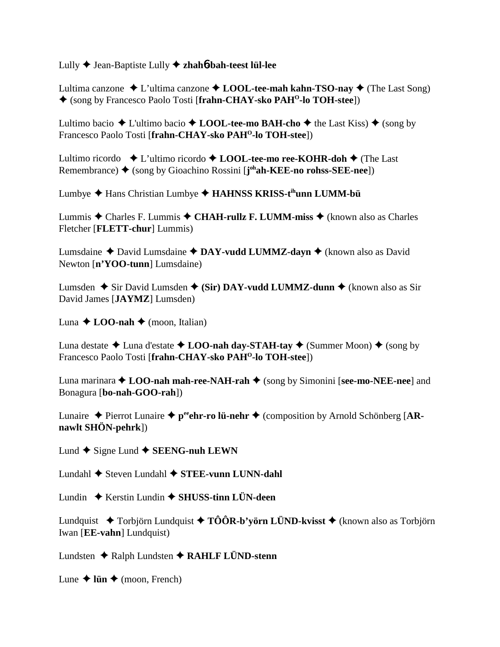Lully Jean-Baptiste Lully **zhah**6**-bah-teest lül-lee**

Lultima canzone  $\triangle$  L'ultima canzone  $\triangle$  **LOOL-tee-mah kahn-TSO-nay**  $\triangle$  (The Last Song) (song by Francesco Paolo Tosti [**frahn-CHAY-sko PAHO-lo TOH-stee**])

Lultimo bacio  $\triangle$  L'ultimo bacio  $\triangle$  **LOOL-tee-mo BAH-cho**  $\triangle$  the Last Kiss)  $\triangle$  (song by Francesco Paolo Tosti [**frahn-CHAY-sko PAHO-lo TOH-stee**])

Lultimo ricordo  $\bullet$  L'ultimo ricordo  $\bullet$  **LOOL-tee-mo ree-KOHR-doh**  $\bullet$  (The Last Remembrance) ◆ (song by Gioachino Rossini [**j**<sup>oh</sup>**ah-KEE-no rohss-SEE-nee**])

Lumbye Hans Christian Lumbye **HAHNSS KRISS-tihunn LUMM-bü**

Lummis  $\triangle$  Charles F. Lummis  $\triangle$  CHAH-rullz F. LUMM-miss  $\triangle$  (known also as Charles Fletcher [**FLETT-chur**] Lummis)

Lumsdaine ◆ David Lumsdaine ◆ DAY-vudd LUMMZ-dayn ◆ (known also as David Newton [**n'YOO-tunn**] Lumsdaine)

Lumsden **→** Sir David Lumsden ◆ (Sir) DAY-vudd LUMMZ-dunn ◆ (known also as Sir David James [**JAYMZ**] Lumsden)

Luna  $\triangle$  **LOO-nah**  $\triangle$  (moon, Italian)

Luna destate  $\triangle$  Luna d'estate  $\triangle$  **LOO-nah day-STAH-tay**  $\triangle$  (Summer Moon)  $\triangle$  (song by Francesco Paolo Tosti [**frahn-CHAY-sko PAH<sup>O</sup>-lo TOH-stee**])

Luna marinara **↑ LOO-nah mah-ree-NAH-rah** ◆ (song by Simonini [see-mo-NEE-nee] and Bonagura [**bo-nah-GOO-rah**])

Lunaire  $\triangle$  Pierrot Lunaire  $\triangle$  p<sup>ee</sup>ghr-ro lü-nehr  $\triangle$  (composition by Arnold Schönberg [AR**nawlt SHÖN-pehrk**])

Lund  $\blacklozenge$  Signe Lund  $\blacklozenge$  **SEENG-nuh LEWN** 

Lundahl **→** Steven Lundahl ◆ STEE-vunn LUNN-dahl

Lundin Kerstin Lundin **SHUSS-tinn LÜN-deen**

Lundquist  $\blacklozenge$  Torbjörn Lundquist  $\blacklozenge$  TÔÔR-b'yörn LÜND-kvisst  $\blacklozenge$  (known also as Torbjörn Iwan [**EE-vahn**] Lundquist)

Lundsten Ralph Lundsten **RAHLF LÜND-stenn**

Lune  $\triangle$  lün  $\triangle$  (moon, French)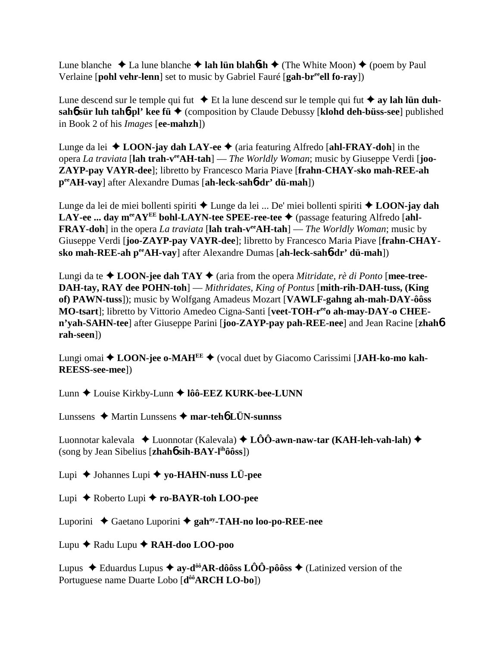Lune blanche  $\triangle$  La lune blanche  $\triangle$  lah lün blahosh  $\triangle$  (The White Moon)  $\triangle$  (poem by Paul Verlaine [**pohl vehr-lenn**] set to music by Gabriel Fauré [**gah-breeell fo-ray**])

Lune descend sur le temple qui fut  $\triangle$  Et la lune descend sur le temple qui fut  $\triangle$  ay lah lün duhsah**6** sür luh tah**6**-pl' kee fü ♦ (composition by Claude Debussy [klohd deh-büss-see] published in Book 2 of his *Images* [**ee-mahzh**])

Lunge da lei ◆ **LOON-jay dah LAY-ee** ◆ (aria featuring Alfredo [**ahl-FRAY-doh**] in the opera *La traviata* [**lah trah-veeAH-tah**] — *The Worldly Woman*; music by Giuseppe Verdi [**joo-ZAYP-pay VAYR-dee**]; libretto by Francesco Maria Piave [**frahn-CHAY-sko mah-REE-ah peeAH-vay**] after Alexandre Dumas [**ah-leck-sah**6**-dr' dü-mah**])

Lunge da lei de miei bollenti spiriti Lunge da lei ... De' miei bollenti spiriti **LOON-jay dah LAY-ee ... day m<sup>ee</sup>AY<sup>EE</sup> bohl-LAYN-tee SPEE-ree-tee ♦** (passage featuring Alfredo [ahl-**FRAY-doh**] in the opera *La traviata* [lah trah-v<sup>ee</sup>AH-tah] — *The Worldly Woman*; music by Giuseppe Verdi [**joo-ZAYP-pay VAYR-dee**]; libretto by Francesco Maria Piave [**frahn-CHAYsko mah-REE-ah peeAH-vay**] after Alexandre Dumas [**ah-leck-sah**6**-dr' dü-mah**])

Lungi da te  $\triangle$  **LOON-jee dah TAY**  $\triangle$  (aria from the opera *Mitridate, rè di Ponto* [mee-tree-**DAH-tay, RAY dee POHN-toh**] — *Mithridates, King of Pontus* [**mith-rih-DAH-tuss, (King of) PAWN-tuss**]); music by Wolfgang Amadeus Mozart [**VAWLF-gahng ah-mah-DAY-ôôss** MO-tsart]; libretto by Vittorio Amedeo Cigna-Santi [veet-TOH-r<sup>ee</sup>o ah-may-DAY-o CHEE**n'yah-SAHN-tee**] after Giuseppe Parini [**joo-ZAYP-pay pah-REE-nee**] and Jean Racine [**zhah**6 **rah-seen**])

Lungi omai ◆ LOON-jee o-MAH<sup>EE</sup> ◆ (vocal duet by Giacomo Carissimi [JAH-ko-mo kah-**REESS-see-mee**])

Lunn ◆ Louise Kirkby-Lunn ◆ lôô-EEZ KURK-bee-LUNN

Lunssens Martin Lunssens **mar-teh**6 **LÜN-sunnss**

Luonnotar kalevala  **↓** Luonnotar (Kalevala) **↓ LÔÔ-awn-naw-tar (KAH-leh-vah-lah) ◆** (song by Jean Sibelius [**zhah**6 **sih-BAY-lihôôss**])

Lupi Johannes Lupi **yo-HAHN-nuss LÜ-pee**

Lupi Roberto Lupi **ro-BAYR-toh LOO-pee**

Luporini Gaetano Luporini **gahay-TAH-no loo-po-REE-nee**

Lupu Radu Lupu **RAH-doo LOO-poo**

Lupus  $\blacklozenge$  Eduardus Lupus  $\blacklozenge$  ay-d<sup>ôô</sup>AR-dôôss LÔÔ-pôôss  $\blacklozenge$  (Latinized version of the Portuguese name Duarte Lobo [**dôôARCH LO-bo**])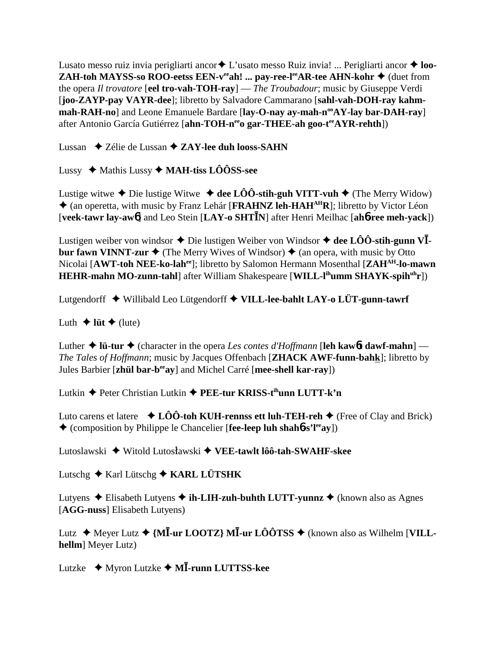Lusato messo ruiz invia perigliarti ancor**→** L'usato messo Ruiz invia! ... Perigliarti ancor ◆ **loo-ZAH-toh MAYSS-so ROO-eetss EEN-v<sup>ee</sup>ah! ... pay-ree-l<sup>ee</sup>AR-tee AHN-kohr**  $\blacklozenge$  **(duet from** the opera *Il trovatore* [**eel tro-vah-TOH-ray**] — *The Troubadour*; music by Giuseppe Verdi [**joo-ZAYP-pay VAYR-dee**]; libretto by Salvadore Cammarano [**sahl-vah-DOH-ray kahm**mah-RAH-no] and Leone Emanuele Bardare [lay-O-nay ay-mah-n<sup>oo</sup>AY-lay bar-DAH-ray] after Antonio García Gutiérrez [**ahn-TOH-n<sup>ee</sup>o gar-THEE-ah goo-t<sup>ee</sup>AYR-rehth**])

Lussan **→ Zélie de Lussan → ZAY-lee duh looss-SAHN** 

Lussy Mathis Lussy **MAH-tiss LÔÔSS-see**

Lustige witwe  $\triangle$  Die lustige Witwe  $\triangle$  dee LÔÔ-stih-guh VITT-vuh  $\triangle$  (The Merry Widow) (an operetta, with music by Franz Lehár [**FRAHNZ leh-HAHAHR**]; libretto by Victor Léon [**veek-tawr lay-aw**6] and Leo Stein [**LAY-o SHTN**] after Henri Meilhac [**ah**6**-ree meh-yack**])

Lustigen weiber von windsor  $\triangle$  Die lustigen Weiber von Windsor  $\triangle$  dee LÔÔ-stih-gunn VI **bur fawn VINNT-zur**  $\triangleq$  (The Merry Wives of Windsor)  $\triangleq$  (an opera, with music by Otto Nicolai [**AWT-toh NEE-ko-lahee**]; libretto by Salomon Hermann Mosenthal [**ZAHAH-lo-mawn HEHR-mahn MO-zunn-tahl**] after William Shakespeare [WILL-l<sup>ih</sup>umm SHAYK-spih<sup>uh</sup>r])

Lutgendorff Willibald Leo Lütgendorff **VILL-lee-bahlt LAY-o LÜT-gunn-tawrf**

Luth  $\triangle$  lüt  $\triangle$  (lute)

Luther  $\triangle$  **lü-tur**  $\triangle$  (character in the opera *Les contes d'Hoffmann* [**leh kaw6t dawf-mahn**] — *The Tales of Hoffmann*; music by Jacques Offenbach [**ZHACK AWF-funn-bahk**]; libretto by Jules Barbier [**zhül bar-beeay**] and Michel Carré [**mee-shell kar-ray**])

Lutkin Peter Christian Lutkin **PEE-tur KRISS-tihunn LUTT-k'n**

Luto carens et latere  $\triangleleft$  **LÔÔ-toh KUH-rennss ett luh-TEH-reh**  $\triangleleft$  (Free of Clay and Brick) (composition by Philippe le Chancelier [**fee-leep luh shah**6**-s'leeay**])

Lutoslawski ◆ Witold Lutosławski ◆ VEE-tawlt lôô-tah-SWAHF-skee

Lutschg  $\triangle$  Karl Lütschg  $\triangle$  KARL LÜTSHK

Lutyens  $\triangle$  Elisabeth Lutyens  $\triangle$  **ih-LIH-zuh-buhth LUTT-yunnz**  $\triangle$  (known also as Agnes [**AGG-nuss**] Elisabeth Lutyens)

Lutz **→** Meyer Lutz ◆ {M**I**-ur LOOTZ} M**I**-ur LÔÔTSS ◆ (known also as Wilhelm [VILL**hellm**] Meyer Lutz)

Lutzke Myron Lutzke **M-runn LUTTSS-kee**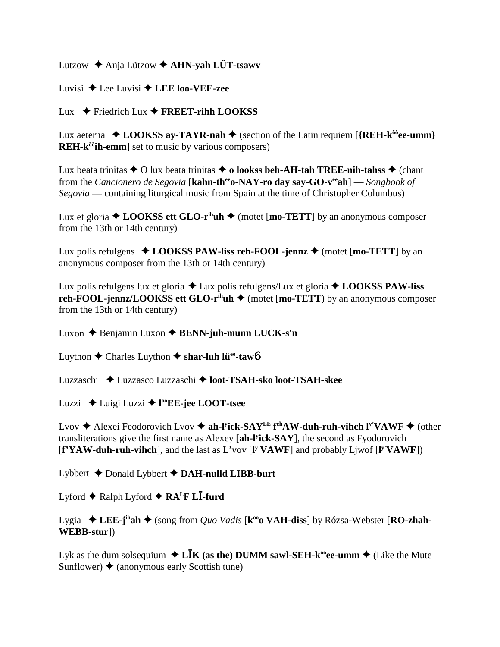Lutzow  $\triangle$  Anja Lützow  $\triangle$  AHN-vah LÜT-tsawy

Luvisi  $\triangle$  Lee Luvisi  $\triangle$  LEE loo-VEE-zee

Lux  $\blacklozenge$  Friedrich Lux  $\blacklozenge$  FREET-rihh LOOKSS

Lux aeterna  $\triangle$  LOOKSS ay-TAYR-nah  $\triangle$  (section of the Latin requiem [{REH-k<sup> $\delta \hat{\theta}$ </sup>ee-umm} **REH-k<sup>** $\hat{\theta}$ **</sup>ih-emm** set to music by various composers)

Lux beata trinitas  $\triangle$  O lux beata trinitas  $\triangle$  o lookss beh-AH-tah TREE-nih-tahss  $\triangle$  (chant from the *Cancionero de Segovia* [kahn-th<sup>ee</sup>o-NAY-ro day say-GO-v<sup>ee</sup>ah] — *Songbook of* Segovia — containing liturgical music from Spain at the time of Christopher Columbus)

Lux et gloria  $\triangle$  LOOKSS ett GLO-r<sup>ih</sup>uh  $\triangle$  (motet [mo-TETT] by an anonymous composer from the 13th or 14th century)

Lux polis refulgens  $\triangle$  LOOKSS PAW-liss reh-FOOL-jennz  $\triangle$  (motet [mo-TETT] by an anonymous composer from the 13th or 14th century)

Lux polis refulgens lux et gloria  $\triangle$  Lux polis refulgens/Lux et gloria  $\triangle$  LOOKSS PAW-liss reh-FOOL-jennz/LOOKSS ett GLO-r<sup>ih</sup>uh  $\blacklozenge$  (motet [mo-TETT) by an anonymous composer from the 13th or 14th century)

Luxon  $\triangle$  Benjamin Luxon  $\triangle$  BENN-juh-munn LUCK-s'n

Luython  $\triangle$  Charles Luython  $\triangle$  shar-luh lü<sup>e</sup>-tawb

Luzzaschi ◆ Luzzasco Luzzaschi ◆ loot-TSAH-sko loot-TSAH-skee

Luzzi ← Luigi Luzzi ← l<sup>oo</sup>EE-jee LOOT-tsee

Lvov  $\triangleq$  Alexei Feodorovich Lvov  $\triangleq$  ah-Fick-SAY<sup>EE</sup> f<sup>eh</sup>AW-duh-ruh-vihch F<sup>'</sup>VAWF  $\triangleq$  (other transliterations give the first name as Alexey [ah-l<sup>y</sup>ick-SAY], the second as Fyodorovich  $[\mathbf{f}^{\mathbf{v}} \mathbf{Y} \mathbf{A} \mathbf{W}$ -duh-ruh-vihch], and the last as L'vov  $[\mathbf{F}^{\mathbf{v}} \mathbf{V} \mathbf{A} \mathbf{W} \mathbf{F}]$  and probably Liwof  $[\mathbf{F}^{\mathbf{v}} \mathbf{V} \mathbf{A} \mathbf{W} \mathbf{F}]$ 

Lybbert  $\triangle$  Donald Lybbert  $\triangle$  DAH-nulld LIBB-burt

Lyford  $\blacklozenge$  Ralph Lyford  $\blacklozenge$  RA<sup>L</sup>F L**I**-furd

Lygia  $\triangle$  LEE-j<sup>ih</sup>ah  $\triangle$  (song from *Quo Vadis* [k<sup>oo</sup>o VAH-diss] by Rózsa-Webster [RO-zhah-WEBB-sturl)

Lyk as the dum solsequium  $\triangleleft$  LIK (as the) DUMM sawl-SEH-k<sup>oo</sup>ee-umm  $\triangleleft$  (Like the Mute Sunflower)  $\triangle$  (anonymous early Scottish tune)